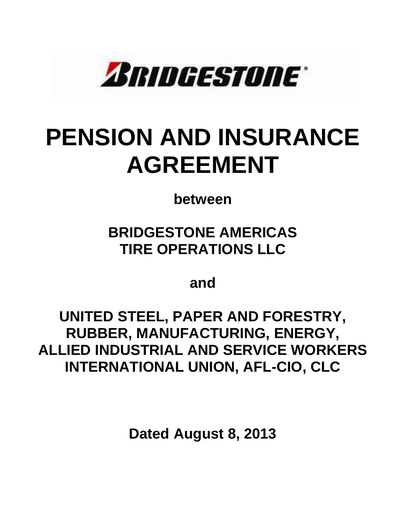

# **PENSION AND INSURANCE AGREEMENT**

**between**

**BRIDGESTONE AMERICAS TIRE OPERATIONS LLC** 

**and**

**UNITED STEEL, PAPER AND FORESTRY, RUBBER, MANUFACTURING, ENERGY, ALLIED INDUSTRIAL AND SERVICE WORKERS INTERNATIONAL UNION, AFL-CIO, CLC**

**Dated August 8, 2013**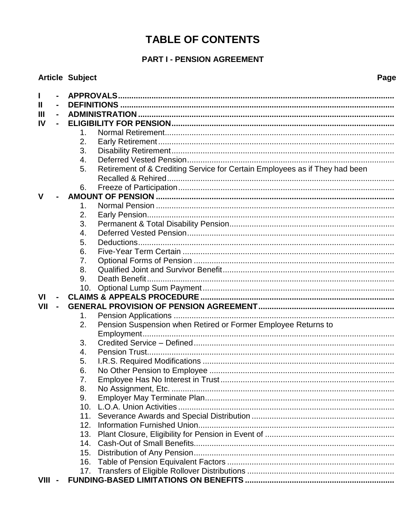# **TABLE OF CONTENTS**

# **PART I - PENSION AGREEMENT**

|             |                | <b>Article Subject</b> |                                                                             |  |
|-------------|----------------|------------------------|-----------------------------------------------------------------------------|--|
|             |                |                        |                                                                             |  |
| Ш           | $\frac{1}{2}$  |                        |                                                                             |  |
| Ш           | $\blacksquare$ |                        |                                                                             |  |
| IV          |                |                        |                                                                             |  |
|             |                | 1.                     |                                                                             |  |
|             |                | 2.                     |                                                                             |  |
|             |                | 3.                     |                                                                             |  |
|             |                | 4.                     |                                                                             |  |
|             |                | 5.                     | Retirement of & Crediting Service for Certain Employees as if They had been |  |
|             |                |                        |                                                                             |  |
|             |                | 6.                     |                                                                             |  |
| $\mathbf v$ |                |                        |                                                                             |  |
|             |                | 1.                     |                                                                             |  |
|             |                | 2.                     |                                                                             |  |
|             |                | 3.                     |                                                                             |  |
|             |                | 4.                     |                                                                             |  |
|             |                | 5.                     |                                                                             |  |
|             |                | 6.                     |                                                                             |  |
|             |                | 7.                     |                                                                             |  |
|             |                | 8.                     |                                                                             |  |
|             |                | 9.                     |                                                                             |  |
|             |                |                        |                                                                             |  |
| VI          |                |                        |                                                                             |  |
| VII         |                |                        |                                                                             |  |
|             |                | 1.                     |                                                                             |  |
|             |                | 2.                     | Pension Suspension when Retired or Former Employee Returns to               |  |
|             |                |                        |                                                                             |  |
|             |                | 3.                     |                                                                             |  |
|             |                | 4.                     |                                                                             |  |
|             |                | 5.                     |                                                                             |  |
|             |                | 6.                     |                                                                             |  |
|             |                | 7.                     |                                                                             |  |
|             |                | 8.                     |                                                                             |  |
|             |                | 9.                     |                                                                             |  |
|             |                | 10.                    |                                                                             |  |
|             |                | 11.                    |                                                                             |  |
|             |                | 12.                    |                                                                             |  |
|             |                | 13.                    |                                                                             |  |
|             |                | 15.                    |                                                                             |  |
|             |                | 16.                    |                                                                             |  |
|             |                |                        |                                                                             |  |
| $VIII -$    |                |                        |                                                                             |  |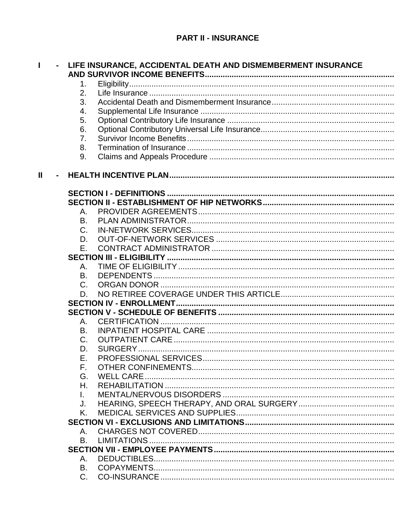|              | $\blacksquare$ |    | LIFE INSURANCE, ACCIDENTAL DEATH AND DISMEMBERMENT INSURANCE |
|--------------|----------------|----|--------------------------------------------------------------|
|              |                |    |                                                              |
|              |                | 1. |                                                              |
|              |                | 2. |                                                              |
|              |                | 3. |                                                              |
|              |                | 4. |                                                              |
|              |                | 5. |                                                              |
|              |                | 6. |                                                              |
|              |                | 7. |                                                              |
|              |                | 8. |                                                              |
|              |                | 9. |                                                              |
| $\mathbf{I}$ |                |    |                                                              |
|              |                |    |                                                              |
|              |                |    |                                                              |
|              |                | Α. |                                                              |
|              |                | B. |                                                              |
|              |                | C. |                                                              |
|              |                | D. |                                                              |
|              |                | Ε. |                                                              |
|              |                |    |                                                              |
|              |                | Α. |                                                              |
|              |                | B. |                                                              |
|              |                | C. |                                                              |
|              |                | D. |                                                              |
|              |                |    |                                                              |
|              |                |    |                                                              |
|              |                | Α. |                                                              |
|              |                | В. |                                                              |
|              |                | C. |                                                              |
|              |                | D. |                                                              |
|              |                | Е. |                                                              |
|              |                | F. |                                                              |
|              |                | G. |                                                              |
|              |                | Η. |                                                              |
|              |                |    |                                                              |
|              |                | L. |                                                              |
|              |                | J. |                                                              |
|              |                | K. |                                                              |
|              |                |    |                                                              |
|              |                | Α. |                                                              |
|              |                | B. |                                                              |
|              |                |    |                                                              |
|              |                | Α. |                                                              |
|              |                | В. |                                                              |
|              |                | C. |                                                              |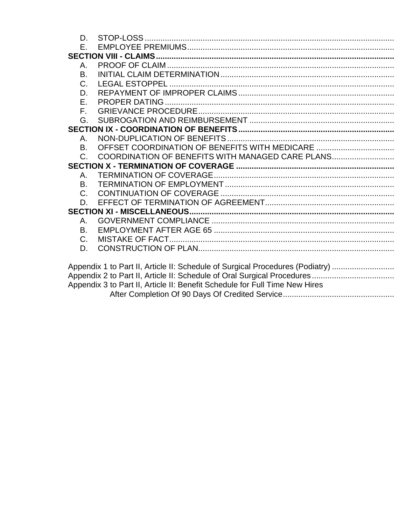| D.                                                                            |                                                                             |  |  |  |  |  |
|-------------------------------------------------------------------------------|-----------------------------------------------------------------------------|--|--|--|--|--|
| Е.                                                                            |                                                                             |  |  |  |  |  |
|                                                                               |                                                                             |  |  |  |  |  |
| Α.                                                                            |                                                                             |  |  |  |  |  |
| B.                                                                            |                                                                             |  |  |  |  |  |
| C.                                                                            |                                                                             |  |  |  |  |  |
| D.                                                                            |                                                                             |  |  |  |  |  |
| Ε.                                                                            |                                                                             |  |  |  |  |  |
| $F_{\perp}$                                                                   |                                                                             |  |  |  |  |  |
| G.                                                                            |                                                                             |  |  |  |  |  |
|                                                                               |                                                                             |  |  |  |  |  |
| Α.                                                                            |                                                                             |  |  |  |  |  |
| B.                                                                            | OFFSET COORDINATION OF BENEFITS WITH MEDICARE                               |  |  |  |  |  |
| $C_{\cdot}$                                                                   | COORDINATION OF BENEFITS WITH MANAGED CARE PLANS                            |  |  |  |  |  |
|                                                                               |                                                                             |  |  |  |  |  |
| Α.                                                                            |                                                                             |  |  |  |  |  |
| Β.                                                                            |                                                                             |  |  |  |  |  |
| $C_{\cdot}$                                                                   |                                                                             |  |  |  |  |  |
| D.                                                                            |                                                                             |  |  |  |  |  |
|                                                                               |                                                                             |  |  |  |  |  |
| Α.                                                                            |                                                                             |  |  |  |  |  |
| B.                                                                            |                                                                             |  |  |  |  |  |
| $C_{\cdot}$                                                                   |                                                                             |  |  |  |  |  |
| D.                                                                            |                                                                             |  |  |  |  |  |
|                                                                               |                                                                             |  |  |  |  |  |
| Appendix 1 to Part II, Article II: Schedule of Surgical Procedures (Podiatry) |                                                                             |  |  |  |  |  |
|                                                                               |                                                                             |  |  |  |  |  |
|                                                                               | Appendix 3 to Part II, Article II: Benefit Schedule for Full Time New Hires |  |  |  |  |  |
|                                                                               |                                                                             |  |  |  |  |  |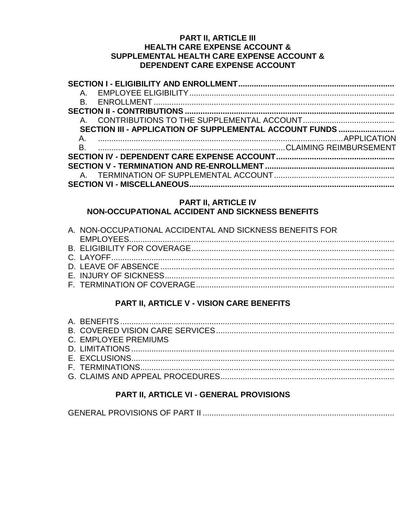# **PART II, ARTICLE III HEALTH CARE EXPENSE ACCOUNT &** SUPPLEMENTAL HEALTH CARE EXPENSE ACCOUNT & DEPENDENT CARE EXPENSE ACCOUNT

| SECTION III - APPLICATION OF SUPPLEMENTAL ACCOUNT FUNDS |
|---------------------------------------------------------|
|                                                         |
|                                                         |
|                                                         |
|                                                         |
|                                                         |
|                                                         |
|                                                         |

# PART II, ARTICLE IV NON-OCCUPATIONAL ACCIDENT AND SICKNESS BENEFITS

| A. NON-OCCUPATIONAL ACCIDENTAL AND SICKNESS BENEFITS FOR |
|----------------------------------------------------------|
|                                                          |
|                                                          |
|                                                          |
|                                                          |
|                                                          |
|                                                          |

# PART II, ARTICLE V - VISION CARE BENEFITS

| C. EMPLOYEE PREMIUMS |
|----------------------|
|                      |
|                      |
|                      |
|                      |
|                      |

# PART II, ARTICLE VI - GENERAL PROVISIONS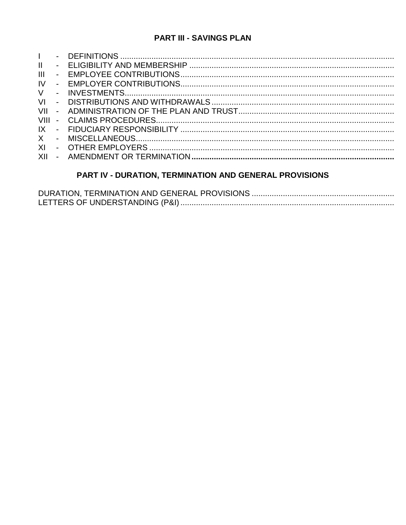# **PART III - SAVINGS PLAN**

| $\mathbf{L}$  |  |
|---------------|--|
| $\mathbf{II}$ |  |
| III           |  |
| IV            |  |
| V             |  |
|               |  |
|               |  |
|               |  |
|               |  |
|               |  |
| XI            |  |
|               |  |
|               |  |

# PART IV - DURATION, TERMINATION AND GENERAL PROVISIONS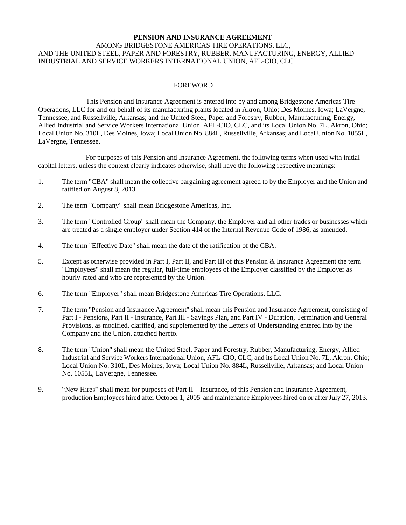# **PENSION AND INSURANCE AGREEMENT** AMONG BRIDGESTONE AMERICAS TIRE OPERATIONS, LLC, AND THE UNITED STEEL, PAPER AND FORESTRY, RUBBER, MANUFACTURING, ENERGY, ALLIED INDUSTRIAL AND SERVICE WORKERS INTERNATIONAL UNION, AFL-CIO, CLC

# FOREWORD

This Pension and Insurance Agreement is entered into by and among Bridgestone Americas Tire Operations, LLC for and on behalf of its manufacturing plants located in Akron, Ohio; Des Moines, Iowa; LaVergne, Tennessee, and Russellville, Arkansas; and the United Steel, Paper and Forestry, Rubber, Manufacturing, Energy, Allied Industrial and Service Workers International Union, AFL-CIO, CLC, and its Local Union No. 7L, Akron, Ohio; Local Union No. 310L, Des Moines, Iowa; Local Union No. 884L, Russellville, Arkansas; and Local Union No. 1055L, LaVergne, Tennessee.

For purposes of this Pension and Insurance Agreement, the following terms when used with initial capital letters, unless the context clearly indicates otherwise, shall have the following respective meanings:

- 1. The term "CBA" shall mean the collective bargaining agreement agreed to by the Employer and the Union and ratified on August 8, 2013.
- 2. The term "Company" shall mean Bridgestone Americas, Inc.
- 3. The term "Controlled Group" shall mean the Company, the Employer and all other trades or businesses which are treated as a single employer under Section 414 of the Internal Revenue Code of 1986, as amended.
- 4. The term "Effective Date" shall mean the date of the ratification of the CBA.
- 5. Except as otherwise provided in Part I, Part II, and Part III of this Pension & Insurance Agreement the term "Employees" shall mean the regular, full-time employees of the Employer classified by the Employer as hourly-rated and who are represented by the Union.
- 6. The term "Employer" shall mean Bridgestone Americas Tire Operations, LLC.
- 7. The term "Pension and Insurance Agreement" shall mean this Pension and Insurance Agreement, consisting of Part I - Pensions, Part II - Insurance, Part III - Savings Plan, and Part IV - Duration, Termination and General Provisions, as modified, clarified, and supplemented by the Letters of Understanding entered into by the Company and the Union, attached hereto.
- 8. The term "Union" shall mean the United Steel, Paper and Forestry, Rubber, Manufacturing, Energy, Allied Industrial and Service Workers International Union, AFL-CIO, CLC, and its Local Union No. 7L, Akron, Ohio; Local Union No. 310L, Des Moines, Iowa; Local Union No. 884L, Russellville, Arkansas; and Local Union No. 1055L, LaVergne, Tennessee.
- 9. "New Hires" shall mean for purposes of Part II Insurance, of this Pension and Insurance Agreement, production Employees hired after October 1, 2005 and maintenance Employees hired on or after July 27, 2013.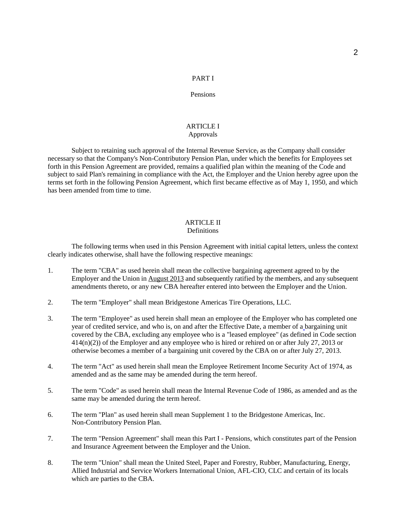# PART I

# Pensions

# **ARTICLE I** Approvals

Subject to retaining such approval of the Internal Revenue Service, as the Company shall consider necessary so that the Company's Non-Contributory Pension Plan, under which the benefits for Employees set forth in this Pension Agreement are provided, remains a qualified plan within the meaning of the Code and subject to said Plan's remaining in compliance with the Act, the Employer and the Union hereby agree upon the terms set forth in the following Pension Agreement, which first became effective as of May 1, 1950, and which has been amended from time to time.

# ARTICLE II

# Definitions

The following terms when used in this Pension Agreement with initial capital letters, unless the context clearly indicates otherwise, shall have the following respective meanings:

- 1. The term "CBA" as used herein shall mean the collective bargaining agreement agreed to by the Employer and the Union in August 2013 and subsequently ratified by the members, and any subsequent amendments thereto, or any new CBA hereafter entered into between the Employer and the Union.
- 2. The term "Employer" shall mean Bridgestone Americas Tire Operations, LLC.
- 3. The term "Employee" as used herein shall mean an employee of the Employer who has completed one year of credited service, and who is, on and after the Effective Date, a member of a bargaining unit covered by the CBA, excluding any employee who is a "leased employee" (as defined in Code section 414(n)(2)) of the Employer and any employee who is hired or rehired on or after July 27, 2013 or otherwise becomes a member of a bargaining unit covered by the CBA on or after July 27, 2013.
- 4. The term "Act" as used herein shall mean the Employee Retirement Income Security Act of 1974, as amended and as the same may be amended during the term hereof.
- 5. The term "Code" as used herein shall mean the Internal Revenue Code of 1986, as amended and as the same may be amended during the term hereof.
- 6. The term "Plan" as used herein shall mean Supplement 1 to the Bridgestone Americas, Inc. Non-Contributory Pension Plan.
- 7. The term "Pension Agreement" shall mean this Part I Pensions, which constitutes part of the Pension and Insurance Agreement between the Employer and the Union.
- 8. The term "Union" shall mean the United Steel, Paper and Forestry, Rubber, Manufacturing, Energy, Allied Industrial and Service Workers International Union, AFL-CIO, CLC and certain of its locals which are parties to the CBA.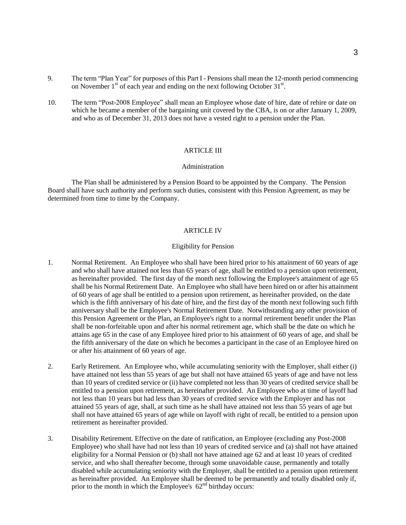- 9. The term "Plan Year" for purposes of this Part I Pensions shall mean the 12-month period commencing on November  $1<sup>st</sup>$  of each year and ending on the next following October 31 $<sup>st</sup>$ .</sup>
- 10. The term "Post-2008 Employee" shall mean an Employee whose date of hire, date of rehire or date on which he became a member of the bargaining unit covered by the CBA, is on or after January 1, 2009, and who as of December 31, 2013 does not have a vested right to a pension under the Plan.

# ARTICLE III

#### Administration

The Plan shall be administered by a Pension Board to be appointed by the Company. The Pension Board shall have such authority and perform such duties, consistent with this Pension Agreement, as may be determined from time to time by the Company.

### ARTICLE IV

# Eligibility for Pension

- 1. Normal Retirement. An Employee who shall have been hired prior to his attainment of 60 years of age and who shall have attained not less than 65 years of age, shall be entitled to a pension upon retirement, as hereinafter provided. The first day of the month next following the Employee's attainment of age 65 shall be his Normal Retirement Date. An Employee who shall have been hired on or after his attainment of 60 years of age shall be entitled to a pension upon retirement, as hereinafter provided, on the date which is the fifth anniversary of his date of hire, and the first day of the month next following such fifth anniversary shall be the Employee's Normal Retirement Date. Notwithstanding any other provision of this Pension Agreement or the Plan, an Employee's right to a normal retirement benefit under the Plan shall be non-forfeitable upon and after his normal retirement age, which shall be the date on which he attains age 65 in the case of any Employee hired prior to his attainment of 60 years of age, and shall be the fifth anniversary of the date on which he becomes a participant in the case of an Employee hired on or after his attainment of 60 years of age.
- 2. Early Retirement. An Employee who, while accumulating seniority with the Employer, shall either (i) have attained not less than 55 years of age but shall not have attained 65 years of age and have not less than 10 years of credited service or (ii) have completed not less than 30 years of credited service shall be entitled to a pension upon retirement, as hereinafter provided. An Employee who at time of layoff had not less than 10 years but had less than 30 years of credited service with the Employer and has not attained 55 years of age, shall, at such time as he shall have attained not less than 55 years of age but shall not have attained 65 years of age while on layoff with right of recall, be entitled to a pension upon retirement as hereinafter provided.
- 3. Disability Retirement. Effective on the date of ratification, an Employee (excluding any Post-2008 Employee) who shall have had not less than 10 years of credited service and (a) shall not have attained eligibility for a Normal Pension or (b) shall not have attained age 62 and at least 10 years of credited service, and who shall thereafter become, through some unavoidable cause, permanently and totally disabled while accumulating seniority with the Employer, shall be entitled to a pension upon retirement as hereinafter provided. An Employee shall be deemed to be permanently and totally disabled only if, prior to the month in which the Employee's  $62<sup>nd</sup>$  birthday occurs: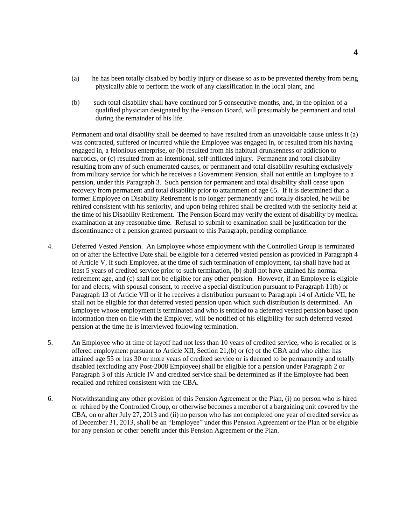- (a) he has been totally disabled by bodily injury or disease so as to be prevented thereby from being physically able to perform the work of any classification in the local plant, and
- (b) such total disability shall have continued for 5 consecutive months, and, in the opinion of a qualified physician designated by the Pension Board, will presumably be permanent and total during the remainder of his life.

Permanent and total disability shall be deemed to have resulted from an unavoidable cause unless it (a) was contracted, suffered or incurred while the Employee was engaged in, or resulted from his having engaged in, a felonious enterprise, or (b) resulted from his habitual drunkenness or addiction to narcotics, or (c) resulted from an intentional, self-inflicted injury. Permanent and total disability resulting from any of such enumerated causes, or permanent and total disability resulting exclusively from military service for which he receives a Government Pension, shall not entitle an Employee to a pension, under this Paragraph 3. Such pension for permanent and total disability shall cease upon recovery from permanent and total disability prior to attainment of age 65. If it is determined that a former Employee on Disability Retirement is no longer permanently and totally disabled, he will be rehired consistent with his seniority, and upon being rehired shall be credited with the seniority held at the time of his Disability Retirement. The Pension Board may verify the extent of disability by medical examination at any reasonable time. Refusal to submit to examination shall be justification for the discontinuance of a pension granted pursuant to this Paragraph, pending compliance.

- 4. Deferred Vested Pension. An Employee whose employment with the Controlled Group is terminated on or after the Effective Date shall be eligible for a deferred vested pension as provided in Paragraph 4 of Article V, if such Employee, at the time of such termination of employment, (a) shall have had at least 5 years of credited service prior to such termination, (b) shall not have attained his normal retirement age, and (c) shall not be eligible for any other pension. However, if an Employee is eligible for and elects, with spousal consent, to receive a special distribution pursuant to Paragraph 11(b) or Paragraph 13 of Article VII or if he receives a distribution pursuant to Paragraph 14 of Article VII, he shall not be eligible for that deferred vested pension upon which such distribution is determined. An Employee whose employment is terminated and who is entitled to a deferred vested pension based upon information then on file with the Employer, will be notified of his eligibility for such deferred vested pension at the time he is interviewed following termination.
- 5. An Employee who at time of layoff had not less than 10 years of credited service, who is recalled or is offered employment pursuant to Article XII, Section 21,(b) or (c) of the CBA and who either has attained age 55 or has 30 or more years of credited service or is deemed to be permanently and totally disabled (excluding any Post-2008 Employee) shall be eligible for a pension under Paragraph 2 or Paragraph 3 of this Article IV and credited service shall be determined as if the Employee had been recalled and rehired consistent with the CBA.
- 6. Notwithstanding any other provision of this Pension Agreement or the Plan, (i) no person who is hired or rehired by the Controlled Group, or otherwise becomes a member of a bargaining unit covered by the CBA, on or after July 27, 2013 and (ii) no person who has not completed one year of credited service as of December 31, 2013, shall be an "Employee" under this Pension Agreement or the Plan or be eligible for any pension or other benefit under this Pension Agreement or the Plan.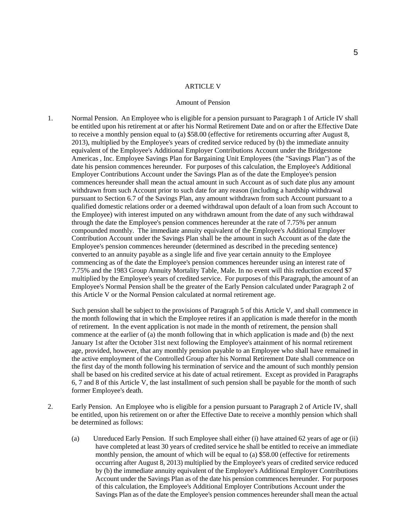#### **ARTICLE V**

#### Amount of Pension

1. Normal Pension. An Employee who is eligible for a pension pursuant to Paragraph 1 of Article IV shall be entitled upon his retirement at or after his Normal Retirement Date and on or after the Effective Date to receive a monthly pension equal to (a) \$58.00 (effective for retirements occurring after August 8, 2013), multiplied by the Employee's years of credited service reduced by (b) the immediate annuity equivalent of the Employee's Additional Employer Contributions Account under the Bridgestone Americas , Inc. Employee Savings Plan for Bargaining Unit Employees (the "Savings Plan") as of the date his pension commences hereunder. For purposes of this calculation, the Employee's Additional Employer Contributions Account under the Savings Plan as of the date the Employee's pension commences hereunder shall mean the actual amount in such Account as of such date plus any amount withdrawn from such Account prior to such date for any reason (including a hardship withdrawal pursuant to Section 6.7 of the Savings Plan, any amount withdrawn from such Account pursuant to a qualified domestic relations order or a deemed withdrawal upon default of a loan from such Account to the Employee) with interest imputed on any withdrawn amount from the date of any such withdrawal through the date the Employee's pension commences hereunder at the rate of 7.75% per annum compounded monthly. The immediate annuity equivalent of the Employee's Additional Employer Contribution Account under the Savings Plan shall be the amount in such Account as of the date the Employee's pension commences hereunder (determined as described in the preceding sentence) converted to an annuity payable as a single life and five year certain annuity to the Employee commencing as of the date the Employee's pension commences hereunder using an interest rate of 7.75% and the 1983 Group Annuity Mortality Table, Male. In no event will this reduction exceed \$7 multiplied by the Employee's years of credited service. For purposes of this Paragraph, the amount of an Employee's Normal Pension shall be the greater of the Early Pension calculated under Paragraph 2 of this Article V or the Normal Pension calculated at normal retirement age.

Such pension shall be subject to the provisions of Paragraph 5 of this Article V, and shall commence in the month following that in which the Employee retires if an application is made therefor in the month of retirement. In the event application is not made in the month of retirement, the pension shall commence at the earlier of (a) the month following that in which application is made and (b) the next January 1st after the October 31st next following the Employee's attainment of his normal retirement age, provided, however, that any monthly pension payable to an Employee who shall have remained in the active employment of the Controlled Group after his Normal Retirement Date shall commence on the first day of the month following his termination of service and the amount of such monthly pension shall be based on his credited service at his date of actual retirement. Except as provided in Paragraphs 6, 7 and 8 of this Article V, the last installment of such pension shall be payable for the month of such former Employee's death.

- 2. Early Pension. An Employee who is eligible for a pension pursuant to Paragraph 2 of Article IV, shall be entitled, upon his retirement on or after the Effective Date to receive a monthly pension which shall be determined as follows:
	- (a) Unreduced Early Pension. If such Employee shall either (i) have attained 62 years of age or (ii) have completed at least 30 years of credited service he shall be entitled to receive an immediate monthly pension, the amount of which will be equal to (a) \$58.00 (effective for retirements occurring after August 8, 2013) multiplied by the Employee's years of credited service reduced by (b) the immediate annuity equivalent of the Employee's Additional Employer Contributions Account under the Savings Plan as of the date his pension commences hereunder. For purposes of this calculation, the Employee's Additional Employer Contributions Account under the Savings Plan as of the date the Employee's pension commences hereunder shall mean the actual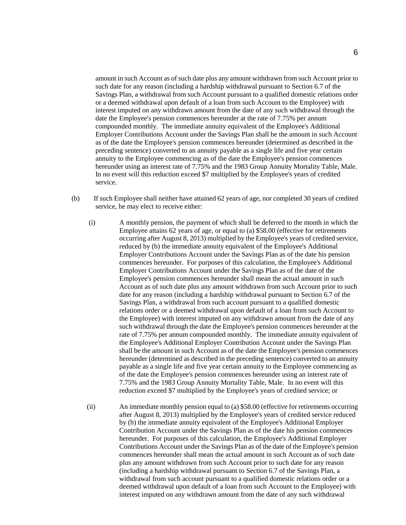amount in such Account as of such date plus any amount withdrawn from such Account prior to such date for any reason (including a hardship withdrawal pursuant to Section 6.7 of the Savings Plan, a withdrawal from such Account pursuant to a qualified domestic relations order or a deemed withdrawal upon default of a loan from such Account to the Employee) with interest imputed on any withdrawn amount from the date of any such withdrawal through the date the Employee's pension commences hereunder at the rate of 7.75% per annum compounded monthly. The immediate annuity equivalent of the Employee's Additional Employer Contributions Account under the Savings Plan shall be the amount in such Account as of the date the Employee's pension commences hereunder (determined as described in the preceding sentence) converted to an annuity payable as a single life and five year certain annuity to the Employee commencing as of the date the Employee's pension commences hereunder using an interest rate of 7.75% and the 1983 Group Annuity Mortality Table, Male. In no event will this reduction exceed \$7 multiplied by the Employee's years of credited service.

- (b) If such Employee shall neither have attained 62 years of age, nor completed 30 years of credited service, he may elect to receive either:
	- (i) A monthly pension, the payment of which shall be deferred to the month in which the Employee attains 62 years of age, or equal to (a) \$58.00 (effective for retirements occurring after August 8, 2013) multiplied by the Employee's years of credited service, reduced by (b) the immediate annuity equivalent of the Employee's Additional Employer Contributions Account under the Savings Plan as of the date his pension commences hereunder. For purposes of this calculation, the Employee's Additional Employer Contributions Account under the Savings Plan as of the date of the Employee's pension commences hereunder shall mean the actual amount in such Account as of such date plus any amount withdrawn from such Account prior to such date for any reason (including a hardship withdrawal pursuant to Section 6.7 of the Savings Plan, a withdrawal from such account pursuant to a qualified domestic relations order or a deemed withdrawal upon default of a loan from such Account to the Employee) with interest imputed on any withdrawn amount from the date of any such withdrawal through the date the Employee's pension commences hereunder at the rate of 7.75% per annum compounded monthly. The immediate annuity equivalent of the Employee's Additional Employer Contribution Account under the Savings Plan shall be the amount in such Account as of the date the Employee's pension commences hereunder (determined as described in the preceding sentence) converted to an annuity payable as a single life and five year certain annuity to the Employee commencing as of the date the Employee's pension commences hereunder using an interest rate of 7.75% and the 1983 Group Annuity Mortality Table, Male. In no event will this reduction exceed \$7 multiplied by the Employee's years of credited service; or
	- (ii) An immediate monthly pension equal to (a) \$58.00 (effective for retirements occurring after August 8, 2013) multiplied by the Employee's years of credited service reduced by (b) the immediate annuity equivalent of the Employee's Additional Employer Contribution Account under the Savings Plan as of the date his pension commences hereunder. For purposes of this calculation, the Employee's Additional Employer Contributions Account under the Savings Plan as of the date of the Employee's pension commences hereunder shall mean the actual amount in such Account as of such date plus any amount withdrawn from such Account prior to such date for any reason (including a hardship withdrawal pursuant to Section 6.7 of the Savings Plan, a withdrawal from such account pursuant to a qualified domestic relations order or a deemed withdrawal upon default of a loan from such Account to the Employee) with interest imputed on any withdrawn amount from the date of any such withdrawal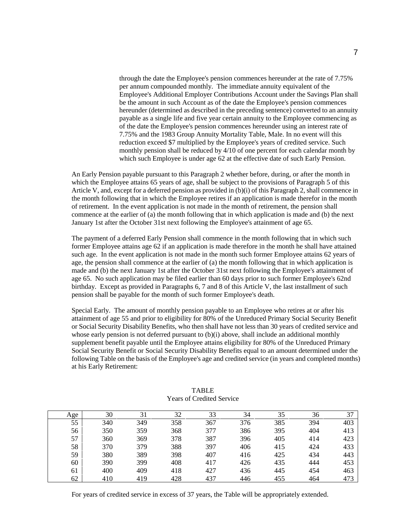through the date the Employee's pension commences hereunder at the rate of 7.75% per annum compounded monthly. The immediate annuity equivalent of the Employee's Additional Employer Contributions Account under the Savings Plan shall be the amount in such Account as of the date the Employee's pension commences hereunder (determined as described in the preceding sentence) converted to an annuity payable as a single life and five year certain annuity to the Employee commencing as of the date the Employee's pension commences hereunder using an interest rate of 7.75% and the 1983 Group Annuity Mortality Table, Male. In no event will this reduction exceed \$7 multiplied by the Employee's years of credited service. Such monthly pension shall be reduced by 4/10 of one percent for each calendar month by which such Employee is under age 62 at the effective date of such Early Pension.

An Early Pension payable pursuant to this Paragraph 2 whether before, during, or after the month in which the Employee attains 65 years of age, shall be subject to the provisions of Paragraph 5 of this Article V, and, except for a deferred pension as provided in (b)(i) of this Paragraph 2, shall commence in the month following that in which the Employee retires if an application is made therefor in the month of retirement. In the event application is not made in the month of retirement, the pension shall commence at the earlier of (a) the month following that in which application is made and (b) the next January 1st after the October 31st next following the Employee's attainment of age 65.

The payment of a deferred Early Pension shall commence in the month following that in which such former Employee attains age 62 if an application is made therefore in the month he shall have attained such age. In the event application is not made in the month such former Employee attains 62 years of age, the pension shall commence at the earlier of (a) the month following that in which application is made and (b) the next January 1st after the October 31st next following the Employee's attainment of age 65. No such application may be filed earlier than 60 days prior to such former Employee's 62nd birthday. Except as provided in Paragraphs 6, 7 and 8 of this Article V, the last installment of such pension shall be payable for the month of such former Employee's death.

Special Early. The amount of monthly pension payable to an Employee who retires at or after his attainment of age 55 and prior to eligibility for 80% of the Unreduced Primary Social Security Benefit or Social Security Disability Benefits, who then shall have not less than 30 years of credited service and whose early pension is not deferred pursuant to (b)(i) above, shall include an additional monthly supplement benefit payable until the Employee attains eligibility for 80% of the Unreduced Primary Social Security Benefit or Social Security Disability Benefits equal to an amount determined under the following Table on the basis of the Employee's age and credited service (in years and completed months) at his Early Retirement:

| Age | 30  | 31  | 32  | 33  | 34  | 35  | 36  | 37  |
|-----|-----|-----|-----|-----|-----|-----|-----|-----|
| 55  | 340 | 349 | 358 | 367 | 376 | 385 | 394 | 403 |
| 56  | 350 | 359 | 368 | 377 | 386 | 395 | 404 | 413 |
| 57  | 360 | 369 | 378 | 387 | 396 | 405 | 414 | 423 |
| 58  | 370 | 379 | 388 | 397 | 406 | 415 | 424 | 433 |
| 59  | 380 | 389 | 398 | 407 | 416 | 425 | 434 | 443 |
| 60  | 390 | 399 | 408 | 417 | 426 | 435 | 444 | 453 |
| 61  | 400 | 409 | 418 | 427 | 436 | 445 | 454 | 463 |
| 62  | 410 | 419 | 428 | 437 | 446 | 455 | 464 | 473 |

TABLE Years of Credited Service

For years of credited service in excess of 37 years, the Table will be appropriately extended.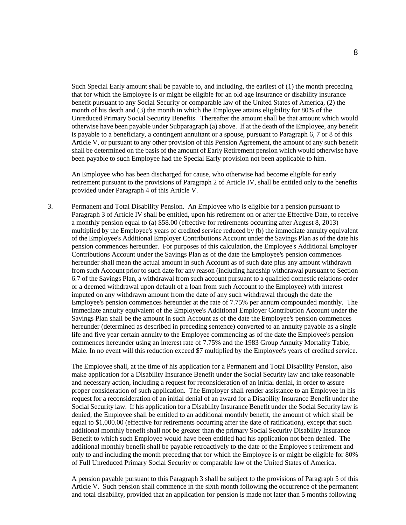Such Special Early amount shall be payable to, and including, the earliest of (1) the month preceding that for which the Employee is or might be eligible for an old age insurance or disability insurance benefit pursuant to any Social Security or comparable law of the United States of America, (2) the month of his death and (3) the month in which the Employee attains eligibility for 80% of the Unreduced Primary Social Security Benefits. Thereafter the amount shall be that amount which would otherwise have been payable under Subparagraph (a) above. If at the death of the Employee, any benefit is payable to a beneficiary, a contingent annuitant or a spouse, pursuant to Paragraph 6, 7 or 8 of this Article V, or pursuant to any other provision of this Pension Agreement, the amount of any such benefit shall be determined on the basis of the amount of Early Retirement pension which would otherwise have been payable to such Employee had the Special Early provision not been applicable to him.

An Employee who has been discharged for cause, who otherwise had become eligible for early retirement pursuant to the provisions of Paragraph 2 of Article IV, shall be entitled only to the benefits provided under Paragraph 4 of this Article V.

3. Permanent and Total Disability Pension. An Employee who is eligible for a pension pursuant to Paragraph 3 of Article IV shall be entitled, upon his retirement on or after the Effective Date, to receive a monthly pension equal to (a) \$58.00 (effective for retirements occurring after August 8, 2013) multiplied by the Employee's years of credited service reduced by (b) the immediate annuity equivalent of the Employee's Additional Employer Contributions Account under the Savings Plan as of the date his pension commences hereunder. For purposes of this calculation, the Employee's Additional Employer Contributions Account under the Savings Plan as of the date the Employee's pension commences hereunder shall mean the actual amount in such Account as of such date plus any amount withdrawn from such Account prior to such date for any reason (including hardship withdrawal pursuant to Section 6.7 of the Savings Plan, a withdrawal from such account pursuant to a qualified domestic relations order or a deemed withdrawal upon default of a loan from such Account to the Employee) with interest imputed on any withdrawn amount from the date of any such withdrawal through the date the Employee's pension commences hereunder at the rate of 7.75% per annum compounded monthly. The immediate annuity equivalent of the Employee's Additional Employer Contribution Account under the Savings Plan shall be the amount in such Account as of the date the Employee's pension commences hereunder (determined as described in preceding sentence) converted to an annuity payable as a single life and five year certain annuity to the Employee commencing as of the date the Employee's pension commences hereunder using an interest rate of 7.75% and the 1983 Group Annuity Mortality Table, Male. In no event will this reduction exceed \$7 multiplied by the Employee's years of credited service.

The Employee shall, at the time of his application for a Permanent and Total Disability Pension, also make application for a Disability Insurance Benefit under the Social Security law and take reasonable and necessary action, including a request for reconsideration of an initial denial, in order to assure proper consideration of such application. The Employer shall render assistance to an Employee in his request for a reconsideration of an initial denial of an award for a Disability Insurance Benefit under the Social Security law. If his application for a Disability Insurance Benefit under the Social Security law is denied, the Employee shall be entitled to an additional monthly benefit, the amount of which shall be equal to \$1,000.00 (effective for retirements occurring after the date of ratification), except that such additional monthly benefit shall not be greater than the primary Social Security Disability Insurance Benefit to which such Employee would have been entitled had his application not been denied. The additional monthly benefit shall be payable retroactively to the date of the Employee's retirement and only to and including the month preceding that for which the Employee is or might be eligible for 80% of Full Unreduced Primary Social Security or comparable law of the United States of America.

A pension payable pursuant to this Paragraph 3 shall be subject to the provisions of Paragraph 5 of this Article V. Such pension shall commence in the sixth month following the occurrence of the permanent and total disability, provided that an application for pension is made not later than 5 months following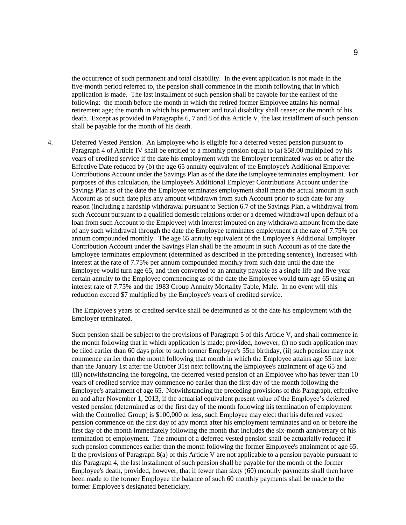the occurrence of such permanent and total disability. In the event application is not made in the five-month period referred to, the pension shall commence in the month following that in which application is made. The last installment of such pension shall be payable for the earliest of the following: the month before the month in which the retired former Employee attains his normal retirement age; the month in which his permanent and total disability shall cease; or the month of his death. Except as provided in Paragraphs 6, 7 and 8 of this Article V, the last installment of such pension shall be payable for the month of his death.

4. Deferred Vested Pension. An Employee who is eligible for a deferred vested pension pursuant to Paragraph 4 of Article IV shall be entitled to a monthly pension equal to (a) \$58.00 multiplied by his years of credited service if the date his employment with the Employer terminated was on or after the Effective Date reduced by (b) the age 65 annuity equivalent of the Employee's Additional Employer Contributions Account under the Savings Plan as of the date the Employee terminates employment. For purposes of this calculation, the Employee's Additional Employer Contributions Account under the Savings Plan as of the date the Employee terminates employment shall mean the actual amount in such Account as of such date plus any amount withdrawn from such Account prior to such date for any reason (including a hardship withdrawal pursuant to Section 6.7 of the Savings Plan, a withdrawal from such Account pursuant to a qualified domestic relations order or a deemed withdrawal upon default of a loan from such Account to the Employee) with interest imputed on any withdrawn amount from the date of any such withdrawal through the date the Employee terminates employment at the rate of 7.75% per annum compounded monthly. The age 65 annuity equivalent of the Employee's Additional Employer Contribution Account under the Savings Plan shall be the amount in such Account as of the date the Employee terminates employment (determined as described in the preceding sentence), increased with interest at the rate of 7.75% per annum compounded monthly from such date until the date the Employee would turn age 65, and then converted to an annuity payable as a single life and five-year certain annuity to the Employee commencing as of the date the Employee would turn age 65 using an interest rate of 7.75% and the 1983 Group Annuity Mortality Table, Male. In no event will this reduction exceed \$7 multiplied by the Employee's years of credited service.

The Employee's years of credited service shall be determined as of the date his employment with the Employer terminated.

Such pension shall be subject to the provisions of Paragraph 5 of this Article V, and shall commence in the month following that in which application is made; provided, however, (i) no such application may be filed earlier than 60 days prior to such former Employee's 55th birthday, (ii) such pension may not commence earlier than the month following that month in which the Employee attains age 55 nor later than the January 1st after the October 31st next following the Employee's attainment of age 65 and (iii) notwithstanding the foregoing, the deferred vested pension of an Employee who has fewer than 10 years of credited service may commence no earlier than the first day of the month following the Employee's attainment of age 65. Notwithstanding the preceding provisions of this Paragraph, effective on and after November 1, 2013, if the actuarial equivalent present value of the Employee's deferred vested pension (determined as of the first day of the month following his termination of employment with the Controlled Group) is \$100,000 or less, such Employee may elect that his deferred vested pension commence on the first day of any month after his employment terminates and on or before the first day of the month immediately following the month that includes the six-month anniversary of his termination of employment. The amount of a deferred vested pension shall be actuarially reduced if such pension commences earlier than the month following the former Employee's attainment of age 65. If the provisions of Paragraph 8(a) of this Article V are not applicable to a pension payable pursuant to this Paragraph 4, the last installment of such pension shall be payable for the month of the former Employee's death, provided, however, that if fewer than sixty (60) monthly payments shall then have been made to the former Employee the balance of such 60 monthly payments shall be made to the former Employee's designated beneficiary.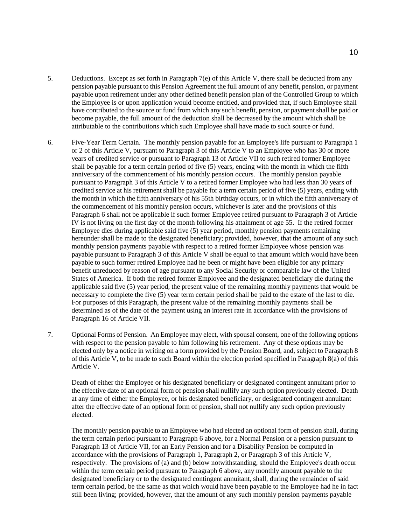- 5. Deductions. Except as set forth in Paragraph 7(e) of this Article V, there shall be deducted from any pension payable pursuant to this Pension Agreement the full amount of any benefit, pension, or payment payable upon retirement under any other defined benefit pension plan of the Controlled Group to which the Employee is or upon application would become entitled, and provided that, if such Employee shall have contributed to the source or fund from which any such benefit, pension, or payment shall be paid or become payable, the full amount of the deduction shall be decreased by the amount which shall be attributable to the contributions which such Employee shall have made to such source or fund.
- 6. Five-Year Term Certain. The monthly pension payable for an Employee's life pursuant to Paragraph 1 or 2 of this Article V, pursuant to Paragraph 3 of this Article V to an Employee who has 30 or more years of credited service or pursuant to Paragraph 13 of Article VII to such retired former Employee shall be payable for a term certain period of five (5) years, ending with the month in which the fifth anniversary of the commencement of his monthly pension occurs. The monthly pension payable pursuant to Paragraph 3 of this Article V to a retired former Employee who had less than 30 years of credited service at his retirement shall be payable for a term certain period of five (5) years, ending with the month in which the fifth anniversary of his 55th birthday occurs, or in which the fifth anniversary of the commencement of his monthly pension occurs, whichever is later and the provisions of this Paragraph 6 shall not be applicable if such former Employee retired pursuant to Paragraph 3 of Article IV is not living on the first day of the month following his attainment of age 55. If the retired former Employee dies during applicable said five (5) year period, monthly pension payments remaining hereunder shall be made to the designated beneficiary; provided, however, that the amount of any such monthly pension payments payable with respect to a retired former Employee whose pension was payable pursuant to Paragraph 3 of this Article V shall be equal to that amount which would have been payable to such former retired Employee had he been or might have been eligible for any primary benefit unreduced by reason of age pursuant to any Social Security or comparable law of the United States of America. If both the retired former Employee and the designated beneficiary die during the applicable said five (5) year period, the present value of the remaining monthly payments that would be necessary to complete the five (5) year term certain period shall be paid to the estate of the last to die. For purposes of this Paragraph, the present value of the remaining monthly payments shall be determined as of the date of the payment using an interest rate in accordance with the provisions of Paragraph 16 of Article VII.
- 7. Optional Forms of Pension. An Employee may elect, with spousal consent, one of the following options with respect to the pension payable to him following his retirement. Any of these options may be elected only by a notice in writing on a form provided by the Pension Board, and, subject to Paragraph 8 of this Article V, to be made to such Board within the election period specified in Paragraph 8(a) of this Article V.

Death of either the Employee or his designated beneficiary or designated contingent annuitant prior to the effective date of an optional form of pension shall nullify any such option previously elected. Death at any time of either the Employee, or his designated beneficiary, or designated contingent annuitant after the effective date of an optional form of pension, shall not nullify any such option previously elected.

The monthly pension payable to an Employee who had elected an optional form of pension shall, during the term certain period pursuant to Paragraph 6 above, for a Normal Pension or a pension pursuant to Paragraph 13 of Article VII, for an Early Pension and for a Disability Pension be computed in accordance with the provisions of Paragraph 1, Paragraph 2, or Paragraph 3 of this Article V, respectively. The provisions of (a) and (b) below notwithstanding, should the Employee's death occur within the term certain period pursuant to Paragraph 6 above, any monthly amount payable to the designated beneficiary or to the designated contingent annuitant, shall, during the remainder of said term certain period, be the same as that which would have been payable to the Employee had he in fact still been living; provided, however, that the amount of any such monthly pension payments payable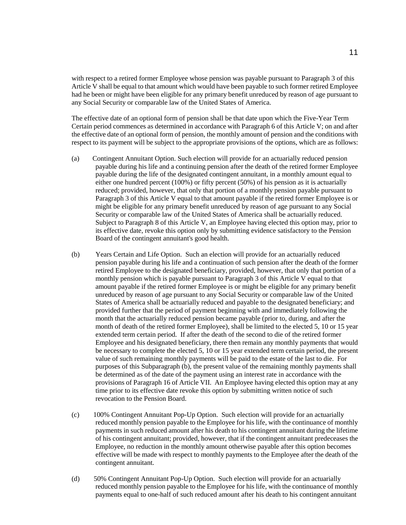with respect to a retired former Employee whose pension was payable pursuant to Paragraph 3 of this Article V shall be equal to that amount which would have been payable to such former retired Employee had he been or might have been eligible for any primary benefit unreduced by reason of age pursuant to any Social Security or comparable law of the United States of America.

The effective date of an optional form of pension shall be that date upon which the Five-Year Term Certain period commences as determined in accordance with Paragraph 6 of this Article V; on and after the effective date of an optional form of pension, the monthly amount of pension and the conditions with respect to its payment will be subject to the appropriate provisions of the options, which are as follows:

- (a) Contingent Annuitant Option. Such election will provide for an actuarially reduced pension payable during his life and a continuing pension after the death of the retired former Employee payable during the life of the designated contingent annuitant, in a monthly amount equal to either one hundred percent (100%) or fifty percent (50%) of his pension as it is actuarially reduced; provided, however, that only that portion of a monthly pension payable pursuant to Paragraph 3 of this Article V equal to that amount payable if the retired former Employee is or might be eligible for any primary benefit unreduced by reason of age pursuant to any Social Security or comparable law of the United States of America shall be actuarially reduced. Subject to Paragraph 8 of this Article V, an Employee having elected this option may, prior to its effective date, revoke this option only by submitting evidence satisfactory to the Pension Board of the contingent annuitant's good health.
- (b) Years Certain and Life Option. Such an election will provide for an actuarially reduced pension payable during his life and a continuation of such pension after the death of the former retired Employee to the designated beneficiary, provided, however, that only that portion of a monthly pension which is payable pursuant to Paragraph 3 of this Article V equal to that amount payable if the retired former Employee is or might be eligible for any primary benefit unreduced by reason of age pursuant to any Social Security or comparable law of the United States of America shall be actuarially reduced and payable to the designated beneficiary; and provided further that the period of payment beginning with and immediately following the month that the actuarially reduced pension became payable (prior to, during, and after the month of death of the retired former Employee), shall be limited to the elected 5, 10 or 15 year extended term certain period. If after the death of the second to die of the retired former Employee and his designated beneficiary, there then remain any monthly payments that would be necessary to complete the elected 5, 10 or 15 year extended term certain period, the present value of such remaining monthly payments will be paid to the estate of the last to die. For purposes of this Subparagraph (b), the present value of the remaining monthly payments shall be determined as of the date of the payment using an interest rate in accordance with the provisions of Paragraph 16 of Article VII. An Employee having elected this option may at any time prior to its effective date revoke this option by submitting written notice of such revocation to the Pension Board.
- (c) 100% Contingent Annuitant Pop-Up Option. Such election will provide for an actuarially reduced monthly pension payable to the Employee for his life, with the continuance of monthly payments in such reduced amount after his death to his contingent annuitant during the lifetime of his contingent annuitant; provided, however, that if the contingent annuitant predeceases the Employee, no reduction in the monthly amount otherwise payable after this option becomes effective will be made with respect to monthly payments to the Employee after the death of the contingent annuitant.
- (d) 50% Contingent Annuitant Pop-Up Option. Such election will provide for an actuarially reduced monthly pension payable to the Employee for his life, with the continuance of monthly payments equal to one-half of such reduced amount after his death to his contingent annuitant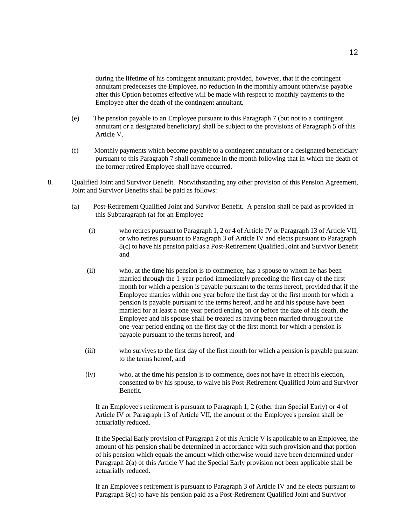during the lifetime of his contingent annuitant; provided, however, that if the contingent annuitant predeceases the Employee, no reduction in the monthly amount otherwise payable after this Option becomes effective will be made with respect to monthly payments to the Employee after the death of the contingent annuitant.

- (e) The pension payable to an Employee pursuant to this Paragraph 7 (but not to a contingent annuitant or a designated beneficiary) shall be subject to the provisions of Paragraph 5 of this Article V.
- (f) Monthly payments which become payable to a contingent annuitant or a designated beneficiary pursuant to this Paragraph 7 shall commence in the month following that in which the death of the former retired Employee shall have occurred.
- 8. Qualified Joint and Survivor Benefit. Notwithstanding any other provision of this Pension Agreement, Joint and Survivor Benefits shall be paid as follows:
	- (a) Post-Retirement Qualified Joint and Survivor Benefit. A pension shall be paid as provided in this Subparagraph (a) for an Employee
		- (i) who retires pursuant to Paragraph 1, 2 or 4 of Article IV or Paragraph 13 of Article VII, or who retires pursuant to Paragraph 3 of Article IV and elects pursuant to Paragraph 8(c) to have his pension paid as a Post-Retirement Qualified Joint and Survivor Benefit and
		- (ii) who, at the time his pension is to commence, has a spouse to whom he has been married through the 1-year period immediately preceding the first day of the first month for which a pension is payable pursuant to the terms hereof, provided that if the Employee marries within one year before the first day of the first month for which a pension is payable pursuant to the terms hereof, and he and his spouse have been married for at least a one year period ending on or before the date of his death, the Employee and his spouse shall be treated as having been married throughout the one-year period ending on the first day of the first month for which a pension is payable pursuant to the terms hereof, and
		- (iii) who survives to the first day of the first month for which a pension is payable pursuant to the terms hereof, and
		- (iv) who, at the time his pension is to commence, does not have in effect his election, consented to by his spouse, to waive his Post-Retirement Qualified Joint and Survivor Benefit.

If an Employee's retirement is pursuant to Paragraph 1, 2 (other than Special Early) or 4 of Article IV or Paragraph 13 of Article VII, the amount of the Employee's pension shall be actuarially reduced.

If the Special Early provision of Paragraph 2 of this Article V is applicable to an Employee, the amount of his pension shall be determined in accordance with such provision and that portion of his pension which equals the amount which otherwise would have been determined under Paragraph 2(a) of this Article V had the Special Early provision not been applicable shall be actuarially reduced.

If an Employee's retirement is pursuant to Paragraph 3 of Article IV and he elects pursuant to Paragraph 8(c) to have his pension paid as a Post-Retirement Qualified Joint and Survivor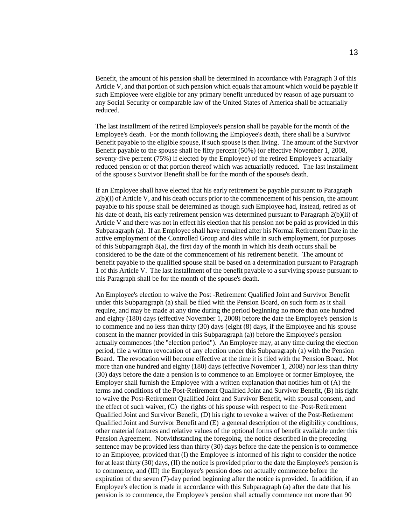Benefit, the amount of his pension shall be determined in accordance with Paragraph 3 of this Article V, and that portion of such pension which equals that amount which would be payable if such Employee were eligible for any primary benefit unreduced by reason of age pursuant to any Social Security or comparable law of the United States of America shall be actuarially reduced.

The last installment of the retired Employee's pension shall be payable for the month of the Employee's death. For the month following the Employee's death, there shall be a Survivor Benefit payable to the eligible spouse, if such spouse is then living. The amount of the Survivor Benefit payable to the spouse shall be fifty percent (50%) (or effective November 1, 2008, seventy-five percent (75%) if elected by the Employee) of the retired Employee's actuarially reduced pension or of that portion thereof which was actuarially reduced. The last installment of the spouse's Survivor Benefit shall be for the month of the spouse's death.

If an Employee shall have elected that his early retirement be payable pursuant to Paragraph 2(b)(i) of Article V, and his death occurs prior to the commencement of his pension, the amount payable to his spouse shall be determined as though such Employee had, instead, retired as of his date of death, his early retirement pension was determined pursuant to Paragraph 2(b)(ii) of Article V and there was not in effect his election that his pension not be paid as provided in this Subparagraph (a). If an Employee shall have remained after his Normal Retirement Date in the active employment of the Controlled Group and dies while in such employment, for purposes of this Subparagraph 8(a), the first day of the month in which his death occurs shall be considered to be the date of the commencement of his retirement benefit. The amount of benefit payable to the qualified spouse shall be based on a determination pursuant to Paragraph 1 of this Article V. The last installment of the benefit payable to a surviving spouse pursuant to this Paragraph shall be for the month of the spouse's death.

An Employee's election to waive the Post -Retirement Qualified Joint and Survivor Benefit under this Subparagraph (a) shall be filed with the Pension Board, on such form as it shall require, and may be made at any time during the period beginning no more than one hundred and eighty (180) days (effective November 1, 2008) before the date the Employee's pension is to commence and no less than thirty (30) days (eight (8) days, if the Employee and his spouse consent in the manner provided in this Subparagraph (a)) before the Employee's pension actually commences (the "election period"). An Employee may, at any time during the election period, file a written revocation of any election under this Subparagraph (a) with the Pension Board. The revocation will become effective at the time it is filed with the Pension Board. Not more than one hundred and eighty (180) days (effective November 1, 2008) nor less than thirty (30) days before the date a pension is to commence to an Employee or former Employee, the Employer shall furnish the Employee with a written explanation that notifies him of (A) the terms and conditions of the Post-Retirement Qualified Joint and Survivor Benefit, (B) his right to waive the Post-Retirement Qualified Joint and Survivor Benefit, with spousal consent, and the effect of such waiver, (C) the rights of his spouse with respect to the Post-Retirement Qualified Joint and Survivor Benefit, (D) his right to revoke a waiver of the Post-Retirement Qualified Joint and Survivor Benefit and (E) a general description of the eligibility conditions, other material features and relative values of the optional forms of benefit available under this Pension Agreement. Notwithstanding the foregoing, the notice described in the preceding sentence may be provided less than thirty (30) days before the date the pension is to commence to an Employee, provided that (I) the Employee is informed of his right to consider the notice for at least thirty (30) days, (II) the notice is provided prior to the date the Employee's pension is to commence, and (III) the Employee's pension does not actually commence before the expiration of the seven (7)-day period beginning after the notice is provided. In addition, if an Employee's election is made in accordance with this Subparagraph (a) after the date that his pension is to commence, the Employee's pension shall actually commence not more than 90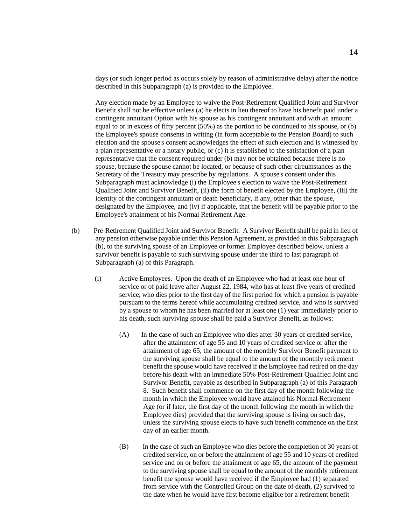days (or such longer period as occurs solely by reason of administrative delay) after the notice described in this Subparagraph (a) is provided to the Employee.

Any election made by an Employee to waive the Post-Retirement Qualified Joint and Survivor Benefit shall not be effective unless (a) he elects in lieu thereof to have his benefit paid under a contingent annuitant Option with his spouse as his contingent annuitant and with an amount equal to or in excess of fifty percent (50%) as the portion to be continued to his spouse, or (b) the Employee's spouse consents in writing (in form acceptable to the Pension Board) to such election and the spouse's consent acknowledges the effect of such election and is witnessed by a plan representative or a notary public, or (c) it is established to the satisfaction of a plan representative that the consent required under (b) may not be obtained because there is no spouse, because the spouse cannot be located, or because of such other circumstances as the Secretary of the Treasury may prescribe by regulations. A spouse's consent under this Subparagraph must acknowledge (i) the Employee's election to waive the Post-Retirement Qualified Joint and Survivor Benefit, (ii) the form of benefit elected by the Employee, (iii) the identity of the contingent annuitant or death beneficiary, if any, other than the spouse, designated by the Employee, and (iv) if applicable, that the benefit will be payable prior to the Employee's attainment of his Normal Retirement Age.

- (b) Pre-Retirement Qualified Joint and Survivor Benefit. A Survivor Benefit shall be paid in lieu of any pension otherwise payable under this Pension Agreement, as provided in this Subparagraph (b), to the surviving spouse of an Employee or former Employee described below, unless a survivor benefit is payable to such surviving spouse under the third to last paragraph of Subparagraph (a) of this Paragraph.
	- (i) Active Employees. Upon the death of an Employee who had at least one hour of service or of paid leave after August 22, 1984, who has at least five years of credited service, who dies prior to the first day of the first period for which a pension is payable pursuant to the terms hereof while accumulating credited service, and who is survived by a spouse to whom he has been married for at least one (1) year immediately prior to his death, such surviving spouse shall be paid a Survivor Benefit, as follows:
		- (A) In the case of such an Employee who dies after 30 years of credited service, after the attainment of age 55 and 10 years of credited service or after the attainment of age 65, the amount of the monthly Survivor Benefit payment to the surviving spouse shall be equal to the amount of the monthly retirement benefit the spouse would have received if the Employee had retired on the day before his death with an immediate 50% Post-Retirement Qualified Joint and Survivor Benefit, payable as described in Subparagraph (a) of this Paragraph 8. Such benefit shall commence on the first day of the month following the month in which the Employee would have attained his Normal Retirement Age (or if later, the first day of the month following the month in which the Employee dies) provided that the surviving spouse is living on such day, unless the surviving spouse elects to have such benefit commence on the first day of an earlier month.
		- (B) In the case of such an Employee who dies before the completion of 30 years of credited service, on or before the attainment of age 55 and 10 years of credited service and on or before the attainment of age 65, the amount of the payment to the surviving spouse shall be equal to the amount of the monthly retirement benefit the spouse would have received if the Employee had (1) separated from service with the Controlled Group on the date of death, (2) survived to the date when he would have first become eligible for a retirement benefit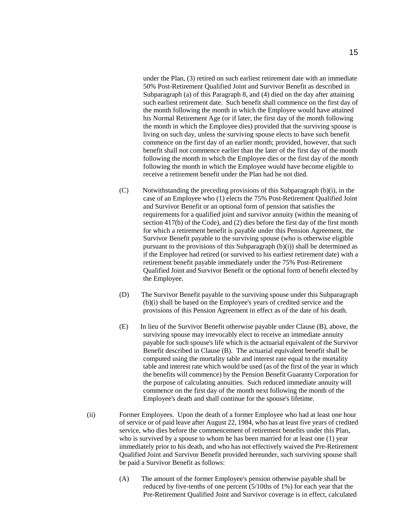under the Plan, (3) retired on such earliest retirement date with an immediate 50% Post-Retirement Qualified Joint and Survivor Benefit as described in Subparagraph (a) of this Paragraph 8, and (4) died on the day after attaining such earliest retirement date. Such benefit shall commence on the first day of the month following the month in which the Employee would have attained his Normal Retirement Age (or if later, the first day of the month following the month in which the Employee dies) provided that the surviving spouse is living on such day, unless the surviving spouse elects to have such benefit commence on the first day of an earlier month; provided, however, that such benefit shall not commence earlier than the later of the first day of the month following the month in which the Employee dies or the first day of the month following the month in which the Employee would have become eligible to receive a retirement benefit under the Plan had he not died.

- (C) Notwithstanding the preceding provisions of this Subparagraph (b)(i), in the case of an Employee who (1) elects the 75% Post-Retirement Qualified Joint and Survivor Benefit or an optional form of pension that satisfies the requirements for a qualified joint and survivor annuity (within the meaning of section 417(b) of the Code), and (2) dies before the first day of the first month for which a retirement benefit is payable under this Pension Agreement, the Survivor Benefit payable to the surviving spouse (who is otherwise eligible pursuant to the provisions of this Subparagraph (b)(i)) shall be determined as if the Employee had retired (or survived to his earliest retirement date) with a retirement benefit payable immediately under the 75% Post-Retirement Qualified Joint and Survivor Benefit or the optional form of benefit elected by the Employee.
- (D) The Survivor Benefit payable to the surviving spouse under this Subparagraph (b)(i) shall be based on the Employee's years of credited service and the provisions of this Pension Agreement in effect as of the date of his death.
- (E) In lieu of the Survivor Benefit otherwise payable under Clause (B), above, the surviving spouse may irrevocably elect to receive an immediate annuity payable for such spouse's life which is the actuarial equivalent of the Survivor Benefit described in Clause (B). The actuarial equivalent benefit shall be computed using the mortality table and interest rate equal to the mortality table and interest rate which would be used (as of the first of the year in which the benefits will commence) by the Pension Benefit Guaranty Corporation for the purpose of calculating annuities. Such reduced immediate annuity will commence on the first day of the month next following the month of the Employee's death and shall continue for the spouse's lifetime.
- (ii) Former Employees. Upon the death of a former Employee who had at least one hour of service or of paid leave after August 22, 1984, who has at least five years of credited service, who dies before the commencement of retirement benefits under this Plan, who is survived by a spouse to whom he has been married for at least one (1) year immediately prior to his death, and who has not effectively waived the Pre-Retirement Qualified Joint and Survivor Benefit provided hereunder, such surviving spouse shall be paid a Survivor Benefit as follows:
	- (A) The amount of the former Employee's pension otherwise payable shall be reduced by five-tenths of one percent  $(5/10$ ths of 1%) for each year that the Pre-Retirement Qualified Joint and Survivor coverage is in effect, calculated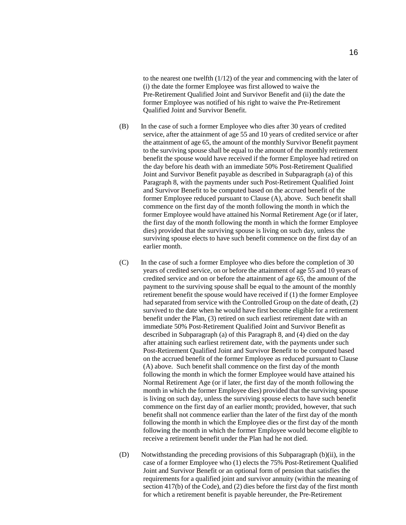to the nearest one twelfth (1/12) of the year and commencing with the later of (i) the date the former Employee was first allowed to waive the Pre-Retirement Qualified Joint and Survivor Benefit and (ii) the date the former Employee was notified of his right to waive the Pre-Retirement Qualified Joint and Survivor Benefit.

- (B) In the case of such a former Employee who dies after 30 years of credited service, after the attainment of age 55 and 10 years of credited service or after the attainment of age 65, the amount of the monthly Survivor Benefit payment to the surviving spouse shall be equal to the amount of the monthly retirement benefit the spouse would have received if the former Employee had retired on the day before his death with an immediate 50% Post-Retirement Qualified Joint and Survivor Benefit payable as described in Subparagraph (a) of this Paragraph 8, with the payments under such Post-Retirement Qualified Joint and Survivor Benefit to be computed based on the accrued benefit of the former Employee reduced pursuant to Clause (A), above. Such benefit shall commence on the first day of the month following the month in which the former Employee would have attained his Normal Retirement Age (or if later, the first day of the month following the month in which the former Employee dies) provided that the surviving spouse is living on such day, unless the surviving spouse elects to have such benefit commence on the first day of an earlier month.
- (C) In the case of such a former Employee who dies before the completion of 30 years of credited service, on or before the attainment of age 55 and 10 years of credited service and on or before the attainment of age 65, the amount of the payment to the surviving spouse shall be equal to the amount of the monthly retirement benefit the spouse would have received if (1) the former Employee had separated from service with the Controlled Group on the date of death, (2) survived to the date when he would have first become eligible for a retirement benefit under the Plan, (3) retired on such earliest retirement date with an immediate 50% Post-Retirement Qualified Joint and Survivor Benefit as described in Subparagraph (a) of this Paragraph 8, and (4) died on the day after attaining such earliest retirement date, with the payments under such Post-Retirement Qualified Joint and Survivor Benefit to be computed based on the accrued benefit of the former Employee as reduced pursuant to Clause (A) above. Such benefit shall commence on the first day of the month following the month in which the former Employee would have attained his Normal Retirement Age (or if later, the first day of the month following the month in which the former Employee dies) provided that the surviving spouse is living on such day, unless the surviving spouse elects to have such benefit commence on the first day of an earlier month; provided, however, that such benefit shall not commence earlier than the later of the first day of the month following the month in which the Employee dies or the first day of the month following the month in which the former Employee would become eligible to receive a retirement benefit under the Plan had he not died.
- (D) Notwithstanding the preceding provisions of this Subparagraph (b)(ii), in the case of a former Employee who (1) elects the 75% Post-Retirement Qualified Joint and Survivor Benefit or an optional form of pension that satisfies the requirements for a qualified joint and survivor annuity (within the meaning of section 417(b) of the Code), and (2) dies before the first day of the first month for which a retirement benefit is payable hereunder, the Pre-Retirement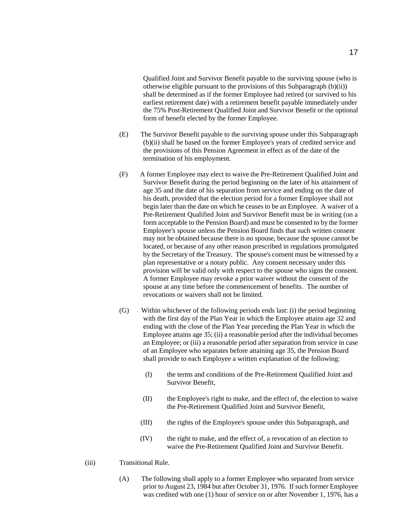Qualified Joint and Survivor Benefit payable to the surviving spouse (who is otherwise eligible pursuant to the provisions of this Subparagraph (b)(ii)) shall be determined as if the former Employee had retired (or survived to his earliest retirement date) with a retirement benefit payable immediately under the 75% Post-Retirement Qualified Joint and Survivor Benefit or the optional form of benefit elected by the former Employee.

- (E) The Survivor Benefit payable to the surviving spouse under this Subparagraph (b)(ii) shall be based on the former Employee's years of credited service and the provisions of this Pension Agreement in effect as of the date of the termination of his employment.
- (F) A former Employee may elect to waive the Pre-Retirement Qualified Joint and Survivor Benefit during the period beginning on the later of his attainment of age 35 and the date of his separation from service and ending on the date of his death, provided that the election period for a former Employee shall not begin later than the date on which he ceases to be an Employee. A waiver of a Pre-Retirement Qualified Joint and Survivor Benefit must be in writing (on a form acceptable to the Pension Board) and must be consented to by the former Employee's spouse unless the Pension Board finds that such written consent may not be obtained because there is no spouse, because the spouse cannot be located, or because of any other reason prescribed in regulations promulgated by the Secretary of the Treasury. The spouse's consent must be witnessed by a plan representative or a notary public. Any consent necessary under this provision will be valid only with respect to the spouse who signs the consent. A former Employee may revoke a prior waiver without the consent of the spouse at any time before the commencement of benefits. The number of revocations or waivers shall not be limited.
- (G) Within whichever of the following periods ends last: (i) the period beginning with the first day of the Plan Year in which the Employee attains age 32 and ending with the close of the Plan Year preceding the Plan Year in which the Employee attains age 35; (ii) a reasonable period after the individual becomes an Employee; or (iii) a reasonable period after separation from service in case of an Employee who separates before attaining age 35, the Pension Board shall provide to each Employee a written explanation of the following:
	- (I) the terms and conditions of the Pre-Retirement Qualified Joint and Survivor Benefit,
	- (II) the Employee's right to make, and the effect of, the election to waive the Pre-Retirement Qualified Joint and Survivor Benefit,
	- (III) the rights of the Employee's spouse under this Subparagraph, and
	- (IV) the right to make, and the effect of, a revocation of an election to waive the Pre-Retirement Qualified Joint and Survivor Benefit.
- (iii) Transitional Rule.
	- (A) The following shall apply to a former Employee who separated from service prior to August 23, 1984 but after October 31, 1976. If such former Employee was credited with one (1) hour of service on or after November 1, 1976, has a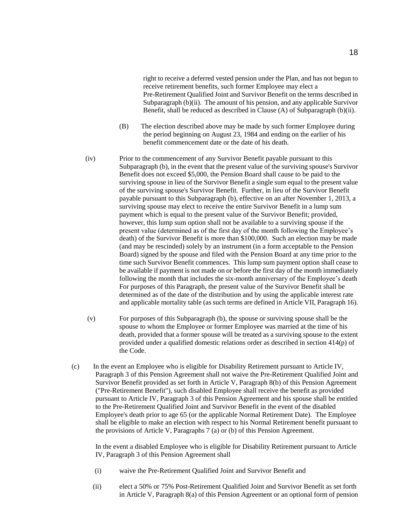right to receive a deferred vested pension under the Plan, and has not begun to receive retirement benefits, such former Employee may elect a Pre-Retirement Qualified Joint and Survivor Benefit on the terms described in Subparagraph (b)(ii). The amount of his pension, and any applicable Survivor Benefit, shall be reduced as described in Clause (A) of Subparagraph (b)(ii).

- (B) The election described above may be made by such former Employee during the period beginning on August 23, 1984 and ending on the earlier of his benefit commencement date or the date of his death.
- (iv) Prior to the commencement of any Survivor Benefit payable pursuant to this Subparagraph (b), in the event that the present value of the surviving spouse's Survivor Benefit does not exceed \$5,000, the Pension Board shall cause to be paid to the surviving spouse in lieu of the Survivor Benefit a single sum equal to the present value of the surviving spouse's Survivor Benefit. Further, in lieu of the Survivor Benefit payable pursuant to this Subparagraph (b), effective on an after November 1, 2013, a surviving spouse may elect to receive the entire Survivor Benefit in a lump sum payment which is equal to the present value of the Survivor Benefit; provided, however, this lump sum option shall not be available to a surviving spouse if the present value (determined as of the first day of the month following the Employee's death) of the Survivor Benefit is more than \$100,000. Such an election may be made (and may be rescinded) solely by an instrument (in a form acceptable to the Pension Board) signed by the spouse and filed with the Pension Board at any time prior to the time such Survivor Benefit commences. This lump sum payment option shall cease to be available if payment is not made on or before the first day of the month immediately following the month that includes the six-month anniversary of the Employee's death For purposes of this Paragraph, the present value of the Survivor Benefit shall be determined as of the date of the distribution and by using the applicable interest rate and applicable mortality table (as such terms are defined in Article VII, Paragraph 16).
- (v) For purposes of this Subparagraph (b), the spouse or surviving spouse shall be the spouse to whom the Employee or former Employee was married at the time of his death, provided that a former spouse will be treated as a surviving spouse to the extent provided under a qualified domestic relations order as described in section 414(p) of the Code.
- (c) In the event an Employee who is eligible for Disability Retirement pursuant to Article IV, Paragraph 3 of this Pension Agreement shall not waive the Pre-Retirement Qualified Joint and Survivor Benefit provided as set forth in Article V, Paragraph 8(b) of this Pension Agreement ("Pre-Retirement Benefit"), such disabled Employee shall receive the benefit as provided pursuant to Article IV, Paragraph 3 of this Pension Agreement and his spouse shall be entitled to the Pre-Retirement Qualified Joint and Survivor Benefit in the event of the disabled Employee's death prior to age 65 (or the applicable Normal Retirement Date). The Employee shall be eligible to make an election with respect to his Normal Retirement benefit pursuant to the provisions of Article V, Paragraphs 7 (a) or (b) of this Pension Agreement.

In the event a disabled Employee who is eligible for Disability Retirement pursuant to Article IV, Paragraph 3 of this Pension Agreement shall

- (i) waive the Pre-Retirement Qualified Joint and Survivor Benefit and
- (ii) elect a 50% or 75% Post-Retirement Qualified Joint and Survivor Benefit as set forth in Article V, Paragraph 8(a) of this Pension Agreement or an optional form of pension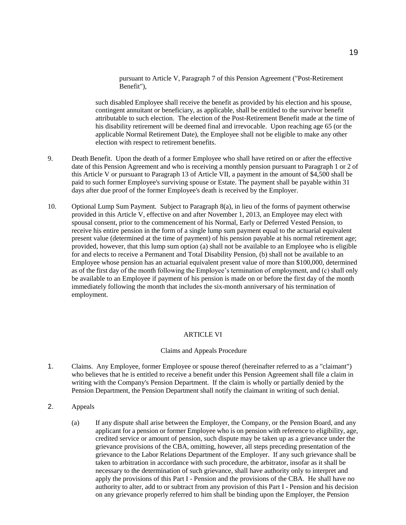pursuant to Article V, Paragraph 7 of this Pension Agreement ("Post-Retirement Benefit"),

such disabled Employee shall receive the benefit as provided by his election and his spouse, contingent annuitant or beneficiary, as applicable, shall be entitled to the survivor benefit attributable to such election. The election of the Post-Retirement Benefit made at the time of his disability retirement will be deemed final and irrevocable. Upon reaching age 65 (or the applicable Normal Retirement Date), the Employee shall not be eligible to make any other election with respect to retirement benefits.

- 9. Death Benefit. Upon the death of a former Employee who shall have retired on or after the effective date of this Pension Agreement and who is receiving a monthly pension pursuant to Paragraph 1 or 2 of this Article V or pursuant to Paragraph 13 of Article VII, a payment in the amount of \$4,500 shall be paid to such former Employee's surviving spouse or Estate. The payment shall be payable within 31 days after due proof of the former Employee's death is received by the Employer.
- 10. Optional Lump Sum Payment. Subject to Paragraph 8(a), in lieu of the forms of payment otherwise provided in this Article V, effective on and after November 1, 2013, an Employee may elect with spousal consent, prior to the commencement of his Normal, Early or Deferred Vested Pension, to receive his entire pension in the form of a single lump sum payment equal to the actuarial equivalent present value (determined at the time of payment) of his pension payable at his normal retirement age; provided, however, that this lump sum option (a) shall not be available to an Employee who is eligible for and elects to receive a Permanent and Total Disability Pension, (b) shall not be available to an Employee whose pension has an actuarial equivalent present value of more than \$100,000, determined as of the first day of the month following the Employee's termination of employment, and (c) shall only be available to an Employee if payment of his pension is made on or before the first day of the month immediately following the month that includes the six-month anniversary of his termination of employment.

# ARTICLE VI

# Claims and Appeals Procedure

- 1. Claims. Any Employee, former Employee or spouse thereof (hereinafter referred to as a "claimant") who believes that he is entitled to receive a benefit under this Pension Agreement shall file a claim in writing with the Company's Pension Department. If the claim is wholly or partially denied by the Pension Department, the Pension Department shall notify the claimant in writing of such denial.
- 2. Appeals
	- (a) If any dispute shall arise between the Employer, the Company, or the Pension Board, and any applicant for a pension or former Employee who is on pension with reference to eligibility, age, credited service or amount of pension, such dispute may be taken up as a grievance under the grievance provisions of the CBA, omitting, however, all steps preceding presentation of the grievance to the Labor Relations Department of the Employer. If any such grievance shall be taken to arbitration in accordance with such procedure, the arbitrator, insofar as it shall be necessary to the determination of such grievance, shall have authority only to interpret and apply the provisions of this Part I - Pension and the provisions of the CBA. He shall have no authority to alter, add to or subtract from any provision of this Part I - Pension and his decision on any grievance properly referred to him shall be binding upon the Employer, the Pension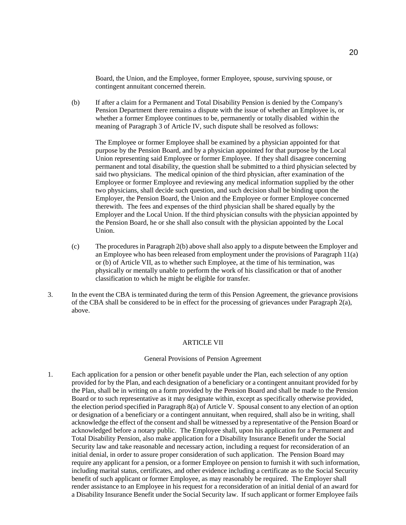Board, the Union, and the Employee, former Employee, spouse, surviving spouse, or contingent annuitant concerned therein.

(b) If after a claim for a Permanent and Total Disability Pension is denied by the Company's Pension Department there remains a dispute with the issue of whether an Employee is, or whether a former Employee continues to be, permanently or totally disabled within the meaning of Paragraph 3 of Article IV, such dispute shall be resolved as follows:

The Employee or former Employee shall be examined by a physician appointed for that purpose by the Pension Board, and by a physician appointed for that purpose by the Local Union representing said Employee or former Employee. If they shall disagree concerning permanent and total disability, the question shall be submitted to a third physician selected by said two physicians. The medical opinion of the third physician, after examination of the Employee or former Employee and reviewing any medical information supplied by the other two physicians, shall decide such question, and such decision shall be binding upon the Employer, the Pension Board, the Union and the Employee or former Employee concerned therewith. The fees and expenses of the third physician shall be shared equally by the Employer and the Local Union. If the third physician consults with the physician appointed by the Pension Board, he or she shall also consult with the physician appointed by the Local Union.

- (c) The procedures in Paragraph 2(b) above shall also apply to a dispute between the Employer and an Employee who has been released from employment under the provisions of Paragraph 11(a) or (b) of Article VII, as to whether such Employee, at the time of his termination, was physically or mentally unable to perform the work of his classification or that of another classification to which he might be eligible for transfer.
- 3. In the event the CBA is terminated during the term of this Pension Agreement, the grievance provisions of the CBA shall be considered to be in effect for the processing of grievances under Paragraph 2(a), above.

# ARTICLE VII

## General Provisions of Pension Agreement

1. Each application for a pension or other benefit payable under the Plan, each selection of any option provided for by the Plan, and each designation of a beneficiary or a contingent annuitant provided for by the Plan, shall be in writing on a form provided by the Pension Board and shall be made to the Pension Board or to such representative as it may designate within, except as specifically otherwise provided, the election period specified in Paragraph 8(a) of Article V. Spousal consent to any election of an option or designation of a beneficiary or a contingent annuitant, when required, shall also be in writing, shall acknowledge the effect of the consent and shall be witnessed by a representative of the Pension Board or acknowledged before a notary public. The Employee shall, upon his application for a Permanent and Total Disability Pension, also make application for a Disability Insurance Benefit under the Social Security law and take reasonable and necessary action, including a request for reconsideration of an initial denial, in order to assure proper consideration of such application. The Pension Board may require any applicant for a pension, or a former Employee on pension to furnish it with such information, including marital status, certificates, and other evidence including a certificate as to the Social Security benefit of such applicant or former Employee, as may reasonably be required. The Employer shall render assistance to an Employee in his request for a reconsideration of an initial denial of an award for a Disability Insurance Benefit under the Social Security law. If such applicant or former Employee fails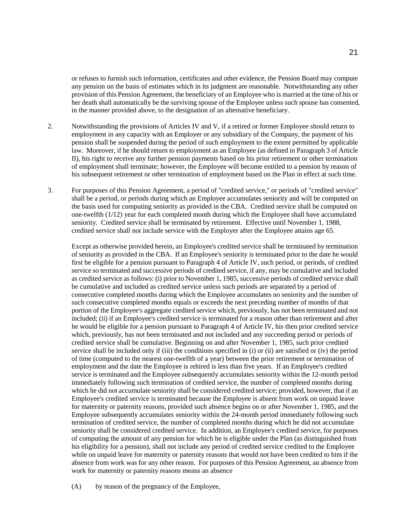or refuses to furnish such information, certificates and other evidence, the Pension Board may compute any pension on the basis of estimates which in its judgment are reasonable. Notwithstanding any other provision of this Pension Agreement, the beneficiary of an Employee who is married at the time of his or her death shall automatically be the surviving spouse of the Employee unless such spouse has consented, in the manner provided above, to the designation of an alternative beneficiary.

- 2. Notwithstanding the provisions of Articles IV and V, if a retired or former Employee should return to employment in any capacity with an Employer or any subsidiary of the Company, the payment of his pension shall be suspended during the period of such employment to the extent permitted by applicable law. Moreover, if he should return to employment as an Employee (as defined in Paragraph 3 of Article II), his right to receive any further pension payments based on his prior retirement or other termination of employment shall terminate; however, the Employee will become entitled to a pension by reason of his subsequent retirement or other termination of employment based on the Plan in effect at such time.
- 3. For purposes of this Pension Agreement, a period of "credited service," or periods of "credited service" shall be a period, or periods during which an Employee accumulates seniority and will be computed on the basis used for computing seniority as provided in the CBA. Credited service shall be computed on one-twelfth (1/12) year for each completed month during which the Employee shall have accumulated seniority. Credited service shall be terminated by retirement. Effective until November 1, 1988, credited service shall not include service with the Employer after the Employee attains age 65.

Except as otherwise provided herein, an Employee's credited service shall be terminated by termination of seniority as provided in the CBA. If an Employee's seniority is terminated prior to the date he would first be eligible for a pension pursuant to Paragraph 4 of Article IV, such period, or periods, of credited service so terminated and successive periods of credited service, if any, may be cumulative and included as credited service as follows: (i) prior to November 1, 1985, successive periods of credited service shall be cumulative and included as credited service unless such periods are separated by a period of consecutive completed months during which the Employee accumulates no seniority and the number of such consecutive completed months equals or exceeds the next preceding number of months of that portion of the Employee's aggregate credited service which, previously, has not been terminated and not included; (ii) if an Employee's credited service is terminated for a reason other than retirement and after he would be eligible for a pension pursuant to Paragraph 4 of Article IV, his then prior credited service which, previously, has not been terminated and not included and any succeeding period or periods of credited service shall be cumulative. Beginning on and after November 1, 1985, such prior credited service shall be included only if (iii) the conditions specified in (i) or (ii) are satisfied or (iv) the period of time (computed to the nearest one-twelfth of a year) between the prior retirement or termination of employment and the date the Employee is rehired is less than five years. If an Employee's credited service is terminated and the Employee subsequently accumulates seniority within the 12-month period immediately following such termination of credited service, the number of completed months during which he did not accumulate seniority shall be considered credited service; provided, however, that if an Employee's credited service is terminated because the Employee is absent from work on unpaid leave for maternity or paternity reasons, provided such absence begins on or after November 1, 1985, and the Employee subsequently accumulates seniority within the 24-month period immediately following such termination of credited service, the number of completed months during which he did not accumulate seniority shall be considered credited service. In addition, an Employee's credited service, for purposes of computing the amount of any pension for which he is eligible under the Plan (as distinguished from his eligibility for a pension), shall not include any period of credited service credited to the Employee while on unpaid leave for maternity or paternity reasons that would not have been credited to him if the absence from work was for any other reason. For purposes of this Pension Agreement, an absence from work for maternity or paternity reasons means an absence

(A) by reason of the pregnancy of the Employee,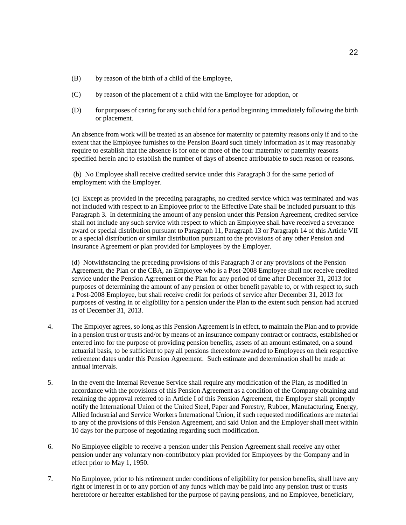- (B) by reason of the birth of a child of the Employee,
- (C) by reason of the placement of a child with the Employee for adoption, or
- (D) for purposes of caring for any such child for a period beginning immediately following the birth or placement.

An absence from work will be treated as an absence for maternity or paternity reasons only if and to the extent that the Employee furnishes to the Pension Board such timely information as it may reasonably require to establish that the absence is for one or more of the four maternity or paternity reasons specified herein and to establish the number of days of absence attributable to such reason or reasons.

(b) No Employee shall receive credited service under this Paragraph 3 for the same period of employment with the Employer.

(c) Except as provided in the preceding paragraphs, no credited service which was terminated and was not included with respect to an Employee prior to the Effective Date shall be included pursuant to this Paragraph 3. In determining the amount of any pension under this Pension Agreement, credited service shall not include any such service with respect to which an Employee shall have received a severance award or special distribution pursuant to Paragraph 11, Paragraph 13 or Paragraph 14 of this Article VII or a special distribution or similar distribution pursuant to the provisions of any other Pension and Insurance Agreement or plan provided for Employees by the Employer.

(d) Notwithstanding the preceding provisions of this Paragraph 3 or any provisions of the Pension Agreement, the Plan or the CBA, an Employee who is a Post-2008 Employee shall not receive credited service under the Pension Agreement or the Plan for any period of time after December 31, 2013 for purposes of determining the amount of any pension or other benefit payable to, or with respect to, such a Post-2008 Employee, but shall receive credit for periods of service after December 31, 2013 for purposes of vesting in or eligibility for a pension under the Plan to the extent such pension had accrued as of December 31, 2013.

- 4. The Employer agrees, so long as this Pension Agreement is in effect, to maintain the Plan and to provide in a pension trust or trusts and/or by means of an insurance company contract or contracts, established or entered into for the purpose of providing pension benefits, assets of an amount estimated, on a sound actuarial basis, to be sufficient to pay all pensions theretofore awarded to Employees on their respective retirement dates under this Pension Agreement. Such estimate and determination shall be made at annual intervals.
- 5. In the event the Internal Revenue Service shall require any modification of the Plan, as modified in accordance with the provisions of this Pension Agreement as a condition of the Company obtaining and retaining the approval referred to in Article I of this Pension Agreement, the Employer shall promptly notify the International Union of the United Steel, Paper and Forestry, Rubber, Manufacturing, Energy, Allied Industrial and Service Workers International Union, if such requested modifications are material to any of the provisions of this Pension Agreement, and said Union and the Employer shall meet within 10 days for the purpose of negotiating regarding such modification.
- 6. No Employee eligible to receive a pension under this Pension Agreement shall receive any other pension under any voluntary non-contributory plan provided for Employees by the Company and in effect prior to May 1, 1950.
- 7. No Employee, prior to his retirement under conditions of eligibility for pension benefits, shall have any right or interest in or to any portion of any funds which may be paid into any pension trust or trusts heretofore or hereafter established for the purpose of paying pensions, and no Employee, beneficiary,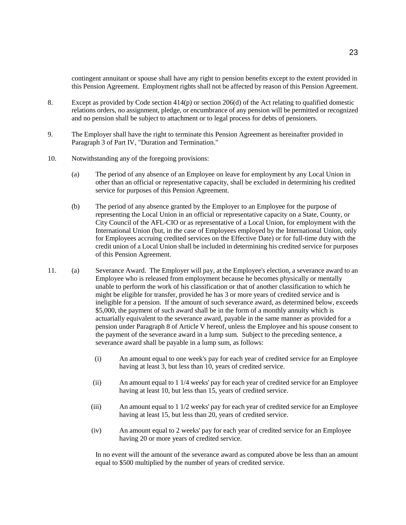contingent annuitant or spouse shall have any right to pension benefits except to the extent provided in this Pension Agreement. Employment rights shall not be affected by reason of this Pension Agreement.

- 8. Except as provided by Code section 414(p) or section 206(d) of the Act relating to qualified domestic relations orders, no assignment, pledge, or encumbrance of any pension will be permitted or recognized and no pension shall be subject to attachment or to legal process for debts of pensioners.
- 9. The Employer shall have the right to terminate this Pension Agreement as hereinafter provided in Paragraph 3 of Part IV, "Duration and Termination."
- 10. Notwithstanding any of the foregoing provisions:
	- (a) The period of any absence of an Employee on leave for employment by any Local Union in other than an official or representative capacity, shall be excluded in determining his credited service for purposes of this Pension Agreement.
	- (b) The period of any absence granted by the Employer to an Employee for the purpose of representing the Local Union in an official or representative capacity on a State, County, or City Council of the AFL-CIO or as representative of a Local Union, for employment with the International Union (but, in the case of Employees employed by the International Union, only for Employees accruing credited services on the Effective Date) or for full-time duty with the credit union of a Local Union shall be included in determining his credited service for purposes of this Pension Agreement.
- 11. (a) Severance Award. The Employer will pay, at the Employee's election, a severance award to an Employee who is released from employment because he becomes physically or mentally unable to perform the work of his classification or that of another classification to which he might be eligible for transfer, provided he has 3 or more years of credited service and is ineligible for a pension. If the amount of such severance award, as determined below, exceeds \$5,000, the payment of such award shall be in the form of a monthly annuity which is actuarially equivalent to the severance award, payable in the same manner as provided for a pension under Paragraph 8 of Article V hereof, unless the Employee and his spouse consent to the payment of the severance award in a lump sum. Subject to the preceding sentence, a severance award shall be payable in a lump sum, as follows:
	- (i) An amount equal to one week's pay for each year of credited service for an Employee having at least 3, but less than 10, years of credited service.
	- (ii) An amount equal to 1 1/4 weeks' pay for each year of credited service for an Employee having at least 10, but less than 15, years of credited service.
	- (iii) An amount equal to 1 1/2 weeks' pay for each year of credited service for an Employee having at least 15, but less than 20, years of credited service.
	- (iv) An amount equal to 2 weeks' pay for each year of credited service for an Employee having 20 or more years of credited service.

In no event will the amount of the severance award as computed above be less than an amount equal to \$500 multiplied by the number of years of credited service.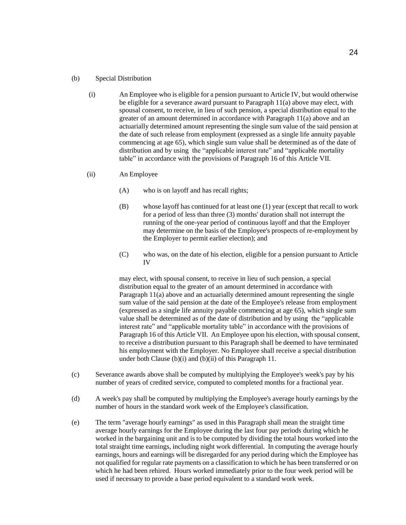#### (b) Special Distribution

- (i) An Employee who is eligible for a pension pursuant to Article IV, but would otherwise be eligible for a severance award pursuant to Paragraph 11(a) above may elect, with spousal consent, to receive, in lieu of such pension, a special distribution equal to the greater of an amount determined in accordance with Paragraph 11(a) above and an actuarially determined amount representing the single sum value of the said pension at the date of such release from employment (expressed as a single life annuity payable commencing at age 65), which single sum value shall be determined as of the date of distribution and by using the "applicable interest rate" and "applicable mortality table" in accordance with the provisions of Paragraph 16 of this Article VII.
- (ii) An Employee
	- (A) who is on layoff and has recall rights;
	- (B) whose layoff has continued for at least one (1) year (except that recall to work for a period of less than three (3) months' duration shall not interrupt the running of the one-year period of continuous layoff and that the Employer may determine on the basis of the Employee's prospects of re-employment by the Employer to permit earlier election); and
	- (C) who was, on the date of his election, eligible for a pension pursuant to Article IV

may elect, with spousal consent, to receive in lieu of such pension, a special distribution equal to the greater of an amount determined in accordance with Paragraph 11(a) above and an actuarially determined amount representing the single sum value of the said pension at the date of the Employee's release from employment (expressed as a single life annuity payable commencing at age 65), which single sum value shall be determined as of the date of distribution and by using the "applicable interest rate" and "applicable mortality table" in accordance with the provisions of Paragraph 16 of this Article VII. An Employee upon his election, with spousal consent, to receive a distribution pursuant to this Paragraph shall be deemed to have terminated his employment with the Employer. No Employee shall receive a special distribution under both Clause (b)(i) and (b)(ii) of this Paragraph 11.

- (c) Severance awards above shall be computed by multiplying the Employee's week's pay by his number of years of credited service, computed to completed months for a fractional year.
- (d) A week's pay shall be computed by multiplying the Employee's average hourly earnings by the number of hours in the standard work week of the Employee's classification.
- (e) The term "average hourly earnings" as used in this Paragraph shall mean the straight time average hourly earnings for the Employee during the last four pay periods during which he worked in the bargaining unit and is to be computed by dividing the total hours worked into the total straight time earnings, including night work differential. In computing the average hourly earnings, hours and earnings will be disregarded for any period during which the Employee has not qualified for regular rate payments on a classification to which he has been transferred or on which he had been rehired. Hours worked immediately prior to the four week period will be used if necessary to provide a base period equivalent to a standard work week.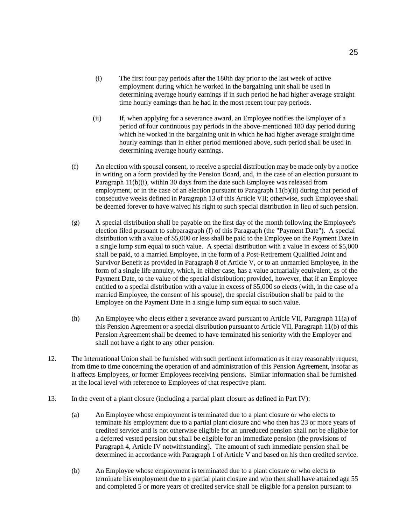- (i) The first four pay periods after the 180th day prior to the last week of active employment during which he worked in the bargaining unit shall be used in determining average hourly earnings if in such period he had higher average straight time hourly earnings than he had in the most recent four pay periods.
- (ii) If, when applying for a severance award, an Employee notifies the Employer of a period of four continuous pay periods in the above-mentioned 180 day period during which he worked in the bargaining unit in which he had higher average straight time hourly earnings than in either period mentioned above, such period shall be used in determining average hourly earnings.
- (f) An election with spousal consent, to receive a special distribution may be made only by a notice in writing on a form provided by the Pension Board, and, in the case of an election pursuant to Paragraph 11(b)(i), within 30 days from the date such Employee was released from employment, or in the case of an election pursuant to Paragraph 11(b)(ii) during that period of consecutive weeks defined in Paragraph 13 of this Article VII; otherwise, such Employee shall be deemed forever to have waived his right to such special distribution in lieu of such pension.
- (g) A special distribution shall be payable on the first day of the month following the Employee's election filed pursuant to subparagraph (f) of this Paragraph (the "Payment Date"). A special distribution with a value of \$5,000 or less shall be paid to the Employee on the Payment Date in a single lump sum equal to such value. A special distribution with a value in excess of \$5,000 shall be paid, to a married Employee, in the form of a Post-Retirement Qualified Joint and Survivor Benefit as provided in Paragraph 8 of Article V, or to an unmarried Employee, in the form of a single life annuity, which, in either case, has a value actuarially equivalent, as of the Payment Date, to the value of the special distribution; provided, however, that if an Employee entitled to a special distribution with a value in excess of \$5,000 so elects (with, in the case of a married Employee, the consent of his spouse), the special distribution shall be paid to the Employee on the Payment Date in a single lump sum equal to such value.
- (h) An Employee who elects either a severance award pursuant to Article VII, Paragraph 11(a) of this Pension Agreement or a special distribution pursuant to Article VII, Paragraph 11(b) of this Pension Agreement shall be deemed to have terminated his seniority with the Employer and shall not have a right to any other pension.
- 12. The International Union shall be furnished with such pertinent information as it may reasonably request, from time to time concerning the operation of and administration of this Pension Agreement, insofar as it affects Employees, or former Employees receiving pensions. Similar information shall be furnished at the local level with reference to Employees of that respective plant.
- 13. In the event of a plant closure (including a partial plant closure as defined in Part IV):
	- (a) An Employee whose employment is terminated due to a plant closure or who elects to terminate his employment due to a partial plant closure and who then has 23 or more years of credited service and is not otherwise eligible for an unreduced pension shall not be eligible for a deferred vested pension but shall be eligible for an immediate pension (the provisions of Paragraph 4, Article IV notwithstanding). The amount of such immediate pension shall be determined in accordance with Paragraph 1 of Article V and based on his then credited service.
	- (b) An Employee whose employment is terminated due to a plant closure or who elects to terminate his employment due to a partial plant closure and who then shall have attained age 55 and completed 5 or more years of credited service shall be eligible for a pension pursuant to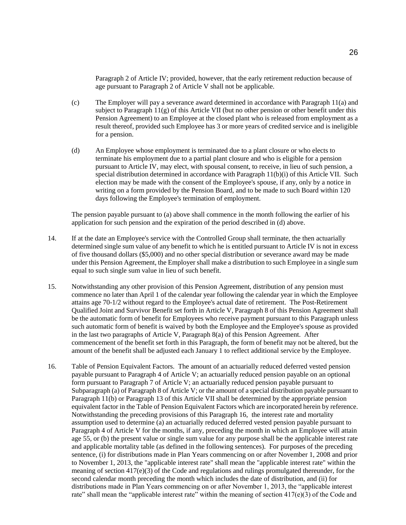Paragraph 2 of Article IV; provided, however, that the early retirement reduction because of age pursuant to Paragraph 2 of Article V shall not be applicable.

- (c) The Employer will pay a severance award determined in accordance with Paragraph 11(a) and subject to Paragraph  $11(g)$  of this Article VII (but no other pension or other benefit under this Pension Agreement) to an Employee at the closed plant who is released from employment as a result thereof, provided such Employee has 3 or more years of credited service and is ineligible for a pension.
- (d) An Employee whose employment is terminated due to a plant closure or who elects to terminate his employment due to a partial plant closure and who is eligible for a pension pursuant to Article IV, may elect, with spousal consent, to receive, in lieu of such pension, a special distribution determined in accordance with Paragraph 11(b)(i) of this Article VII. Such election may be made with the consent of the Employee's spouse, if any, only by a notice in writing on a form provided by the Pension Board, and to be made to such Board within 120 days following the Employee's termination of employment.

The pension payable pursuant to (a) above shall commence in the month following the earlier of his application for such pension and the expiration of the period described in (d) above.

- 14. If at the date an Employee's service with the Controlled Group shall terminate, the then actuarially determined single sum value of any benefit to which he is entitled pursuant to Article IV is not in excess of five thousand dollars (\$5,000) and no other special distribution or severance award may be made under this Pension Agreement, the Employer shall make a distribution to such Employee in a single sum equal to such single sum value in lieu of such benefit.
- 15. Notwithstanding any other provision of this Pension Agreement, distribution of any pension must commence no later than April 1 of the calendar year following the calendar year in which the Employee attains age 70-1/2 without regard to the Employee's actual date of retirement. The Post-Retirement Qualified Joint and Survivor Benefit set forth in Article V, Paragraph 8 of this Pension Agreement shall be the automatic form of benefit for Employees who receive payment pursuant to this Paragraph unless such automatic form of benefit is waived by both the Employee and the Employee's spouse as provided in the last two paragraphs of Article V, Paragraph 8(a) of this Pension Agreement. After commencement of the benefit set forth in this Paragraph, the form of benefit may not be altered, but the amount of the benefit shall be adjusted each January 1 to reflect additional service by the Employee.
- 16. Table of Pension Equivalent Factors. The amount of an actuarially reduced deferred vested pension payable pursuant to Paragraph 4 of Article V; an actuarially reduced pension payable on an optional form pursuant to Paragraph 7 of Article V; an actuarially reduced pension payable pursuant to Subparagraph (a) of Paragraph 8 of Article V; or the amount of a special distribution payable pursuant to Paragraph 11(b) or Paragraph 13 of this Article VII shall be determined by the appropriate pension equivalent factor in the Table of Pension Equivalent Factors which are incorporated herein by reference. Notwithstanding the preceding provisions of this Paragraph 16, the interest rate and mortality assumption used to determine (a) an actuarially reduced deferred vested pension payable pursuant to Paragraph 4 of Article V for the months, if any, preceding the month in which an Employee will attain age 55, or (b) the present value or single sum value for any purpose shall be the applicable interest rate and applicable mortality table (as defined in the following sentences). For purposes of the preceding sentence, (i) for distributions made in Plan Years commencing on or after November 1, 2008 and prior to November 1, 2013, the "applicable interest rate" shall mean the "applicable interest rate" within the meaning of section 417(e)(3) of the Code and regulations and rulings promulgated thereunder, for the second calendar month preceding the month which includes the date of distribution, and (ii) for distributions made in Plan Years commencing on or after November 1, 2013, the "applicable interest rate" shall mean the "applicable interest rate" within the meaning of section  $417(e)(3)$  of the Code and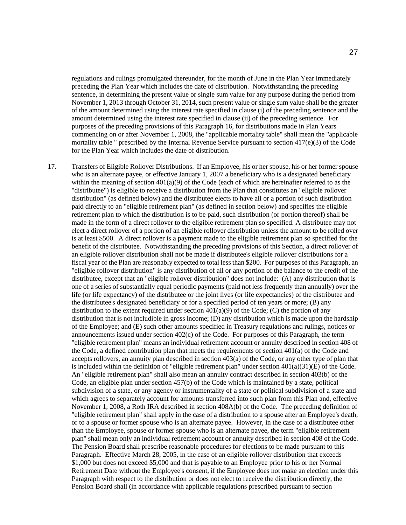regulations and rulings promulgated thereunder, for the month of June in the Plan Year immediately preceding the Plan Year which includes the date of distribution. Notwithstanding the preceding sentence, in determining the present value or single sum value for any purpose during the period from November 1, 2013 through October 31, 2014, such present value or single sum value shall be the greater of the amount determined using the interest rate specified in clause (i) of the preceding sentence and the amount determined using the interest rate specified in clause (ii) of the preceding sentence. For purposes of the preceding provisions of this Paragraph 16, for distributions made in Plan Years commencing on or after November 1, 2008, the "applicable mortality table" shall mean the "applicable mortality table " prescribed by the Internal Revenue Service pursuant to section 417(e)(3) of the Code for the Plan Year which includes the date of distribution.

17. Transfers of Eligible Rollover Distributions. If an Employee, his or her spouse, his or her former spouse who is an alternate payee, or effective January 1, 2007 a beneficiary who is a designated beneficiary within the meaning of section 401(a)(9) of the Code (each of which are hereinafter referred to as the "distributee") is eligible to receive a distribution from the Plan that constitutes an "eligible rollover distribution" (as defined below) and the distributee elects to have all or a portion of such distribution paid directly to an "eligible retirement plan" (as defined in section below) and specifies the eligible retirement plan to which the distribution is to be paid, such distribution (or portion thereof) shall be made in the form of a direct rollover to the eligible retirement plan so specified. A distributee may not elect a direct rollover of a portion of an eligible rollover distribution unless the amount to be rolled over is at least \$500. A direct rollover is a payment made to the eligible retirement plan so specified for the benefit of the distributee. Notwithstanding the preceding provisions of this Section, a direct rollover of an eligible rollover distribution shall not be made if distributee's eligible rollover distributions for a fiscal year of the Plan are reasonably expected to total less than \$200. For purposes of this Paragraph, an "eligible rollover distribution" is any distribution of all or any portion of the balance to the credit of the distributee, except that an "eligible rollover distribution" does not include: (A) any distribution that is one of a series of substantially equal periodic payments (paid not less frequently than annually) over the life (or life expectancy) of the distributee or the joint lives (or life expectancies) of the distributee and the distributee's designated beneficiary or for a specified period of ten years or more; (B) any distribution to the extent required under section  $401(a)(9)$  of the Code; (C) the portion of any distribution that is not includible in gross income; (D) any distribution which is made upon the hardship of the Employee; and (E) such other amounts specified in Treasury regulations and rulings, notices or announcements issued under section 402(c) of the Code. For purposes of this Paragraph, the term "eligible retirement plan" means an individual retirement account or annuity described in section 408 of the Code, a defined contribution plan that meets the requirements of section 401(a) of the Code and accepts rollovers, an annuity plan described in section 403(a) of the Code, or any other type of plan that is included within the definition of "eligible retirement plan" under section  $401(a)(31)(E)$  of the Code. An "eligible retirement plan" shall also mean an annuity contract described in section 403(b) of the Code, an eligible plan under section 457(b) of the Code which is maintained by a state, political subdivision of a state, or any agency or instrumentality of a state or political subdivision of a state and which agrees to separately account for amounts transferred into such plan from this Plan and, effective November 1, 2008, a Roth IRA described in section 408A(b) of the Code. The preceding definition of "eligible retirement plan" shall apply in the case of a distribution to a spouse after an Employee's death, or to a spouse or former spouse who is an alternate payee. However, in the case of a distributee other than the Employee, spouse or former spouse who is an alternate payee, the term "eligible retirement plan" shall mean only an individual retirement account or annuity described in section 408 of the Code. The Pension Board shall prescribe reasonable procedures for elections to be made pursuant to this Paragraph. Effective March 28, 2005, in the case of an eligible rollover distribution that exceeds \$1,000 but does not exceed \$5,000 and that is payable to an Employee prior to his or her Normal Retirement Date without the Employee's consent, if the Employee does not make an election under this Paragraph with respect to the distribution or does not elect to receive the distribution directly, the Pension Board shall (in accordance with applicable regulations prescribed pursuant to section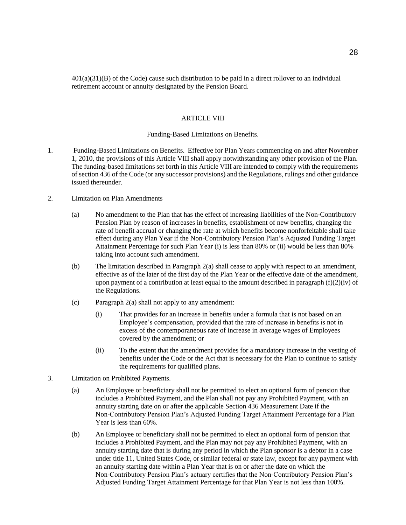401(a)(31)(B) of the Code) cause such distribution to be paid in a direct rollover to an individual retirement account or annuity designated by the Pension Board.

## ARTICLE VIII

# Funding-Based Limitations on Benefits.

- 1. Funding-Based Limitations on Benefits. Effective for Plan Years commencing on and after November 1, 2010, the provisions of this Article VIII shall apply notwithstanding any other provision of the Plan. The funding-based limitations set forth in this Article VIII are intended to comply with the requirements of section 436 of the Code (or any successor provisions) and the Regulations, rulings and other guidance issued thereunder.
- 2. Limitation on Plan Amendments
	- (a) No amendment to the Plan that has the effect of increasing liabilities of the Non-Contributory Pension Plan by reason of increases in benefits, establishment of new benefits, changing the rate of benefit accrual or changing the rate at which benefits become nonforfeitable shall take effect during any Plan Year if the Non-Contributory Pension Plan's Adjusted Funding Target Attainment Percentage for such Plan Year (i) is less than 80% or (ii) would be less than 80% taking into account such amendment.
	- (b) The limitation described in Paragraph 2(a) shall cease to apply with respect to an amendment, effective as of the later of the first day of the Plan Year or the effective date of the amendment, upon payment of a contribution at least equal to the amount described in paragraph  $(f)(2)(iv)$  of the Regulations.
	- (c) Paragraph 2(a) shall not apply to any amendment:
		- (i) That provides for an increase in benefits under a formula that is not based on an Employee's compensation, provided that the rate of increase in benefits is not in excess of the contemporaneous rate of increase in average wages of Employees covered by the amendment; or
		- (ii) To the extent that the amendment provides for a mandatory increase in the vesting of benefits under the Code or the Act that is necessary for the Plan to continue to satisfy the requirements for qualified plans.
- 3. Limitation on Prohibited Payments.
	- (a) An Employee or beneficiary shall not be permitted to elect an optional form of pension that includes a Prohibited Payment, and the Plan shall not pay any Prohibited Payment, with an annuity starting date on or after the applicable Section 436 Measurement Date if the Non-Contributory Pension Plan's Adjusted Funding Target Attainment Percentage for a Plan Year is less than 60%.
	- (b) An Employee or beneficiary shall not be permitted to elect an optional form of pension that includes a Prohibited Payment, and the Plan may not pay any Prohibited Payment, with an annuity starting date that is during any period in which the Plan sponsor is a debtor in a case under title 11, United States Code, or similar federal or state law, except for any payment with an annuity starting date within a Plan Year that is on or after the date on which the Non-Contributory Pension Plan's actuary certifies that the Non-Contributory Pension Plan's Adjusted Funding Target Attainment Percentage for that Plan Year is not less than 100%.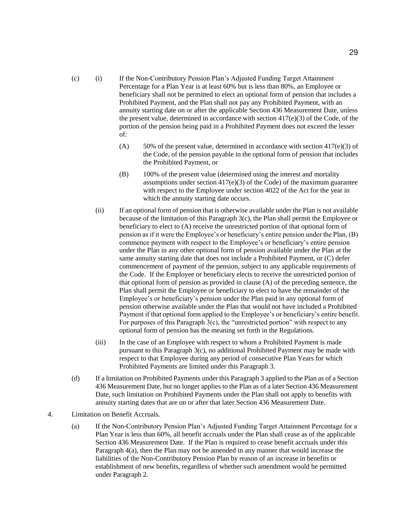- (c) (i) If the Non-Contributory Pension Plan's Adjusted Funding Target Attainment Percentage for a Plan Year is at least 60% but is less than 80%, an Employee or beneficiary shall not be permitted to elect an optional form of pension that includes a Prohibited Payment, and the Plan shall not pay any Prohibited Payment, with an annuity starting date on or after the applicable Section 436 Measurement Date, unless the present value, determined in accordance with section 417(e)(3) of the Code, of the portion of the pension being paid in a Prohibited Payment does not exceed the lesser of:
	- (A) 50% of the present value, determined in accordance with section 417(e)(3) of the Code, of the pension payable in the optional form of pension that includes the Prohibited Payment, or
	- (B) 100% of the present value (determined using the interest and mortality assumptions under section  $417(e)(3)$  of the Code) of the maximum guarantee with respect to the Employee under section 4022 of the Act for the year in which the annuity starting date occurs.
	- (ii) If an optional form of pension that is otherwise available under the Plan is not available because of the limitation of this Paragraph 3(c), the Plan shall permit the Employee or beneficiary to elect to (A) receive the unrestricted portion of that optional form of pension as if it were the Employee's or beneficiary's entire pension under the Plan, (B) commence payment with respect to the Employee's or beneficiary's entire pension under the Plan in any other optional form of pension available under the Plan at the same annuity starting date that does not include a Prohibited Payment, or (C) defer commencement of payment of the pension, subject to any applicable requirements of the Code. If the Employee or beneficiary elects to receive the unrestricted portion of that optional form of pension as provided in clause (A) of the preceding sentence, the Plan shall permit the Employee or beneficiary to elect to have the remainder of the Employee's or beneficiary's pension under the Plan paid in any optional form of pension otherwise available under the Plan that would not have included a Prohibited Payment if that optional form applied to the Employee's or beneficiary's entire benefit. For purposes of this Paragraph 3(c), the "unrestricted portion" with respect to any optional form of pension has the meaning set forth in the Regulations.
	- (iii) In the case of an Employee with respect to whom a Prohibited Payment is made pursuant to this Paragraph 3(c), no additional Prohibited Payment may be made with respect to that Employee during any period of consecutive Plan Years for which Prohibited Payments are limited under this Paragraph 3.
- (d) If a limitation on Prohibited Payments under this Paragraph 3 applied to the Plan as of a Section 436 Measurement Date, but no longer applies to the Plan as of a later Section 436 Measurement Date, such limitation on Prohibited Payments under the Plan shall not apply to benefits with annuity starting dates that are on or after that later Section 436 Measurement Date.
- 4. Limitation on Benefit Accruals.
	- (a) If the Non-Contributory Pension Plan's Adjusted Funding Target Attainment Percentage for a Plan Year is less than 60%, all benefit accruals under the Plan shall cease as of the applicable Section 436 Measurement Date. If the Plan is required to cease benefit accruals under this Paragraph 4(a), then the Plan may not be amended in any manner that would increase the liabilities of the Non-Contributory Pension Plan by reason of an increase in benefits or establishment of new benefits, regardless of whether such amendment would be permitted under Paragraph 2.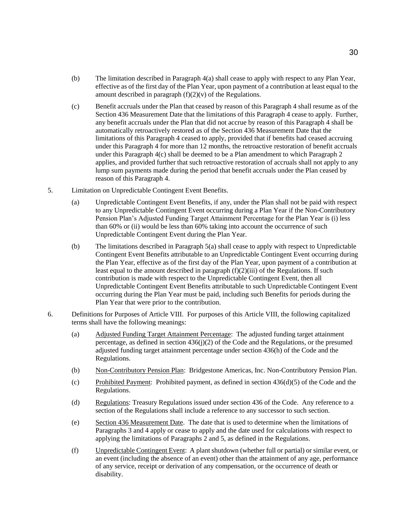- (b) The limitation described in Paragraph 4(a) shall cease to apply with respect to any Plan Year, effective as of the first day of the Plan Year, upon payment of a contribution at least equal to the amount described in paragraph  $(f)(2)(v)$  of the Regulations.
- (c) Benefit accruals under the Plan that ceased by reason of this Paragraph 4 shall resume as of the Section 436 Measurement Date that the limitations of this Paragraph 4 cease to apply. Further, any benefit accruals under the Plan that did not accrue by reason of this Paragraph 4 shall be automatically retroactively restored as of the Section 436 Measurement Date that the limitations of this Paragraph 4 ceased to apply, provided that if benefits had ceased accruing under this Paragraph 4 for more than 12 months, the retroactive restoration of benefit accruals under this Paragraph 4(c) shall be deemed to be a Plan amendment to which Paragraph 2 applies, and provided further that such retroactive restoration of accruals shall not apply to any lump sum payments made during the period that benefit accruals under the Plan ceased by reason of this Paragraph 4.
- 5. Limitation on Unpredictable Contingent Event Benefits.
	- (a) Unpredictable Contingent Event Benefits, if any, under the Plan shall not be paid with respect to any Unpredictable Contingent Event occurring during a Plan Year if the Non-Contributory Pension Plan's Adjusted Funding Target Attainment Percentage for the Plan Year is (i) less than 60% or (ii) would be less than 60% taking into account the occurrence of such Unpredictable Contingent Event during the Plan Year.
	- (b) The limitations described in Paragraph 5(a) shall cease to apply with respect to Unpredictable Contingent Event Benefits attributable to an Unpredictable Contingent Event occurring during the Plan Year, effective as of the first day of the Plan Year, upon payment of a contribution at least equal to the amount described in paragraph  $(f)(2)(iii)$  of the Regulations. If such contribution is made with respect to the Unpredictable Contingent Event, then all Unpredictable Contingent Event Benefits attributable to such Unpredictable Contingent Event occurring during the Plan Year must be paid, including such Benefits for periods during the Plan Year that were prior to the contribution.
- 6. Definitions for Purposes of Article VIII. For purposes of this Article VIII, the following capitalized terms shall have the following meanings:
	- (a) Adjusted Funding Target Attainment Percentage: The adjusted funding target attainment percentage, as defined in section 436(j)(2) of the Code and the Regulations, or the presumed adjusted funding target attainment percentage under section 436(h) of the Code and the Regulations.
	- (b) Non-Contributory Pension Plan: Bridgestone Americas, Inc. Non-Contributory Pension Plan.
	- (c) Prohibited Payment: Prohibited payment, as defined in section  $436(d)(5)$  of the Code and the Regulations.
	- (d) Regulations: Treasury Regulations issued under section 436 of the Code. Any reference to a section of the Regulations shall include a reference to any successor to such section.
	- (e) Section 436 Measurement Date. The date that is used to determine when the limitations of Paragraphs 3 and 4 apply or cease to apply and the date used for calculations with respect to applying the limitations of Paragraphs 2 and 5, as defined in the Regulations.
	- (f) Unpredictable Contingent Event: A plant shutdown (whether full or partial) or similar event, or an event (including the absence of an event) other than the attainment of any age, performance of any service, receipt or derivation of any compensation, or the occurrence of death or disability.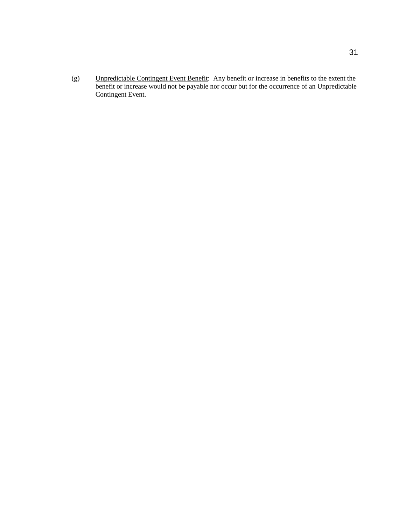(g) Unpredictable Contingent Event Benefit: Any benefit or increase in benefits to the extent the benefit or increase would not be payable nor occur but for the occurrence of an Unpredictable Contingent Event.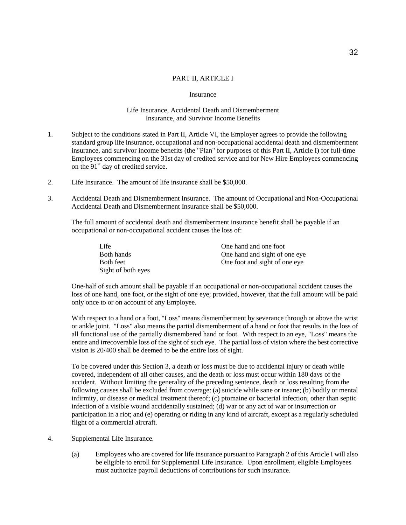## PART II, ARTICLE I

#### Insurance

#### Life Insurance, Accidental Death and Dismemberment Insurance, and Survivor Income Benefits

- 1. Subject to the conditions stated in Part II, Article VI, the Employer agrees to provide the following standard group life insurance, occupational and non-occupational accidental death and dismemberment insurance, and survivor income benefits (the "Plan" for purposes of this Part II, Article I) for full-time Employees commencing on the 31st day of credited service and for New Hire Employees commencing on the  $91<sup>st</sup>$  day of credited service.
- 2. Life Insurance. The amount of life insurance shall be \$50,000.
- 3. Accidental Death and Dismemberment Insurance. The amount of Occupational and Non-Occupational Accidental Death and Dismemberment Insurance shall be \$50,000.

The full amount of accidental death and dismemberment insurance benefit shall be payable if an occupational or non-occupational accident causes the loss of:

| Life               | One hand and one foot         |
|--------------------|-------------------------------|
| Both hands         | One hand and sight of one eye |
| <b>Both</b> feet   | One foot and sight of one eye |
| Sight of both eyes |                               |

One-half of such amount shall be payable if an occupational or non-occupational accident causes the loss of one hand, one foot, or the sight of one eye; provided, however, that the full amount will be paid only once to or on account of any Employee.

With respect to a hand or a foot, "Loss" means dismemberment by severance through or above the wrist or ankle joint. "Loss" also means the partial dismemberment of a hand or foot that results in the loss of all functional use of the partially dismembered hand or foot. With respect to an eye, "Loss" means the entire and irrecoverable loss of the sight of such eye. The partial loss of vision where the best corrective vision is 20/400 shall be deemed to be the entire loss of sight.

To be covered under this Section 3, a death or loss must be due to accidental injury or death while covered, independent of all other causes, and the death or loss must occur within 180 days of the accident. Without limiting the generality of the preceding sentence, death or loss resulting from the following causes shall be excluded from coverage: (a) suicide while sane or insane; (b) bodily or mental infirmity, or disease or medical treatment thereof; (c) ptomaine or bacterial infection, other than septic infection of a visible wound accidentally sustained; (d) war or any act of war or insurrection or participation in a riot; and (e) operating or riding in any kind of aircraft, except as a regularly scheduled flight of a commercial aircraft.

- 4. Supplemental Life Insurance.
	- (a) Employees who are covered for life insurance pursuant to Paragraph 2 of this Article I will also be eligible to enroll for Supplemental Life Insurance. Upon enrollment, eligible Employees must authorize payroll deductions of contributions for such insurance.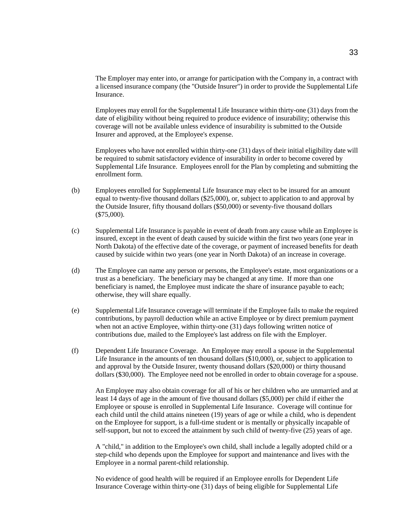The Employer may enter into, or arrange for participation with the Company in, a contract with a licensed insurance company (the "Outside Insurer") in order to provide the Supplemental Life Insurance.

Employees may enroll for the Supplemental Life Insurance within thirty-one (31) days from the date of eligibility without being required to produce evidence of insurability; otherwise this coverage will not be available unless evidence of insurability is submitted to the Outside Insurer and approved, at the Employee's expense.

Employees who have not enrolled within thirty-one (31) days of their initial eligibility date will be required to submit satisfactory evidence of insurability in order to become covered by Supplemental Life Insurance. Employees enroll for the Plan by completing and submitting the enrollment form.

- (b) Employees enrolled for Supplemental Life Insurance may elect to be insured for an amount equal to twenty-five thousand dollars (\$25,000), or, subject to application to and approval by the Outside Insurer, fifty thousand dollars (\$50,000) or seventy-five thousand dollars (\$75,000).
- (c) Supplemental Life Insurance is payable in event of death from any cause while an Employee is insured, except in the event of death caused by suicide within the first two years (one year in North Dakota) of the effective date of the coverage, or payment of increased benefits for death caused by suicide within two years (one year in North Dakota) of an increase in coverage.
- (d) The Employee can name any person or persons, the Employee's estate, most organizations or a trust as a beneficiary. The beneficiary may be changed at any time. If more than one beneficiary is named, the Employee must indicate the share of insurance payable to each; otherwise, they will share equally.
- (e) Supplemental Life Insurance coverage will terminate if the Employee fails to make the required contributions, by payroll deduction while an active Employee or by direct premium payment when not an active Employee, within thirty-one (31) days following written notice of contributions due, mailed to the Employee's last address on file with the Employer.
- (f) Dependent Life Insurance Coverage. An Employee may enroll a spouse in the Supplemental Life Insurance in the amounts of ten thousand dollars (\$10,000), or, subject to application to and approval by the Outside Insurer, twenty thousand dollars (\$20,000) or thirty thousand dollars (\$30,000). The Employee need not be enrolled in order to obtain coverage for a spouse.

An Employee may also obtain coverage for all of his or her children who are unmarried and at least 14 days of age in the amount of five thousand dollars (\$5,000) per child if either the Employee or spouse is enrolled in Supplemental Life Insurance. Coverage will continue for each child until the child attains nineteen (19) years of age or while a child, who is dependent on the Employee for support, is a full-time student or is mentally or physically incapable of self-support, but not to exceed the attainment by such child of twenty-five (25) years of age.

A "child," in addition to the Employee's own child, shall include a legally adopted child or a step-child who depends upon the Employee for support and maintenance and lives with the Employee in a normal parent-child relationship.

No evidence of good health will be required if an Employee enrolls for Dependent Life Insurance Coverage within thirty-one (31) days of being eligible for Supplemental Life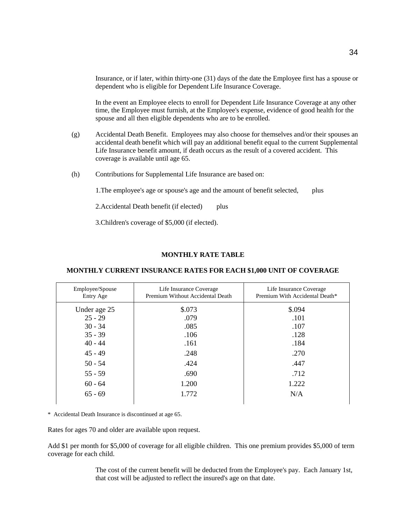Insurance, or if later, within thirty-one (31) days of the date the Employee first has a spouse or dependent who is eligible for Dependent Life Insurance Coverage.

In the event an Employee elects to enroll for Dependent Life Insurance Coverage at any other time, the Employee must furnish, at the Employee's expense, evidence of good health for the spouse and all then eligible dependents who are to be enrolled.

- (g) Accidental Death Benefit. Employees may also choose for themselves and/or their spouses an accidental death benefit which will pay an additional benefit equal to the current Supplemental Life Insurance benefit amount, if death occurs as the result of a covered accident. This coverage is available until age 65.
- (h) Contributions for Supplemental Life Insurance are based on:

1.The employee's age or spouse's age and the amount of benefit selected, plus

2. Accidental Death benefit (if elected) plus

3.Children's coverage of \$5,000 (if elected).

#### **MONTHLY RATE TABLE**

#### **MONTHLY CURRENT INSURANCE RATES FOR EACH \$1,000 UNIT OF COVERAGE**

| Employee/Spouse<br>Entry Age | Life Insurance Coverage<br>Premium Without Accidental Death | Life Insurance Coverage<br>Premium With Accidental Death* |
|------------------------------|-------------------------------------------------------------|-----------------------------------------------------------|
| Under age 25                 | \$.073                                                      | \$.094                                                    |
| $25 - 29$                    | .079                                                        | .101                                                      |
| $30 - 34$                    | .085                                                        | .107                                                      |
| $35 - 39$                    | .106                                                        | .128                                                      |
| $40 - 44$                    | .161                                                        | .184                                                      |
| $45 - 49$                    | .248                                                        | .270                                                      |
| $50 - 54$                    | .424                                                        | .447                                                      |
| $55 - 59$                    | .690                                                        | .712                                                      |
| $60 - 64$                    | 1.200                                                       | 1.222                                                     |
| $65 - 69$                    | 1.772                                                       | N/A                                                       |
|                              |                                                             |                                                           |

\* Accidental Death Insurance is discontinued at age 65.

Rates for ages 70 and older are available upon request.

Add \$1 per month for \$5,000 of coverage for all eligible children. This one premium provides \$5,000 of term coverage for each child.

> The cost of the current benefit will be deducted from the Employee's pay. Each January 1st, that cost will be adjusted to reflect the insured's age on that date.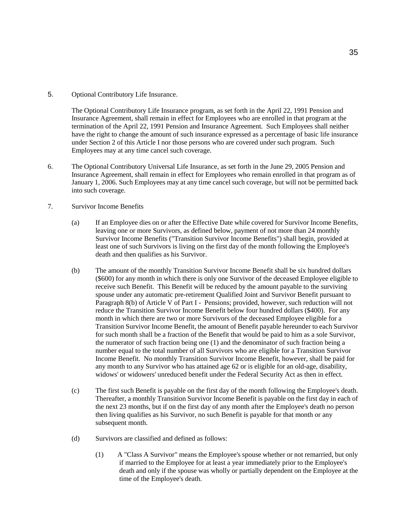5. Optional Contributory Life Insurance.

The Optional Contributory Life Insurance program, as set forth in the April 22, 1991 Pension and Insurance Agreement, shall remain in effect for Employees who are enrolled in that program at the termination of the April 22, 1991 Pension and Insurance Agreement. Such Employees shall neither have the right to change the amount of such insurance expressed as a percentage of basic life insurance under Section 2 of this Article I nor those persons who are covered under such program. Such Employees may at any time cancel such coverage.

- 6. The Optional Contributory Universal Life Insurance, as set forth in the June 29, 2005 Pension and Insurance Agreement, shall remain in effect for Employees who remain enrolled in that program as of January 1, 2006. Such Employees may at any time cancel such coverage, but will not be permitted back into such coverage.
- 7. Survivor Income Benefits
	- (a) If an Employee dies on or after the Effective Date while covered for Survivor Income Benefits, leaving one or more Survivors, as defined below, payment of not more than 24 monthly Survivor Income Benefits ("Transition Survivor Income Benefits") shall begin, provided at least one of such Survivors is living on the first day of the month following the Employee's death and then qualifies as his Survivor.
	- (b) The amount of the monthly Transition Survivor Income Benefit shall be six hundred dollars (\$600) for any month in which there is only one Survivor of the deceased Employee eligible to receive such Benefit. This Benefit will be reduced by the amount payable to the surviving spouse under any automatic pre-retirement Qualified Joint and Survivor Benefit pursuant to Paragraph 8(b) of Article V of Part I - Pensions; provided, however, such reduction will not reduce the Transition Survivor Income Benefit below four hundred dollars (\$400). For any month in which there are two or more Survivors of the deceased Employee eligible for a Transition Survivor Income Benefit, the amount of Benefit payable hereunder to each Survivor for such month shall be a fraction of the Benefit that would be paid to him as a sole Survivor, the numerator of such fraction being one (1) and the denominator of such fraction being a number equal to the total number of all Survivors who are eligible for a Transition Survivor Income Benefit. No monthly Transition Survivor Income Benefit, however, shall be paid for any month to any Survivor who has attained age 62 or is eligible for an old-age, disability, widows' or widowers' unreduced benefit under the Federal Security Act as then in effect.
	- (c) The first such Benefit is payable on the first day of the month following the Employee's death. Thereafter, a monthly Transition Survivor Income Benefit is payable on the first day in each of the next 23 months, but if on the first day of any month after the Employee's death no person then living qualifies as his Survivor, no such Benefit is payable for that month or any subsequent month.
	- (d) Survivors are classified and defined as follows:
		- (1) A "Class A Survivor" means the Employee's spouse whether or not remarried, but only if married to the Employee for at least a year immediately prior to the Employee's death and only if the spouse was wholly or partially dependent on the Employee at the time of the Employee's death.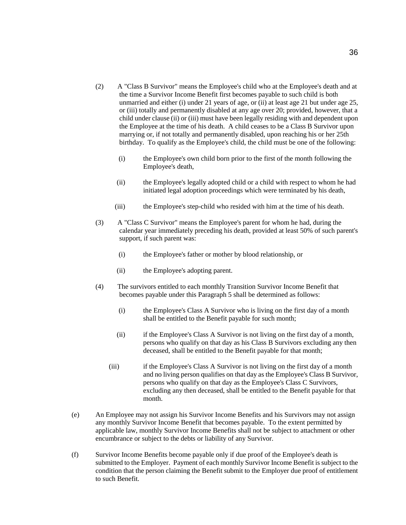- (2) A "Class B Survivor" means the Employee's child who at the Employee's death and at the time a Survivor Income Benefit first becomes payable to such child is both unmarried and either (i) under 21 years of age, or (ii) at least age 21 but under age 25, or (iii) totally and permanently disabled at any age over 20; provided, however, that a child under clause (ii) or (iii) must have been legally residing with and dependent upon the Employee at the time of his death. A child ceases to be a Class B Survivor upon marrying or, if not totally and permanently disabled, upon reaching his or her 25th birthday. To qualify as the Employee's child, the child must be one of the following:
	- (i) the Employee's own child born prior to the first of the month following the Employee's death,
	- (ii) the Employee's legally adopted child or a child with respect to whom he had initiated legal adoption proceedings which were terminated by his death,
	- (iii) the Employee's step-child who resided with him at the time of his death.
- (3) A "Class C Survivor" means the Employee's parent for whom he had, during the calendar year immediately preceding his death, provided at least 50% of such parent's support, if such parent was:
	- (i) the Employee's father or mother by blood relationship, or
	- (ii) the Employee's adopting parent.
- (4) The survivors entitled to each monthly Transition Survivor Income Benefit that becomes payable under this Paragraph 5 shall be determined as follows:
	- (i) the Employee's Class A Survivor who is living on the first day of a month shall be entitled to the Benefit payable for such month;
	- (ii) if the Employee's Class A Survivor is not living on the first day of a month, persons who qualify on that day as his Class B Survivors excluding any then deceased, shall be entitled to the Benefit payable for that month;
	- (iii) if the Employee's Class A Survivor is not living on the first day of a month and no living person qualifies on that day as the Employee's Class B Survivor, persons who qualify on that day as the Employee's Class C Survivors, excluding any then deceased, shall be entitled to the Benefit payable for that month.
- (e) An Employee may not assign his Survivor Income Benefits and his Survivors may not assign any monthly Survivor Income Benefit that becomes payable. To the extent permitted by applicable law, monthly Survivor Income Benefits shall not be subject to attachment or other encumbrance or subject to the debts or liability of any Survivor.
- (f) Survivor Income Benefits become payable only if due proof of the Employee's death is submitted to the Employer. Payment of each monthly Survivor Income Benefit is subject to the condition that the person claiming the Benefit submit to the Employer due proof of entitlement to such Benefit.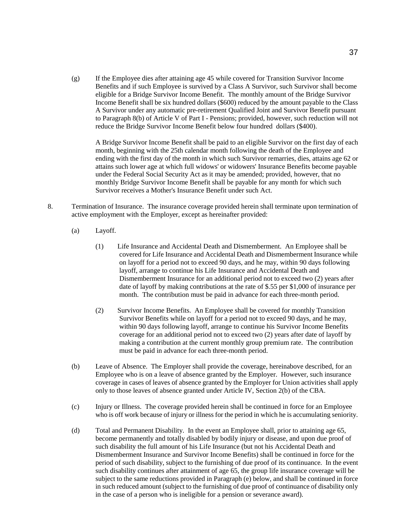(g) If the Employee dies after attaining age 45 while covered for Transition Survivor Income Benefits and if such Employee is survived by a Class A Survivor, such Survivor shall become eligible for a Bridge Survivor Income Benefit. The monthly amount of the Bridge Survivor Income Benefit shall be six hundred dollars (\$600) reduced by the amount payable to the Class A Survivor under any automatic pre-retirement Qualified Joint and Survivor Benefit pursuant to Paragraph 8(b) of Article V of Part I - Pensions; provided, however, such reduction will not reduce the Bridge Survivor Income Benefit below four hundred dollars (\$400).

A Bridge Survivor Income Benefit shall be paid to an eligible Survivor on the first day of each month, beginning with the 25th calendar month following the death of the Employee and ending with the first day of the month in which such Survivor remarries, dies, attains age 62 or attains such lower age at which full widows' or widowers' Insurance Benefits become payable under the Federal Social Security Act as it may be amended; provided, however, that no monthly Bridge Survivor Income Benefit shall be payable for any month for which such Survivor receives a Mother's Insurance Benefit under such Act.

- 8. Termination of Insurance. The insurance coverage provided herein shall terminate upon termination of active employment with the Employer, except as hereinafter provided:
	- (a) Layoff.
		- (1) Life Insurance and Accidental Death and Dismemberment. An Employee shall be covered for Life Insurance and Accidental Death and Dismemberment Insurance while on layoff for a period not to exceed 90 days, and he may, within 90 days following layoff, arrange to continue his Life Insurance and Accidental Death and Dismemberment Insurance for an additional period not to exceed two (2) years after date of layoff by making contributions at the rate of \$.55 per \$1,000 of insurance per month. The contribution must be paid in advance for each three-month period.
		- (2) Survivor Income Benefits. An Employee shall be covered for monthly Transition Survivor Benefits while on layoff for a period not to exceed 90 days, and he may, within 90 days following layoff, arrange to continue his Survivor Income Benefits coverage for an additional period not to exceed two (2) years after date of layoff by making a contribution at the current monthly group premium rate. The contribution must be paid in advance for each three-month period.
	- (b) Leave of Absence. The Employer shall provide the coverage, hereinabove described, for an Employee who is on a leave of absence granted by the Employer. However, such insurance coverage in cases of leaves of absence granted by the Employer for Union activities shall apply only to those leaves of absence granted under Article IV, Section 2(b) of the CBA.
	- (c) Injury or Illness. The coverage provided herein shall be continued in force for an Employee who is off work because of injury or illness for the period in which he is accumulating seniority.
	- (d) Total and Permanent Disability. In the event an Employee shall, prior to attaining age 65, become permanently and totally disabled by bodily injury or disease, and upon due proof of such disability the full amount of his Life Insurance (but not his Accidental Death and Dismemberment Insurance and Survivor Income Benefits) shall be continued in force for the period of such disability, subject to the furnishing of due proof of its continuance. In the event such disability continues after attainment of age 65, the group life insurance coverage will be subject to the same reductions provided in Paragraph (e) below, and shall be continued in force in such reduced amount (subject to the furnishing of due proof of continuance of disability only in the case of a person who is ineligible for a pension or severance award).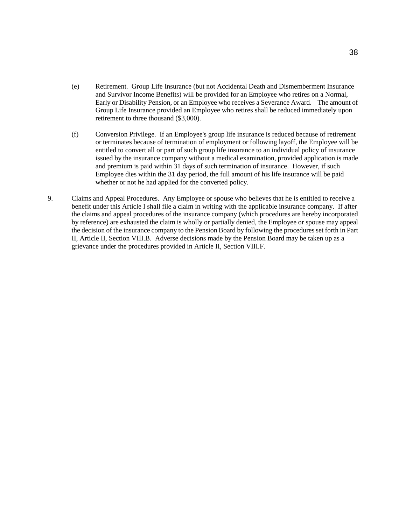- (e) Retirement. Group Life Insurance (but not Accidental Death and Dismemberment Insurance and Survivor Income Benefits) will be provided for an Employee who retires on a Normal, Early or Disability Pension, or an Employee who receives a Severance Award. The amount of Group Life Insurance provided an Employee who retires shall be reduced immediately upon retirement to three thousand (\$3,000).
- (f) Conversion Privilege. If an Employee's group life insurance is reduced because of retirement or terminates because of termination of employment or following layoff, the Employee will be entitled to convert all or part of such group life insurance to an individual policy of insurance issued by the insurance company without a medical examination, provided application is made and premium is paid within 31 days of such termination of insurance. However, if such Employee dies within the 31 day period, the full amount of his life insurance will be paid whether or not he had applied for the converted policy.
- 9. Claims and Appeal Procedures. Any Employee or spouse who believes that he is entitled to receive a benefit under this Article I shall file a claim in writing with the applicable insurance company. If after the claims and appeal procedures of the insurance company (which procedures are hereby incorporated by reference) are exhausted the claim is wholly or partially denied, the Employee or spouse may appeal the decision of the insurance company to the Pension Board by following the procedures set forth in Part II, Article II, Section VIII.B. Adverse decisions made by the Pension Board may be taken up as a grievance under the procedures provided in Article II, Section VIII.F.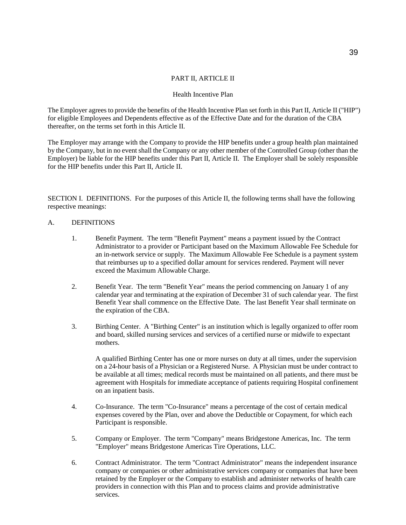# PART II, ARTICLE II

#### Health Incentive Plan

The Employer agrees to provide the benefits of the Health Incentive Plan set forth in this Part II, Article II ("HIP") for eligible Employees and Dependents effective as of the Effective Date and for the duration of the CBA thereafter, on the terms set forth in this Article II.

The Employer may arrange with the Company to provide the HIP benefits under a group health plan maintained by the Company, but in no event shall the Company or any other member of the Controlled Group (other than the Employer) be liable for the HIP benefits under this Part II, Article II. The Employer shall be solely responsible for the HIP benefits under this Part II, Article II.

SECTION I. DEFINITIONS. For the purposes of this Article II, the following terms shall have the following respective meanings:

#### A. DEFINITIONS

- 1. Benefit Payment. The term "Benefit Payment" means a payment issued by the Contract Administrator to a provider or Participant based on the Maximum Allowable Fee Schedule for an in-network service or supply. The Maximum Allowable Fee Schedule is a payment system that reimburses up to a specified dollar amount for services rendered. Payment will never exceed the Maximum Allowable Charge.
- 2. Benefit Year. The term "Benefit Year" means the period commencing on January 1 of any calendar year and terminating at the expiration of December 31 of such calendar year. The first Benefit Year shall commence on the Effective Date. The last Benefit Year shall terminate on the expiration of the CBA.
- 3. Birthing Center. A "Birthing Center" is an institution which is legally organized to offer room and board, skilled nursing services and services of a certified nurse or midwife to expectant mothers.

A qualified Birthing Center has one or more nurses on duty at all times, under the supervision on a 24-hour basis of a Physician or a Registered Nurse. A Physician must be under contract to be available at all times; medical records must be maintained on all patients, and there must be agreement with Hospitals for immediate acceptance of patients requiring Hospital confinement on an inpatient basis.

- 4. Co-Insurance. The term "Co-Insurance" means a percentage of the cost of certain medical expenses covered by the Plan, over and above the Deductible or Copayment, for which each Participant is responsible.
- 5. Company or Employer. The term "Company" means Bridgestone Americas, Inc. The term "Employer" means Bridgestone Americas Tire Operations, LLC.
- 6. Contract Administrator. The term "Contract Administrator" means the independent insurance company or companies or other administrative services company or companies that have been retained by the Employer or the Company to establish and administer networks of health care providers in connection with this Plan and to process claims and provide administrative services.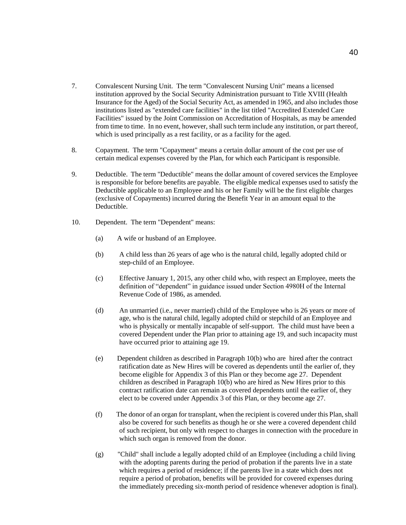- 7. Convalescent Nursing Unit. The term "Convalescent Nursing Unit" means a licensed institution approved by the Social Security Administration pursuant to Title XVIII (Health Insurance for the Aged) of the Social Security Act, as amended in 1965, and also includes those institutions listed as "extended care facilities" in the list titled "Accredited Extended Care Facilities" issued by the Joint Commission on Accreditation of Hospitals, as may be amended from time to time. In no event, however, shall such term include any institution, or part thereof, which is used principally as a rest facility, or as a facility for the aged.
- 8. Copayment. The term "Copayment" means a certain dollar amount of the cost per use of certain medical expenses covered by the Plan, for which each Participant is responsible.
- 9. Deductible. The term "Deductible" means the dollar amount of covered services the Employee is responsible for before benefits are payable. The eligible medical expenses used to satisfy the Deductible applicable to an Employee and his or her Family will be the first eligible charges (exclusive of Copayments) incurred during the Benefit Year in an amount equal to the Deductible.
- 10. Dependent. The term "Dependent" means:
	- (a) A wife or husband of an Employee.
	- (b) A child less than 26 years of age who is the natural child, legally adopted child or step-child of an Employee.
	- (c) Effective January 1, 2015, any other child who, with respect an Employee, meets the definition of "dependent" in guidance issued under Section 4980H of the Internal Revenue Code of 1986, as amended.
	- (d) An unmarried (i.e., never married) child of the Employee who is 26 years or more of age, who is the natural child, legally adopted child or stepchild of an Employee and who is physically or mentally incapable of self-support. The child must have been a covered Dependent under the Plan prior to attaining age 19, and such incapacity must have occurred prior to attaining age 19.
	- (e) Dependent children as described in Paragraph 10(b) who are hired after the contract ratification date as New Hires will be covered as dependents until the earlier of, they become eligible for Appendix 3 of this Plan or they become age 27. Dependent children as described in Paragraph 10(b) who are hired as New Hires prior to this contract ratification date can remain as covered dependents until the earlier of, they elect to be covered under Appendix 3 of this Plan, or they become age 27.
	- (f) The donor of an organ for transplant, when the recipient is covered under this Plan, shall also be covered for such benefits as though he or she were a covered dependent child of such recipient, but only with respect to charges in connection with the procedure in which such organ is removed from the donor.
	- (g) "Child" shall include a legally adopted child of an Employee (including a child living with the adopting parents during the period of probation if the parents live in a state which requires a period of residence; if the parents live in a state which does not require a period of probation, benefits will be provided for covered expenses during the immediately preceding six-month period of residence whenever adoption is final).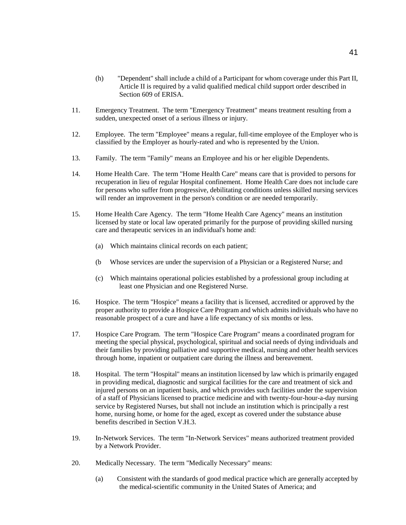- (h) "Dependent" shall include a child of a Participant for whom coverage under this Part II, Article II is required by a valid qualified medical child support order described in Section 609 of ERISA.
- 11. Emergency Treatment. The term "Emergency Treatment" means treatment resulting from a sudden, unexpected onset of a serious illness or injury.
- 12. Employee. The term "Employee" means a regular, full-time employee of the Employer who is classified by the Employer as hourly-rated and who is represented by the Union.
- 13. Family. The term "Family" means an Employee and his or her eligible Dependents.
- 14. Home Health Care. The term "Home Health Care" means care that is provided to persons for recuperation in lieu of regular Hospital confinement. Home Health Care does not include care for persons who suffer from progressive, debilitating conditions unless skilled nursing services will render an improvement in the person's condition or are needed temporarily.
- 15. Home Health Care Agency. The term "Home Health Care Agency" means an institution licensed by state or local law operated primarily for the purpose of providing skilled nursing care and therapeutic services in an individual's home and:
	- (a) Which maintains clinical records on each patient;
	- (b Whose services are under the supervision of a Physician or a Registered Nurse; and
	- (c) Which maintains operational policies established by a professional group including at least one Physician and one Registered Nurse.
- 16. Hospice. The term "Hospice" means a facility that is licensed, accredited or approved by the proper authority to provide a Hospice Care Program and which admits individuals who have no reasonable prospect of a cure and have a life expectancy of six months or less.
- 17. Hospice Care Program. The term "Hospice Care Program" means a coordinated program for meeting the special physical, psychological, spiritual and social needs of dying individuals and their families by providing palliative and supportive medical, nursing and other health services through home, inpatient or outpatient care during the illness and bereavement.
- 18. Hospital. The term "Hospital" means an institution licensed by law which is primarily engaged in providing medical, diagnostic and surgical facilities for the care and treatment of sick and injured persons on an inpatient basis, and which provides such facilities under the supervision of a staff of Physicians licensed to practice medicine and with twenty-four-hour-a-day nursing service by Registered Nurses, but shall not include an institution which is principally a rest home, nursing home, or home for the aged, except as covered under the substance abuse benefits described in Section V.H.3.
- 19. In-Network Services. The term "In-Network Services" means authorized treatment provided by a Network Provider.
- 20. Medically Necessary. The term "Medically Necessary" means:
	- (a) Consistent with the standards of good medical practice which are generally accepted by the medical-scientific community in the United States of America; and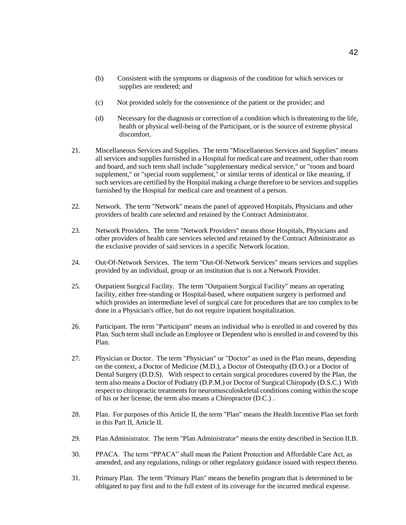- (b) Consistent with the symptoms or diagnosis of the condition for which services or supplies are rendered; and
- (c) Not provided solely for the convenience of the patient or the provider; and
- (d) Necessary for the diagnosis or correction of a condition which is threatening to the life, health or physical well-being of the Participant, or is the source of extreme physical discomfort.
- 21. Miscellaneous Services and Supplies. The term "Miscellaneous Services and Supplies" means all services and supplies furnished in a Hospital for medical care and treatment, other than room and board, and such term shall include "supplementary medical service," or "room and board supplement," or "special room supplement," or similar terms of identical or like meaning, if such services are certified by the Hospital making a charge therefore to be services and supplies furnished by the Hospital for medical care and treatment of a person.
- 22. Network. The term "Network" means the panel of approved Hospitals, Physicians and other providers of health care selected and retained by the Contract Administrator.
- 23. Network Providers. The term "Network Providers" means those Hospitals, Physicians and other providers of health care services selected and retained by the Contract Administrator as the exclusive provider of said services in a specific Network location.
- 24. Out-Of-Network Services. The term "Out-Of-Network Services" means services and supplies provided by an individual, group or an institution that is not a Network Provider.
- 25. Outpatient Surgical Facility. The term "Outpatient Surgical Facility" means an operating facility, either free-standing or Hospital-based, where outpatient surgery is performed and which provides an intermediate level of surgical care for procedures that are too complex to be done in a Physician's office, but do not require inpatient hospitalization.
- 26. Participant. The term "Participant" means an individual who is enrolled in and covered by this Plan. Such term shall include an Employee or Dependent who is enrolled in and covered by this Plan.
- 27. Physician or Doctor. The term "Physician" or "Doctor" as used in the Plan means, depending on the context, a Doctor of Medicine (M.D.), a Doctor of Osteopathy (D.O.) or a Doctor of Dental Surgery (D.D.S). With respect to certain surgical procedures covered by the Plan, the term also means a Doctor of Podiatry (D.P.M.) or Doctor of Surgical Chiropody (D.S.C.) With respect to chiropractic treatments for neuromusculoskeletal conditions coming within the scope of his or her license, the term also means a Chiropractor (D.C.) .
- 28. Plan. For purposes of this Article II, the term "Plan" means the Health Incentive Plan set forth in this Part II, Article II.
- 29. Plan Administrator. The term "Plan Administrator" means the entity described in Section II.B.
- 30. PPACA. The term "PPACA" shall mean the Patient Protection and Affordable Care Act, as amended, and any regulations, rulings or other regulatory guidance issued with respect thereto.
- 31. Primary Plan. The term "Primary Plan" means the benefits program that is determined to be obligated to pay first and to the full extent of its coverage for the incurred medical expense.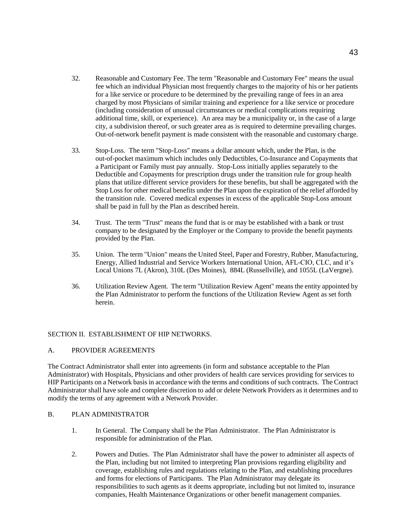- 32. Reasonable and Customary Fee. The term "Reasonable and Customary Fee" means the usual fee which an individual Physician most frequently charges to the majority of his or her patients for a like service or procedure to be determined by the prevailing range of fees in an area charged by most Physicians of similar training and experience for a like service or procedure (including consideration of unusual circumstances or medical complications requiring additional time, skill, or experience). An area may be a municipality or, in the case of a large city, a subdivision thereof, or such greater area as is required to determine prevailing charges. Out-of-network benefit payment is made consistent with the reasonable and customary charge.
- 33. Stop-Loss. The term "Stop-Loss" means a dollar amount which, under the Plan, is the out-of-pocket maximum which includes only Deductibles, Co-Insurance and Copayments that a Participant or Family must pay annually. Stop-Loss initially applies separately to the Deductible and Copayments for prescription drugs under the transition rule for group health plans that utilize different service providers for these benefits, but shall be aggregated with the Stop Loss for other medical benefits under the Plan upon the expiration of the relief afforded by the transition rule. Covered medical expenses in excess of the applicable Stop-Loss amount shall be paid in full by the Plan as described herein.
- 34. Trust. The term "Trust" means the fund that is or may be established with a bank or trust company to be designated by the Employer or the Company to provide the benefit payments provided by the Plan.
- 35. Union. The term "Union" means the United Steel, Paper and Forestry, Rubber, Manufacturing, Energy, Allied Industrial and Service Workers International Union, AFL-CIO, CLC, and it's Local Unions 7L (Akron), 310L (Des Moines), 884L (Russellville), and 1055L (LaVergne).
- 36. Utilization Review Agent. The term "Utilization Review Agent" means the entity appointed by the Plan Administrator to perform the functions of the Utilization Review Agent as set forth herein.

## SECTION II. ESTABLISHMENT OF HIP NETWORKS.

## A. PROVIDER AGREEMENTS

The Contract Administrator shall enter into agreements (in form and substance acceptable to the Plan Administrator) with Hospitals, Physicians and other providers of health care services providing for services to HIP Participants on a Network basis in accordance with the terms and conditions of such contracts. The Contract Administrator shall have sole and complete discretion to add or delete Network Providers as it determines and to modify the terms of any agreement with a Network Provider.

#### B. PLAN ADMINISTRATOR

- 1. In General. The Company shall be the Plan Administrator. The Plan Administrator is responsible for administration of the Plan.
- 2. Powers and Duties. The Plan Administrator shall have the power to administer all aspects of the Plan, including but not limited to interpreting Plan provisions regarding eligibility and coverage, establishing rules and regulations relating to the Plan, and establishing procedures and forms for elections of Participants. The Plan Administrator may delegate its responsibilities to such agents as it deems appropriate, including but not limited to, insurance companies, Health Maintenance Organizations or other benefit management companies.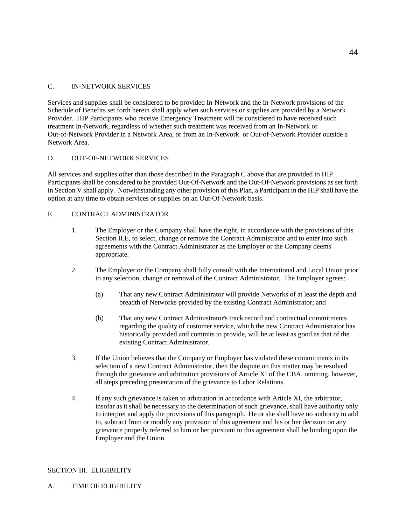# C. IN-NETWORK SERVICES

Services and supplies shall be considered to be provided In-Network and the In-Network provisions of the Schedule of Benefits set forth herein shall apply when such services or supplies are provided by a Network Provider. HIP Participants who receive Emergency Treatment will be considered to have received such treatment In-Network, regardless of whether such treatment was received from an In-Network or Out-of-Network Provider in a Network Area, or from an In-Network or Out-of-Network Provider outside a Network Area.

# D. OUT-OF-NETWORK SERVICES

All services and supplies other than those described in the Paragraph C above that are provided to HIP Participants shall be considered to be provided Out-Of-Network and the Out-Of-Network provisions as set forth in Section V shall apply. Notwithstanding any other provision of this Plan, a Participant in the HIP shall have the option at any time to obtain services or supplies on an Out-Of-Network basis.

# E. CONTRACT ADMINISTRATOR

- 1. The Employer or the Company shall have the right, in accordance with the provisions of this Section II.E, to select, change or remove the Contract Administrator and to enter into such agreements with the Contract Administrator as the Employer or the Company deems appropriate.
- 2. The Employer or the Company shall fully consult with the International and Local Union prior to any selection, change or removal of the Contract Administrator. The Employer agrees:
	- (a) That any new Contract Administrator will provide Networks of at least the depth and breadth of Networks provided by the existing Contract Administrator; and
	- (b) That any new Contract Administrator's track record and contractual commitments regarding the quality of customer service, which the new Contract Administrator has historically provided and commits to provide, will be at least as good as that of the existing Contract Administrator.
- 3. If the Union believes that the Company or Employer has violated these commitments in its selection of a new Contract Administrator, then the dispute on this matter may be resolved through the grievance and arbitration provisions of Article XI of the CBA, omitting, however, all steps preceding presentation of the grievance to Labor Relations.
- 4. If any such grievance is taken to arbitration in accordance with Article XI, the arbitrator, insofar as it shall be necessary to the determination of such grievance, shall have authority only to interpret and apply the provisions of this paragraph. He or she shall have no authority to add to, subtract from or modify any provision of this agreement and his or her decision on any grievance properly referred to him or her pursuant to this agreement shall be binding upon the Employer and the Union.

## SECTION III. ELIGIBILITY

A. TIME OF ELIGIBILITY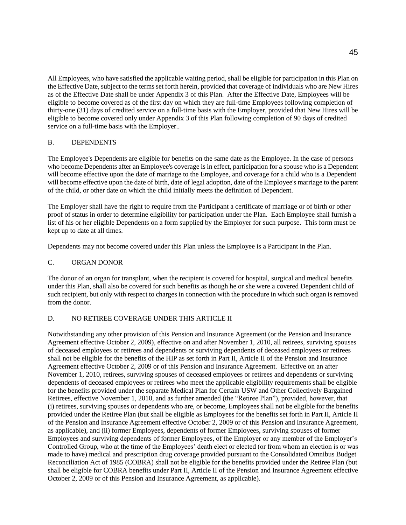All Employees, who have satisfied the applicable waiting period, shall be eligible for participation in this Plan on the Effective Date, subject to the terms set forth herein, provided that coverage of individuals who are New Hires as of the Effective Date shall be under Appendix 3 of this Plan. After the Effective Date, Employees will be eligible to become covered as of the first day on which they are full-time Employees following completion of thirty-one (31) days of credited service on a full-time basis with the Employer, provided that New Hires will be eligible to become covered only under Appendix 3 of this Plan following completion of 90 days of credited service on a full-time basis with the Employer..

# B. DEPENDENTS

The Employee's Dependents are eligible for benefits on the same date as the Employee. In the case of persons who become Dependents after an Employee's coverage is in effect, participation for a spouse who is a Dependent will become effective upon the date of marriage to the Employee, and coverage for a child who is a Dependent will become effective upon the date of birth, date of legal adoption, date of the Employee's marriage to the parent of the child, or other date on which the child initially meets the definition of Dependent.

The Employer shall have the right to require from the Participant a certificate of marriage or of birth or other proof of status in order to determine eligibility for participation under the Plan. Each Employee shall furnish a list of his or her eligible Dependents on a form supplied by the Employer for such purpose. This form must be kept up to date at all times.

Dependents may not become covered under this Plan unless the Employee is a Participant in the Plan.

# C. ORGAN DONOR

The donor of an organ for transplant, when the recipient is covered for hospital, surgical and medical benefits under this Plan, shall also be covered for such benefits as though he or she were a covered Dependent child of such recipient, but only with respect to charges in connection with the procedure in which such organ is removed from the donor.

# D. NO RETIREE COVERAGE UNDER THIS ARTICLE II

Notwithstanding any other provision of this Pension and Insurance Agreement (or the Pension and Insurance Agreement effective October 2, 2009), effective on and after November 1, 2010, all retirees, surviving spouses of deceased employees or retirees and dependents or surviving dependents of deceased employees or retirees shall not be eligible for the benefits of the HIP as set forth in Part II, Article II of the Pension and Insurance Agreement effective October 2, 2009 or of this Pension and Insurance Agreement. Effective on an after November 1, 2010, retirees, surviving spouses of deceased employees or retirees and dependents or surviving dependents of deceased employees or retirees who meet the applicable eligibility requirements shall be eligible for the benefits provided under the separate Medical Plan for Certain USW and Other Collectively Bargained Retirees, effective November 1, 2010, and as further amended (the "Retiree Plan"), provided, however, that (i) retirees, surviving spouses or dependents who are, or become, Employees shall not be eligible for the benefits provided under the Retiree Plan (but shall be eligible as Employees for the benefits set forth in Part II, Article II of the Pension and Insurance Agreement effective October 2, 2009 or of this Pension and Insurance Agreement, as applicable), and (ii) former Employees, dependents of former Employees, surviving spouses of former Employees and surviving dependents of former Employees, of the Employer or any member of the Employer's Controlled Group, who at the time of the Employees' death elect or elected (or from whom an election is or was made to have) medical and prescription drug coverage provided pursuant to the Consolidated Omnibus Budget Reconciliation Act of 1985 (COBRA) shall not be eligible for the benefits provided under the Retiree Plan (but shall be eligible for COBRA benefits under Part II, Article II of the Pension and Insurance Agreement effective October 2, 2009 or of this Pension and Insurance Agreement, as applicable).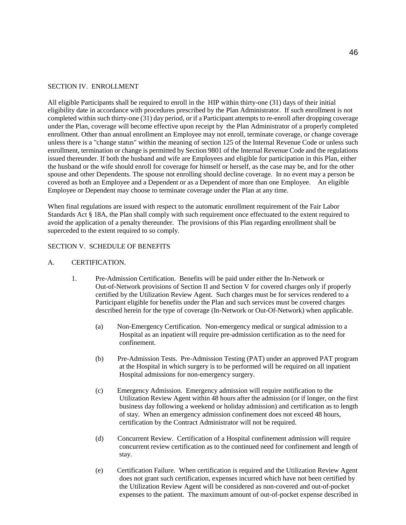#### SECTION IV. ENROLLMENT

All eligible Participants shall be required to enroll in the HIP within thirty-one (31) days of their initial eligibility date in accordance with procedures prescribed by the Plan Administrator. If such enrollment is not completed within such thirty-one (31) day period, or if a Participant attempts to re-enroll after dropping coverage under the Plan, coverage will become effective upon receipt by the Plan Administrator of a properly completed enrollment. Other than annual enrollment an Employee may not enroll, terminate coverage, or change coverage unless there is a "change status" within the meaning of section 125 of the Internal Revenue Code or unless such enrollment, termination or change is permitted by Section 9801 of the Internal Revenue Code and the regulations issued thereunder. If both the husband and wife are Employees and eligible for participation in this Plan, either the husband or the wife should enroll for coverage for himself or herself, as the case may be, and for the other spouse and other Dependents. The spouse not enrolling should decline coverage. In no event may a person be covered as both an Employee and a Dependent or as a Dependent of more than one Employee. An eligible Employee or Dependent may choose to terminate coverage under the Plan at any time.

When final regulations are issued with respect to the automatic enrollment requirement of the Fair Labor Standards Act § 18A, the Plan shall comply with such requirement once effectuated to the extent required to avoid the application of a penalty thereunder. The provisions of this Plan regarding enrollment shall be superceded to the extent required to so comply.

#### SECTION V. SCHEDULE OF BENEFITS

- A. CERTIFICATION.
	- 1. Pre-Admission Certification. Benefits will be paid under either the In-Network or Out-of-Network provisions of Section II and Section V for covered charges only if properly certified by the Utilization Review Agent. Such charges must be for services rendered to a Participant eligible for benefits under the Plan and such services must be covered charges described herein for the type of coverage (In-Network or Out-Of-Network) when applicable.
		- (a) Non-Emergency Certification. Non-emergency medical or surgical admission to a Hospital as an inpatient will require pre-admission certification as to the need for confinement.
		- (b) Pre-Admission Tests. Pre-Admission Testing (PAT) under an approved PAT program at the Hospital in which surgery is to be performed will be required on all inpatient Hospital admissions for non-emergency surgery.
		- (c) Emergency Admission. Emergency admission will require notification to the Utilization Review Agent within 48 hours after the admission (or if longer, on the first business day following a weekend or holiday admission) and certification as to length of stay. When an emergency admission confinement does not exceed 48 hours, certification by the Contract Administrator will not be required.
		- (d) Concurrent Review. Certification of a Hospital confinement admission will require concurrent review certification as to the continued need for confinement and length of stay.
		- (e) Certification Failure. When certification is required and the Utilization Review Agent does not grant such certification, expenses incurred which have not been certified by the Utilization Review Agent will be considered as non-covered and out-of-pocket expenses to the patient. The maximum amount of out-of-pocket expense described in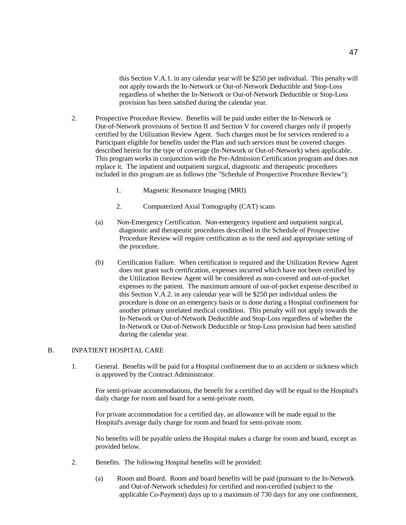this Section V.A.1. in any calendar year will be \$250 per individual. This penalty will not apply towards the In-Network or Out-of-Network Deductible and Stop-Loss regardless of whether the In-Network or Out-of-Network Deductible or Stop-Loss provision has been satisfied during the calendar year.

- 2. Prospective Procedure Review. Benefits will be paid under either the In-Network or Out-of-Network provisions of Section II and Section V for covered charges only if properly certified by the Utilization Review Agent. Such charges must be for services rendered to a Participant eligible for benefits under the Plan and such services must be covered charges described herein for the type of coverage (In-Network or Out-of-Network) when applicable. This program works in conjunction with the Pre-Admission Certification program and does not replace it. The inpatient and outpatient surgical, diagnostic and therapeutic procedures included in this program are as follows (the "Schedule of Prospective Procedure Review"):
	- 1. Magnetic Resonance Imaging (MRI)
	- 2. Computerized Axial Tomography (CAT) scans
	- (a) Non-Emergency Certification. Non-emergency inpatient and outpatient surgical, diagnostic and therapeutic procedures described in the Schedule of Prospective Procedure Review will require certification as to the need and appropriate setting of the procedure.
	- (b) Certification Failure. When certification is required and the Utilization Review Agent does not grant such certification, expenses incurred which have not been certified by the Utilization Review Agent will be considered as non-covered and out-of-pocket expenses to the patient. The maximum amount of out-of-pocket expense described in this Section V.A.2. in any calendar year will be \$250 per individual unless the procedure is done on an emergency basis or is done during a Hospital confinement for another primary unrelated medical condition. This penalty will not apply towards the In-Network or Out-of-Network Deductible and Stop-Loss regardless of whether the In-Network or Out-of-Network Deductible or Stop-Loss provision had been satisfied during the calendar year.

## B. INPATIENT HOSPITAL CARE

1. General. Benefits will be paid for a Hospital confinement due to an accident or sickness which is approved by the Contract Administrator.

For semi-private accommodations, the benefit for a certified day will be equal to the Hospital's daily charge for room and board for a semi-private room.

For private accommodation for a certified day, an allowance will be made equal to the Hospital's average daily charge for room and board for semi-private room.

No benefits will be payable unless the Hospital makes a charge for room and board, except as provided below.

- 2. Benefits. The following Hospital benefits will be provided:
	- (a) Room and Board. Room and board benefits will be paid (pursuant to the In-Network and Out-of-Network schedules) for certified and non-certified (subject to the applicable Co-Payment) days up to a maximum of 730 days for any one confinement,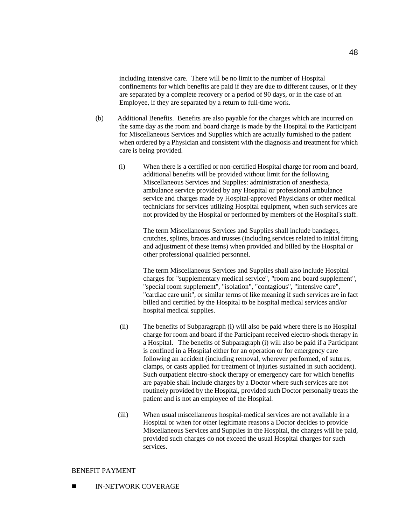including intensive care. There will be no limit to the number of Hospital confinements for which benefits are paid if they are due to different causes, or if they are separated by a complete recovery or a period of 90 days, or in the case of an Employee, if they are separated by a return to full-time work.

- (b) Additional Benefits. Benefits are also payable for the charges which are incurred on the same day as the room and board charge is made by the Hospital to the Participant for Miscellaneous Services and Supplies which are actually furnished to the patient when ordered by a Physician and consistent with the diagnosis and treatment for which care is being provided.
	- (i) When there is a certified or non-certified Hospital charge for room and board, additional benefits will be provided without limit for the following Miscellaneous Services and Supplies: administration of anesthesia, ambulance service provided by any Hospital or professional ambulance service and charges made by Hospital-approved Physicians or other medical technicians for services utilizing Hospital equipment, when such services are not provided by the Hospital or performed by members of the Hospital's staff.

The term Miscellaneous Services and Supplies shall include bandages, crutches, splints, braces and trusses (including services related to initial fitting and adjustment of these items) when provided and billed by the Hospital or other professional qualified personnel.

The term Miscellaneous Services and Supplies shall also include Hospital charges for "supplementary medical service", "room and board supplement", "special room supplement", "isolation", "contagious", "intensive care", "cardiac care unit", or similar terms of like meaning if such services are in fact billed and certified by the Hospital to be hospital medical services and/or hospital medical supplies.

- (ii) The benefits of Subparagraph (i) will also be paid where there is no Hospital charge for room and board if the Participant received electro-shock therapy in a Hospital. The benefits of Subparagraph (i) will also be paid if a Participant is confined in a Hospital either for an operation or for emergency care following an accident (including removal, wherever performed, of sutures, clamps, or casts applied for treatment of injuries sustained in such accident). Such outpatient electro-shock therapy or emergency care for which benefits are payable shall include charges by a Doctor where such services are not routinely provided by the Hospital, provided such Doctor personally treats the patient and is not an employee of the Hospital.
- (iii) When usual miscellaneous hospital-medical services are not available in a Hospital or when for other legitimate reasons a Doctor decides to provide Miscellaneous Services and Supplies in the Hospital, the charges will be paid, provided such charges do not exceed the usual Hospital charges for such services.

## BENEFIT PAYMENT

**IN-NETWORK COVERAGE**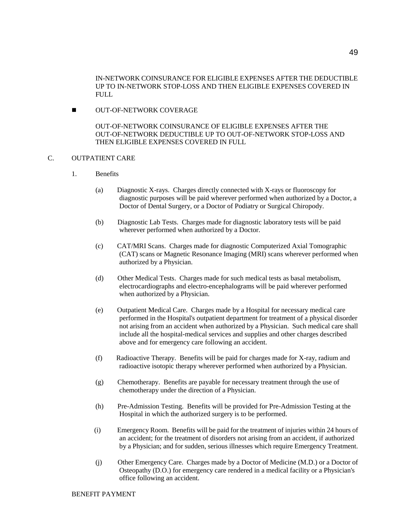IN-NETWORK COINSURANCE FOR ELIGIBLE EXPENSES AFTER THE DEDUCTIBLE UP TO IN-NETWORK STOP-LOSS AND THEN ELIGIBLE EXPENSES COVERED IN FULL

**NUT-OF-NETWORK COVERAGE** 

OUT-OF-NETWORK COINSURANCE OF ELIGIBLE EXPENSES AFTER THE OUT-OF-NETWORK DEDUCTIBLE UP TO OUT-OF-NETWORK STOP-LOSS AND THEN ELIGIBLE EXPENSES COVERED IN FULL

- C. OUTPATIENT CARE
	- 1. Benefits
		- (a) Diagnostic X-rays. Charges directly connected with X-rays or fluoroscopy for diagnostic purposes will be paid wherever performed when authorized by a Doctor, a Doctor of Dental Surgery, or a Doctor of Podiatry or Surgical Chiropody.
		- (b) Diagnostic Lab Tests. Charges made for diagnostic laboratory tests will be paid wherever performed when authorized by a Doctor.
		- (c) CAT/MRI Scans. Charges made for diagnostic Computerized Axial Tomographic (CAT) scans or Magnetic Resonance Imaging (MRI) scans wherever performed when authorized by a Physician.
		- (d) Other Medical Tests. Charges made for such medical tests as basal metabolism, electrocardiographs and electro-encephalograms will be paid wherever performed when authorized by a Physician.
		- (e) Outpatient Medical Care. Charges made by a Hospital for necessary medical care performed in the Hospital's outpatient department for treatment of a physical disorder not arising from an accident when authorized by a Physician. Such medical care shall include all the hospital-medical services and supplies and other charges described above and for emergency care following an accident.
		- (f) Radioactive Therapy. Benefits will be paid for charges made for X-ray, radium and radioactive isotopic therapy wherever performed when authorized by a Physician.
		- (g) Chemotherapy. Benefits are payable for necessary treatment through the use of chemotherapy under the direction of a Physician.
		- (h) Pre-Admission Testing. Benefits will be provided for Pre-Admission Testing at the Hospital in which the authorized surgery is to be performed.
		- (i) Emergency Room. Benefits will be paid for the treatment of injuries within 24 hours of an accident; for the treatment of disorders not arising from an accident, if authorized by a Physician; and for sudden, serious illnesses which require Emergency Treatment.
		- (j) Other Emergency Care. Charges made by a Doctor of Medicine (M.D.) or a Doctor of Osteopathy (D.O.) for emergency care rendered in a medical facility or a Physician's office following an accident.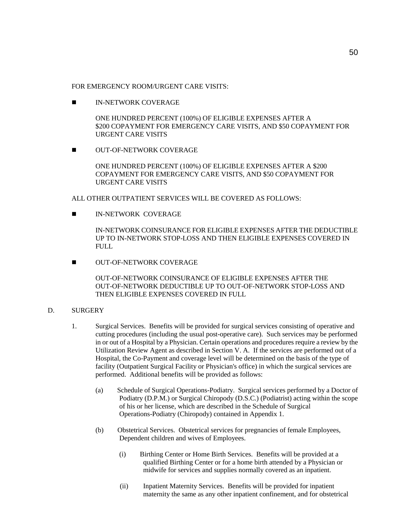FOR EMERGENCY ROOM/URGENT CARE VISITS.

**IN-NETWORK COVERAGE** 

ONE HUNDRED PERCENT (100%) OF ELIGIBLE EXPENSES AFTER A \$200 COPAYMENT FOR EMERGENCY CARE VISITS, AND \$50 COPAYMENT FOR URGENT CARE VISITS

**NUT-OF-NETWORK COVERAGE** 

ONE HUNDRED PERCENT (100%) OF ELIGIBLE EXPENSES AFTER A \$200 COPAYMENT FOR EMERGENCY CARE VISITS, AND \$50 COPAYMENT FOR URGENT CARE VISITS

ALL OTHER OUTPATIENT SERVICES WILL BE COVERED AS FOLLOWS:

**IN-NETWORK COVERAGE** 

IN-NETWORK COINSURANCE FOR ELIGIBLE EXPENSES AFTER THE DEDUCTIBLE UP TO IN-NETWORK STOP-LOSS AND THEN ELIGIBLE EXPENSES COVERED IN FULL.

**NUT-OF-NETWORK COVERAGE** 

OUT-OF-NETWORK COINSURANCE OF ELIGIBLE EXPENSES AFTER THE OUT-OF-NETWORK DEDUCTIBLE UP TO OUT-OF-NETWORK STOP-LOSS AND THEN ELIGIBLE EXPENSES COVERED IN FULL

# D. SURGERY

- 1. Surgical Services. Benefits will be provided for surgical services consisting of operative and cutting procedures (including the usual post-operative care). Such services may be performed in or out of a Hospital by a Physician. Certain operations and procedures require a review by the Utilization Review Agent as described in Section V. A. If the services are performed out of a Hospital, the Co-Payment and coverage level will be determined on the basis of the type of facility (Outpatient Surgical Facility or Physician's office) in which the surgical services are performed. Additional benefits will be provided as follows:
	- (a) Schedule of Surgical Operations-Podiatry. Surgical services performed by a Doctor of Podiatry (D.P.M.) or Surgical Chiropody (D.S.C.) (Podiatrist) acting within the scope of his or her license, which are described in the Schedule of Surgical Operations-Podiatry (Chiropody) contained in Appendix 1.
	- (b) Obstetrical Services. Obstetrical services for pregnancies of female Employees, Dependent children and wives of Employees.
		- (i) Birthing Center or Home Birth Services. Benefits will be provided at a qualified Birthing Center or for a home birth attended by a Physician or midwife for services and supplies normally covered as an inpatient.
		- (ii) Inpatient Maternity Services. Benefits will be provided for inpatient maternity the same as any other inpatient confinement, and for obstetrical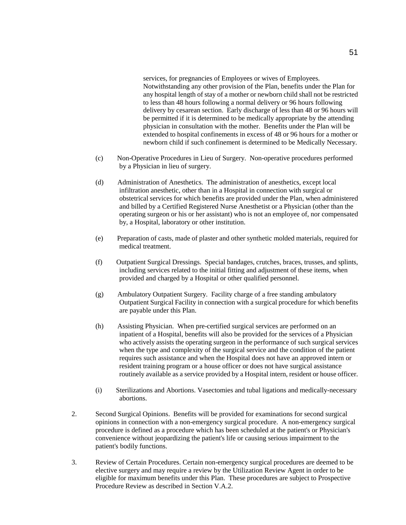services, for pregnancies of Employees or wives of Employees. Notwithstanding any other provision of the Plan, benefits under the Plan for any hospital length of stay of a mother or newborn child shall not be restricted to less than 48 hours following a normal delivery or 96 hours following delivery by cesarean section. Early discharge of less than 48 or 96 hours will be permitted if it is determined to be medically appropriate by the attending physician in consultation with the mother. Benefits under the Plan will be extended to hospital confinements in excess of 48 or 96 hours for a mother or newborn child if such confinement is determined to be Medically Necessary.

- (c) Non-Operative Procedures in Lieu of Surgery. Non-operative procedures performed by a Physician in lieu of surgery.
- (d) Administration of Anesthetics. The administration of anesthetics, except local infiltration anesthetic, other than in a Hospital in connection with surgical or obstetrical services for which benefits are provided under the Plan, when administered and billed by a Certified Registered Nurse Anesthetist or a Physician (other than the operating surgeon or his or her assistant) who is not an employee of, nor compensated by, a Hospital, laboratory or other institution.
- (e) Preparation of casts, made of plaster and other synthetic molded materials, required for medical treatment.
- (f) Outpatient Surgical Dressings. Special bandages, crutches, braces, trusses, and splints, including services related to the initial fitting and adjustment of these items, when provided and charged by a Hospital or other qualified personnel.
- (g) Ambulatory Outpatient Surgery. Facility charge of a free standing ambulatory Outpatient Surgical Facility in connection with a surgical procedure for which benefits are payable under this Plan.
- (h) Assisting Physician. When pre-certified surgical services are performed on an inpatient of a Hospital, benefits will also be provided for the services of a Physician who actively assists the operating surgeon in the performance of such surgical services when the type and complexity of the surgical service and the condition of the patient requires such assistance and when the Hospital does not have an approved intern or resident training program or a house officer or does not have surgical assistance routinely available as a service provided by a Hospital intern, resident or house officer.
- (i) Sterilizations and Abortions. Vasectomies and tubal ligations and medically-necessary abortions.
- 2. Second Surgical Opinions. Benefits will be provided for examinations for second surgical opinions in connection with a non-emergency surgical procedure. A non-emergency surgical procedure is defined as a procedure which has been scheduled at the patient's or Physician's convenience without jeopardizing the patient's life or causing serious impairment to the patient's bodily functions.
- 3. Review of Certain Procedures. Certain non-emergency surgical procedures are deemed to be elective surgery and may require a review by the Utilization Review Agent in order to be eligible for maximum benefits under this Plan. These procedures are subject to Prospective Procedure Review as described in Section V.A.2.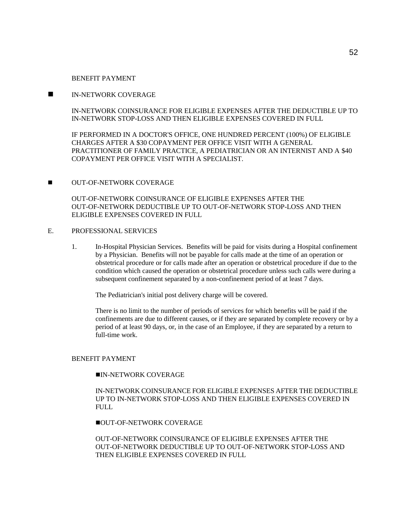#### BENEFIT PAYMENT

## IN-NETWORK COVERAGE

IN-NETWORK COINSURANCE FOR ELIGIBLE EXPENSES AFTER THE DEDUCTIBLE UP TO IN-NETWORK STOP-LOSS AND THEN ELIGIBLE EXPENSES COVERED IN FULL

IF PERFORMED IN A DOCTOR'S OFFICE, ONE HUNDRED PERCENT (100%) OF ELIGIBLE CHARGES AFTER A \$30 COPAYMENT PER OFFICE VISIT WITH A GENERAL PRACTITIONER OF FAMILY PRACTICE, A PEDIATRICIAN OR AN INTERNIST AND A \$40 COPAYMENT PER OFFICE VISIT WITH A SPECIALIST.

# **NUT-OF-NETWORK COVERAGE**

OUT-OF-NETWORK COINSURANCE OF ELIGIBLE EXPENSES AFTER THE OUT-OF-NETWORK DEDUCTIBLE UP TO OUT-OF-NETWORK STOP-LOSS AND THEN ELIGIBLE EXPENSES COVERED IN FULL

# E. PROFESSIONAL SERVICES

1. In-Hospital Physician Services. Benefits will be paid for visits during a Hospital confinement by a Physician. Benefits will not be payable for calls made at the time of an operation or obstetrical procedure or for calls made after an operation or obstetrical procedure if due to the condition which caused the operation or obstetrical procedure unless such calls were during a subsequent confinement separated by a non-confinement period of at least 7 days.

The Pediatrician's initial post delivery charge will be covered.

There is no limit to the number of periods of services for which benefits will be paid if the confinements are due to different causes, or if they are separated by complete recovery or by a period of at least 90 days, or, in the case of an Employee, if they are separated by a return to full-time work.

#### BENEFIT PAYMENT

#### IN-NETWORK COVERAGE

IN-NETWORK COINSURANCE FOR ELIGIBLE EXPENSES AFTER THE DEDUCTIBLE UP TO IN-NETWORK STOP-LOSS AND THEN ELIGIBLE EXPENSES COVERED IN FULL.

**OUT-OF-NETWORK COVERAGE** 

OUT-OF-NETWORK COINSURANCE OF ELIGIBLE EXPENSES AFTER THE OUT-OF-NETWORK DEDUCTIBLE UP TO OUT-OF-NETWORK STOP-LOSS AND THEN ELIGIBLE EXPENSES COVERED IN FULL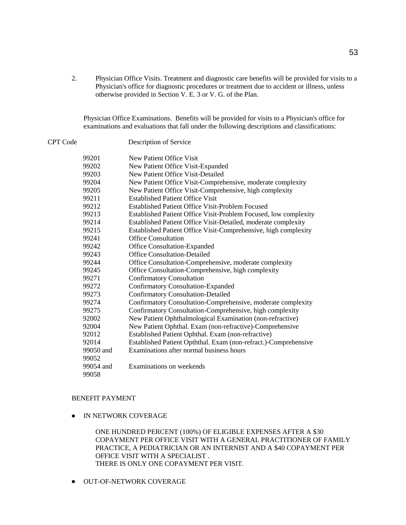2. Physician Office Visits. Treatment and diagnostic care benefits will be provided for visits to a Physician's office for diagnostic procedures or treatment due to accident or illness, unless otherwise provided in Section V. E. 3 or V. G. of the Plan.

Physician Office Examinations. Benefits will be provided for visits to a Physician's office for examinations and evaluations that fall under the following descriptions and classifications:

CPT Code Description of Service

| 99201     | New Patient Office Visit                                         |
|-----------|------------------------------------------------------------------|
| 99202     | New Patient Office Visit-Expanded                                |
| 99203     | New Patient Office Visit-Detailed                                |
| 99204     | New Patient Office Visit-Comprehensive, moderate complexity      |
| 99205     | New Patient Office Visit-Comprehensive, high complexity          |
| 99211     | <b>Established Patient Office Visit</b>                          |
| 99212     | <b>Established Patient Office Visit-Problem Focused</b>          |
| 99213     | Established Patient Office Visit-Problem Focused, low complexity |
| 99214     | Established Patient Office Visit-Detailed, moderate complexity   |
| 99215     | Established Patient Office Visit-Comprehensive, high complexity  |
| 99241     | Office Consultation                                              |
| 99242     | Office Consultation-Expanded                                     |
| 99243     | <b>Office Consultation-Detailed</b>                              |
| 99244     | Office Consultation-Comprehensive, moderate complexity           |
| 99245     | Office Consultation-Comprehensive, high complexity               |
| 99271     | <b>Confirmatory Consultation</b>                                 |
| 99272     | <b>Confirmatory Consultation-Expanded</b>                        |
| 99273     | <b>Confirmatory Consultation-Detailed</b>                        |
| 99274     | Confirmatory Consultation-Comprehensive, moderate complexity     |
| 99275     | Confirmatory Consultation-Comprehensive, high complexity         |
| 92002     | New Patient Ophthalmological Examination (non-refractive)        |
| 92004     | New Patient Ophthal. Exam (non-refractive)-Comprehensive         |
| 92012     | Established Patient Ophthal. Exam (non-refractive)               |
| 92014     | Established Patient Opththal. Exam (non-refract.)-Comprehensive  |
| 99050 and | Examinations after normal business hours                         |
| 99052     |                                                                  |
| 99054 and | Examinations on weekends                                         |
| 99058     |                                                                  |

# BENEFIT PAYMENT

**• IN NETWORK COVERAGE** 

ONE HUNDRED PERCENT (100%) OF ELIGIBLE EXPENSES AFTER A \$30 COPAYMENT PER OFFICE VISIT WITH A GENERAL PRACTITIONER OF FAMILY PRACTICE, A PEDIATRICIAN OR AN INTERNIST AND A \$40 COPAYMENT PER OFFICE VISIT WITH A SPECIALIST . THERE IS ONLY ONE COPAYMENT PER VISIT.

**• OUT-OF-NETWORK COVERAGE**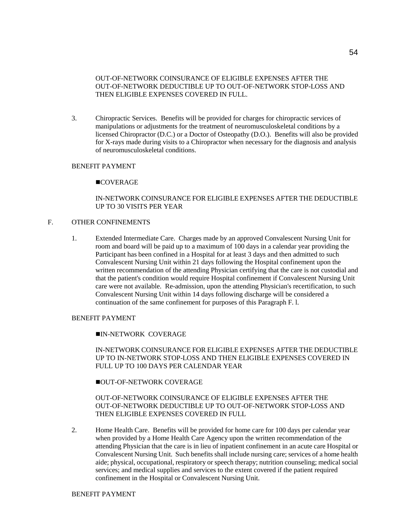OUT-OF-NETWORK COINSURANCE OF ELIGIBLE EXPENSES AFTER THE OUT-OF-NETWORK DEDUCTIBLE UP TO OUT-OF-NETWORK STOP-LOSS AND THEN ELIGIBLE EXPENSES COVERED IN FULL.

3. Chiropractic Services. Benefits will be provided for charges for chiropractic services of manipulations or adjustments for the treatment of neuromusculoskeletal conditions by a licensed Chiropractor (D.C.) or a Doctor of Osteopathy (D.O.). Benefits will also be provided for X-rays made during visits to a Chiropractor when necessary for the diagnosis and analysis of neuromusculoskeletal conditions.

#### BENEFIT PAYMENT

#### **COVERAGE**

# IN-NETWORK COINSURANCE FOR ELIGIBLE EXPENSES AFTER THE DEDUCTIBLE UP TO 30 VISITS PER YEAR

## F. OTHER CONFINEMENTS

1. Extended Intermediate Care. Charges made by an approved Convalescent Nursing Unit for room and board will be paid up to a maximum of 100 days in a calendar year providing the Participant has been confined in a Hospital for at least 3 days and then admitted to such Convalescent Nursing Unit within 21 days following the Hospital confinement upon the written recommendation of the attending Physician certifying that the care is not custodial and that the patient's condition would require Hospital confinement if Convalescent Nursing Unit care were not available. Re-admission, upon the attending Physician's recertification, to such Convalescent Nursing Unit within 14 days following discharge will be considered a continuation of the same confinement for purposes of this Paragraph F. l.

## BENEFIT PAYMENT

#### IN-NETWORK COVERAGE

## IN-NETWORK COINSURANCE FOR ELIGIBLE EXPENSES AFTER THE DEDUCTIBLE UP TO IN-NETWORK STOP-LOSS AND THEN ELIGIBLE EXPENSES COVERED IN FULL UP TO 100 DAYS PER CALENDAR YEAR

#### **OUT-OF-NETWORK COVERAGE**

# OUT-OF-NETWORK COINSURANCE OF ELIGIBLE EXPENSES AFTER THE OUT-OF-NETWORK DEDUCTIBLE UP TO OUT-OF-NETWORK STOP-LOSS AND THEN ELIGIBLE EXPENSES COVERED IN FULL

2. Home Health Care. Benefits will be provided for home care for 100 days per calendar year when provided by a Home Health Care Agency upon the written recommendation of the attending Physician that the care is in lieu of inpatient confinement in an acute care Hospital or Convalescent Nursing Unit. Such benefits shall include nursing care; services of a home health aide; physical, occupational, respiratory or speech therapy; nutrition counseling; medical social services; and medical supplies and services to the extent covered if the patient required confinement in the Hospital or Convalescent Nursing Unit.

#### BENEFIT PAYMENT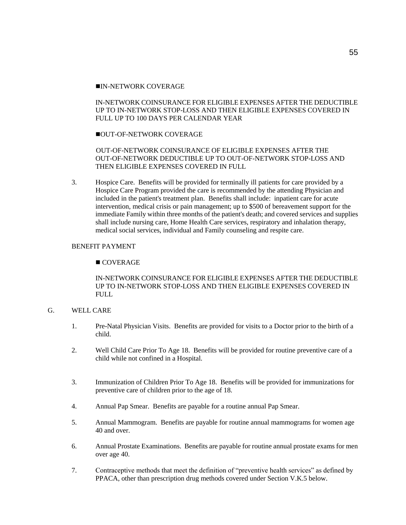## IN-NETWORK COVERAGE

# IN-NETWORK COINSURANCE FOR ELIGIBLE EXPENSES AFTER THE DEDUCTIBLE UP TO IN-NETWORK STOP-LOSS AND THEN ELIGIBLE EXPENSES COVERED IN FULL UP TO 100 DAYS PER CALENDAR YEAR

# **OUT-OF-NETWORK COVERAGE**

# OUT-OF-NETWORK COINSURANCE OF ELIGIBLE EXPENSES AFTER THE OUT-OF-NETWORK DEDUCTIBLE UP TO OUT-OF-NETWORK STOP-LOSS AND THEN ELIGIBLE EXPENSES COVERED IN FULL

3. Hospice Care. Benefits will be provided for terminally ill patients for care provided by a Hospice Care Program provided the care is recommended by the attending Physician and included in the patient's treatment plan. Benefits shall include: inpatient care for acute intervention, medical crisis or pain management; up to \$500 of bereavement support for the immediate Family within three months of the patient's death; and covered services and supplies shall include nursing care, Home Health Care services, respiratory and inhalation therapy, medical social services, individual and Family counseling and respite care.

# BENEFIT PAYMENT

# ■ COVERAGE

# IN-NETWORK COINSURANCE FOR ELIGIBLE EXPENSES AFTER THE DEDUCTIBLE UP TO IN-NETWORK STOP-LOSS AND THEN ELIGIBLE EXPENSES COVERED IN FULL

# G. WELL CARE

- 1. Pre-Natal Physician Visits. Benefits are provided for visits to a Doctor prior to the birth of a child.
- 2. Well Child Care Prior To Age 18. Benefits will be provided for routine preventive care of a child while not confined in a Hospital.
- 3. Immunization of Children Prior To Age 18. Benefits will be provided for immunizations for preventive care of children prior to the age of 18.
- 4. Annual Pap Smear. Benefits are payable for a routine annual Pap Smear.
- 5. Annual Mammogram. Benefits are payable for routine annual mammograms for women age 40 and over.
- 6. Annual Prostate Examinations. Benefits are payable for routine annual prostate exams for men over age 40.
- 7. Contraceptive methods that meet the definition of "preventive health services" as defined by PPACA, other than prescription drug methods covered under Section V.K.5 below.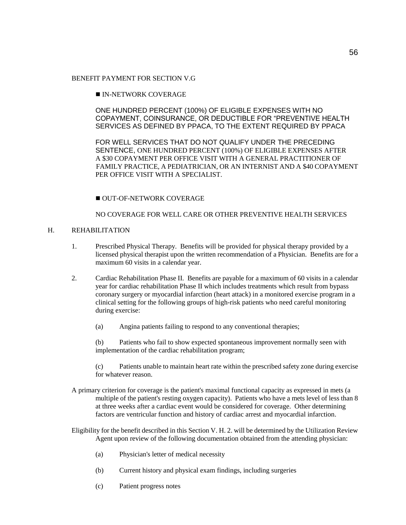# BENEFIT PAYMENT FOR SECTION V.G

# IN-NETWORK COVERAGE

ONE HUNDRED PERCENT (100%) OF ELIGIBLE EXPENSES WITH NO COPAYMENT, COINSURANCE, OR DEDUCTIBLE FOR "PREVENTIVE HEALTH SERVICES AS DEFINED BY PPACA, TO THE EXTENT REQUIRED BY PPACA

FOR WELL SERVICES THAT DO NOT QUALIFY UNDER THE PRECEDING SENTENCE, ONE HUNDRED PERCENT (100%) OF ELIGIBLE EXPENSES AFTER A \$30 COPAYMENT PER OFFICE VISIT WITH A GENERAL PRACTITIONER OF FAMILY PRACTICE, A PEDIATRICIAN, OR AN INTERNIST AND A \$40 COPAYMENT PER OFFICE VISIT WITH A SPECIALIST.

# OUT-OF-NETWORK COVERAGE

## NO COVERAGE FOR WELL CARE OR OTHER PREVENTIVE HEALTH SERVICES

# H. REHABILITATION

- 1. Prescribed Physical Therapy. Benefits will be provided for physical therapy provided by a licensed physical therapist upon the written recommendation of a Physician. Benefits are for a maximum 60 visits in a calendar year.
- 2. Cardiac Rehabilitation Phase II. Benefits are payable for a maximum of 60 visits in a calendar year for cardiac rehabilitation Phase II which includes treatments which result from bypass coronary surgery or myocardial infarction (heart attack) in a monitored exercise program in a clinical setting for the following groups of high-risk patients who need careful monitoring during exercise:
	- (a) Angina patients failing to respond to any conventional therapies;

(b) Patients who fail to show expected spontaneous improvement normally seen with implementation of the cardiac rehabilitation program;

(c) Patients unable to maintain heart rate within the prescribed safety zone during exercise for whatever reason.

- A primary criterion for coverage is the patient's maximal functional capacity as expressed in mets (a multiple of the patient's resting oxygen capacity). Patients who have a mets level of less than 8 at three weeks after a cardiac event would be considered for coverage. Other determining factors are ventricular function and history of cardiac arrest and myocardial infarction.
- Eligibility for the benefit described in this Section V. H. 2. will be determined by the Utilization Review Agent upon review of the following documentation obtained from the attending physician:
	- (a) Physician's letter of medical necessity
	- (b) Current history and physical exam findings, including surgeries
	- (c) Patient progress notes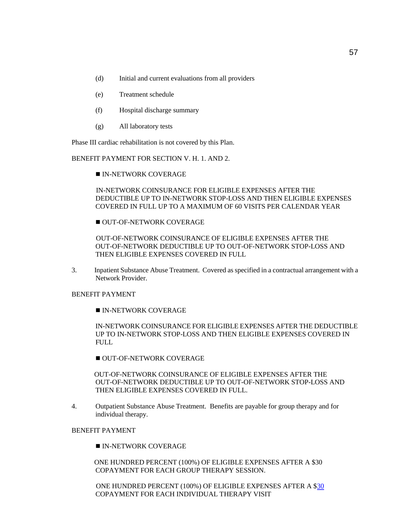- (d) Initial and current evaluations from all providers
- (e) Treatment schedule
- (f) Hospital discharge summary
- (g) All laboratory tests

Phase III cardiac rehabilitation is not covered by this Plan.

BENEFIT PAYMENT FOR SECTION V. H. 1. AND 2.

IN-NETWORK COVERAGE

 IN-NETWORK COINSURANCE FOR ELIGIBLE EXPENSES AFTER THE DEDUCTIBLE UP TO IN-NETWORK STOP-LOSS AND THEN ELIGIBLE EXPENSES COVERED IN FULL UP TO A MAXIMUM OF 60 VISITS PER CALENDAR YEAR

OUT-OF-NETWORK COVERAGE

 OUT-OF-NETWORK COINSURANCE OF ELIGIBLE EXPENSES AFTER THE OUT-OF-NETWORK DEDUCTIBLE UP TO OUT-OF-NETWORK STOP-LOSS AND THEN ELIGIBLE EXPENSES COVERED IN FULL

3. Inpatient Substance Abuse Treatment. Covered as specified in a contractual arrangement with a Network Provider.

#### BENEFIT PAYMENT

**IN-NETWORK COVERAGE** 

IN-NETWORK COINSURANCE FOR ELIGIBLE EXPENSES AFTER THE DEDUCTIBLE UP TO IN-NETWORK STOP-LOSS AND THEN ELIGIBLE EXPENSES COVERED IN FULL.

OUT-OF-NETWORK COVERAGE

 OUT-OF-NETWORK COINSURANCE OF ELIGIBLE EXPENSES AFTER THE OUT-OF-NETWORK DEDUCTIBLE UP TO OUT-OF-NETWORK STOP-LOSS AND THEN ELIGIBLE EXPENSES COVERED IN FULL.

4. Outpatient Substance Abuse Treatment. Benefits are payable for group therapy and for individual therapy.

# BENEFIT PAYMENT

**IN-NETWORK COVERAGE** 

 ONE HUNDRED PERCENT (100%) OF ELIGIBLE EXPENSES AFTER A \$30 COPAYMENT FOR EACH GROUP THERAPY SESSION.

 ONE HUNDRED PERCENT (100%) OF ELIGIBLE EXPENSES AFTER A \$30 COPAYMENT FOR EACH INDIVIDUAL THERAPY VISIT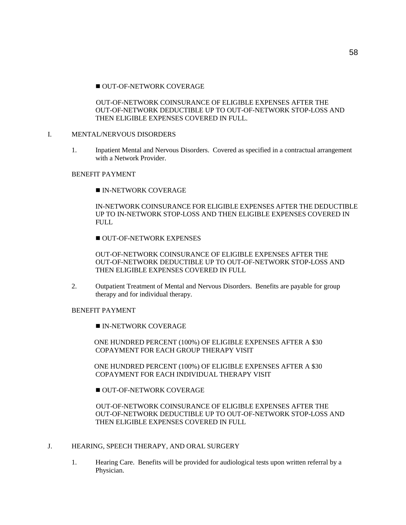OUT-OF-NETWORK COINSURANCE OF ELIGIBLE EXPENSES AFTER THE OUT-OF-NETWORK DEDUCTIBLE UP TO OUT-OF-NETWORK STOP-LOSS AND THEN ELIGIBLE EXPENSES COVERED IN FULL.

## I. MENTAL/NERVOUS DISORDERS

1. Inpatient Mental and Nervous Disorders. Covered as specified in a contractual arrangement with a Network Provider.

## BENEFIT PAYMENT

**IN-NETWORK COVERAGE** 

IN-NETWORK COINSURANCE FOR ELIGIBLE EXPENSES AFTER THE DEDUCTIBLE UP TO IN-NETWORK STOP-LOSS AND THEN ELIGIBLE EXPENSES COVERED IN FULL

OUT-OF-NETWORK EXPENSES

OUT-OF-NETWORK COINSURANCE OF ELIGIBLE EXPENSES AFTER THE OUT-OF-NETWORK DEDUCTIBLE UP TO OUT-OF-NETWORK STOP-LOSS AND THEN ELIGIBLE EXPENSES COVERED IN FULL

2. Outpatient Treatment of Mental and Nervous Disorders. Benefits are payable for group therapy and for individual therapy.

# BENEFIT PAYMENT

**IN-NETWORK COVERAGE** 

 ONE HUNDRED PERCENT (100%) OF ELIGIBLE EXPENSES AFTER A \$30 COPAYMENT FOR EACH GROUP THERAPY VISIT

 ONE HUNDRED PERCENT (100%) OF ELIGIBLE EXPENSES AFTER A \$30 COPAYMENT FOR EACH INDIVIDUAL THERAPY VISIT

OUT-OF-NETWORK COVERAGE

 OUT-OF-NETWORK COINSURANCE OF ELIGIBLE EXPENSES AFTER THE OUT-OF-NETWORK DEDUCTIBLE UP TO OUT-OF-NETWORK STOP-LOSS AND THEN ELIGIBLE EXPENSES COVERED IN FULL

# J. HEARING, SPEECH THERAPY, AND ORAL SURGERY

1. Hearing Care. Benefits will be provided for audiological tests upon written referral by a Physician.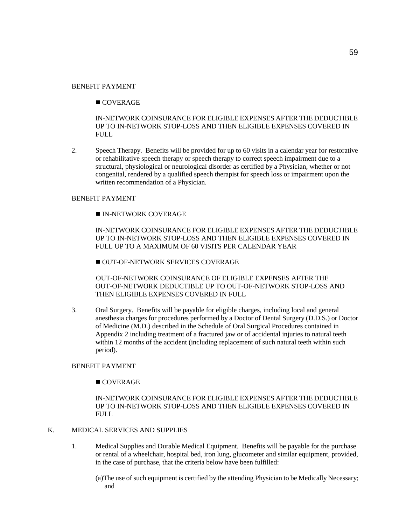#### BENEFIT PAYMENT

# **COVERAGE**

IN-NETWORK COINSURANCE FOR ELIGIBLE EXPENSES AFTER THE DEDUCTIBLE UP TO IN-NETWORK STOP-LOSS AND THEN ELIGIBLE EXPENSES COVERED IN FULL

2. Speech Therapy. Benefits will be provided for up to 60 visits in a calendar year for restorative or rehabilitative speech therapy or speech therapy to correct speech impairment due to a structural, physiological or neurological disorder as certified by a Physician, whether or not congenital, rendered by a qualified speech therapist for speech loss or impairment upon the written recommendation of a Physician.

## BENEFIT PAYMENT

#### IN-NETWORK COVERAGE

IN-NETWORK COINSURANCE FOR ELIGIBLE EXPENSES AFTER THE DEDUCTIBLE UP TO IN-NETWORK STOP-LOSS AND THEN ELIGIBLE EXPENSES COVERED IN FULL UP TO A MAXIMUM OF 60 VISITS PER CALENDAR YEAR

OUT-OF-NETWORK SERVICES COVERAGE

 OUT-OF-NETWORK COINSURANCE OF ELIGIBLE EXPENSES AFTER THE OUT-OF-NETWORK DEDUCTIBLE UP TO OUT-OF-NETWORK STOP-LOSS AND THEN ELIGIBLE EXPENSES COVERED IN FULL

3. Oral Surgery. Benefits will be payable for eligible charges, including local and general anesthesia charges for procedures performed by a Doctor of Dental Surgery (D.D.S.) or Doctor of Medicine (M.D.) described in the Schedule of Oral Surgical Procedures contained in Appendix 2 including treatment of a fractured jaw or of accidental injuries to natural teeth within 12 months of the accident (including replacement of such natural teeth within such period).

#### BENEFIT PAYMENT

#### COVERAGE

IN-NETWORK COINSURANCE FOR ELIGIBLE EXPENSES AFTER THE DEDUCTIBLE UP TO IN-NETWORK STOP-LOSS AND THEN ELIGIBLE EXPENSES COVERED IN FULL

# K. MEDICAL SERVICES AND SUPPLIES

- 1. Medical Supplies and Durable Medical Equipment. Benefits will be payable for the purchase or rental of a wheelchair, hospital bed, iron lung, glucometer and similar equipment, provided, in the case of purchase, that the criteria below have been fulfilled:
	- (a)The use of such equipment is certified by the attending Physician to be Medically Necessary; and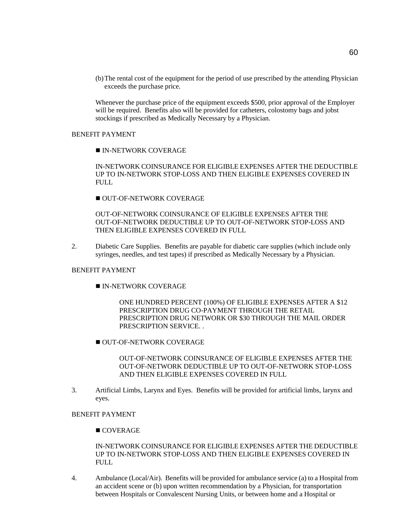(b)The rental cost of the equipment for the period of use prescribed by the attending Physician exceeds the purchase price.

Whenever the purchase price of the equipment exceeds \$500, prior approval of the Employer will be required. Benefits also will be provided for catheters, colostomy bags and jobst stockings if prescribed as Medically Necessary by a Physician.

#### BENEFIT PAYMENT

**IN-NETWORK COVERAGE** 

IN-NETWORK COINSURANCE FOR ELIGIBLE EXPENSES AFTER THE DEDUCTIBLE UP TO IN-NETWORK STOP-LOSS AND THEN ELIGIBLE EXPENSES COVERED IN FULL

OUT-OF-NETWORK COVERAGE

OUT-OF-NETWORK COINSURANCE OF ELIGIBLE EXPENSES AFTER THE OUT-OF-NETWORK DEDUCTIBLE UP TO OUT-OF-NETWORK STOP-LOSS AND THEN ELIGIBLE EXPENSES COVERED IN FULL

2. Diabetic Care Supplies. Benefits are payable for diabetic care supplies (which include only syringes, needles, and test tapes) if prescribed as Medically Necessary by a Physician.

# BENEFIT PAYMENT

IN-NETWORK COVERAGE

ONE HUNDRED PERCENT (100%) OF ELIGIBLE EXPENSES AFTER A \$12 PRESCRIPTION DRUG CO-PAYMENT THROUGH THE RETAIL PRESCRIPTION DRUG NETWORK OR \$30 THROUGH THE MAIL ORDER PRESCRIPTION SERVICE. .

OUT-OF-NETWORK COVERAGE

OUT-OF-NETWORK COINSURANCE OF ELIGIBLE EXPENSES AFTER THE OUT-OF-NETWORK DEDUCTIBLE UP TO OUT-OF-NETWORK STOP-LOSS AND THEN ELIGIBLE EXPENSES COVERED IN FULL

3. Artificial Limbs, Larynx and Eyes. Benefits will be provided for artificial limbs, larynx and eyes.

# BENEFIT PAYMENT

■ COVERAGE

IN-NETWORK COINSURANCE FOR ELIGIBLE EXPENSES AFTER THE DEDUCTIBLE UP TO IN-NETWORK STOP-LOSS AND THEN ELIGIBLE EXPENSES COVERED IN FULL

4. Ambulance (Local/Air). Benefits will be provided for ambulance service (a) to a Hospital from an accident scene or (b) upon written recommendation by a Physician, for transportation between Hospitals or Convalescent Nursing Units, or between home and a Hospital or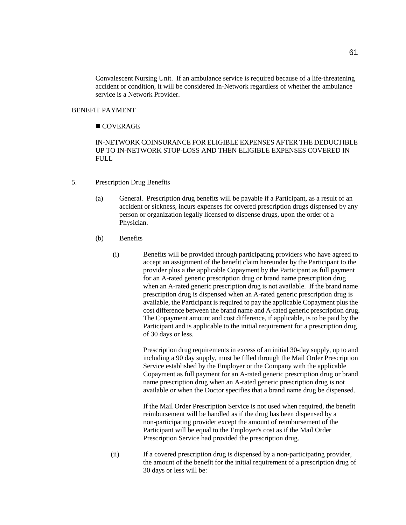Convalescent Nursing Unit. If an ambulance service is required because of a life-threatening accident or condition, it will be considered In-Network regardless of whether the ambulance service is a Network Provider.

#### BENEFIT PAYMENT

# ■ COVERAGE

IN-NETWORK COINSURANCE FOR ELIGIBLE EXPENSES AFTER THE DEDUCTIBLE UP TO IN-NETWORK STOP-LOSS AND THEN ELIGIBLE EXPENSES COVERED IN FULL.

- 5. Prescription Drug Benefits
	- (a) General. Prescription drug benefits will be payable if a Participant, as a result of an accident or sickness, incurs expenses for covered prescription drugs dispensed by any person or organization legally licensed to dispense drugs, upon the order of a Physician.
	- (b) Benefits
		- (i) Benefits will be provided through participating providers who have agreed to accept an assignment of the benefit claim hereunder by the Participant to the provider plus a the applicable Copayment by the Participant as full payment for an A-rated generic prescription drug or brand name prescription drug when an A-rated generic prescription drug is not available. If the brand name prescription drug is dispensed when an A-rated generic prescription drug is available, the Participant is required to pay the applicable Copayment plus the cost difference between the brand name and A-rated generic prescription drug. The Copayment amount and cost difference, if applicable, is to be paid by the Participant and is applicable to the initial requirement for a prescription drug of 30 days or less.

Prescription drug requirements in excess of an initial 30-day supply, up to and including a 90 day supply, must be filled through the Mail Order Prescription Service established by the Employer or the Company with the applicable Copayment as full payment for an A-rated generic prescription drug or brand name prescription drug when an A-rated generic prescription drug is not available or when the Doctor specifies that a brand name drug be dispensed.

If the Mail Order Prescription Service is not used when required, the benefit reimbursement will be handled as if the drug has been dispensed by a non-participating provider except the amount of reimbursement of the Participant will be equal to the Employer's cost as if the Mail Order Prescription Service had provided the prescription drug.

(ii) If a covered prescription drug is dispensed by a non-participating provider, the amount of the benefit for the initial requirement of a prescription drug of 30 days or less will be: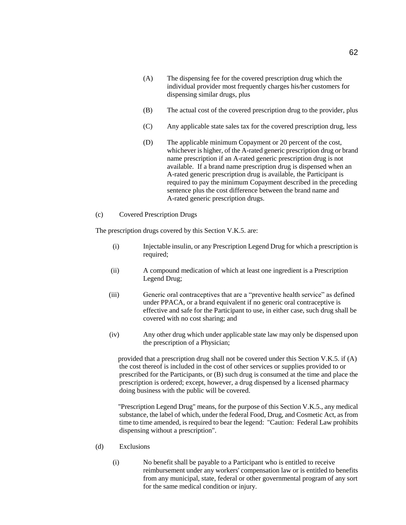- (A) The dispensing fee for the covered prescription drug which the individual provider most frequently charges his/her customers for dispensing similar drugs, plus
- (B) The actual cost of the covered prescription drug to the provider, plus
- (C) Any applicable state sales tax for the covered prescription drug, less
- (D) The applicable minimum Copayment or 20 percent of the cost, whichever is higher, of the A-rated generic prescription drug or brand name prescription if an A-rated generic prescription drug is not available. If a brand name prescription drug is dispensed when an A-rated generic prescription drug is available, the Participant is required to pay the minimum Copayment described in the preceding sentence plus the cost difference between the brand name and A-rated generic prescription drugs.
- (c) Covered Prescription Drugs

The prescription drugs covered by this Section V.K.5. are:

- (i) Injectable insulin, or any Prescription Legend Drug for which a prescription is required;
- (ii) A compound medication of which at least one ingredient is a Prescription Legend Drug;
- (iii) Generic oral contraceptives that are a "preventive health service" as defined under PPACA, or a brand equivalent if no generic oral contraceptive is effective and safe for the Participant to use, in either case, such drug shall be covered with no cost sharing; and
- (iv) Any other drug which under applicable state law may only be dispensed upon the prescription of a Physician;

 provided that a prescription drug shall not be covered under this Section V.K.5. if (A) the cost thereof is included in the cost of other services or supplies provided to or prescribed for the Participants, or (B) such drug is consumed at the time and place the prescription is ordered; except, however, a drug dispensed by a licensed pharmacy doing business with the public will be covered.

 "Prescription Legend Drug" means, for the purpose of this Section V.K.5., any medical substance, the label of which, under the federal Food, Drug, and Cosmetic Act, as from time to time amended, is required to bear the legend: "Caution: Federal Law prohibits dispensing without a prescription".

- (d) Exclusions
	- (i) No benefit shall be payable to a Participant who is entitled to receive reimbursement under any workers' compensation law or is entitled to benefits from any municipal, state, federal or other governmental program of any sort for the same medical condition or injury.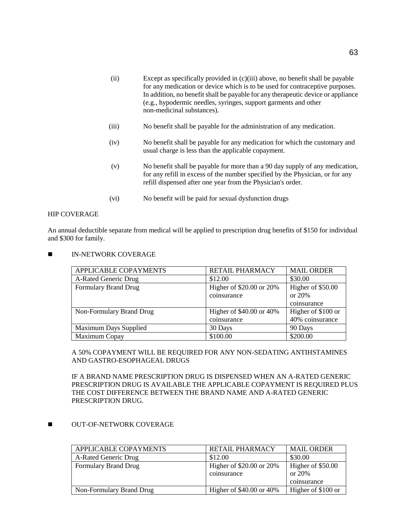- (ii) Except as specifically provided in (c)(iii) above, no benefit shall be payable for any medication or device which is to be used for contraceptive purposes. In addition, no benefit shall be payable for any therapeutic device or appliance (e.g., hypodermic needles, syringes, support garments and other non-medicinal substances).
- (iii) No benefit shall be payable for the administration of any medication.
- (iv) No benefit shall be payable for any medication for which the customary and usual charge is less than the applicable copayment.
- (v) No benefit shall be payable for more than a 90 day supply of any medication, for any refill in excess of the number specified by the Physician, or for any refill dispensed after one year from the Physician's order.
- (vi) No benefit will be paid for sexual dysfunction drugs

#### HIP COVERAGE

An annual deductible separate from medical will be applied to prescription drug benefits of \$150 for individual and \$300 for family.

**IN-NETWORK COVERAGE** 

| APPLICABLE COPAYMENTS        | <b>RETAIL PHARMACY</b>       | <b>MAIL ORDER</b>  |
|------------------------------|------------------------------|--------------------|
| A-Rated Generic Drug         | \$12.00                      | \$30.00            |
| <b>Formulary Brand Drug</b>  | Higher of \$20.00 or 20%     | Higher of \$50.00  |
|                              | coinsurance                  | or 20%             |
|                              |                              | coinsurance        |
| Non-Formulary Brand Drug     | Higher of $$40.00$ or $40\%$ | Higher of \$100 or |
|                              | coinsurance                  | 40% coinsurance    |
| <b>Maximum Days Supplied</b> | 30 Days                      | 90 Days            |
| Maximum Copay                | \$100.00                     | \$200.00           |

## A 50% COPAYMENT WILL BE REQUIRED FOR ANY NON-SEDATING ANTIHSTAMINES AND GASTRO-ESOPHAGEAL DRUGS

IF A BRAND NAME PRESCRIPTION DRUG IS DISPENSED WHEN AN A-RATED GENERIC PRESCRIPTION DRUG IS AVAILABLE THE APPLICABLE COPAYMENT IS REQUIRED PLUS THE COST DIFFERENCE BETWEEN THE BRAND NAME AND A-RATED GENERIC PRESCRIPTION DRUG.

## **NUT-OF-NETWORK COVERAGE**

| APPLICABLE COPAYMENTS       | <b>RETAIL PHARMACY</b>                  | <b>MAIL ORDER</b>                          |
|-----------------------------|-----------------------------------------|--------------------------------------------|
| A-Rated Generic Drug        | \$12.00                                 | \$30.00                                    |
| <b>Formulary Brand Drug</b> | Higher of \$20.00 or 20%<br>coinsurance | Higher of \$50.00<br>or 20%<br>coinsurance |
| Non-Formulary Brand Drug    | Higher of $$40.00$ or $40\%$            | Higher of \$100 or                         |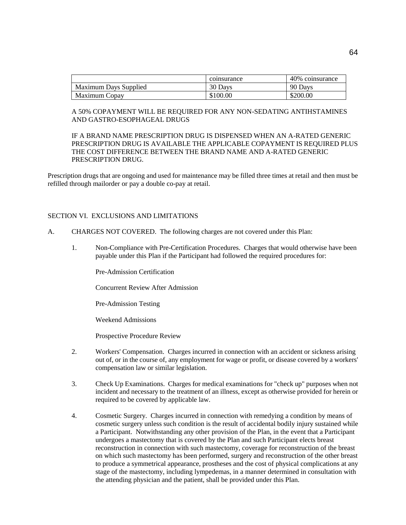|                              | coinsurance | 40% coinsurance |
|------------------------------|-------------|-----------------|
| <b>Maximum Days Supplied</b> | 30 Days     | 90 Days         |
| Maximum Copay                | \$100.00    | \$200.00        |

#### A 50% COPAYMENT WILL BE REQUIRED FOR ANY NON-SEDATING ANTIHSTAMINES AND GASTRO-ESOPHAGEAL DRUGS

IF A BRAND NAME PRESCRIPTION DRUG IS DISPENSED WHEN AN A-RATED GENERIC PRESCRIPTION DRUG IS AVAILABLE THE APPLICABLE COPAYMENT IS REQUIRED PLUS THE COST DIFFERENCE BETWEEN THE BRAND NAME AND A-RATED GENERIC PRESCRIPTION DRUG.

Prescription drugs that are ongoing and used for maintenance may be filled three times at retail and then must be refilled through mailorder or pay a double co-pay at retail.

# SECTION VI. EXCLUSIONS AND LIMITATIONS

- A. CHARGES NOT COVERED. The following charges are not covered under this Plan:
	- 1. Non-Compliance with Pre-Certification Procedures. Charges that would otherwise have been payable under this Plan if the Participant had followed the required procedures for:

Pre-Admission Certification

Concurrent Review After Admission

Pre-Admission Testing

Weekend Admissions

Prospective Procedure Review

- 2. Workers' Compensation. Charges incurred in connection with an accident or sickness arising out of, or in the course of, any employment for wage or profit, or disease covered by a workers' compensation law or similar legislation.
- 3. Check Up Examinations. Charges for medical examinations for "check up" purposes when not incident and necessary to the treatment of an illness, except as otherwise provided for herein or required to be covered by applicable law.
- 4. Cosmetic Surgery. Charges incurred in connection with remedying a condition by means of cosmetic surgery unless such condition is the result of accidental bodily injury sustained while a Participant. Notwithstanding any other provision of the Plan, in the event that a Participant undergoes a mastectomy that is covered by the Plan and such Participant elects breast reconstruction in connection with such mastectomy, coverage for reconstruction of the breast on which such mastectomy has been performed, surgery and reconstruction of the other breast to produce a symmetrical appearance, prostheses and the cost of physical complications at any stage of the mastectomy, including lympedemas, in a manner determined in consultation with the attending physician and the patient, shall be provided under this Plan.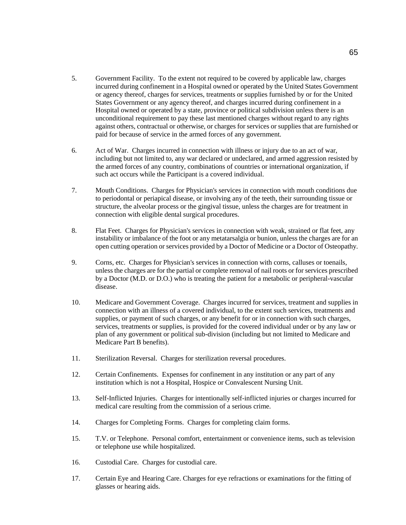- 5. Government Facility. To the extent not required to be covered by applicable law, charges incurred during confinement in a Hospital owned or operated by the United States Government or agency thereof, charges for services, treatments or supplies furnished by or for the United States Government or any agency thereof, and charges incurred during confinement in a Hospital owned or operated by a state, province or political subdivision unless there is an unconditional requirement to pay these last mentioned charges without regard to any rights against others, contractual or otherwise, or charges for services or supplies that are furnished or paid for because of service in the armed forces of any government.
- 6. Act of War. Charges incurred in connection with illness or injury due to an act of war, including but not limited to, any war declared or undeclared, and armed aggression resisted by the armed forces of any country, combinations of countries or international organization, if such act occurs while the Participant is a covered individual.
- 7. Mouth Conditions. Charges for Physician's services in connection with mouth conditions due to periodontal or periapical disease, or involving any of the teeth, their surrounding tissue or structure, the alveolar process or the gingival tissue, unless the charges are for treatment in connection with eligible dental surgical procedures.
- 8. Flat Feet. Charges for Physician's services in connection with weak, strained or flat feet, any instability or imbalance of the foot or any metatarsalgia or bunion, unless the charges are for an open cutting operation or services provided by a Doctor of Medicine or a Doctor of Osteopathy.
- 9. Corns, etc. Charges for Physician's services in connection with corns, calluses or toenails, unless the charges are for the partial or complete removal of nail roots or for services prescribed by a Doctor (M.D. or D.O.) who is treating the patient for a metabolic or peripheral-vascular disease.
- 10. Medicare and Government Coverage. Charges incurred for services, treatment and supplies in connection with an illness of a covered individual, to the extent such services, treatments and supplies, or payment of such charges, or any benefit for or in connection with such charges, services, treatments or supplies, is provided for the covered individual under or by any law or plan of any government or political sub-division (including but not limited to Medicare and Medicare Part B benefits).
- 11. Sterilization Reversal. Charges for sterilization reversal procedures.
- 12. Certain Confinements. Expenses for confinement in any institution or any part of any institution which is not a Hospital, Hospice or Convalescent Nursing Unit.
- 13. Self-Inflicted Injuries. Charges for intentionally self-inflicted injuries or charges incurred for medical care resulting from the commission of a serious crime.
- 14. Charges for Completing Forms. Charges for completing claim forms.
- 15. T.V. or Telephone. Personal comfort, entertainment or convenience items, such as television or telephone use while hospitalized.
- 16. Custodial Care. Charges for custodial care.
- 17. Certain Eye and Hearing Care. Charges for eye refractions or examinations for the fitting of glasses or hearing aids.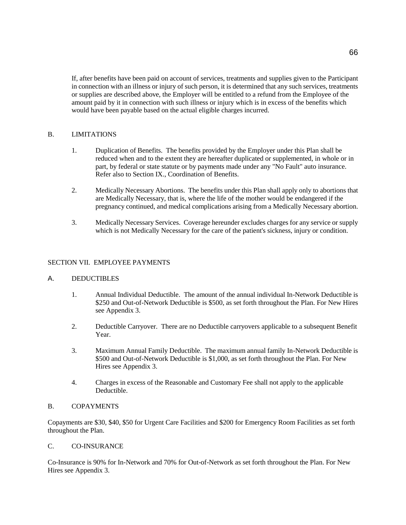If, after benefits have been paid on account of services, treatments and supplies given to the Participant in connection with an illness or injury of such person, it is determined that any such services, treatments or supplies are described above, the Employer will be entitled to a refund from the Employee of the amount paid by it in connection with such illness or injury which is in excess of the benefits which would have been payable based on the actual eligible charges incurred.

# B. LIMITATIONS

- 1. Duplication of Benefits. The benefits provided by the Employer under this Plan shall be reduced when and to the extent they are hereafter duplicated or supplemented, in whole or in part, by federal or state statute or by payments made under any "No Fault" auto insurance. Refer also to Section IX., Coordination of Benefits.
- 2. Medically Necessary Abortions. The benefits under this Plan shall apply only to abortions that are Medically Necessary, that is, where the life of the mother would be endangered if the pregnancy continued, and medical complications arising from a Medically Necessary abortion.
- 3. Medically Necessary Services. Coverage hereunder excludes charges for any service or supply which is not Medically Necessary for the care of the patient's sickness, injury or condition.

## SECTION VII. EMPLOYEE PAYMENTS

## A. DEDUCTIBLES

- 1. Annual Individual Deductible. The amount of the annual individual In-Network Deductible is \$250 and Out-of-Network Deductible is \$500, as set forth throughout the Plan. For New Hires see Appendix 3.
- 2. Deductible Carryover. There are no Deductible carryovers applicable to a subsequent Benefit Year.
- 3. Maximum Annual Family Deductible. The maximum annual family In-Network Deductible is \$500 and Out-of-Network Deductible is \$1,000, as set forth throughout the Plan. For New Hires see Appendix 3.
- 4. Charges in excess of the Reasonable and Customary Fee shall not apply to the applicable Deductible.

## B. COPAYMENTS

Copayments are \$30, \$40, \$50 for Urgent Care Facilities and \$200 for Emergency Room Facilities as set forth throughout the Plan.

## C. CO-INSURANCE

Co-Insurance is 90% for In-Network and 70% for Out-of-Network as set forth throughout the Plan. For New Hires see Appendix 3.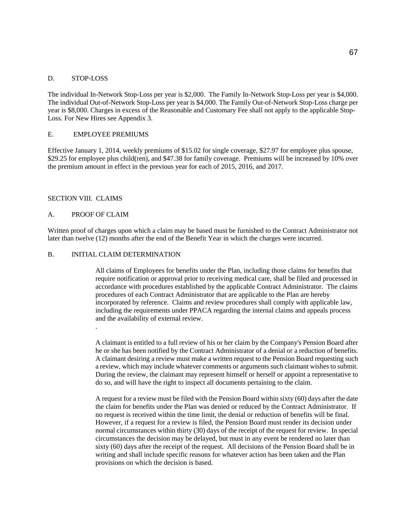## D. STOP-LOSS

The individual In-Network Stop-Loss per year is \$2,000. The Family In-Network Stop-Loss per year is \$4,000. The individual Out-of-Network Stop-Loss per year is \$4,000. The Family Out-of-Network Stop-Loss charge per year is \$8,000. Charges in excess of the Reasonable and Customary Fee shall not apply to the applicable Stop-Loss. For New Hires see Appendix 3.

## E. EMPLOYEE PREMIUMS

Effective January 1, 2014, weekly premiums of \$15.02 for single coverage, \$27.97 for employee plus spouse, \$29.25 for employee plus child(ren), and \$47.38 for family coverage. Premiums will be increased by 10% over the premium amount in effect in the previous year for each of 2015, 2016, and 2017.

# SECTION VIII. CLAIMS

# A. PROOF OF CLAIM

.

Written proof of charges upon which a claim may be based must be furnished to the Contract Administrator not later than twelve (12) months after the end of the Benefit Year in which the charges were incurred.

## B. INITIAL CLAIM DETERMINATION

All claims of Employees for benefits under the Plan, including those claims for benefits that require notification or approval prior to receiving medical care, shall be filed and processed in accordance with procedures established by the applicable Contract Administrator. The claims procedures of each Contract Administrator that are applicable to the Plan are hereby incorporated by reference. Claims and review procedures shall comply with applicable law, including the requirements under PPACA regarding the internal claims and appeals process and the availability of external review.

A claimant is entitled to a full review of his or her claim by the Company's Pension Board after he or she has been notified by the Contract Administrator of a denial or a reduction of benefits. A claimant desiring a review must make a written request to the Pension Board requesting such a review, which may include whatever comments or arguments such claimant wishes to submit. During the review, the claimant may represent himself or herself or appoint a representative to do so, and will have the right to inspect all documents pertaining to the claim.

A request for a review must be filed with the Pension Board within sixty (60) days after the date the claim for benefits under the Plan was denied or reduced by the Contract Administrator. If no request is received within the time limit, the denial or reduction of benefits will be final. However, if a request for a review is filed, the Pension Board must render its decision under normal circumstances within thirty (30) days of the receipt of the request for review. In special circumstances the decision may be delayed, but must in any event be rendered no later than sixty (60) days after the receipt of the request. All decisions of the Pension Board shall be in writing and shall include specific reasons for whatever action has been taken and the Plan provisions on which the decision is based.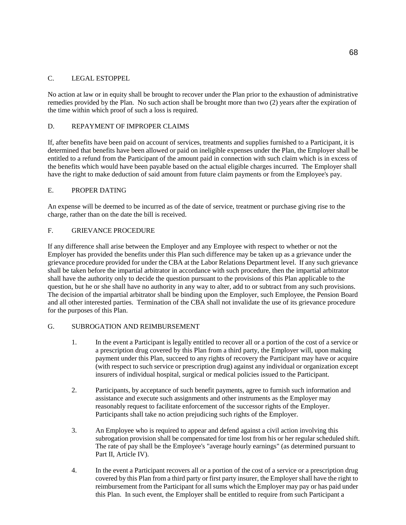# C. LEGAL ESTOPPEL

No action at law or in equity shall be brought to recover under the Plan prior to the exhaustion of administrative remedies provided by the Plan. No such action shall be brought more than two (2) years after the expiration of the time within which proof of such a loss is required.

# D. REPAYMENT OF IMPROPER CLAIMS

If, after benefits have been paid on account of services, treatments and supplies furnished to a Participant, it is determined that benefits have been allowed or paid on ineligible expenses under the Plan, the Employer shall be entitled to a refund from the Participant of the amount paid in connection with such claim which is in excess of the benefits which would have been payable based on the actual eligible charges incurred. The Employer shall have the right to make deduction of said amount from future claim payments or from the Employee's pay.

# E. PROPER DATING

An expense will be deemed to be incurred as of the date of service, treatment or purchase giving rise to the charge, rather than on the date the bill is received.

# F. GRIEVANCE PROCEDURE

If any difference shall arise between the Employer and any Employee with respect to whether or not the Employer has provided the benefits under this Plan such difference may be taken up as a grievance under the grievance procedure provided for under the CBA at the Labor Relations Department level. If any such grievance shall be taken before the impartial arbitrator in accordance with such procedure, then the impartial arbitrator shall have the authority only to decide the question pursuant to the provisions of this Plan applicable to the question, but he or she shall have no authority in any way to alter, add to or subtract from any such provisions. The decision of the impartial arbitrator shall be binding upon the Employer, such Employee, the Pension Board and all other interested parties. Termination of the CBA shall not invalidate the use of its grievance procedure for the purposes of this Plan.

# G. SUBROGATION AND REIMBURSEMENT

- 1. In the event a Participant is legally entitled to recover all or a portion of the cost of a service or a prescription drug covered by this Plan from a third party, the Employer will, upon making payment under this Plan, succeed to any rights of recovery the Participant may have or acquire (with respect to such service or prescription drug) against any individual or organization except insurers of individual hospital, surgical or medical policies issued to the Participant.
- 2. Participants, by acceptance of such benefit payments, agree to furnish such information and assistance and execute such assignments and other instruments as the Employer may reasonably request to facilitate enforcement of the successor rights of the Employer. Participants shall take no action prejudicing such rights of the Employer.
- 3. An Employee who is required to appear and defend against a civil action involving this subrogation provision shall be compensated for time lost from his or her regular scheduled shift. The rate of pay shall be the Employee's "average hourly earnings" (as determined pursuant to Part II, Article IV).
- 4. In the event a Participant recovers all or a portion of the cost of a service or a prescription drug covered by this Plan from a third party or first party insurer, the Employer shall have the right to reimbursement from the Participant for all sums which the Employer may pay or has paid under this Plan. In such event, the Employer shall be entitled to require from such Participant a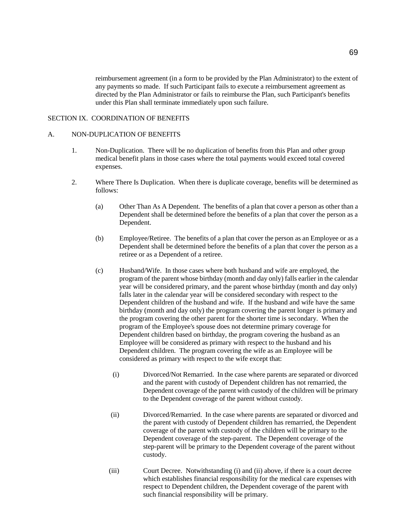reimbursement agreement (in a form to be provided by the Plan Administrator) to the extent of any payments so made. If such Participant fails to execute a reimbursement agreement as directed by the Plan Administrator or fails to reimburse the Plan, such Participant's benefits under this Plan shall terminate immediately upon such failure.

# SECTION IX. COORDINATION OF BENEFITS

## A. NON-DUPLICATION OF BENEFITS

- 1. Non-Duplication. There will be no duplication of benefits from this Plan and other group medical benefit plans in those cases where the total payments would exceed total covered expenses.
- 2. Where There Is Duplication. When there is duplicate coverage, benefits will be determined as follows:
	- (a) Other Than As A Dependent. The benefits of a plan that cover a person as other than a Dependent shall be determined before the benefits of a plan that cover the person as a Dependent.
	- (b) Employee/Retiree. The benefits of a plan that cover the person as an Employee or as a Dependent shall be determined before the benefits of a plan that cover the person as a retiree or as a Dependent of a retiree.
	- (c) Husband/Wife. In those cases where both husband and wife are employed, the program of the parent whose birthday (month and day only) falls earlier in the calendar year will be considered primary, and the parent whose birthday (month and day only) falls later in the calendar year will be considered secondary with respect to the Dependent children of the husband and wife. If the husband and wife have the same birthday (month and day only) the program covering the parent longer is primary and the program covering the other parent for the shorter time is secondary. When the program of the Employee's spouse does not determine primary coverage for Dependent children based on birthday, the program covering the husband as an Employee will be considered as primary with respect to the husband and his Dependent children. The program covering the wife as an Employee will be considered as primary with respect to the wife except that:
		- (i) Divorced/Not Remarried. In the case where parents are separated or divorced and the parent with custody of Dependent children has not remarried, the Dependent coverage of the parent with custody of the children will be primary to the Dependent coverage of the parent without custody.
		- (ii) Divorced/Remarried. In the case where parents are separated or divorced and the parent with custody of Dependent children has remarried, the Dependent coverage of the parent with custody of the children will be primary to the Dependent coverage of the step-parent. The Dependent coverage of the step-parent will be primary to the Dependent coverage of the parent without custody.
		- (iii) Court Decree. Notwithstanding (i) and (ii) above, if there is a court decree which establishes financial responsibility for the medical care expenses with respect to Dependent children, the Dependent coverage of the parent with such financial responsibility will be primary.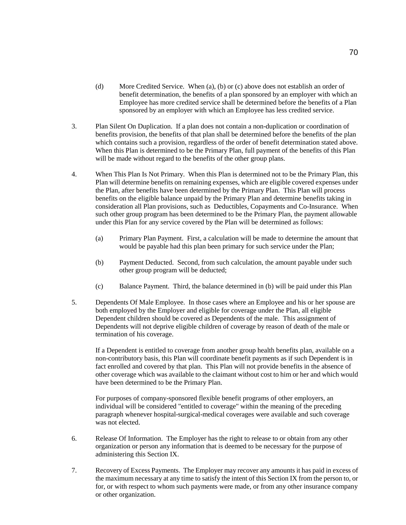- (d) More Credited Service. When (a), (b) or (c) above does not establish an order of benefit determination, the benefits of a plan sponsored by an employer with which an Employee has more credited service shall be determined before the benefits of a Plan sponsored by an employer with which an Employee has less credited service.
- 3. Plan Silent On Duplication. If a plan does not contain a non-duplication or coordination of benefits provision, the benefits of that plan shall be determined before the benefits of the plan which contains such a provision, regardless of the order of benefit determination stated above. When this Plan is determined to be the Primary Plan, full payment of the benefits of this Plan will be made without regard to the benefits of the other group plans.
- 4. When This Plan Is Not Primary. When this Plan is determined not to be the Primary Plan, this Plan will determine benefits on remaining expenses, which are eligible covered expenses under the Plan, after benefits have been determined by the Primary Plan. This Plan will process benefits on the eligible balance unpaid by the Primary Plan and determine benefits taking in consideration all Plan provisions, such as Deductibles, Copayments and Co-Insurance. When such other group program has been determined to be the Primary Plan, the payment allowable under this Plan for any service covered by the Plan will be determined as follows:
	- (a) Primary Plan Payment. First, a calculation will be made to determine the amount that would be payable had this plan been primary for such service under the Plan;
	- (b) Payment Deducted. Second, from such calculation, the amount payable under such other group program will be deducted;
	- (c) Balance Payment. Third, the balance determined in (b) will be paid under this Plan
- 5. Dependents Of Male Employee. In those cases where an Employee and his or her spouse are both employed by the Employer and eligible for coverage under the Plan, all eligible Dependent children should be covered as Dependents of the male. This assignment of Dependents will not deprive eligible children of coverage by reason of death of the male or termination of his coverage.

If a Dependent is entitled to coverage from another group health benefits plan, available on a non-contributory basis, this Plan will coordinate benefit payments as if such Dependent is in fact enrolled and covered by that plan. This Plan will not provide benefits in the absence of other coverage which was available to the claimant without cost to him or her and which would have been determined to be the Primary Plan.

For purposes of company-sponsored flexible benefit programs of other employers, an individual will be considered "entitled to coverage" within the meaning of the preceding paragraph whenever hospital-surgical-medical coverages were available and such coverage was not elected.

- 6. Release Of Information. The Employer has the right to release to or obtain from any other organization or person any information that is deemed to be necessary for the purpose of administering this Section IX.
- 7. Recovery of Excess Payments. The Employer may recover any amounts it has paid in excess of the maximum necessary at any time to satisfy the intent of this Section IX from the person to, or for, or with respect to whom such payments were made, or from any other insurance company or other organization.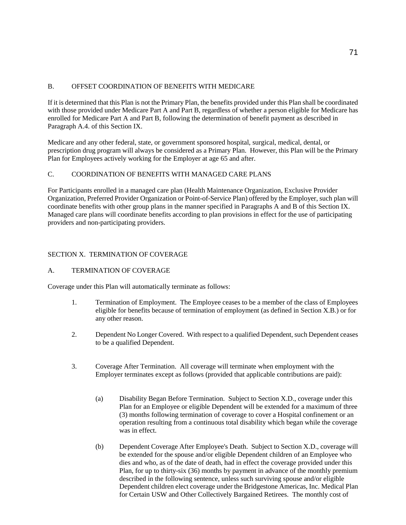# B. OFFSET COORDINATION OF BENEFITS WITH MEDICARE

If it is determined that this Plan is not the Primary Plan, the benefits provided under this Plan shall be coordinated with those provided under Medicare Part A and Part B, regardless of whether a person eligible for Medicare has enrolled for Medicare Part A and Part B, following the determination of benefit payment as described in Paragraph A.4. of this Section IX.

Medicare and any other federal, state, or government sponsored hospital, surgical, medical, dental, or prescription drug program will always be considered as a Primary Plan. However, this Plan will be the Primary Plan for Employees actively working for the Employer at age 65 and after.

# C. COORDINATION OF BENEFITS WITH MANAGED CARE PLANS

For Participants enrolled in a managed care plan (Health Maintenance Organization, Exclusive Provider Organization, Preferred Provider Organization or Point-of-Service Plan) offered by the Employer, such plan will coordinate benefits with other group plans in the manner specified in Paragraphs A and B of this Section IX. Managed care plans will coordinate benefits according to plan provisions in effect for the use of participating providers and non-participating providers.

# SECTION X. TERMINATION OF COVERAGE

## A. TERMINATION OF COVERAGE

Coverage under this Plan will automatically terminate as follows:

- 1. Termination of Employment. The Employee ceases to be a member of the class of Employees eligible for benefits because of termination of employment (as defined in Section X.B.) or for any other reason.
- 2. Dependent No Longer Covered. With respect to a qualified Dependent, such Dependent ceases to be a qualified Dependent.
- 3. Coverage After Termination. All coverage will terminate when employment with the Employer terminates except as follows (provided that applicable contributions are paid):
	- (a) Disability Began Before Termination. Subject to Section X.D., coverage under this Plan for an Employee or eligible Dependent will be extended for a maximum of three (3) months following termination of coverage to cover a Hospital confinement or an operation resulting from a continuous total disability which began while the coverage was in effect.
	- (b) Dependent Coverage After Employee's Death. Subject to Section X.D., coverage will be extended for the spouse and/or eligible Dependent children of an Employee who dies and who, as of the date of death, had in effect the coverage provided under this Plan, for up to thirty-six (36) months by payment in advance of the monthly premium described in the following sentence, unless such surviving spouse and/or eligible Dependent children elect coverage under the Bridgestone Americas, Inc. Medical Plan for Certain USW and Other Collectively Bargained Retirees. The monthly cost of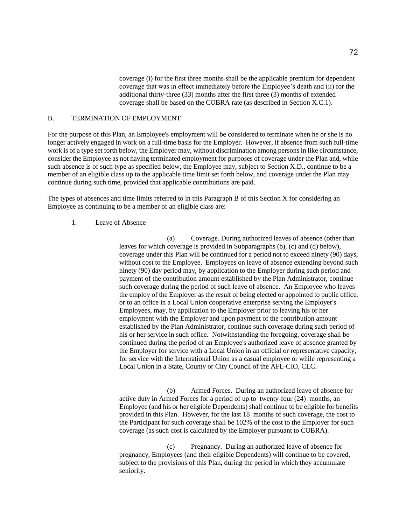coverage (i) for the first three months shall be the applicable premium for dependent coverage that was in effect immediately before the Employee's death and (ii) for the additional thirty-three (33) months after the first three (3) months of extended coverage shall be based on the COBRA rate (as described in Section X.C.1).

# B. TERMINATION OF EMPLOYMENT

For the purpose of this Plan, an Employee's employment will be considered to terminate when he or she is no longer actively engaged in work on a full-time basis for the Employer. However, if absence from such full-time work is of a type set forth below, the Employer may, without discrimination among persons in like circumstance, consider the Employee as not having terminated employment for purposes of coverage under the Plan and, while such absence is of such type as specified below, the Employee may, subject to Section X.D., continue to be a member of an eligible class up to the applicable time limit set forth below, and coverage under the Plan may continue during such time, provided that applicable contributions are paid.

The types of absences and time limits referred to in this Paragraph B of this Section X for considering an Employee as continuing to be a member of an eligible class are:

## 1. Leave of Absence

(a) Coverage. During authorized leaves of absence (other than leaves for which coverage is provided in Subparagraphs (b), (c) and (d) below), coverage under this Plan will be continued for a period not to exceed ninety (90) days, without cost to the Employee. Employees on leave of absence extending beyond such ninety (90) day period may, by application to the Employer during such period and payment of the contribution amount established by the Plan Administrator, continue such coverage during the period of such leave of absence. An Employee who leaves the employ of the Employer as the result of being elected or appointed to public office, or to an office in a Local Union cooperative enterprise serving the Employer's Employees, may, by application to the Employer prior to leaving his or her employment with the Employer and upon payment of the contribution amount established by the Plan Administrator, continue such coverage during such period of his or her service in such office. Notwithstanding the foregoing, coverage shall be continued during the period of an Employee's authorized leave of absence granted by the Employer for service with a Local Union in an official or representative capacity, for service with the International Union as a casual employee or while representing a Local Union in a State, County or City Council of the AFL-CIO, CLC.

(b) Armed Forces. During an authorized leave of absence for active duty in Armed Forces for a period of up to twenty-four (24) months, an Employee (and his or her eligible Dependents) shall continue to be eligible for benefits provided in this Plan. However, for the last 18 months of such coverage, the cost to the Participant for such coverage shall be 102% of the cost to the Employer for such coverage (as such cost is calculated by the Employer pursuant to COBRA).

(c) Pregnancy. During an authorized leave of absence for pregnancy, Employees (and their eligible Dependents) will continue to be covered, subject to the provisions of this Plan, during the period in which they accumulate seniority.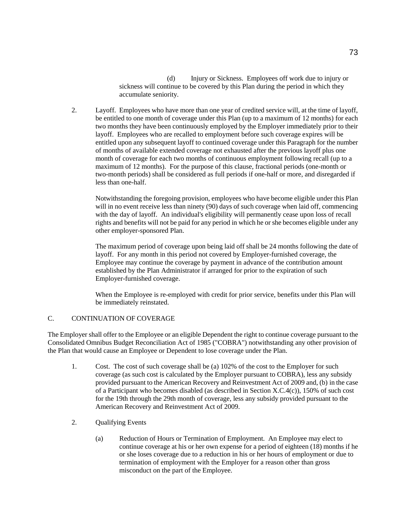(d) Injury or Sickness. Employees off work due to injury or sickness will continue to be covered by this Plan during the period in which they accumulate seniority.

2. Layoff. Employees who have more than one year of credited service will, at the time of layoff, be entitled to one month of coverage under this Plan (up to a maximum of 12 months) for each two months they have been continuously employed by the Employer immediately prior to their layoff. Employees who are recalled to employment before such coverage expires will be entitled upon any subsequent layoff to continued coverage under this Paragraph for the number of months of available extended coverage not exhausted after the previous layoff plus one month of coverage for each two months of continuous employment following recall (up to a maximum of 12 months). For the purpose of this clause, fractional periods (one-month or two-month periods) shall be considered as full periods if one-half or more, and disregarded if less than one-half.

Notwithstanding the foregoing provision, employees who have become eligible under this Plan will in no event receive less than ninety (90) days of such coverage when laid off, commencing with the day of layoff. An individual's eligibility will permanently cease upon loss of recall rights and benefits will not be paid for any period in which he or she becomes eligible under any other employer-sponsored Plan.

The maximum period of coverage upon being laid off shall be 24 months following the date of layoff. For any month in this period not covered by Employer-furnished coverage, the Employee may continue the coverage by payment in advance of the contribution amount established by the Plan Administrator if arranged for prior to the expiration of such Employer-furnished coverage.

When the Employee is re-employed with credit for prior service, benefits under this Plan will be immediately reinstated.

# C. CONTINUATION OF COVERAGE

The Employer shall offer to the Employee or an eligible Dependent the right to continue coverage pursuant to the Consolidated Omnibus Budget Reconciliation Act of 1985 ("COBRA") notwithstanding any other provision of the Plan that would cause an Employee or Dependent to lose coverage under the Plan.

- 1. Cost. The cost of such coverage shall be (a) 102% of the cost to the Employer for such coverage (as such cost is calculated by the Employer pursuant to COBRA), less any subsidy provided pursuant to the American Recovery and Reinvestment Act of 2009 and, (b) in the case of a Participant who becomes disabled (as described in Section X.C.4(c)), 150% of such cost for the 19th through the 29th month of coverage, less any subsidy provided pursuant to the American Recovery and Reinvestment Act of 2009.
- 2. Qualifying Events
	- (a) Reduction of Hours or Termination of Employment. An Employee may elect to continue coverage at his or her own expense for a period of eighteen (18) months if he or she loses coverage due to a reduction in his or her hours of employment or due to termination of employment with the Employer for a reason other than gross misconduct on the part of the Employee.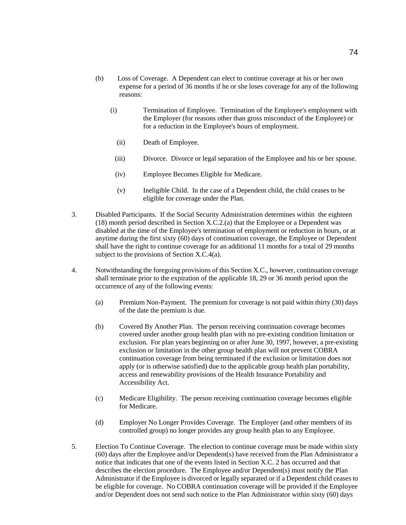- (b) Loss of Coverage. A Dependent can elect to continue coverage at his or her own expense for a period of 36 months if he or she loses coverage for any of the following reasons:
	- (i) Termination of Employee. Termination of the Employee's employment with the Employer (for reasons other than gross misconduct of the Employee) or for a reduction in the Employee's hours of employment.
		- (ii) Death of Employee.
		- (iii) Divorce. Divorce or legal separation of the Employee and his or her spouse.
		- (iv) Employee Becomes Eligible for Medicare.
		- (v) Ineligible Child. In the case of a Dependent child, the child ceases to be eligible for coverage under the Plan.
- 3. Disabled Participants. If the Social Security Administration determines within the eighteen (18) month period described in Section X.C.2.(a) that the Employee or a Dependent was disabled at the time of the Employee's termination of employment or reduction in hours, or at anytime during the first sixty (60) days of continuation coverage, the Employee or Dependent shall have the right to continue coverage for an additional 11 months for a total of 29 months subject to the provisions of Section X.C.4(a).
- 4. Notwithstanding the foregoing provisions of this Section X.C., however, continuation coverage shall terminate prior to the expiration of the applicable 18, 29 or 36 month period upon the occurrence of any of the following events:
	- (a) Premium Non-Payment. The premium for coverage is not paid within thirty (30) days of the date the premium is due.
	- (b) Covered By Another Plan. The person receiving continuation coverage becomes covered under another group health plan with no pre-existing condition limitation or exclusion. For plan years beginning on or after June 30, 1997, however, a pre-existing exclusion or limitation in the other group health plan will not prevent COBRA continuation coverage from being terminated if the exclusion or limitation does not apply (or is otherwise satisfied) due to the applicable group health plan portability, access and renewability provisions of the Health Insurance Portability and Accessibility Act.
	- (c) Medicare Eligibility. The person receiving continuation coverage becomes eligible for Medicare.
	- (d) Employer No Longer Provides Coverage. The Employer (and other members of its controlled group) no longer provides any group health plan to any Employee.
- 5. Election To Continue Coverage. The election to continue coverage must be made within sixty (60) days after the Employee and/or Dependent(s) have received from the Plan Administrator a notice that indicates that one of the events listed in Section X.C. 2 has occurred and that describes the election procedure. The Employee and/or Dependent(s) must notify the Plan Administrator if the Employee is divorced or legally separated or if a Dependent child ceases to be eligible for coverage. No COBRA continuation coverage will be provided if the Employee and/or Dependent does not send such notice to the Plan Administrator within sixty (60) days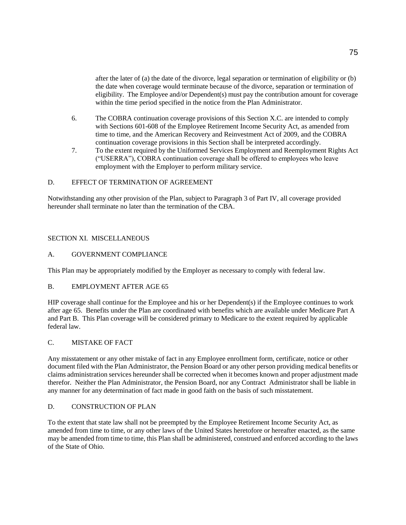after the later of (a) the date of the divorce, legal separation or termination of eligibility or (b) the date when coverage would terminate because of the divorce, separation or termination of eligibility. The Employee and/or Dependent(s) must pay the contribution amount for coverage within the time period specified in the notice from the Plan Administrator.

- 6. The COBRA continuation coverage provisions of this Section X.C. are intended to comply with Sections 601-608 of the Employee Retirement Income Security Act, as amended from time to time, and the American Recovery and Reinvestment Act of 2009, and the COBRA continuation coverage provisions in this Section shall be interpreted accordingly.
- 7. To the extent required by the Uniformed Services Employment and Reemployment Rights Act ("USERRA"), COBRA continuation coverage shall be offered to employees who leave employment with the Employer to perform military service.

# D. EFFECT OF TERMINATION OF AGREEMENT

Notwithstanding any other provision of the Plan, subject to Paragraph 3 of Part IV, all coverage provided hereunder shall terminate no later than the termination of the CBA.

## SECTION XI. MISCELLANEOUS

## A. GOVERNMENT COMPLIANCE

This Plan may be appropriately modified by the Employer as necessary to comply with federal law.

# B. EMPLOYMENT AFTER AGE 65

HIP coverage shall continue for the Employee and his or her Dependent(s) if the Employee continues to work after age 65. Benefits under the Plan are coordinated with benefits which are available under Medicare Part A and Part B. This Plan coverage will be considered primary to Medicare to the extent required by applicable federal law.

# C. MISTAKE OF FACT

Any misstatement or any other mistake of fact in any Employee enrollment form, certificate, notice or other document filed with the Plan Administrator, the Pension Board or any other person providing medical benefits or claims administration services hereunder shall be corrected when it becomes known and proper adjustment made therefor. Neither the Plan Administrator, the Pension Board, nor any Contract Administrator shall be liable in any manner for any determination of fact made in good faith on the basis of such misstatement.

#### D. CONSTRUCTION OF PLAN

To the extent that state law shall not be preempted by the Employee Retirement Income Security Act, as amended from time to time, or any other laws of the United States heretofore or hereafter enacted, as the same may be amended from time to time, this Plan shall be administered, construed and enforced according to the laws of the State of Ohio.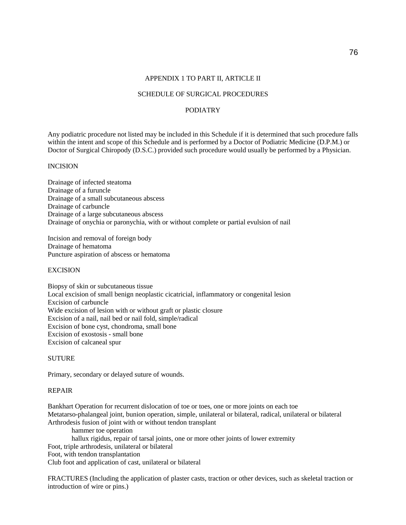# SCHEDULE OF SURGICAL PROCEDURES

# PODIATRY

Any podiatric procedure not listed may be included in this Schedule if it is determined that such procedure falls within the intent and scope of this Schedule and is performed by a Doctor of Podiatric Medicine (D.P.M.) or Doctor of Surgical Chiropody (D.S.C.) provided such procedure would usually be performed by a Physician.

## INCISION

Drainage of infected steatoma Drainage of a furuncle Drainage of a small subcutaneous abscess Drainage of carbuncle Drainage of a large subcutaneous abscess Drainage of onychia or paronychia, with or without complete or partial evulsion of nail

Incision and removal of foreign body Drainage of hematoma Puncture aspiration of abscess or hematoma

## **EXCISION**

Biopsy of skin or subcutaneous tissue Local excision of small benign neoplastic cicatricial, inflammatory or congenital lesion Excision of carbuncle Wide excision of lesion with or without graft or plastic closure Excision of a nail, nail bed or nail fold, simple/radical Excision of bone cyst, chondroma, small bone Excision of exostosis - small bone Excision of calcaneal spur

#### SUTURE

Primary, secondary or delayed suture of wounds.

#### REPAIR

Bankhart Operation for recurrent dislocation of toe or toes, one or more joints on each toe Metatarso-phalangeal joint, bunion operation, simple, unilateral or bilateral, radical, unilateral or bilateral Arthrodesis fusion of joint with or without tendon transplant

hammer toe operation

hallux rigidus, repair of tarsal joints, one or more other joints of lower extremity

Foot, triple arthrodesis, unilateral or bilateral

Foot, with tendon transplantation

Club foot and application of cast, unilateral or bilateral

FRACTURES (Including the application of plaster casts, traction or other devices, such as skeletal traction or introduction of wire or pins.)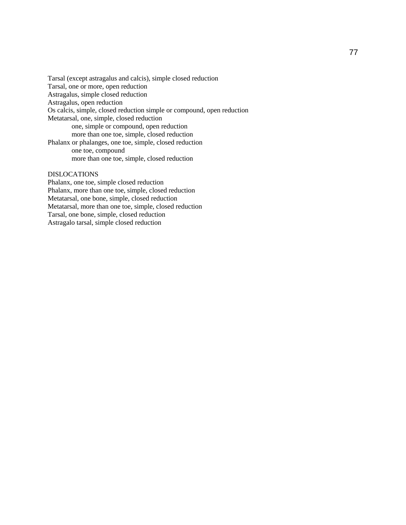Tarsal (except astragalus and calcis), simple closed reduction Tarsal, one or more, open reduction Astragalus, simple closed reduction Astragalus, open reduction Os calcis, simple, closed reduction simple or compound, open reduction Metatarsal, one, simple, closed reduction one, simple or compound, open reduction more than one toe, simple, closed reduction Phalanx or phalanges, one toe, simple, closed reduction one toe, compound more than one toe, simple, closed reduction

## DISLOCATIONS

Phalanx, one toe, simple closed reduction Phalanx, more than one toe, simple, closed reduction Metatarsal, one bone, simple, closed reduction Metatarsal, more than one toe, simple, closed reduction Tarsal, one bone, simple, closed reduction Astragalo tarsal, simple closed reduction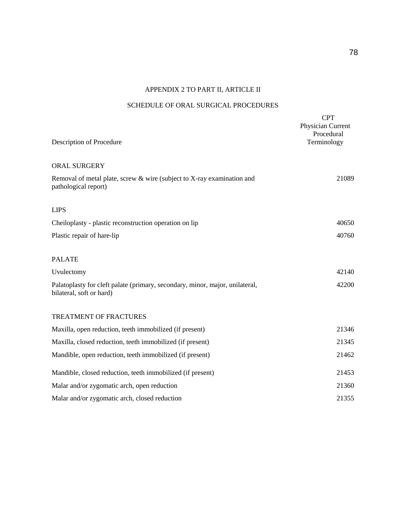# APPENDIX 2 TO PART II, ARTICLE II

# SCHEDULE OF ORAL SURGICAL PROCEDURES

| Description of Procedure                                                                                 | <b>CPT</b><br>Physician Current<br>Procedural<br>Terminology |
|----------------------------------------------------------------------------------------------------------|--------------------------------------------------------------|
| ORAL SURGERY                                                                                             |                                                              |
| Removal of metal plate, screw & wire (subject to X-ray examination and<br>pathological report)           | 21089                                                        |
| <b>LIPS</b>                                                                                              |                                                              |
| Cheiloplasty - plastic reconstruction operation on lip                                                   | 40650                                                        |
| Plastic repair of hare-lip                                                                               | 40760                                                        |
| <b>PALATE</b>                                                                                            |                                                              |
| Uvulectomy                                                                                               | 42140                                                        |
| Palatoplasty for cleft palate (primary, secondary, minor, major, unilateral,<br>bilateral, soft or hard) | 42200                                                        |
| TREATMENT OF FRACTURES                                                                                   |                                                              |
| Maxilla, open reduction, teeth immobilized (if present)                                                  | 21346                                                        |
| Maxilla, closed reduction, teeth immobilized (if present)                                                | 21345                                                        |
| Mandible, open reduction, teeth immobilized (if present)                                                 | 21462                                                        |
| Mandible, closed reduction, teeth immobilized (if present)                                               | 21453                                                        |
| Malar and/or zygomatic arch, open reduction                                                              | 21360                                                        |
| Malar and/or zygomatic arch, closed reduction                                                            | 21355                                                        |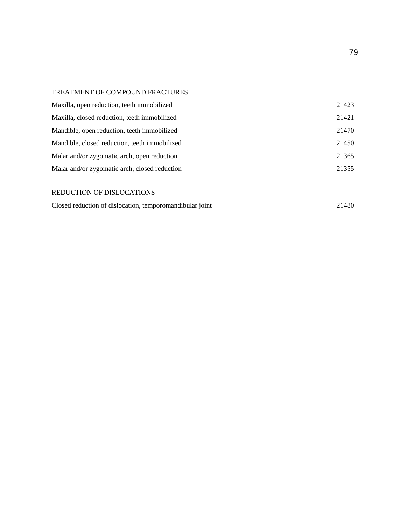# TREATMENT OF COMPOUND FRACTURES

| Maxilla, open reduction, teeth immobilized    | 21423 |
|-----------------------------------------------|-------|
| Maxilla, closed reduction, teeth immobilized  | 21421 |
| Mandible, open reduction, teeth immobilized   | 21470 |
| Mandible, closed reduction, teeth immobilized | 21450 |
| Malar and/or zygomatic arch, open reduction   | 21365 |
| Malar and/or zygomatic arch, closed reduction | 21355 |
|                                               |       |
| REDUCTION OF DISLOCATIONS                     |       |
|                                               |       |

| Closed reduction of dislocation, temporomandibular joint |  | 21480 |
|----------------------------------------------------------|--|-------|
|----------------------------------------------------------|--|-------|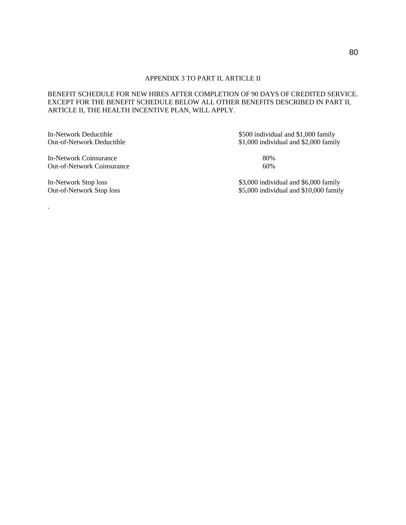# BENEFIT SCHEDULE FOR NEW HIRES AFTER COMPLETION OF 90 DAYS OF CREDITED SERVICE. EXCEPT FOR THE BENEFIT SCHEDULE BELOW ALL OTHER BENEFITS DESCRIBED IN PART II, ARTICLE II, THE HEALTH INCENTIVE PLAN, WILL APPLY.

In-Network Coinsurance 80%<br>
Out-of-Network Coinsurance 60% Out-of-Network Coinsurance

.

In-Network Deductible \$500 individual and \$1,000 family Out-of-Network Deductible \$1,000 individual and \$2,000 family

In-Network Stop loss \$3,000 individual and \$6,000 family<br>Out-of-Network Stop loss \$5,000 individual and \$10,000 family \$5,000 individual and \$10,000 family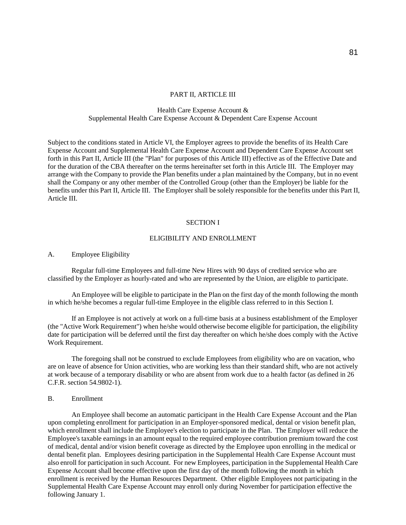#### PART II, ARTICLE III

## Health Care Expense Account & Supplemental Health Care Expense Account & Dependent Care Expense Account

Subject to the conditions stated in Article VI, the Employer agrees to provide the benefits of its Health Care Expense Account and Supplemental Health Care Expense Account and Dependent Care Expense Account set forth in this Part II, Article III (the "Plan" for purposes of this Article III) effective as of the Effective Date and for the duration of the CBA thereafter on the terms hereinafter set forth in this Article III. The Employer may arrange with the Company to provide the Plan benefits under a plan maintained by the Company, but in no event shall the Company or any other member of the Controlled Group (other than the Employer) be liable for the benefits under this Part II, Article III. The Employer shall be solely responsible for the benefits under this Part II, Article III.

#### SECTION I

#### ELIGIBILITY AND ENROLLMENT

#### A. Employee Eligibility

Regular full-time Employees and full-time New Hires with 90 days of credited service who are classified by the Employer as hourly-rated and who are represented by the Union, are eligible to participate.

An Employee will be eligible to participate in the Plan on the first day of the month following the month in which he/she becomes a regular full-time Employee in the eligible class referred to in this Section I.

If an Employee is not actively at work on a full-time basis at a business establishment of the Employer (the "Active Work Requirement") when he/she would otherwise become eligible for participation, the eligibility date for participation will be deferred until the first day thereafter on which he/she does comply with the Active Work Requirement.

The foregoing shall not be construed to exclude Employees from eligibility who are on vacation, who are on leave of absence for Union activities, who are working less than their standard shift, who are not actively at work because of a temporary disability or who are absent from work due to a health factor (as defined in 26 C.F.R. section 54.9802-1).

## B. Enrollment

An Employee shall become an automatic participant in the Health Care Expense Account and the Plan upon completing enrollment for participation in an Employer-sponsored medical, dental or vision benefit plan, which enrollment shall include the Employee's election to participate in the Plan. The Employer will reduce the Employee's taxable earnings in an amount equal to the required employee contribution premium toward the cost of medical, dental and/or vision benefit coverage as directed by the Employee upon enrolling in the medical or dental benefit plan. Employees desiring participation in the Supplemental Health Care Expense Account must also enroll for participation in such Account. For new Employees, participation in the Supplemental Health Care Expense Account shall become effective upon the first day of the month following the month in which enrollment is received by the Human Resources Department. Other eligible Employees not participating in the Supplemental Health Care Expense Account may enroll only during November for participation effective the following January 1.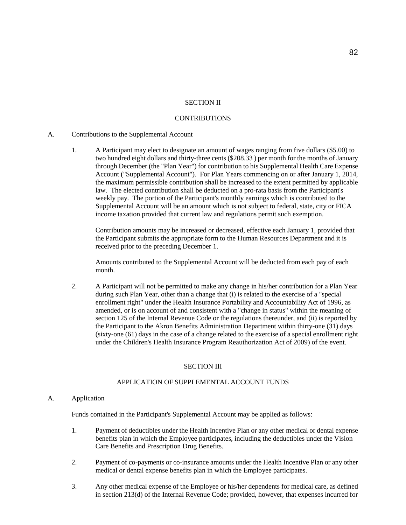# SECTION II

#### **CONTRIBUTIONS**

#### A. Contributions to the Supplemental Account

1. A Participant may elect to designate an amount of wages ranging from five dollars (\$5.00) to two hundred eight dollars and thirty-three cents (\$208.33 ) per month for the months of January through December (the "Plan Year") for contribution to his Supplemental Health Care Expense Account ("Supplemental Account"). For Plan Years commencing on or after January 1, 2014, the maximum permissible contribution shall be increased to the extent permitted by applicable law. The elected contribution shall be deducted on a pro-rata basis from the Participant's weekly pay. The portion of the Participant's monthly earnings which is contributed to the Supplemental Account will be an amount which is not subject to federal, state, city or FICA income taxation provided that current law and regulations permit such exemption.

Contribution amounts may be increased or decreased, effective each January 1, provided that the Participant submits the appropriate form to the Human Resources Department and it is received prior to the preceding December 1.

Amounts contributed to the Supplemental Account will be deducted from each pay of each month.

2. A Participant will not be permitted to make any change in his/her contribution for a Plan Year during such Plan Year, other than a change that (i) is related to the exercise of a "special enrollment right" under the Health Insurance Portability and Accountability Act of 1996, as amended, or is on account of and consistent with a "change in status" within the meaning of section 125 of the Internal Revenue Code or the regulations thereunder, and (ii) is reported by the Participant to the Akron Benefits Administration Department within thirty-one (31) days (sixty-one (61) days in the case of a change related to the exercise of a special enrollment right under the Children's Health Insurance Program Reauthorization Act of 2009) of the event.

#### SECTION III

# APPLICATION OF SUPPLEMENTAL ACCOUNT FUNDS

#### A. Application

Funds contained in the Participant's Supplemental Account may be applied as follows:

- 1. Payment of deductibles under the Health Incentive Plan or any other medical or dental expense benefits plan in which the Employee participates, including the deductibles under the Vision Care Benefits and Prescription Drug Benefits.
- 2. Payment of co-payments or co-insurance amounts under the Health Incentive Plan or any other medical or dental expense benefits plan in which the Employee participates.
- 3. Any other medical expense of the Employee or his/her dependents for medical care, as defined in section 213(d) of the Internal Revenue Code; provided, however, that expenses incurred for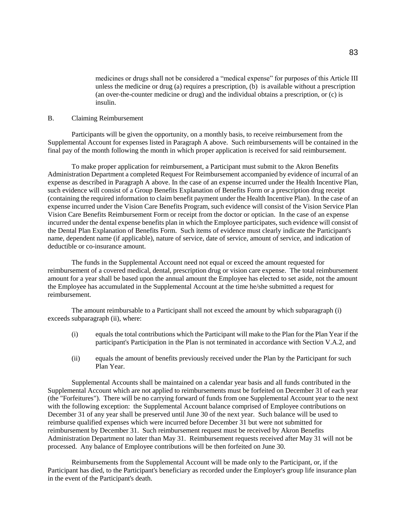medicines or drugs shall not be considered a "medical expense" for purposes of this Article III unless the medicine or drug (a) requires a prescription, (b) is available without a prescription (an over-the-counter medicine or drug) and the individual obtains a prescription, or (c) is insulin.

## B. Claiming Reimbursement

Participants will be given the opportunity, on a monthly basis, to receive reimbursement from the Supplemental Account for expenses listed in Paragraph A above. Such reimbursements will be contained in the final pay of the month following the month in which proper application is received for said reimbursement.

To make proper application for reimbursement, a Participant must submit to the Akron Benefits Administration Department a completed Request For Reimbursement accompanied by evidence of incurral of an expense as described in Paragraph A above. In the case of an expense incurred under the Health Incentive Plan, such evidence will consist of a Group Benefits Explanation of Benefits Form or a prescription drug receipt (containing the required information to claim benefit payment under the Health Incentive Plan). In the case of an expense incurred under the Vision Care Benefits Program, such evidence will consist of the Vision Service Plan Vision Care Benefits Reimbursement Form or receipt from the doctor or optician. In the case of an expense incurred under the dental expense benefits plan in which the Employee participates, such evidence will consist of the Dental Plan Explanation of Benefits Form. Such items of evidence must clearly indicate the Participant's name, dependent name (if applicable), nature of service, date of service, amount of service, and indication of deductible or co-insurance amount.

The funds in the Supplemental Account need not equal or exceed the amount requested for reimbursement of a covered medical, dental, prescription drug or vision care expense. The total reimbursement amount for a year shall be based upon the annual amount the Employee has elected to set aside, not the amount the Employee has accumulated in the Supplemental Account at the time he/she submitted a request for reimbursement.

The amount reimbursable to a Participant shall not exceed the amount by which subparagraph (i) exceeds subparagraph (ii), where:

- (i) equals the total contributions which the Participant will make to the Plan for the Plan Year if the participant's Participation in the Plan is not terminated in accordance with Section V.A.2, and
- (ii) equals the amount of benefits previously received under the Plan by the Participant for such Plan Year.

Supplemental Accounts shall be maintained on a calendar year basis and all funds contributed in the Supplemental Account which are not applied to reimbursements must be forfeited on December 31 of each year (the "Forfeitures"). There will be no carrying forward of funds from one Supplemental Account year to the next with the following exception: the Supplemental Account balance comprised of Employee contributions on December 31 of any year shall be preserved until June 30 of the next year. Such balance will be used to reimburse qualified expenses which were incurred before December 31 but were not submitted for reimbursement by December 31. Such reimbursement request must be received by Akron Benefits Administration Department no later than May 31. Reimbursement requests received after May 31 will not be processed. Any balance of Employee contributions will be then forfeited on June 30.

Reimbursements from the Supplemental Account will be made only to the Participant, or, if the Participant has died, to the Participant's beneficiary as recorded under the Employer's group life insurance plan in the event of the Participant's death.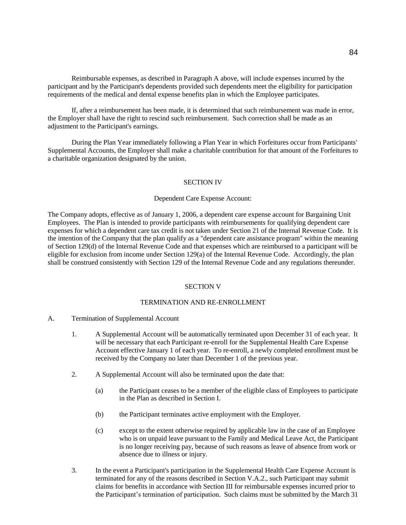Reimbursable expenses, as described in Paragraph A above, will include expenses incurred by the participant and by the Participant's dependents provided such dependents meet the eligibility for participation requirements of the medical and dental expense benefits plan in which the Employee participates.

If, after a reimbursement has been made, it is determined that such reimbursement was made in error, the Employer shall have the right to rescind such reimbursement. Such correction shall be made as an adjustment to the Participant's earnings.

During the Plan Year immediately following a Plan Year in which Forfeitures occur from Participants' Supplemental Accounts, the Employer shall make a charitable contribution for that amount of the Forfeitures to a charitable organization designated by the union.

## SECTION IV

#### Dependent Care Expense Account:

The Company adopts, effective as of January 1, 2006, a dependent care expense account for Bargaining Unit Employees. The Plan is intended to provide participants with reimbursements for qualifying dependent care expenses for which a dependent care tax credit is not taken under Section 21 of the Internal Revenue Code. It is the intention of the Company that the plan qualify as a "dependent care assistance program" within the meaning of Section 129(d) of the Internal Revenue Code and that expenses which are reimbursed to a participant will be eligible for exclusion from income under Section 129(a) of the Internal Revenue Code. Accordingly, the plan shall be construed consistently with Section 129 of the Internal Revenue Code and any regulations thereunder.

#### SECTION V

## TERMINATION AND RE-ENROLLMENT

- A. Termination of Supplemental Account
	- 1. A Supplemental Account will be automatically terminated upon December 31 of each year. It will be necessary that each Participant re-enroll for the Supplemental Health Care Expense Account effective January 1 of each year. To re-enroll, a newly completed enrollment must be received by the Company no later than December 1 of the previous year.
	- 2. A Supplemental Account will also be terminated upon the date that:
		- (a) the Participant ceases to be a member of the eligible class of Employees to participate in the Plan as described in Section I.
		- (b) the Participant terminates active employment with the Employer.
		- (c) except to the extent otherwise required by applicable law in the case of an Employee who is on unpaid leave pursuant to the Family and Medical Leave Act, the Participant is no longer receiving pay, because of such reasons as leave of absence from work or absence due to illness or injury.
	- 3. In the event a Participant's participation in the Supplemental Health Care Expense Account is terminated for any of the reasons described in Section V.A.2., such Participant may submit claims for benefits in accordance with Section III for reimbursable expenses incurred prior to the Participant's termination of participation. Such claims must be submitted by the March 31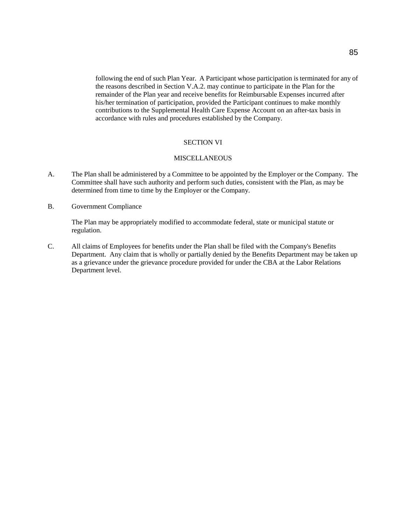following the end of such Plan Year. A Participant whose participation is terminated for any of the reasons described in Section V.A.2. may continue to participate in the Plan for the remainder of the Plan year and receive benefits for Reimbursable Expenses incurred after his/her termination of participation, provided the Participant continues to make monthly contributions to the Supplemental Health Care Expense Account on an after-tax basis in accordance with rules and procedures established by the Company.

## SECTION VI

# **MISCELLANEOUS**

- A. The Plan shall be administered by a Committee to be appointed by the Employer or the Company. The Committee shall have such authority and perform such duties, consistent with the Plan, as may be determined from time to time by the Employer or the Company.
- B. Government Compliance

The Plan may be appropriately modified to accommodate federal, state or municipal statute or regulation.

C. All claims of Employees for benefits under the Plan shall be filed with the Company's Benefits Department. Any claim that is wholly or partially denied by the Benefits Department may be taken up as a grievance under the grievance procedure provided for under the CBA at the Labor Relations Department level.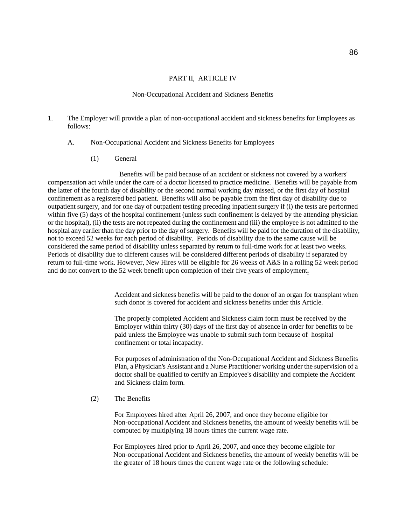#### PART II, ARTICLE IV

#### Non-Occupational Accident and Sickness Benefits

- 1. The Employer will provide a plan of non-occupational accident and sickness benefits for Employees as follows:
	- A. Non-Occupational Accident and Sickness Benefits for Employees
		- (1) General

Benefits will be paid because of an accident or sickness not covered by a workers' compensation act while under the care of a doctor licensed to practice medicine. Benefits will be payable from the latter of the fourth day of disability or the second normal working day missed, or the first day of hospital confinement as a registered bed patient. Benefits will also be payable from the first day of disability due to outpatient surgery, and for one day of outpatient testing preceding inpatient surgery if (i) the tests are performed within five (5) days of the hospital confinement (unless such confinement is delayed by the attending physician or the hospital), (ii) the tests are not repeated during the confinement and (iii) the employee is not admitted to the hospital any earlier than the day prior to the day of surgery. Benefits will be paid for the duration of the disability, not to exceed 52 weeks for each period of disability. Periods of disability due to the same cause will be considered the same period of disability unless separated by return to full-time work for at least two weeks. Periods of disability due to different causes will be considered different periods of disability if separated by return to full-time work. However, New Hires will be eligible for 26 weeks of A&S in a rolling 52 week period and do not convert to the 52 week benefit upon completion of their five years of employment**.**

> Accident and sickness benefits will be paid to the donor of an organ for transplant when such donor is covered for accident and sickness benefits under this Article.

The properly completed Accident and Sickness claim form must be received by the Employer within thirty (30) days of the first day of absence in order for benefits to be paid unless the Employee was unable to submit such form because of hospital confinement or total incapacity.

For purposes of administration of the Non-Occupational Accident and Sickness Benefits Plan, a Physician's Assistant and a Nurse Practitioner working under the supervision of a doctor shall be qualified to certify an Employee's disability and complete the Accident and Sickness claim form.

(2) The Benefits

For Employees hired after April 26, 2007, and once they become eligible for Non-occupational Accident and Sickness benefits, the amount of weekly benefits will be computed by multiplying 18 hours times the current wage rate.

For Employees hired prior to April 26, 2007, and once they become eligible for Non-occupational Accident and Sickness benefits, the amount of weekly benefits will be the greater of 18 hours times the current wage rate or the following schedule: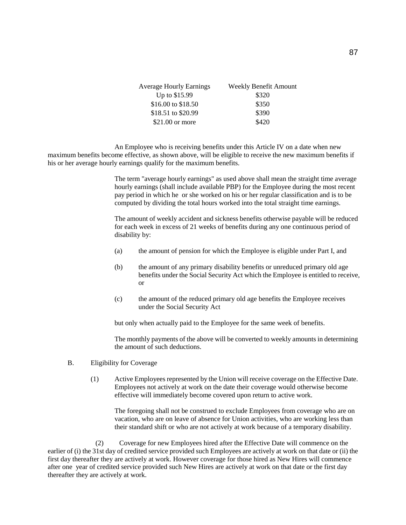| <b>Average Hourly Earnings</b> | <b>Weekly Benefit Amount</b> |
|--------------------------------|------------------------------|
| Up to \$15.99                  | \$320                        |
| \$16.00 to \$18.50             | \$350                        |
| \$18.51 to \$20.99             | \$390                        |
| $$21.00$ or more               | \$420                        |

An Employee who is receiving benefits under this Article IV on a date when new maximum benefits become effective, as shown above, will be eligible to receive the new maximum benefits if his or her average hourly earnings qualify for the maximum benefits.

> The term "average hourly earnings" as used above shall mean the straight time average hourly earnings (shall include available PBP) for the Employee during the most recent pay period in which he or she worked on his or her regular classification and is to be computed by dividing the total hours worked into the total straight time earnings.

> The amount of weekly accident and sickness benefits otherwise payable will be reduced for each week in excess of 21 weeks of benefits during any one continuous period of disability by:

- (a) the amount of pension for which the Employee is eligible under Part I, and
- (b) the amount of any primary disability benefits or unreduced primary old age benefits under the Social Security Act which the Employee is entitled to receive, or
- (c) the amount of the reduced primary old age benefits the Employee receives under the Social Security Act

but only when actually paid to the Employee for the same week of benefits.

The monthly payments of the above will be converted to weekly amounts in determining the amount of such deductions.

- B. Eligibility for Coverage
	- (1) Active Employees represented by the Union will receive coverage on the Effective Date. Employees not actively at work on the date their coverage would otherwise become effective will immediately become covered upon return to active work.

The foregoing shall not be construed to exclude Employees from coverage who are on vacation, who are on leave of absence for Union activities, who are working less than their standard shift or who are not actively at work because of a temporary disability.

(2) Coverage for new Employees hired after the Effective Date will commence on the earlier of (i) the 31st day of credited service provided such Employees are actively at work on that date or (ii) the first day thereafter they are actively at work. However coverage for those hired as New Hires will commence after one year of credited service provided such New Hires are actively at work on that date or the first day thereafter they are actively at work.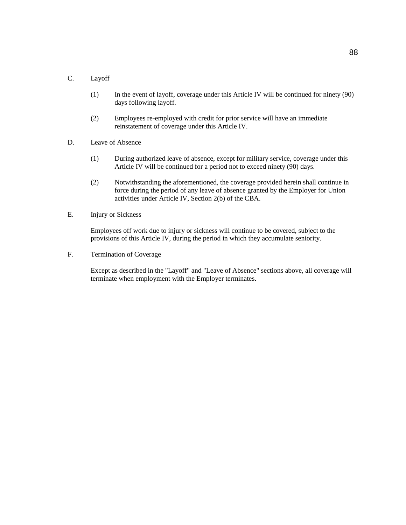# C. Layoff

- (1) In the event of layoff, coverage under this Article IV will be continued for ninety (90) days following layoff.
- (2) Employees re-employed with credit for prior service will have an immediate reinstatement of coverage under this Article IV.
- D. Leave of Absence
	- (1) During authorized leave of absence, except for military service, coverage under this Article IV will be continued for a period not to exceed ninety (90) days.
	- (2) Notwithstanding the aforementioned, the coverage provided herein shall continue in force during the period of any leave of absence granted by the Employer for Union activities under Article IV, Section 2(b) of the CBA.
- E. Injury or Sickness

Employees off work due to injury or sickness will continue to be covered, subject to the provisions of this Article IV, during the period in which they accumulate seniority.

F. Termination of Coverage

Except as described in the "Layoff" and "Leave of Absence" sections above, all coverage will terminate when employment with the Employer terminates.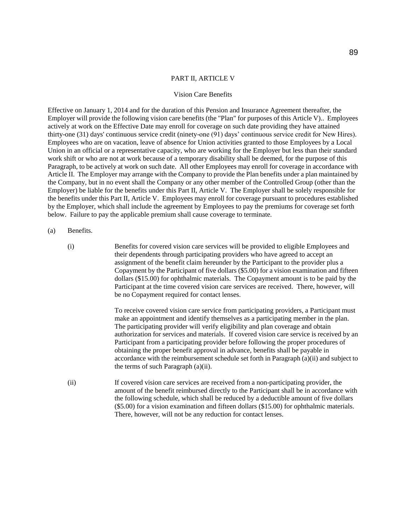#### PART II, ARTICLE V

#### Vision Care Benefits

Effective on January 1, 2014 and for the duration of this Pension and Insurance Agreement thereafter, the Employer will provide the following vision care benefits (the "Plan" for purposes of this Article V).. Employees actively at work on the Effective Date may enroll for coverage on such date providing they have attained thirty-one (31) days' continuous service credit (ninety-one (91) days' continuous service credit for New Hires). Employees who are on vacation, leave of absence for Union activities granted to those Employees by a Local Union in an official or a representative capacity, who are working for the Employer but less than their standard work shift or who are not at work because of a temporary disability shall be deemed, for the purpose of this Paragraph, to be actively at work on such date. All other Employees may enroll for coverage in accordance with Article II. The Employer may arrange with the Company to provide the Plan benefits under a plan maintained by the Company, but in no event shall the Company or any other member of the Controlled Group (other than the Employer) be liable for the benefits under this Part II, Article V. The Employer shall be solely responsible for the benefits under this Part II, Article V. Employees may enroll for coverage pursuant to procedures established by the Employer, which shall include the agreement by Employees to pay the premiums for coverage set forth below. Failure to pay the applicable premium shall cause coverage to terminate.

#### (a) Benefits.

(i) Benefits for covered vision care services will be provided to eligible Employees and their dependents through participating providers who have agreed to accept an assignment of the benefit claim hereunder by the Participant to the provider plus a Copayment by the Participant of five dollars (\$5.00) for a vision examination and fifteen dollars (\$15.00) for ophthalmic materials. The Copayment amount is to be paid by the Participant at the time covered vision care services are received. There, however, will be no Copayment required for contact lenses.

> To receive covered vision care service from participating providers, a Participant must make an appointment and identify themselves as a participating member in the plan. The participating provider will verify eligibility and plan coverage and obtain authorization for services and materials. If covered vision care service is received by an Participant from a participating provider before following the proper procedures of obtaining the proper benefit approval in advance, benefits shall be payable in accordance with the reimbursement schedule set forth in Paragraph (a)(ii) and subject to the terms of such Paragraph (a)(ii).

(ii) If covered vision care services are received from a non-participating provider, the amount of the benefit reimbursed directly to the Participant shall be in accordance with the following schedule, which shall be reduced by a deductible amount of five dollars (\$5.00) for a vision examination and fifteen dollars (\$15.00) for ophthalmic materials. There, however, will not be any reduction for contact lenses.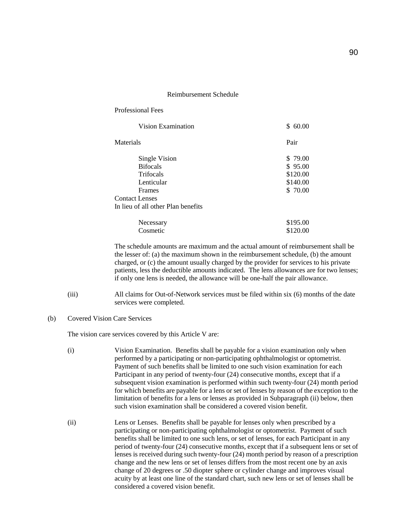#### Reimbursement Schedule

| <b>Professional Fees</b>           |          |
|------------------------------------|----------|
| Vision Examination                 | \$60.00  |
| Materials                          | Pair     |
| Single Vision                      | \$79.00  |
| <b>Bifocals</b>                    | \$95.00  |
| <b>Trifocals</b>                   | \$120.00 |
| Lenticular                         | \$140.00 |
| Frames                             | \$ 70.00 |
| <b>Contact Lenses</b>              |          |
| In lieu of all other Plan benefits |          |
| Necessary                          | \$195.00 |
| Cosmetic                           | \$120.00 |

The schedule amounts are maximum and the actual amount of reimbursement shall be the lesser of: (a) the maximum shown in the reimbursement schedule, (b) the amount charged, or (c) the amount usually charged by the provider for services to his private patients, less the deductible amounts indicated. The lens allowances are for two lenses; if only one lens is needed, the allowance will be one-half the pair allowance.

- (iii) All claims for Out-of-Network services must be filed within six (6) months of the date services were completed.
- (b) Covered Vision Care Services

The vision care services covered by this Article V are:

- (i) Vision Examination. Benefits shall be payable for a vision examination only when performed by a participating or non-participating ophthalmologist or optometrist. Payment of such benefits shall be limited to one such vision examination for each Participant in any period of twenty-four (24) consecutive months, except that if a subsequent vision examination is performed within such twenty-four (24) month period for which benefits are payable for a lens or set of lenses by reason of the exception to the limitation of benefits for a lens or lenses as provided in Subparagraph (ii) below, then such vision examination shall be considered a covered vision benefit.
- (ii) Lens or Lenses. Benefits shall be payable for lenses only when prescribed by a participating or non-participating ophthalmologist or optometrist. Payment of such benefits shall be limited to one such lens, or set of lenses, for each Participant in any period of twenty-four (24) consecutive months, except that if a subsequent lens or set of lenses is received during such twenty-four (24) month period by reason of a prescription change and the new lens or set of lenses differs from the most recent one by an axis change of 20 degrees or .50 diopter sphere or cylinder change and improves visual acuity by at least one line of the standard chart, such new lens or set of lenses shall be considered a covered vision benefit.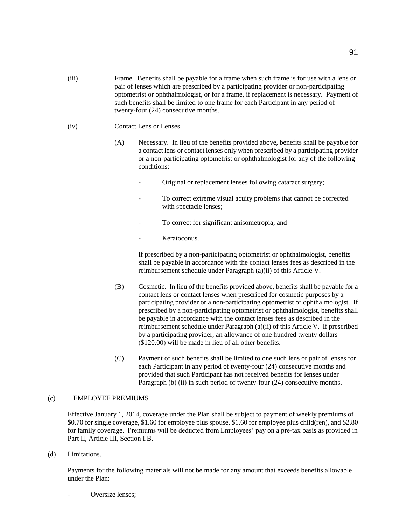- (iii) Frame. Benefits shall be payable for a frame when such frame is for use with a lens or pair of lenses which are prescribed by a participating provider or non-participating optometrist or ophthalmologist, or for a frame, if replacement is necessary. Payment of such benefits shall be limited to one frame for each Participant in any period of twenty-four (24) consecutive months.
- (iv) Contact Lens or Lenses.
	- (A) Necessary. In lieu of the benefits provided above, benefits shall be payable for a contact lens or contact lenses only when prescribed by a participating provider or a non-participating optometrist or ophthalmologist for any of the following conditions:
		- Original or replacement lenses following cataract surgery;
		- To correct extreme visual acuity problems that cannot be corrected with spectacle lenses;
		- To correct for significant anisometropia; and
		- Keratoconus.

If prescribed by a non-participating optometrist or ophthalmologist, benefits shall be payable in accordance with the contact lenses fees as described in the reimbursement schedule under Paragraph (a)(ii) of this Article V.

- (B) Cosmetic. In lieu of the benefits provided above, benefits shall be payable for a contact lens or contact lenses when prescribed for cosmetic purposes by a participating provider or a non-participating optometrist or ophthalmologist. If prescribed by a non-participating optometrist or ophthalmologist, benefits shall be payable in accordance with the contact lenses fees as described in the reimbursement schedule under Paragraph (a)(ii) of this Article V. If prescribed by a participating provider, an allowance of one hundred twenty dollars (\$120.00) will be made in lieu of all other benefits.
- (C) Payment of such benefits shall be limited to one such lens or pair of lenses for each Participant in any period of twenty-four (24) consecutive months and provided that such Participant has not received benefits for lenses under Paragraph (b) (ii) in such period of twenty-four (24) consecutive months.

# (c) EMPLOYEE PREMIUMS

Effective January 1, 2014, coverage under the Plan shall be subject to payment of weekly premiums of \$0.70 for single coverage, \$1.60 for employee plus spouse, \$1.60 for employee plus child(ren), and \$2.80 for family coverage. Premiums will be deducted from Employees' pay on a pre-tax basis as provided in Part II, Article III, Section I.B.

(d) Limitations.

Payments for the following materials will not be made for any amount that exceeds benefits allowable under the Plan:

Oversize lenses: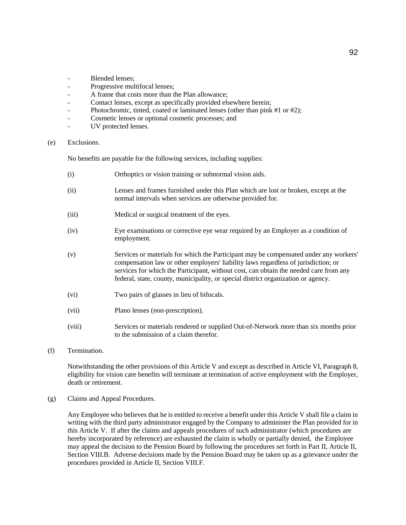- Blended lenses:
- Progressive multifocal lenses;
- A frame that costs more than the Plan allowance;
- Contact lenses, except as specifically provided elsewhere herein;
- Photochromic, tinted, coated or laminated lenses (other than pink #1 or #2);
- Cosmetic lenses or optional cosmetic processes; and
- UV protected lenses.

(e) Exclusions.

No benefits are payable for the following services, including supplies:

- (i) Orthoptics or vision training or subnormal vision aids.
- (ii) Lenses and frames furnished under this Plan which are lost or broken, except at the normal intervals when services are otherwise provided for.
- (iii) Medical or surgical treatment of the eyes.
- (iv) Eye examinations or corrective eye wear required by an Employer as a condition of employment.
- (v) Services or materials for which the Participant may be compensated under any workers' compensation law or other employers' liability laws regardless of jurisdiction; or services for which the Participant, without cost, can obtain the needed care from any federal, state, county, municipality, or special district organization or agency.
- (vi) Two pairs of glasses in lieu of bifocals.
- (vii) Plano lenses (non-prescription).
- (viii) Services or materials rendered or supplied Out-of-Network more than six months prior to the submission of a claim therefor.
- (f) Termination.

Notwithstanding the other provisions of this Article V and except as described in Article VI, Paragraph 8, eligibility for vision care benefits will terminate at termination of active employment with the Employer, death or retirement.

(g) Claims and Appeal Procedures.

Any Employee who believes that he is entitled to receive a benefit under this Article V shall file a claim in writing with the third party administrator engaged by the Company to administer the Plan provided for in this Article V. If after the claims and appeals procedures of such administrator (which procedures are hereby incorporated by reference) are exhausted the claim is wholly or partially denied, the Employee may appeal the decision to the Pension Board by following the procedures set forth in Part II, Article II, Section VIII.B. Adverse decisions made by the Pension Board may be taken up as a grievance under the procedures provided in Article II, Section VIII.F.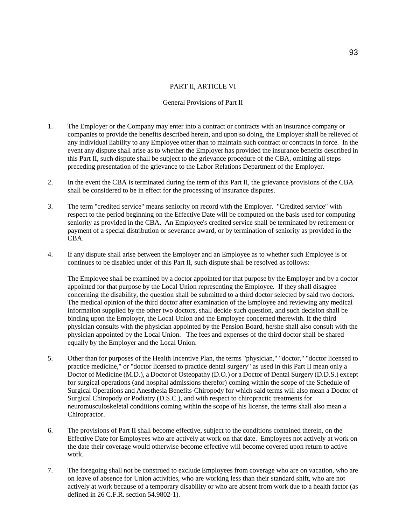#### PART II, ARTICLE VI

## General Provisions of Part II

- 1. The Employer or the Company may enter into a contract or contracts with an insurance company or companies to provide the benefits described herein, and upon so doing, the Employer shall be relieved of any individual liability to any Employee other than to maintain such contract or contracts in force. In the event any dispute shall arise as to whether the Employer has provided the insurance benefits described in this Part II, such dispute shall be subject to the grievance procedure of the CBA, omitting all steps preceding presentation of the grievance to the Labor Relations Department of the Employer.
- 2. In the event the CBA is terminated during the term of this Part II, the grievance provisions of the CBA shall be considered to be in effect for the processing of insurance disputes.
- 3. The term "credited service" means seniority on record with the Employer. "Credited service" with respect to the period beginning on the Effective Date will be computed on the basis used for computing seniority as provided in the CBA. An Employee's credited service shall be terminated by retirement or payment of a special distribution or severance award, or by termination of seniority as provided in the CBA.
- 4. If any dispute shall arise between the Employer and an Employee as to whether such Employee is or continues to be disabled under of this Part II, such dispute shall be resolved as follows:

The Employee shall be examined by a doctor appointed for that purpose by the Employer and by a doctor appointed for that purpose by the Local Union representing the Employee. If they shall disagree concerning the disability, the question shall be submitted to a third doctor selected by said two doctors. The medical opinion of the third doctor after examination of the Employee and reviewing any medical information supplied by the other two doctors, shall decide such question, and such decision shall be binding upon the Employer, the Local Union and the Employee concerned therewith. If the third physician consults with the physician appointed by the Pension Board, he/she shall also consult with the physician appointed by the Local Union. The fees and expenses of the third doctor shall be shared equally by the Employer and the Local Union.

- 5. Other than for purposes of the Health Incentive Plan, the terms "physician," "doctor," "doctor licensed to practice medicine," or "doctor licensed to practice dental surgery" as used in this Part II mean only a Doctor of Medicine (M.D.), a Doctor of Osteopathy (D.O.) or a Doctor of Dental Surgery (D.D.S.) except for surgical operations (and hospital admissions therefor) coming within the scope of the Schedule of Surgical Operations and Anesthesia Benefits-Chiropody for which said terms will also mean a Doctor of Surgical Chiropody or Podiatry (D.S.C.), and with respect to chiropractic treatments for neuromusculoskeletal conditions coming within the scope of his license, the terms shall also mean a Chiropractor.
- 6. The provisions of Part II shall become effective, subject to the conditions contained therein, on the Effective Date for Employees who are actively at work on that date. Employees not actively at work on the date their coverage would otherwise become effective will become covered upon return to active work.
- 7. The foregoing shall not be construed to exclude Employees from coverage who are on vacation, who are on leave of absence for Union activities, who are working less than their standard shift, who are not actively at work because of a temporary disability or who are absent from work due to a health factor (as defined in 26 C.F.R. section 54.9802-1).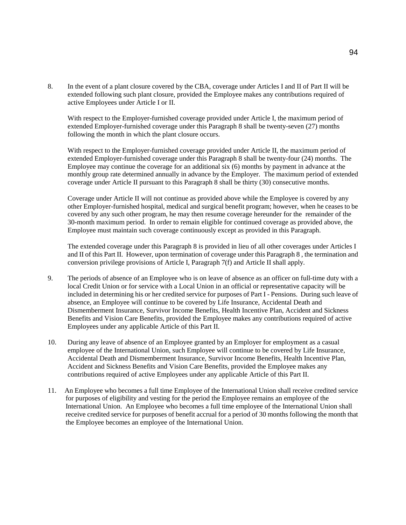8. In the event of a plant closure covered by the CBA, coverage under Articles I and II of Part II will be extended following such plant closure, provided the Employee makes any contributions required of active Employees under Article I or II.

With respect to the Employer-furnished coverage provided under Article I, the maximum period of extended Employer-furnished coverage under this Paragraph 8 shall be twenty-seven (27) months following the month in which the plant closure occurs.

With respect to the Employer-furnished coverage provided under Article II, the maximum period of extended Employer-furnished coverage under this Paragraph 8 shall be twenty-four (24) months. The Employee may continue the coverage for an additional six (6) months by payment in advance at the monthly group rate determined annually in advance by the Employer. The maximum period of extended coverage under Article II pursuant to this Paragraph 8 shall be thirty (30) consecutive months.

Coverage under Article II will not continue as provided above while the Employee is covered by any other Employer-furnished hospital, medical and surgical benefit program; however, when he ceases to be covered by any such other program, he may then resume coverage hereunder for the remainder of the 30-month maximum period. In order to remain eligible for continued coverage as provided above, the Employee must maintain such coverage continuously except as provided in this Paragraph.

The extended coverage under this Paragraph 8 is provided in lieu of all other coverages under Articles I and II of this Part II. However, upon termination of coverage under this Paragraph 8 , the termination and conversion privilege provisions of Article I, Paragraph 7(f) and Article II shall apply.

- 9. The periods of absence of an Employee who is on leave of absence as an officer on full-time duty with a local Credit Union or for service with a Local Union in an official or representative capacity will be included in determining his or her credited service for purposes of Part I - Pensions. During such leave of absence, an Employee will continue to be covered by Life Insurance, Accidental Death and Dismemberment Insurance, Survivor Income Benefits, Health Incentive Plan, Accident and Sickness Benefits and Vision Care Benefits, provided the Employee makes any contributions required of active Employees under any applicable Article of this Part II.
- 10. During any leave of absence of an Employee granted by an Employer for employment as a casual employee of the International Union, such Employee will continue to be covered by Life Insurance, Accidental Death and Dismemberment Insurance, Survivor Income Benefits, Health Incentive Plan, Accident and Sickness Benefits and Vision Care Benefits, provided the Employee makes any contributions required of active Employees under any applicable Article of this Part II.
- 11. An Employee who becomes a full time Employee of the International Union shall receive credited service for purposes of eligibility and vesting for the period the Employee remains an employee of the International Union. An Employee who becomes a full time employee of the International Union shall receive credited service for purposes of benefit accrual for a period of 30 months following the month that the Employee becomes an employee of the International Union.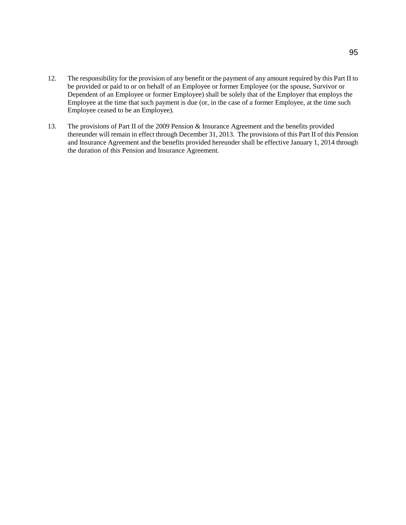- 12. The responsibility for the provision of any benefit or the payment of any amount required by this Part II to be provided or paid to or on behalf of an Employee or former Employee (or the spouse, Survivor or Dependent of an Employee or former Employee) shall be solely that of the Employer that employs the Employee at the time that such payment is due (or, in the case of a former Employee, at the time such Employee ceased to be an Employee).
- 13. The provisions of Part II of the 2009 Pension & Insurance Agreement and the benefits provided thereunder will remain in effect through December 31, 2013. The provisions of this Part II of this Pension and Insurance Agreement and the benefits provided hereunder shall be effective January 1, 2014 through the duration of this Pension and Insurance Agreement.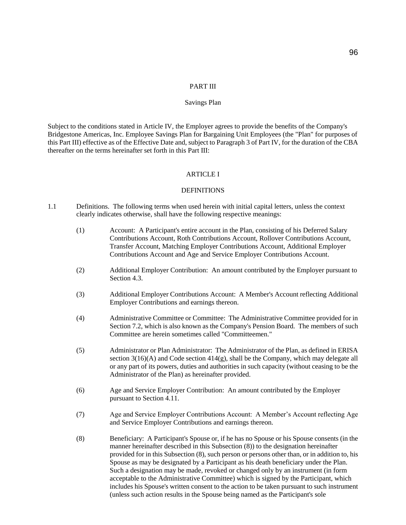#### PART III

#### Savings Plan

Subject to the conditions stated in Article IV, the Employer agrees to provide the benefits of the Company's Bridgestone Americas, Inc. Employee Savings Plan for Bargaining Unit Employees (the "Plan" for purposes of this Part III) effective as of the Effective Date and, subject to Paragraph 3 of Part IV, for the duration of the CBA thereafter on the terms hereinafter set forth in this Part III:

## ARTICLE I

#### **DEFINITIONS**

- 1.1 Definitions. The following terms when used herein with initial capital letters, unless the context clearly indicates otherwise, shall have the following respective meanings:
	- (1) Account: A Participant's entire account in the Plan, consisting of his Deferred Salary Contributions Account, Roth Contributions Account, Rollover Contributions Account, Transfer Account, Matching Employer Contributions Account, Additional Employer Contributions Account and Age and Service Employer Contributions Account.
	- (2) Additional Employer Contribution: An amount contributed by the Employer pursuant to Section 4.3.
	- (3) Additional Employer Contributions Account: A Member's Account reflecting Additional Employer Contributions and earnings thereon.
	- (4) Administrative Committee or Committee: The Administrative Committee provided for in Section 7.2, which is also known as the Company's Pension Board. The members of such Committee are herein sometimes called "Committeemen."
	- (5) Administrator or Plan Administrator: The Administrator of the Plan, as defined in ERISA section  $3(16)(A)$  and Code section  $414(g)$ , shall be the Company, which may delegate all or any part of its powers, duties and authorities in such capacity (without ceasing to be the Administrator of the Plan) as hereinafter provided.
	- (6) Age and Service Employer Contribution: An amount contributed by the Employer pursuant to Section 4.11.
	- (7) Age and Service Employer Contributions Account: A Member's Account reflecting Age and Service Employer Contributions and earnings thereon.
	- (8) Beneficiary: A Participant's Spouse or, if he has no Spouse or his Spouse consents (in the manner hereinafter described in this Subsection (8)) to the designation hereinafter provided for in this Subsection (8), such person or persons other than, or in addition to, his Spouse as may be designated by a Participant as his death beneficiary under the Plan. Such a designation may be made, revoked or changed only by an instrument (in form acceptable to the Administrative Committee) which is signed by the Participant, which includes his Spouse's written consent to the action to be taken pursuant to such instrument (unless such action results in the Spouse being named as the Participant's sole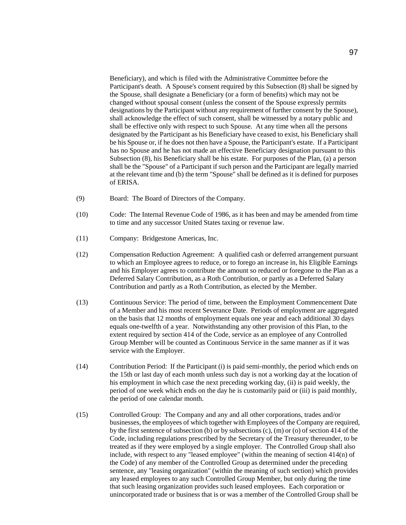Beneficiary), and which is filed with the Administrative Committee before the Participant's death. A Spouse's consent required by this Subsection (8) shall be signed by the Spouse, shall designate a Beneficiary (or a form of benefits) which may not be changed without spousal consent (unless the consent of the Spouse expressly permits designations by the Participant without any requirement of further consent by the Spouse), shall acknowledge the effect of such consent, shall be witnessed by a notary public and shall be effective only with respect to such Spouse. At any time when all the persons designated by the Participant as his Beneficiary have ceased to exist, his Beneficiary shall be his Spouse or, if he does not then have a Spouse, the Participant's estate. If a Participant has no Spouse and he has not made an effective Beneficiary designation pursuant to this Subsection (8), his Beneficiary shall be his estate. For purposes of the Plan, (a) a person shall be the "Spouse" of a Participant if such person and the Participant are legally married at the relevant time and (b) the term "Spouse" shall be defined as it is defined for purposes of ERISA.

- (9) Board: The Board of Directors of the Company.
- (10) Code: The Internal Revenue Code of 1986, as it has been and may be amended from time to time and any successor United States taxing or revenue law.
- (11) Company: Bridgestone Americas, Inc.
- (12) Compensation Reduction Agreement: A qualified cash or deferred arrangement pursuant to which an Employee agrees to reduce, or to forego an increase in, his Eligible Earnings and his Employer agrees to contribute the amount so reduced or foregone to the Plan as a Deferred Salary Contribution, as a Roth Contribution, or partly as a Deferred Salary Contribution and partly as a Roth Contribution, as elected by the Member.
- (13) Continuous Service: The period of time, between the Employment Commencement Date of a Member and his most recent Severance Date. Periods of employment are aggregated on the basis that 12 months of employment equals one year and each additional 30 days equals one-twelfth of a year. Notwithstanding any other provision of this Plan, to the extent required by section 414 of the Code, service as an employee of any Controlled Group Member will be counted as Continuous Service in the same manner as if it was service with the Employer.
- (14) Contribution Period: If the Participant (i) is paid semi-monthly, the period which ends on the 15th or last day of each month unless such day is not a working day at the location of his employment in which case the next preceding working day, (ii) is paid weekly, the period of one week which ends on the day he is customarily paid or (iii) is paid monthly, the period of one calendar month.
- (15) Controlled Group: The Company and any and all other corporations, trades and/or businesses, the employees of which together with Employees of the Company are required, by the first sentence of subsection (b) or by subsections (c), (m) or (o) of section 414 of the Code, including regulations prescribed by the Secretary of the Treasury thereunder, to be treated as if they were employed by a single employer. The Controlled Group shall also include, with respect to any "leased employee" (within the meaning of section 414(n) of the Code) of any member of the Controlled Group as determined under the preceding sentence, any "leasing organization" (within the meaning of such section) which provides any leased employees to any such Controlled Group Member, but only during the time that such leasing organization provides such leased employees. Each corporation or unincorporated trade or business that is or was a member of the Controlled Group shall be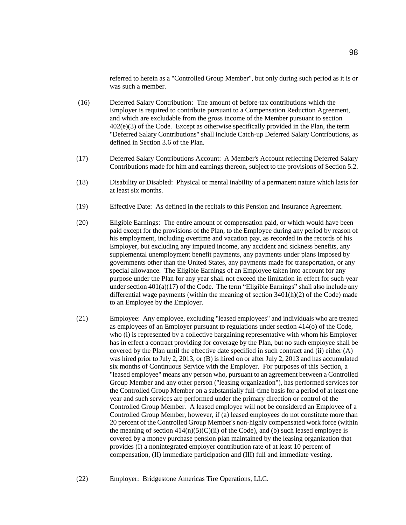referred to herein as a "Controlled Group Member", but only during such period as it is or was such a member.

- (16) Deferred Salary Contribution: The amount of before-tax contributions which the Employer is required to contribute pursuant to a Compensation Reduction Agreement, and which are excludable from the gross income of the Member pursuant to section 402(e)(3) of the Code. Except as otherwise specifically provided in the Plan, the term "Deferred Salary Contributions" shall include Catch-up Deferred Salary Contributions, as defined in Section 3.6 of the Plan.
- (17) Deferred Salary Contributions Account: A Member's Account reflecting Deferred Salary Contributions made for him and earnings thereon, subject to the provisions of Section 5.2.
- (18) Disability or Disabled: Physical or mental inability of a permanent nature which lasts for at least six months.
- (19) Effective Date: As defined in the recitals to this Pension and Insurance Agreement.
- (20) Eligible Earnings: The entire amount of compensation paid, or which would have been paid except for the provisions of the Plan, to the Employee during any period by reason of his employment, including overtime and vacation pay, as recorded in the records of his Employer, but excluding any imputed income, any accident and sickness benefits, any supplemental unemployment benefit payments, any payments under plans imposed by governments other than the United States, any payments made for transportation, or any special allowance. The Eligible Earnings of an Employee taken into account for any purpose under the Plan for any year shall not exceed the limitation in effect for such year under section  $401(a)(17)$  of the Code. The term "Eligible Earnings" shall also include any differential wage payments (within the meaning of section 3401(h)(2) of the Code) made to an Employee by the Employer.
- (21) Employee: Any employee, excluding "leased employees" and individuals who are treated as employees of an Employer pursuant to regulations under section 414(o) of the Code, who (i) is represented by a collective bargaining representative with whom his Employer has in effect a contract providing for coverage by the Plan, but no such employee shall be covered by the Plan until the effective date specified in such contract and (ii) either (A) was hired prior to July 2, 2013, or (B) is hired on or after July 2, 2013 and has accumulated six months of Continuous Service with the Employer. For purposes of this Section, a "leased employee" means any person who, pursuant to an agreement between a Controlled Group Member and any other person ("leasing organization"), has performed services for the Controlled Group Member on a substantially full-time basis for a period of at least one year and such services are performed under the primary direction or control of the Controlled Group Member. A leased employee will not be considered an Employee of a Controlled Group Member, however, if (a) leased employees do not constitute more than 20 percent of the Controlled Group Member's non-highly compensated work force (within the meaning of section  $414(n)(5)(C)(ii)$  of the Code), and (b) such leased employee is covered by a money purchase pension plan maintained by the leasing organization that provides (I) a nonintegrated employer contribution rate of at least 10 percent of compensation, (II) immediate participation and (III) full and immediate vesting.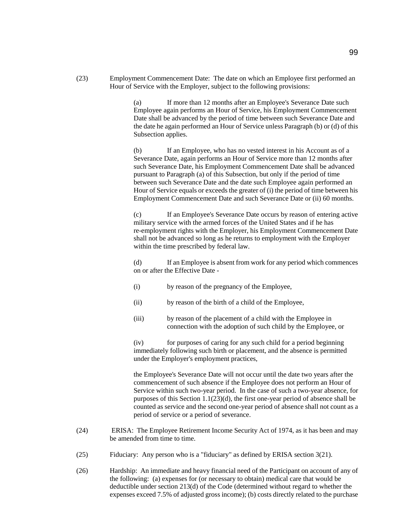(23) Employment Commencement Date: The date on which an Employee first performed an Hour of Service with the Employer, subject to the following provisions:

> (a) If more than 12 months after an Employee's Severance Date such Employee again performs an Hour of Service, his Employment Commencement Date shall be advanced by the period of time between such Severance Date and the date he again performed an Hour of Service unless Paragraph (b) or (d) of this Subsection applies.

> (b) If an Employee, who has no vested interest in his Account as of a Severance Date, again performs an Hour of Service more than 12 months after such Severance Date, his Employment Commencement Date shall be advanced pursuant to Paragraph (a) of this Subsection, but only if the period of time between such Severance Date and the date such Employee again performed an Hour of Service equals or exceeds the greater of (i) the period of time between his Employment Commencement Date and such Severance Date or (ii) 60 months.

> (c) If an Employee's Severance Date occurs by reason of entering active military service with the armed forces of the United States and if he has re-employment rights with the Employer, his Employment Commencement Date shall not be advanced so long as he returns to employment with the Employer within the time prescribed by federal law.

> (d) If an Employee is absent from work for any period which commences on or after the Effective Date -

- (i) by reason of the pregnancy of the Employee,
- (ii) by reason of the birth of a child of the Employee,
- (iii) by reason of the placement of a child with the Employee in connection with the adoption of such child by the Employee, or

(iv) for purposes of caring for any such child for a period beginning immediately following such birth or placement, and the absence is permitted under the Employer's employment practices,

the Employee's Severance Date will not occur until the date two years after the commencement of such absence if the Employee does not perform an Hour of Service within such two-year period. In the case of such a two-year absence, for purposes of this Section 1.1(23)(d), the first one-year period of absence shall be counted as service and the second one-year period of absence shall not count as a period of service or a period of severance.

- (24) ERISA: The Employee Retirement Income Security Act of 1974, as it has been and may be amended from time to time.
- (25) Fiduciary: Any person who is a "fiduciary" as defined by ERISA section 3(21).
- (26) Hardship: An immediate and heavy financial need of the Participant on account of any of the following: (a) expenses for (or necessary to obtain) medical care that would be deductible under section 213(d) of the Code (determined without regard to whether the expenses exceed 7.5% of adjusted gross income); (b) costs directly related to the purchase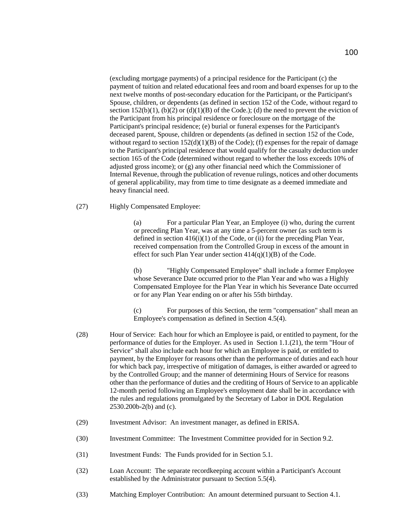(excluding mortgage payments) of a principal residence for the Participant (c) the payment of tuition and related educational fees and room and board expenses for up to the next twelve months of post-secondary education for the Participant, or the Participant's Spouse, children, or dependents (as defined in section 152 of the Code, without regard to section 152(b)(1), (b)(2) or (d)(1)(B) of the Code.); (d) the need to prevent the eviction of the Participant from his principal residence or foreclosure on the mortgage of the Participant's principal residence; (e) burial or funeral expenses for the Participant's deceased parent, Spouse, children or dependents (as defined in section 152 of the Code, without regard to section  $152(d)(1)(B)$  of the Code); (f) expenses for the repair of damage to the Participant's principal residence that would qualify for the casualty deduction under section 165 of the Code (determined without regard to whether the loss exceeds 10% of adjusted gross income); or  $(g)$  any other financial need which the Commissioner of Internal Revenue, through the publication of revenue rulings, notices and other documents of general applicability, may from time to time designate as a deemed immediate and heavy financial need.

(27) Highly Compensated Employee:

(a) For a particular Plan Year, an Employee (i) who, during the current or preceding Plan Year, was at any time a 5-percent owner (as such term is defined in section 416(i)(1) of the Code, or (ii) for the preceding Plan Year, received compensation from the Controlled Group in excess of the amount in effect for such Plan Year under section  $414(q)(1)(B)$  of the Code.

(b) "Highly Compensated Employee" shall include a former Employee whose Severance Date occurred prior to the Plan Year and who was a Highly Compensated Employee for the Plan Year in which his Severance Date occurred or for any Plan Year ending on or after his 55th birthday.

(c) For purposes of this Section, the term "compensation" shall mean an Employee's compensation as defined in Section 4.5(4).

- (28) Hour of Service: Each hour for which an Employee is paid, or entitled to payment, for the performance of duties for the Employer. As used in Section 1.1.(21), the term "Hour of Service" shall also include each hour for which an Employee is paid, or entitled to payment, by the Employer for reasons other than the performance of duties and each hour for which back pay, irrespective of mitigation of damages, is either awarded or agreed to by the Controlled Group; and the manner of determining Hours of Service for reasons other than the performance of duties and the crediting of Hours of Service to an applicable 12-month period following an Employee's employment date shall be in accordance with the rules and regulations promulgated by the Secretary of Labor in DOL Regulation 2530.200b-2(b) and (c).
- (29) Investment Advisor: An investment manager, as defined in ERISA.
- (30) Investment Committee: The Investment Committee provided for in Section 9.2.
- (31) Investment Funds: The Funds provided for in Section 5.1.
- (32) Loan Account: The separate recordkeeping account within a Participant's Account established by the Administrator pursuant to Section 5.5(4).
- (33) Matching Employer Contribution: An amount determined pursuant to Section 4.1.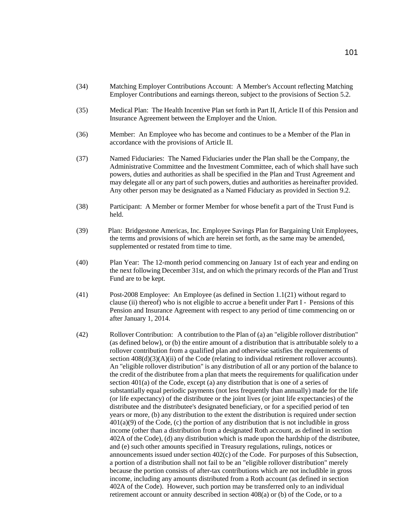- (34) Matching Employer Contributions Account: A Member's Account reflecting Matching Employer Contributions and earnings thereon, subject to the provisions of Section 5.2.
- (35) Medical Plan: The Health Incentive Plan set forth in Part II, Article II of this Pension and Insurance Agreement between the Employer and the Union.
- (36) Member: An Employee who has become and continues to be a Member of the Plan in accordance with the provisions of Article II.
- (37) Named Fiduciaries: The Named Fiduciaries under the Plan shall be the Company, the Administrative Committee and the Investment Committee, each of which shall have such powers, duties and authorities as shall be specified in the Plan and Trust Agreement and may delegate all or any part of such powers, duties and authorities as hereinafter provided. Any other person may be designated as a Named Fiduciary as provided in Section 9.2.
- (38) Participant: A Member or former Member for whose benefit a part of the Trust Fund is held.
- (39) Plan: Bridgestone Americas, Inc. Employee Savings Plan for Bargaining Unit Employees, the terms and provisions of which are herein set forth, as the same may be amended, supplemented or restated from time to time.
- (40) Plan Year: The 12-month period commencing on January 1st of each year and ending on the next following December 31st, and on which the primary records of the Plan and Trust Fund are to be kept.
- (41) Post-2008 Employee: An Employee (as defined in Section 1.1(21) without regard to clause (ii) thereof) who is not eligible to accrue a benefit under Part I - Pensions of this Pension and Insurance Agreement with respect to any period of time commencing on or after January 1, 2014.
- (42) Rollover Contribution: A contribution to the Plan of (a) an "eligible rollover distribution" (as defined below), or (b) the entire amount of a distribution that is attributable solely to a rollover contribution from a qualified plan and otherwise satisfies the requirements of section  $408(d)(3)(A)(ii)$  of the Code (relating to individual retirement rollover accounts). An "eligible rollover distribution" is any distribution of all or any portion of the balance to the credit of the distributee from a plan that meets the requirements for qualification under section 401(a) of the Code, except (a) any distribution that is one of a series of substantially equal periodic payments (not less frequently than annually) made for the life (or life expectancy) of the distributee or the joint lives (or joint life expectancies) of the distributee and the distributee's designated beneficiary, or for a specified period of ten years or more, (b) any distribution to the extent the distribution is required under section 401(a)(9) of the Code, (c) the portion of any distribution that is not includible in gross income (other than a distribution from a designated Roth account, as defined in section 402A of the Code), (d) any distribution which is made upon the hardship of the distributee, and (e) such other amounts specified in Treasury regulations, rulings, notices or announcements issued under section 402(c) of the Code. For purposes of this Subsection, a portion of a distribution shall not fail to be an "eligible rollover distribution" merely because the portion consists of after-tax contributions which are not includible in gross income, including any amounts distributed from a Roth account (as defined in section 402A of the Code). However, such portion may be transferred only to an individual retirement account or annuity described in section 408(a) or (b) of the Code, or to a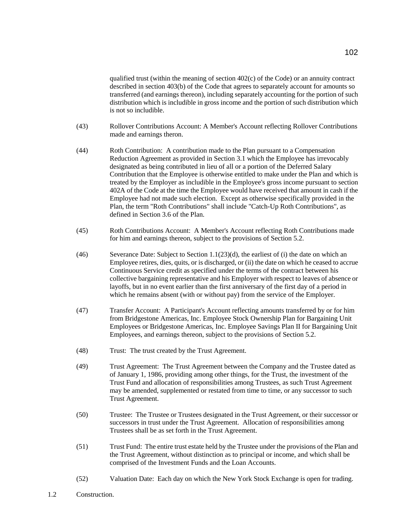qualified trust (within the meaning of section 402(c) of the Code) or an annuity contract described in section 403(b) of the Code that agrees to separately account for amounts so transferred (and earnings thereon), including separately accounting for the portion of such distribution which is includible in gross income and the portion of such distribution which is not so includible.

- (43) Rollover Contributions Account: A Member's Account reflecting Rollover Contributions made and earnings theron.
- (44) Roth Contribution: A contribution made to the Plan pursuant to a Compensation Reduction Agreement as provided in Section 3.1 which the Employee has irrevocably designated as being contributed in lieu of all or a portion of the Deferred Salary Contribution that the Employee is otherwise entitled to make under the Plan and which is treated by the Employer as includible in the Employee's gross income pursuant to section 402A of the Code at the time the Employee would have received that amount in cash if the Employee had not made such election. Except as otherwise specifically provided in the Plan, the term "Roth Contributions" shall include "Catch-Up Roth Contributions", as defined in Section 3.6 of the Plan.
- (45) Roth Contributions Account: A Member's Account reflecting Roth Contributions made for him and earnings thereon, subject to the provisions of Section 5.2.
- (46) Severance Date: Subject to Section 1.1(23)(d), the earliest of (i) the date on which an Employee retires, dies, quits, or is discharged, or (ii) the date on which he ceased to accrue Continuous Service credit as specified under the terms of the contract between his collective bargaining representative and his Employer with respect to leaves of absence or layoffs, but in no event earlier than the first anniversary of the first day of a period in which he remains absent (with or without pay) from the service of the Employer.
- (47) Transfer Account: A Participant's Account reflecting amounts transferred by or for him from Bridgestone Americas, Inc. Employee Stock Ownership Plan for Bargaining Unit Employees or Bridgestone Americas, Inc. Employee Savings Plan II for Bargaining Unit Employees, and earnings thereon, subject to the provisions of Section 5.2.
- (48) Trust: The trust created by the Trust Agreement.
- (49) Trust Agreement: The Trust Agreement between the Company and the Trustee dated as of January 1, 1986, providing among other things, for the Trust, the investment of the Trust Fund and allocation of responsibilities among Trustees, as such Trust Agreement may be amended, supplemented or restated from time to time, or any successor to such Trust Agreement.
- (50) Trustee: The Trustee or Trustees designated in the Trust Agreement, or their successor or successors in trust under the Trust Agreement. Allocation of responsibilities among Trustees shall be as set forth in the Trust Agreement.
- (51) Trust Fund: The entire trust estate held by the Trustee under the provisions of the Plan and the Trust Agreement, without distinction as to principal or income, and which shall be comprised of the Investment Funds and the Loan Accounts.
- (52) Valuation Date: Each day on which the New York Stock Exchange is open for trading.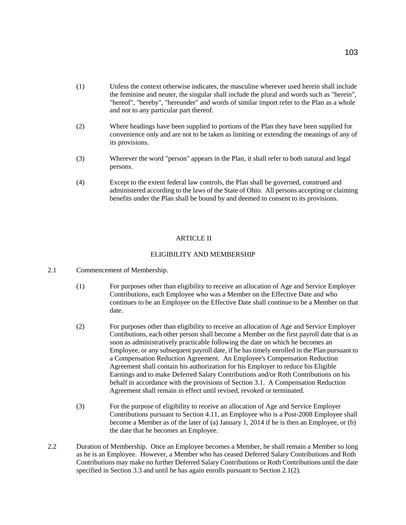- (1) Unless the context otherwise indicates, the masculine wherever used herein shall include the feminine and neuter, the singular shall include the plural and words such as "herein", "hereof", "hereby", "hereunder" and words of similar import refer to the Plan as a whole and not to any particular part thereof.
- (2) Where headings have been supplied to portions of the Plan they have been supplied for convenience only and are not to be taken as limiting or extending the meanings of any of its provisions.
- (3) Wherever the word "person" appears in the Plan, it shall refer to both natural and legal persons.
- (4) Except to the extent federal law controls, the Plan shall be governed, construed and administered according to the laws of the State of Ohio. All persons accepting or claiming benefits under the Plan shall be bound by and deemed to consent to its provisions.

## ARTICLE II

### ELIGIBILITY AND MEMBERSHIP

- 2.1 Commencement of Membership.
	- (1) For purposes other than eligibility to receive an allocation of Age and Service Employer Contributions, each Employee who was a Member on the Effective Date and who continues to be an Employee on the Effective Date shall continue to be a Member on that date.
	- (2) For purposes other than eligibility to receive an allocation of Age and Service Employer Contibutions, each other person shall become a Member on the first payroll date that is as soon as administratively practicable following the date on which he becomes an Employee, or any subsequent payroll date, if he has timely enrolled in the Plan pursuant to a Compensation Reduction Agreement. An Employee's Compensation Reduction Agreement shall contain his authorization for his Employer to reduce his Eligible Earnings and to make Deferred Salary Contributions and/or Roth Contributions on his behalf in accordance with the provisions of Section 3.1. A Compensation Reduction Agreement shall remain in effect until revised, revoked or terminated.
	- (3) For the purpose of eligibility to receive an allocation of Age and Service Employer Contributions pursuant to Section 4.11, an Employee who is a Post-2008 Employee shall become a Member as of the later of (a) January 1, 2014 if he is then an Employee, or (b) the date that he becomes an Employee.
- 2.2 Duration of Membership. Once an Employee becomes a Member, he shall remain a Member so long as he is an Employee. However, a Member who has ceased Deferred Salary Contributions and Roth Contributions may make no further Deferred Salary Contributions or Roth Contributions until the date specified in Section 3.3 and until he has again enrolls pursuant to Section 2.1(2).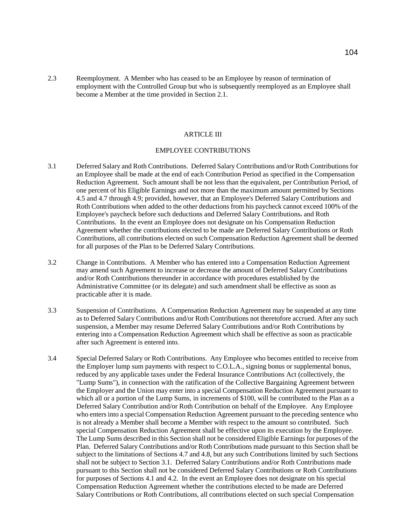2.3 Reemployment. A Member who has ceased to be an Employee by reason of termination of employment with the Controlled Group but who is subsequently reemployed as an Employee shall become a Member at the time provided in Section 2.1.

#### ARTICLE III

#### EMPLOYEE CONTRIBUTIONS

- 3.1 Deferred Salary and Roth Contributions. Deferred Salary Contributions and/or Roth Contributions for an Employee shall be made at the end of each Contribution Period as specified in the Compensation Reduction Agreement. Such amount shall be not less than the equivalent, per Contribution Period, of one percent of his Eligible Earnings and not more than the maximum amount permitted by Sections 4.5 and 4.7 through 4.9; provided, however, that an Employee's Deferred Salary Contributions and Roth Contributions when added to the other deductions from his paycheck cannot exceed 100% of the Employee's paycheck before such deductions and Deferred Salary Contributions. and Roth Contributions. In the event an Employee does not designate on his Compensation Reduction Agreement whether the contributions elected to be made are Deferred Salary Contributions or Roth Contributions, all contributions elected on such Compensation Reduction Agreement shall be deemed for all purposes of the Plan to be Deferred Salary Contributions.
- 3.2 Change in Contributions. A Member who has entered into a Compensation Reduction Agreement may amend such Agreement to increase or decrease the amount of Deferred Salary Contributions and/or Roth Contributions thereunder in accordance with procedures established by the Administrative Committee (or its delegate) and such amendment shall be effective as soon as practicable after it is made.
- 3.3 Suspension of Contributions. A Compensation Reduction Agreement may be suspended at any time as to Deferred Salary Contributions and/or Roth Contributions not theretofore accrued. After any such suspension, a Member may resume Deferred Salary Contributions and/or Roth Contributions by entering into a Compensation Reduction Agreement which shall be effective as soon as practicable after such Agreement is entered into.
- 3.4 Special Deferred Salary or Roth Contributions. Any Employee who becomes entitled to receive from the Employer lump sum payments with respect to C.O.L.A., signing bonus or supplemental bonus, reduced by any applicable taxes under the Federal Insurance Contributions Act (collectively, the "Lump Sums"), in connection with the ratification of the Collective Bargaining Agreement between the Employer and the Union may enter into a special Compensation Reduction Agreement pursuant to which all or a portion of the Lump Sums, in increments of \$100, will be contributed to the Plan as a Deferred Salary Contribution and/or Roth Contribution on behalf of the Employee. Any Employee who enters into a special Compensation Reduction Agreement pursuant to the preceding sentence who is not already a Member shall become a Member with respect to the amount so contributed. Such special Compensation Reduction Agreement shall be effective upon its execution by the Employee. The Lump Sums described in this Section shall not be considered Eligible Earnings for purposes of the Plan. Deferred Salary Contributions and/or Roth Contributions made pursuant to this Section shall be subject to the limitations of Sections 4.7 and 4.8, but any such Contributions limited by such Sections shall not be subject to Section 3.1. Deferred Salary Contributions and/or Roth Contributions made pursuant to this Section shall not be considered Deferred Salary Contributions or Roth Contributions for purposes of Sections 4.1 and 4.2. In the event an Employee does not designate on his special Compensation Reduction Agreement whether the contributions elected to be made are Deferred Salary Contributions or Roth Contributions, all contributions elected on such special Compensation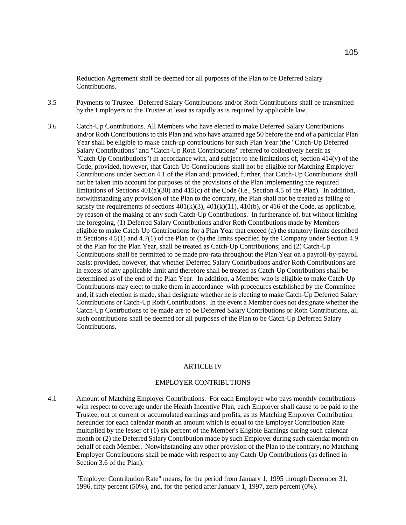Reduction Agreement shall be deemed for all purposes of the Plan to be Deferred Salary **Contributions** 

- 3.5 Payments to Trustee. Deferred Salary Contributions and/or Roth Contributions shall be transmitted by the Employers to the Trustee at least as rapidly as is required by applicable law.
- 3.6 Catch-Up Contributions. All Members who have elected to make Deferred Salary Contributions and/or Roth Contributions to this Plan and who have attained age 50 before the end of a particular Plan Year shall be eligible to make catch-up contributions for such Plan Year (the "Catch-Up Deferred Salary Contributions" and "Catch-Up Roth Contributions" referred to collectively herein as "Catch-Up Contributions") in accordance with, and subject to the limitations of, section 414(v) of the Code; provided, however, that Catch-Up Contributions shall not be eligible for Matching Employer Contributions under Section 4.1 of the Plan and; provided, further, that Catch-Up Contributions shall not be taken into account for purposes of the provisions of the Plan implementing the required limitations of Sections 401(a)(30) and 415(c) of the Code (i.e., Section 4.5 of the Plan). In addition, notwithstanding any provision of the Plan to the contrary, the Plan shall not be treated as failing to satisfy the requirements of sections  $401(k)(3)$ ,  $401(k)(11)$ ,  $410(b)$ , or  $416$  of the Code, as applicable, by reason of the making of any such Catch-Up Contributions. In furtherance of, but without limiting the foregoing, (1) Deferred Salary Contributions and/or Roth Contributions made by Members eligible to make Catch-Up Contributions for a Plan Year that exceed (a) the statutory limits described in Sections 4.5(1) and 4.7(1) of the Plan or (b) the limits specified by the Company under Section 4.9 of the Plan for the Plan Year, shall be treated as Catch-Up Contributions; and (2) Catch-Up Contributions shall be permitted to be made pro-rata throughout the Plan Year on a payroll-by-payroll basis; provided, however, that whether Deferred Salary Contributions and/or Roth Contributions are in excess of any applicable limit and therefore shall be treated as Catch-Up Contributions shall be determined as of the end of the Plan Year. In addition, a Member who is eligible to make Catch-Up Contributions may elect to make them in accordance with procedures established by the Committee and, if such election is made, shall designate whether he is electing to make Catch-Up Deferred Salary Contributions or Catch-Up Roth Contributions. In the event a Member does not designate whether the Catch-Up Contrbutions to be made are to be Deferred Salary Contributions or Roth Contributions, all such contributions shall be deemed for all purposes of the Plan to be Catch-Up Deferred Salary **Contributions**

#### ARTICLE IV

# EMPLOYER CONTRIBUTIONS

4.1 Amount of Matching Employer Contributions. For each Employee who pays monthly contributions with respect to coverage under the Health Incentive Plan, each Employer shall cause to be paid to the Trustee, out of current or accumulated earnings and profits, as its Matching Employer Contribution hereunder for each calendar month an amount which is equal to the Employer Contribution Rate multiplied by the lesser of (1) six percent of the Member's Eligible Earnings during such calendar month or (2) the Deferred Salary Contribution made by such Employer during such calendar month on behalf of each Member. Notwithstanding any other provision of the Plan to the contrary, no Matching Employer Contributions shall be made with respect to any Catch-Up Contributions (as defined in Section 3.6 of the Plan).

"Employer Contribution Rate" means, for the period from January 1, 1995 through December 31, 1996, fifty percent (50%), and, for the period after January 1, 1997, zero percent (0%).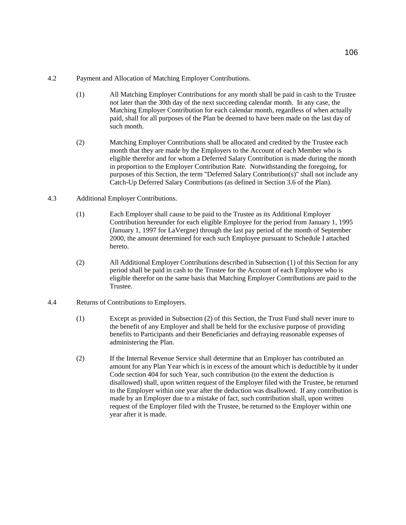# 4.2 Payment and Allocation of Matching Employer Contributions.

- (1) All Matching Employer Contributions for any month shall be paid in cash to the Trustee not later than the 30th day of the next succeeding calendar month. In any case, the Matching Employer Contribution for each calendar month, regardless of when actually paid, shall for all purposes of the Plan be deemed to have been made on the last day of such month.
- (2) Matching Employer Contributions shall be allocated and credited by the Trustee each month that they are made by the Employers to the Account of each Member who is eligible therefor and for whom a Deferred Salary Contribution is made during the month in proportion to the Employer Contribution Rate. Notwithstanding the foregoing, for purposes of this Section, the term "Deferred Salary Contribution(s)" shall not include any Catch-Up Deferred Salary Contributions (as defined in Section 3.6 of the Plan).
- 4.3 Additional Employer Contributions.
	- (1) Each Employer shall cause to be paid to the Trustee as its Additional Employer Contribution hereunder for each eligible Employee for the period from January 1, 1995 (January 1, 1997 for LaVergne) through the last pay period of the month of September 2000, the amount determined for each such Employee pursuant to Schedule I attached hereto.
	- (2) All Additional Employer Contributions described in Subsection (1) of this Section for any period shall be paid in cash to the Trustee for the Account of each Employee who is eligible therefor on the same basis that Matching Employer Contributions are paid to the Trustee.
- 4.4 Returns of Contributions to Employers.
	- (1) Except as provided in Subsection (2) of this Section, the Trust Fund shall never inure to the benefit of any Employer and shall be held for the exclusive purpose of providing benefits to Participants and their Beneficiaries and defraying reasonable expenses of administering the Plan.
	- (2) If the Internal Revenue Service shall determine that an Employer has contributed an amount for any Plan Year which is in excess of the amount which is deductible by it under Code section 404 for such Year, such contribution (to the extent the deduction is disallowed) shall, upon written request of the Employer filed with the Trustee, be returned to the Employer within one year after the deduction was disallowed. If any contribution is made by an Employer due to a mistake of fact, such contribution shall, upon written request of the Employer filed with the Trustee, be returned to the Employer within one year after it is made.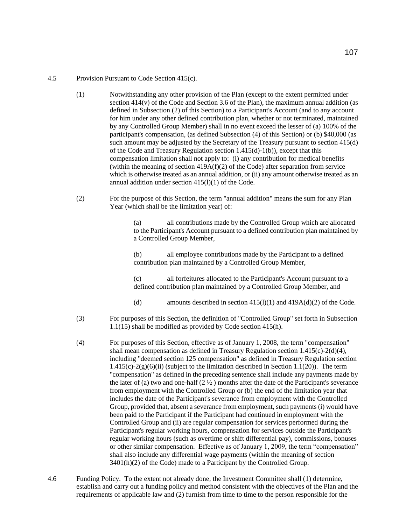# 4.5 Provision Pursuant to Code Section 415(c).

- (1) Notwithstanding any other provision of the Plan (except to the extent permitted under section 414(v) of the Code and Section 3.6 of the Plan), the maximum annual addition (as defined in Subsection (2) of this Section) to a Participant's Account (and to any account for him under any other defined contribution plan, whether or not terminated, maintained by any Controlled Group Member) shall in no event exceed the lesser of (a) 100% of the participant's compensation, (as defined Subsection (4) of this Section) or (b) \$40,000 (as such amount may be adjusted by the Secretary of the Treasury pursuant to section 415(d) of the Code and Treasury Regulation section 1.415(d)-1(b)), except that this compensation limitation shall not apply to: (i) any contribution for medical benefits (within the meaning of section  $419A(f)(2)$  of the Code) after separation from service which is otherwise treated as an annual addition, or (ii) any amount otherwise treated as an annual addition under section  $415(1)(1)$  of the Code.
- (2) For the purpose of this Section, the term "annual addition" means the sum for any Plan Year (which shall be the limitation year) of:

(a) all contributions made by the Controlled Group which are allocated to the Participant's Account pursuant to a defined contribution plan maintained by a Controlled Group Member,

(b) all employee contributions made by the Participant to a defined contribution plan maintained by a Controlled Group Member,

(c) all forfeitures allocated to the Participant's Account pursuant to a defined contribution plan maintained by a Controlled Group Member, and

- (d) amounts described in section  $415(l)(1)$  and  $419A(d)(2)$  of the Code.
- (3) For purposes of this Section, the definition of "Controlled Group" set forth in Subsection 1.1(15) shall be modified as provided by Code section 415(h).
- (4) For purposes of this Section, effective as of January 1, 2008, the term "compensation" shall mean compensation as defined in Treasury Regulation section 1.415(c)-2(d)(4), including "deemed section 125 compensation" as defined in Treasury Regulation section  $1.415(c) - 2(g)(6)(ii)$  (subject to the limitation described in Section 1.1(20)). The term "compensation" as defined in the preceding sentence shall include any payments made by the later of (a) two and one-half  $(2 \frac{1}{2})$  months after the date of the Participant's severance from employment with the Controlled Group or (b) the end of the limitation year that includes the date of the Participant's severance from employment with the Controlled Group, provided that, absent a severance from employment, such payments (i) would have been paid to the Participant if the Participant had continued in employment with the Controlled Group and (ii) are regular compensation for services performed during the Participant's regular working hours, compensation for services outside the Participant's regular working hours (such as overtime or shift differential pay), commissions, bonuses or other similar compensation. Effective as of January 1, 2009, the term "compensation" shall also include any differential wage payments (within the meaning of section 3401(h)(2) of the Code) made to a Participant by the Controlled Group.
- 4.6 Funding Policy. To the extent not already done, the Investment Committee shall (1) determine, establish and carry out a funding policy and method consistent with the objectives of the Plan and the requirements of applicable law and (2) furnish from time to time to the person responsible for the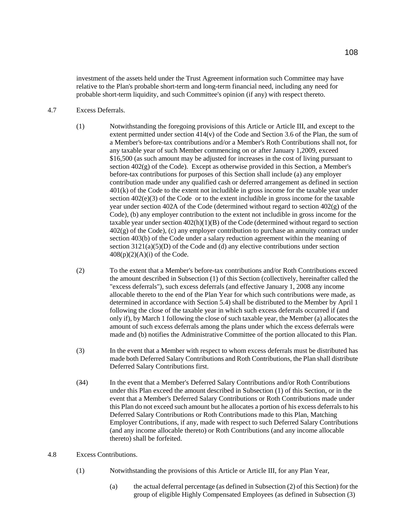investment of the assets held under the Trust Agreement information such Committee may have relative to the Plan's probable short-term and long-term financial need, including any need for probable short-term liquidity, and such Committee's opinion (if any) with respect thereto.

## 4.7 Excess Deferrals.

- (1) Notwithstanding the foregoing provisions of this Article or Article III, and except to the extent permitted under section  $414(v)$  of the Code and Section 3.6 of the Plan, the sum of a Member's before-tax contributions and/or a Member's Roth Contributions shall not, for any taxable year of such Member commencing on or after January 1,2009, exceed \$16,500 (as such amount may be adjusted for increases in the cost of living pursuant to section  $402(g)$  of the Code). Except as otherwise provided in this Section, a Member's before-tax contributions for purposes of this Section shall include (a) any employer contribution made under any qualified cash or deferred arrangement as defined in section 401(k) of the Code to the extent not includible in gross income for the taxable year under section 402(e)(3) of the Code or to the extent includible in gross income for the taxable year under section 402A of the Code (determined without regard to section 402(g) of the Code), (b) any employer contribution to the extent not includible in gross income for the taxable year under section 402(h)(1)(B) of the Code (determined without regard to section 402(g) of the Code), (c) any employer contribution to purchase an annuity contract under section 403(b) of the Code under a salary reduction agreement within the meaning of section  $3121(a)(5)(D)$  of the Code and (d) any elective contributions under section  $408(p)(2)(A)(i)$  of the Code.
- (2) To the extent that a Member's before-tax contributions and/or Roth Contributions exceed the amount described in Subsection (1) of this Section (collectively, hereinafter called the "excess deferrals"), such excess deferrals (and effective January 1, 2008 any income allocable thereto to the end of the Plan Year for which such contributions were made, as determined in accordance with Section 5.4) shall be distributed to the Member by April 1 following the close of the taxable year in which such excess deferrals occurred if (and only if), by March 1 following the close of such taxable year, the Member (a) allocates the amount of such excess deferrals among the plans under which the excess deferrals were made and (b) notifies the Administrative Committee of the portion allocated to this Plan.
- (3) In the event that a Member with respect to whom excess deferrals must be distributed has made both Deferred Salary Contributions and Roth Contributions, the Plan shall distribute Deferred Salary Contributions first.
- (34) In the event that a Member's Deferred Salary Contributions and/or Roth Contributions under this Plan exceed the amount described in Subsection (1) of this Section, or in the event that a Member's Deferred Salary Contributions or Roth Contributions made under this Plan do not exceed such amount but he allocates a portion of his excess deferrals to his Deferred Salary Contributions or Roth Contributions made to this Plan, Matching Employer Contributions, if any, made with respect to such Deferred Salary Contributions (and any income allocable thereto) or Roth Contributions (and any income allocable thereto) shall be forfeited.

# 4.8 Excess Contributions.

- (1) Notwithstanding the provisions of this Article or Article III, for any Plan Year,
	- (a) the actual deferral percentage (as defined in Subsection (2) of this Section) for the group of eligible Highly Compensated Employees (as defined in Subsection (3)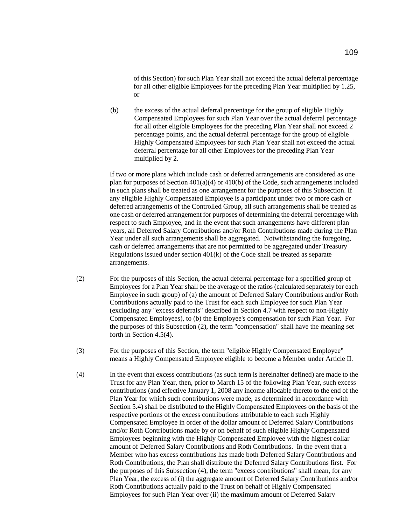of this Section) for such Plan Year shall not exceed the actual deferral percentage for all other eligible Employees for the preceding Plan Year multiplied by 1.25, or

(b) the excess of the actual deferral percentage for the group of eligible Highly Compensated Employees for such Plan Year over the actual deferral percentage for all other eligible Employees for the preceding Plan Year shall not exceed 2 percentage points, and the actual deferral percentage for the group of eligible Highly Compensated Employees for such Plan Year shall not exceed the actual deferral percentage for all other Employees for the preceding Plan Year multiplied by 2.

If two or more plans which include cash or deferred arrangements are considered as one plan for purposes of Section 401(a)(4) or 410(b) of the Code, such arrangements included in such plans shall be treated as one arrangement for the purposes of this Subsection. If any eligible Highly Compensated Employee is a participant under two or more cash or deferred arrangements of the Controlled Group, all such arrangements shall be treated as one cash or deferred arrangement for purposes of determining the deferral percentage with respect to such Employee, and in the event that such arrangements have different plan years, all Deferred Salary Contributions and/or Roth Contributions made during the Plan Year under all such arrangements shall be aggregated. Notwithstanding the foregoing, cash or deferred arrangements that are not permitted to be aggregated under Treasury Regulations issued under section 401(k) of the Code shall be treated as separate arrangements.

- (2) For the purposes of this Section, the actual deferral percentage for a specified group of Employees for a Plan Year shall be the average of the ratios (calculated separately for each Employee in such group) of (a) the amount of Deferred Salary Contributions and/or Roth Contributions actually paid to the Trust for each such Employee for such Plan Year (excluding any "excess deferrals" described in Section 4.7 with respect to non-Highly Compensated Employees), to (b) the Employee's compensation for such Plan Year. For the purposes of this Subsection (2), the term "compensation" shall have the meaning set forth in Section 4.5(4).
- (3) For the purposes of this Section, the term "eligible Highly Compensated Employee" means a Highly Compensated Employee eligible to become a Member under Article II.
- (4) In the event that excess contributions (as such term is hereinafter defined) are made to the Trust for any Plan Year, then, prior to March 15 of the following Plan Year, such excess contributions (and effective January 1, 2008 any income allocable thereto to the end of the Plan Year for which such contributions were made, as determined in accordance with Section 5.4) shall be distributed to the Highly Compensated Employees on the basis of the respective portions of the excess contributions attributable to each such Highly Compensated Employee in order of the dollar amount of Deferred Salary Contributions and/or Roth Contributions made by or on behalf of such eligible Highly Compensated Employees beginning with the Highly Compensated Employee with the highest dollar amount of Deferred Salary Contributions and Roth Contributions. In the event that a Member who has excess contributions has made both Deferred Salary Contributions and Roth Contributions, the Plan shall distribute the Deferred Salary Contributions first. For the purposes of this Subsection (4), the term "excess contributions" shall mean, for any Plan Year, the excess of (i) the aggregate amount of Deferred Salary Contributions and/or Roth Contributions actually paid to the Trust on behalf of Highly Compensated Employees for such Plan Year over (ii) the maximum amount of Deferred Salary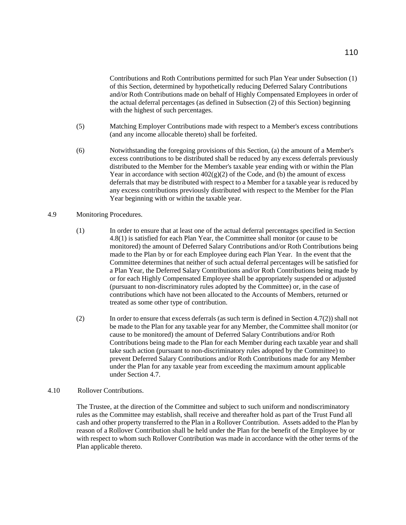Contributions and Roth Contributions permitted for such Plan Year under Subsection (1) of this Section, determined by hypothetically reducing Deferred Salary Contributions and/or Roth Contributions made on behalf of Highly Compensated Employees in order of the actual deferral percentages (as defined in Subsection (2) of this Section) beginning with the highest of such percentages.

- (5) Matching Employer Contributions made with respect to a Member's excess contributions (and any income allocable thereto) shall be forfeited.
- (6) Notwithstanding the foregoing provisions of this Section, (a) the amount of a Member's excess contributions to be distributed shall be reduced by any excess deferrals previously distributed to the Member for the Member's taxable year ending with or within the Plan Year in accordance with section  $402(g)(2)$  of the Code, and (b) the amount of excess deferrals that may be distributed with respect to a Member for a taxable year is reduced by any excess contributions previously distributed with respect to the Member for the Plan Year beginning with or within the taxable year.

## 4.9 Monitoring Procedures.

- (1) In order to ensure that at least one of the actual deferral percentages specified in Section 4.8(1) is satisfied for each Plan Year, the Committee shall monitor (or cause to be monitored) the amount of Deferred Salary Contributions and/or Roth Contributions being made to the Plan by or for each Employee during each Plan Year. In the event that the Committee determines that neither of such actual deferral percentages will be satisfied for a Plan Year, the Deferred Salary Contributions and/or Roth Contributions being made by or for each Highly Compensated Employee shall be appropriately suspended or adjusted (pursuant to non-discriminatory rules adopted by the Committee) or, in the case of contributions which have not been allocated to the Accounts of Members, returned or treated as some other type of contribution.
- (2) In order to ensure that excess deferrals (as such term is defined in Section 4.7(2)) shall not be made to the Plan for any taxable year for any Member, the Committee shall monitor (or cause to be monitored) the amount of Deferred Salary Contributions and/or Roth Contributions being made to the Plan for each Member during each taxable year and shall take such action (pursuant to non-discriminatory rules adopted by the Committee) to prevent Deferred Salary Contributions and/or Roth Contributions made for any Member under the Plan for any taxable year from exceeding the maximum amount applicable under Section 4.7.

## 4.10 Rollover Contributions.

The Trustee, at the direction of the Committee and subject to such uniform and nondiscriminatory rules as the Committee may establish, shall receive and thereafter hold as part of the Trust Fund all cash and other property transferred to the Plan in a Rollover Contribution. Assets added to the Plan by reason of a Rollover Contribution shall be held under the Plan for the benefit of the Employee by or with respect to whom such Rollover Contribution was made in accordance with the other terms of the Plan applicable thereto.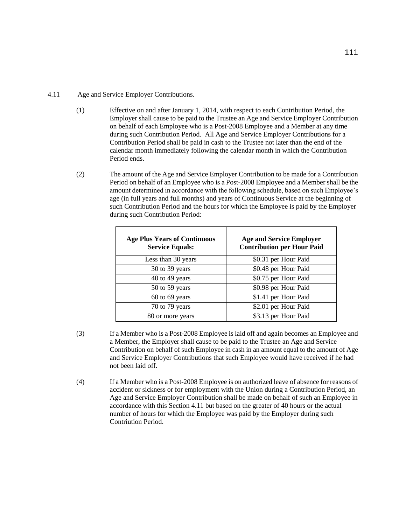## 4.11 Age and Service Employer Contributions.

- (1) Effective on and after January 1, 2014, with respect to each Contribution Period, the Employer shall cause to be paid to the Trustee an Age and Service Employer Contribution on behalf of each Employee who is a Post-2008 Employee and a Member at any time during such Contribution Period. All Age and Service Employer Contributions for a Contribution Period shall be paid in cash to the Trustee not later than the end of the calendar month immediately following the calendar month in which the Contribution Period ends.
- (2) The amount of the Age and Service Employer Contribution to be made for a Contribution Period on behalf of an Employee who is a Post-2008 Employee and a Member shall be the amount determined in accordance with the following schedule, based on such Employee's age (in full years and full months) and years of Continuous Service at the beginning of such Contribution Period and the hours for which the Employee is paid by the Employer during such Contribution Period:

| <b>Age Plus Years of Continuous</b><br><b>Service Equals:</b> | <b>Age and Service Employer</b><br><b>Contribution per Hour Paid</b> |
|---------------------------------------------------------------|----------------------------------------------------------------------|
| Less than 30 years                                            | \$0.31 per Hour Paid                                                 |
| 30 to 39 years                                                | \$0.48 per Hour Paid                                                 |
| 40 to 49 years                                                | \$0.75 per Hour Paid                                                 |
| 50 to 59 years                                                | \$0.98 per Hour Paid                                                 |
| $60$ to $69$ years                                            | \$1.41 per Hour Paid                                                 |
| 70 to 79 years                                                | \$2.01 per Hour Paid                                                 |
| 80 or more years                                              | \$3.13 per Hour Paid                                                 |

- (3) If a Member who is a Post-2008 Employee is laid off and again becomes an Employee and a Member, the Employer shall cause to be paid to the Trustee an Age and Service Contribution on behalf of such Employee in cash in an amount equal to the amount of Age and Service Employer Contributions that such Employee would have received if he had not been laid off.
- (4) If a Member who is a Post-2008 Employee is on authorized leave of absence for reasons of accident or sickness or for employment with the Union during a Contribution Period, an Age and Service Employer Contribution shall be made on behalf of such an Employee in accordance with this Section 4.11 but based on the greater of 40 hours or the actual number of hours for which the Employee was paid by the Employer during such Contriution Period.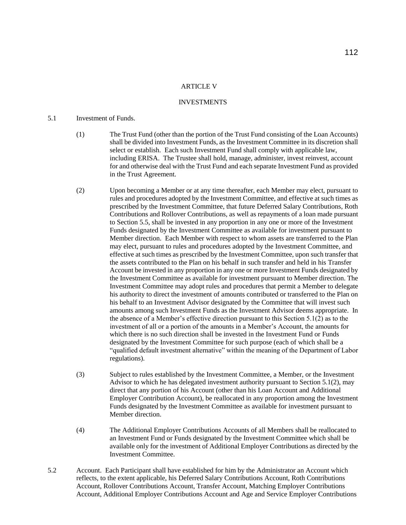#### **ARTICLE V**

# **INVESTMENTS**

# 5.1 Investment of Funds.

- (1) The Trust Fund (other than the portion of the Trust Fund consisting of the Loan Accounts) shall be divided into Investment Funds, as the Investment Committee in its discretion shall select or establish. Each such Investment Fund shall comply with applicable law, including ERISA. The Trustee shall hold, manage, administer, invest reinvest, account for and otherwise deal with the Trust Fund and each separate Investment Fund as provided in the Trust Agreement.
- (2) Upon becoming a Member or at any time thereafter, each Member may elect, pursuant to rules and procedures adopted by the Investment Committee, and effective at such times as prescribed by the Investment Committee, that future Deferred Salary Contributions, Roth Contributions and Rollover Contributions, as well as repayments of a loan made pursuant to Section 5.5, shall be invested in any proportion in any one or more of the Investment Funds designated by the Investment Committee as available for investment pursuant to Member direction. Each Member with respect to whom assets are transferred to the Plan may elect, pursuant to rules and procedures adopted by the Investment Committee, and effective at such times as prescribed by the Investment Committee, upon such transfer that the assets contributed to the Plan on his behalf in such transfer and held in his Transfer Account be invested in any proportion in any one or more Investment Funds designated by the Investment Committee as available for investment pursuant to Member direction. The Investment Committee may adopt rules and procedures that permit a Member to delegate his authority to direct the investment of amounts contributed or transferred to the Plan on his behalf to an Investment Advisor designated by the Committee that will invest such amounts among such Investment Funds as the Investment Advisor deems appropriate. In the absence of a Member's effective direction pursuant to this Section 5.1(2) as to the investment of all or a portion of the amounts in a Member's Account, the amounts for which there is no such direction shall be invested in the Investment Fund or Funds designated by the Investment Committee for such purpose (each of which shall be a "qualified default investment alternative" within the meaning of the Department of Labor regulations).
- (3) Subject to rules established by the Investment Committee, a Member, or the Investment Advisor to which he has delegated investment authority pursuant to Section 5.1(2), may direct that any portion of his Account (other than his Loan Account and Additional Employer Contribution Account), be reallocated in any proportion among the Investment Funds designated by the Investment Committee as available for investment pursuant to Member direction.
- (4) The Additional Employer Contributions Accounts of all Members shall be reallocated to an Investment Fund or Funds designated by the Investment Committee which shall be available only for the investment of Additional Employer Contributions as directed by the Investment Committee.
- 5.2 Account. Each Participant shall have established for him by the Administrator an Account which reflects, to the extent applicable, his Deferred Salary Contributions Account, Roth Contributions Account, Rollover Contributions Account, Transfer Account, Matching Employer Contributions Account, Additional Employer Contributions Account and Age and Service Employer Contributions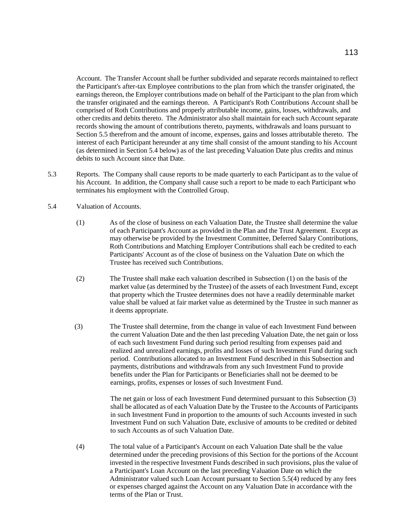Account. The Transfer Account shall be further subdivided and separate records maintained to reflect the Participant's after-tax Employee contributions to the plan from which the transfer originated, the earnings thereon, the Employer contributions made on behalf of the Participant to the plan from which the transfer originated and the earnings thereon. A Participant's Roth Contributions Account shall be comprised of Roth Contributions and properly attributable income, gains, losses, withdrawals, and other credits and debits thereto. The Administrator also shall maintain for each such Account separate records showing the amount of contributions thereto, payments, withdrawals and loans pursuant to Section 5.5 therefrom and the amount of income, expenses, gains and losses attributable thereto. The interest of each Participant hereunder at any time shall consist of the amount standing to his Account (as determined in Section 5.4 below) as of the last preceding Valuation Date plus credits and minus debits to such Account since that Date.

- 5.3 Reports. The Company shall cause reports to be made quarterly to each Participant as to the value of his Account. In addition, the Company shall cause such a report to be made to each Participant who terminates his employment with the Controlled Group.
- 5.4 Valuation of Accounts.
	- (1) As of the close of business on each Valuation Date, the Trustee shall determine the value of each Participant's Account as provided in the Plan and the Trust Agreement. Except as may otherwise be provided by the Investment Committee, Deferred Salary Contributions, Roth Contributions and Matching Employer Contributions shall each be credited to each Participants' Account as of the close of business on the Valuation Date on which the Trustee has received such Contributions.
	- (2) The Trustee shall make each valuation described in Subsection (1) on the basis of the market value (as determined by the Trustee) of the assets of each Investment Fund, except that property which the Trustee determines does not have a readily determinable market value shall be valued at fair market value as determined by the Trustee in such manner as it deems appropriate.
	- (3) The Trustee shall determine, from the change in value of each Investment Fund between the current Valuation Date and the then last preceding Valuation Date, the net gain or loss of each such Investment Fund during such period resulting from expenses paid and realized and unrealized earnings, profits and losses of such Investment Fund during such period. Contributions allocated to an Investment Fund described in this Subsection and payments, distributions and withdrawals from any such Investment Fund to provide benefits under the Plan for Participants or Beneficiaries shall not be deemed to be earnings, profits, expenses or losses of such Investment Fund.

The net gain or loss of each Investment Fund determined pursuant to this Subsection (3) shall be allocated as of each Valuation Date by the Trustee to the Accounts of Participants in such Investment Fund in proportion to the amounts of such Accounts invested in such Investment Fund on such Valuation Date, exclusive of amounts to be credited or debited to such Accounts as of such Valuation Date.

(4) The total value of a Participant's Account on each Valuation Date shall be the value determined under the preceding provisions of this Section for the portions of the Account invested in the respective Investment Funds described in such provisions, plus the value of a Participant's Loan Account on the last preceding Valuation Date on which the Administrator valued such Loan Account pursuant to Section 5.5(4) reduced by any fees or expenses charged against the Account on any Valuation Date in accordance with the terms of the Plan or Trust.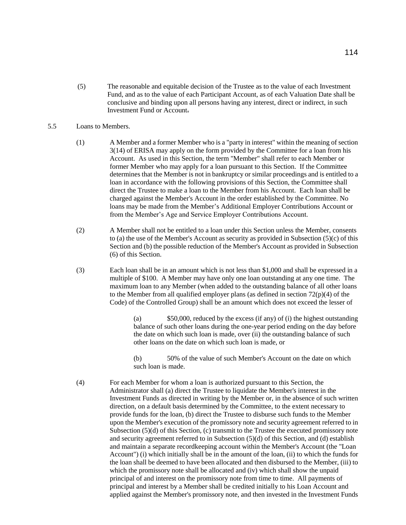(5) The reasonable and equitable decision of the Trustee as to the value of each Investment Fund, and as to the value of each Participant Account, as of each Valuation Date shall be conclusive and binding upon all persons having any interest, direct or indirect, in such Investment Fund or Account.

#### 5.5 Loans to Members.

- (1) A Member and a former Member who is a "party in interest" within the meaning of section 3(14) of ERISA may apply on the form provided by the Committee for a loan from his Account. As used in this Section, the term "Member" shall refer to each Member or former Member who may apply for a loan pursuant to this Section. If the Committee determines that the Member is not in bankruptcy or similar proceedings and is entitled to a loan in accordance with the following provisions of this Section, the Committee shall direct the Trustee to make a loan to the Member from his Account. Each loan shall be charged against the Member's Account in the order established by the Committee. No loans may be made from the Member's Additional Employer Contributions Account or from the Member's Age and Service Employer Contributions Account.
- (2) A Member shall not be entitled to a loan under this Section unless the Member, consents to (a) the use of the Member's Account as security as provided in Subsection (5)(c) of this Section and (b) the possible reduction of the Member's Account as provided in Subsection (6) of this Section.
- (3) Each loan shall be in an amount which is not less than \$1,000 and shall be expressed in a multiple of \$100. A Member may have only one loan outstanding at any one time. The maximum loan to any Member (when added to the outstanding balance of all other loans to the Member from all qualified employer plans (as defined in section 72(p)(4) of the Code) of the Controlled Group) shall be an amount which does not exceed the lesser of

(a) \$50,000, reduced by the excess (if any) of (i) the highest outstanding balance of such other loans during the one-year period ending on the day before the date on which such loan is made, over (ii) the outstanding balance of such other loans on the date on which such loan is made, or

(b) 50% of the value of such Member's Account on the date on which such loan is made.

(4) For each Member for whom a loan is authorized pursuant to this Section, the Administrator shall (a) direct the Trustee to liquidate the Member's interest in the Investment Funds as directed in writing by the Member or, in the absence of such written direction, on a default basis determined by the Committee, to the extent necessary to provide funds for the loan, (b) direct the Trustee to disburse such funds to the Member upon the Member's execution of the promissory note and security agreement referred to in Subsection (5)(d) of this Section, (c) transmit to the Trustee the executed promissory note and security agreement referred to in Subsection (5)(d) of this Section, and (d) establish and maintain a separate recordkeeping account within the Member's Account (the "Loan Account") (i) which initially shall be in the amount of the loan, (ii) to which the funds for the loan shall be deemed to have been allocated and then disbursed to the Member, (iii) to which the promissory note shall be allocated and (iv) which shall show the unpaid principal of and interest on the promissory note from time to time. All payments of principal and interest by a Member shall be credited initially to his Loan Account and applied against the Member's promissory note, and then invested in the Investment Funds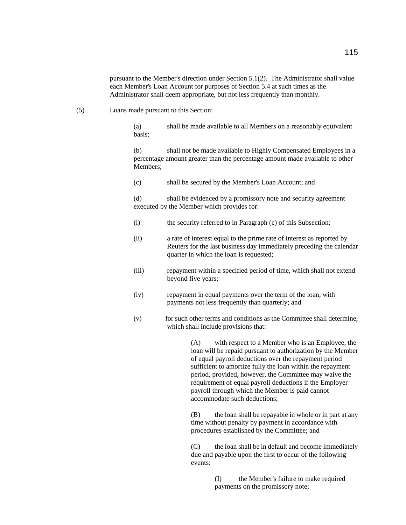pursuant to the Member's direction under Section 5.1(2). The Administrator shall value each Member's Loan Account for purposes of Section 5.4 at such times as the Administrator shall deem appropriate, but not less frequently than monthly.

(5) Loans made pursuant to this Section:

(a) shall be made available to all Members on a reasonably equivalent basis;

(b) shall not be made available to Highly Compensated Employees in a percentage amount greater than the percentage amount made available to other Members;

(c) shall be secured by the Member's Loan Account; and

(d) shall be evidenced by a promissory note and security agreement executed by the Member which provides for:

- (i) the security referred to in Paragraph (c) of this Subsection;
- (ii) a rate of interest equal to the prime rate of interest as reported by Reuters for the last business day immediately preceding the calendar quarter in which the loan is requested;
- (iii) repayment within a specified period of time, which shall not extend beyond five years;
- (iv) repayment in equal payments over the term of the loan, with payments not less frequently than quarterly; and
- (v) for such other terms and conditions as the Committee shall determine, which shall include provisions that:

(A) with respect to a Member who is an Employee, the loan will be repaid pursuant to authorization by the Member of equal payroll deductions over the repayment period sufficient to amortize fully the loan within the repayment period, provided, however, the Committee may waive the requirement of equal payroll deductions if the Employer payroll through which the Member is paid cannot accommodate such deductions;

(B) the loan shall be repayable in whole or in part at any time without penalty by payment in accordance with procedures established by the Committee; and

(C) the loan shall be in default and become immediately due and payable upon the first to occur of the following events:

> (I) the Member's failure to make required payments on the promissory note;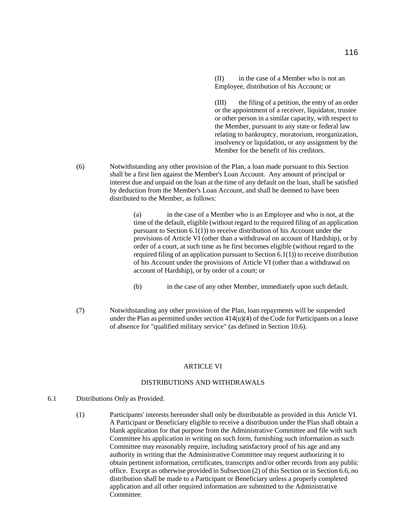(II) in the case of a Member who is not an Employee, distribution of his Account; or

(III) the filing of a petition, the entry of an order or the appointment of a receiver, liquidator, trustee or other person in a similar capacity, with respect to the Member, pursuant to any state or federal law relating to bankruptcy, moratorium, reorganization, insolvency or liquidation, or any assignment by the Member for the benefit of his creditors.

(6) Notwithstanding any other provision of the Plan, a loan made pursuant to this Section shall be a first lien against the Member's Loan Account. Any amount of principal or interest due and unpaid on the loan at the time of any default on the loan, shall be satisfied by deduction from the Member's Loan Account, and shall be deemed to have been distributed to the Member, as follows:

> (a) in the case of a Member who is an Employee and who is not, at the time of the default, eligible (without regard to the required filing of an application pursuant to Section 6.1(1)) to receive distribution of his Account under the provisions of Article VI (other than a withdrawal on account of Hardship), or by order of a court, at such time as he first becomes eligible (without regard to the required filing of an application pursuant to Section 6.1(1)) to receive distribution of his Account under the provisions of Article VI (other than a withdrawal on account of Hardship), or by order of a court; or

- (b) in the case of any other Member, immediately upon such default.
- (7) Notwithstanding any other provision of the Plan, loan repayments will be suspended under the Plan as permitted under section  $414(u)(4)$  of the Code for Participants on a leave of absence for "qualified military service" (as defined in Section 10.6).

#### **ARTICLE VI**

## DISTRIBUTIONS AND WITHDRAWALS

- 6.1 Distributions Only as Provided.
	- (1) Participants' interests hereunder shall only be distributable as provided in this Article VI. A Participant or Beneficiary eligible to receive a distribution under the Plan shall obtain a blank application for that purpose from the Administrative Committee and file with such Committee his application in writing on such form, furnishing such information as such Committee may reasonably require, including satisfactory proof of his age and any authority in writing that the Administrative Committee may request authorizing it to obtain pertinent information, certificates, transcripts and/or other records from any public office. Except as otherwise provided in Subsection (2) of this Section or in Section 6.6, no distribution shall be made to a Participant or Beneficiary unless a properly completed application and all other required information are submitted to the Administrative Committee.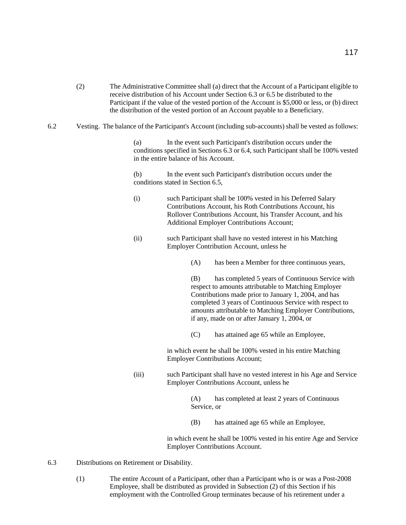- (2) The Administrative Committee shall (a) direct that the Account of a Participant eligible to receive distribution of his Account under Section 6.3 or 6.5 be distributed to the Participant if the value of the vested portion of the Account is \$5,000 or less, or (b) direct the distribution of the vested portion of an Account payable to a Beneficiary.
- 6.2 Vesting. The balance of the Participant's Account (including sub-accounts) shall be vested as follows:

(a) In the event such Participant's distribution occurs under the conditions specified in Sections 6.3 or 6.4, such Participant shall be 100% vested in the entire balance of his Account.

(b) In the event such Participant's distribution occurs under the conditions stated in Section 6.5,

- (i) such Participant shall be 100% vested in his Deferred Salary Contributions Account, his Roth Contributions Account, his Rollover Contributions Account, his Transfer Account, and his Additional Employer Contributions Account;
- (ii) such Participant shall have no vested interest in his Matching Employer Contribution Account, unless he
	- (A) has been a Member for three continuous years,

(B) has completed 5 years of Continuous Service with respect to amounts attributable to Matching Employer Contributions made prior to January 1, 2004, and has completed 3 years of Continuous Service with respect to amounts attributable to Matching Employer Contributions, if any, made on or after January 1, 2004, or

(C) has attained age 65 while an Employee,

in which event he shall be 100% vested in his entire Matching Employer Contributions Account;

(iii) such Participant shall have no vested interest in his Age and Service Employer Contributions Account, unless he

> (A) has completed at least 2 years of Continuous Service, or

(B) has attained age 65 while an Employee,

in which event he shall be 100% vested in his entire Age and Service Employer Contributions Account.

- 6.3 Distributions on Retirement or Disability.
	- (1) The entire Account of a Participant, other than a Participant who is or was a Post-2008 Employee, shall be distributed as provided in Subsection (2) of this Section if his employment with the Controlled Group terminates because of his retirement under a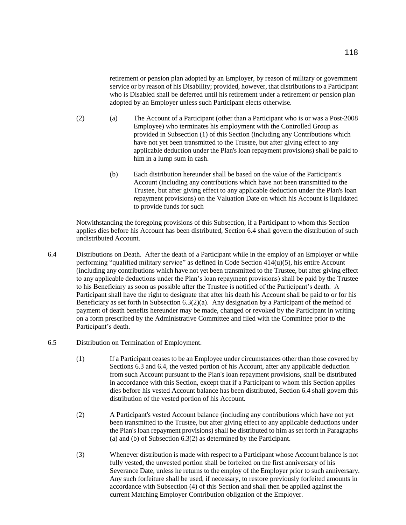retirement or pension plan adopted by an Employer, by reason of military or government service or by reason of his Disability; provided, however, that distributions to a Participant who is Disabled shall be deferred until his retirement under a retirement or pension plan adopted by an Employer unless such Participant elects otherwise.

- (2) (a) The Account of a Participant (other than a Participant who is or was a Post-2008 Employee) who terminates his employment with the Controlled Group as provided in Subsection (1) of this Section (including any Contributions which have not yet been transmitted to the Trustee, but after giving effect to any applicable deduction under the Plan's loan repayment provisions) shall be paid to him in a lump sum in cash.
	- (b) Each distribution hereunder shall be based on the value of the Participant's Account (including any contributions which have not been transmitted to the Trustee, but after giving effect to any applicable deduction under the Plan's loan repayment provisions) on the Valuation Date on which his Account is liquidated to provide funds for such

Notwithstanding the foregoing provisions of this Subsection, if a Participant to whom this Section applies dies before his Account has been distributed, Section 6.4 shall govern the distribution of such undistributed Account.

- 6.4 Distributions on Death. After the death of a Participant while in the employ of an Employer or while performing "qualified military service" as defined in Code Section 414(u)(5), his entire Account (including any contributions which have not yet been transmitted to the Trustee, but after giving effect to any applicable deductions under the Plan's loan repayment provisions) shall be paid by the Trustee to his Beneficiary as soon as possible after the Trustee is notified of the Participant's death. A Participant shall have the right to designate that after his death his Account shall be paid to or for his Beneficiary as set forth in Subsection  $6.3(2)(a)$ . Any designation by a Participant of the method of payment of death benefits hereunder may be made, changed or revoked by the Participant in writing on a form prescribed by the Administrative Committee and filed with the Committee prior to the Participant's death.
- 6.5 Distribution on Termination of Employment.
	- (1) If a Participant ceases to be an Employee under circumstances other than those covered by Sections 6.3 and 6.4, the vested portion of his Account, after any applicable deduction from such Account pursuant to the Plan's loan repayment provisions, shall be distributed in accordance with this Section, except that if a Participant to whom this Section applies dies before his vested Account balance has been distributed, Section 6.4 shall govern this distribution of the vested portion of his Account.
	- (2) A Participant's vested Account balance (including any contributions which have not yet been transmitted to the Trustee, but after giving effect to any applicable deductions under the Plan's loan repayment provisions) shall be distributed to him as set forth in Paragraphs (a) and (b) of Subsection 6.3(2) as determined by the Participant.
	- (3) Whenever distribution is made with respect to a Participant whose Account balance is not fully vested, the unvested portion shall be forfeited on the first anniversary of his Severance Date, unless he returns to the employ of the Employer prior to such anniversary. Any such forfeiture shall be used, if necessary, to restore previously forfeited amounts in accordance with Subsection (4) of this Section and shall then be applied against the current Matching Employer Contribution obligation of the Employer.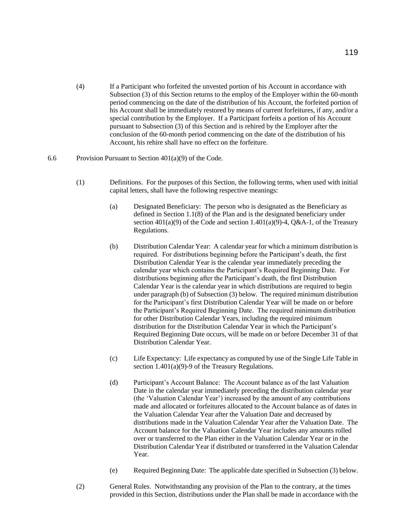(4) If a Participant who forfeited the unvested portion of his Account in accordance with Subsection (3) of this Section returns to the employ of the Employer within the 60-month period commencing on the date of the distribution of his Account, the forfeited portion of his Account shall be immediately restored by means of current forfeitures, if any, and/or a special contribution by the Employer. If a Participant forfeits a portion of his Account pursuant to Subsection (3) of this Section and is rehired by the Employer after the conclusion of the 60-month period commencing on the date of the distribution of his Account, his rehire shall have no effect on the forfeiture.

#### 6.6 Provision Pursuant to Section 401(a)(9) of the Code.

- (1) Definitions. For the purposes of this Section, the following terms, when used with initial capital letters, shall have the following respective meanings:
	- (a) Designated Beneficiary: The person who is designated as the Beneficiary as defined in Section 1.1(8) of the Plan and is the designated beneficiary under section  $401(a)(9)$  of the Code and section 1.401(a)(9)-4, Q&A-1, of the Treasury Regulations.
	- (b) Distribution Calendar Year: A calendar year for which a minimum distribution is required. For distributions beginning before the Participant's death, the first Distribution Calendar Year is the calendar year immediately preceding the calendar year which contains the Participant's Required Beginning Date. For distributions beginning after the Participant's death, the first Distribution Calendar Year is the calendar year in which distributions are required to begin under paragraph (b) of Subsection (3) below. The required minimum distribution for the Participant's first Distribution Calendar Year will be made on or before the Participant's Required Beginning Date. The required minimum distribution for other Distribution Calendar Years, including the required minimum distribution for the Distribution Calendar Year in which the Participant's Required Beginning Date occurs, will be made on or before December 31 of that Distribution Calendar Year.
	- (c) Life Expectancy: Life expectancy as computed by use of the Single Life Table in section 1.401(a)(9)-9 of the Treasury Regulations.
	- (d) Participant's Account Balance: The Account balance as of the last Valuation Date in the calendar year immediately preceding the distribution calendar year (the 'Valuation Calendar Year') increased by the amount of any contributions made and allocated or forfeitures allocated to the Account balance as of dates in the Valuation Calendar Year after the Valuation Date and decreased by distributions made in the Valuation Calendar Year after the Valuation Date. The Account balance for the Valuation Calendar Year includes any amounts rolled over or transferred to the Plan either in the Valuation Calendar Year or in the Distribution Calendar Year if distributed or transferred in the Valuation Calendar Year.
	- (e) Required Beginning Date: The applicable date specified in Subsection (3) below.
- (2) General Rules. Notwithstanding any provision of the Plan to the contrary, at the times provided in this Section, distributions under the Plan shall be made in accordance with the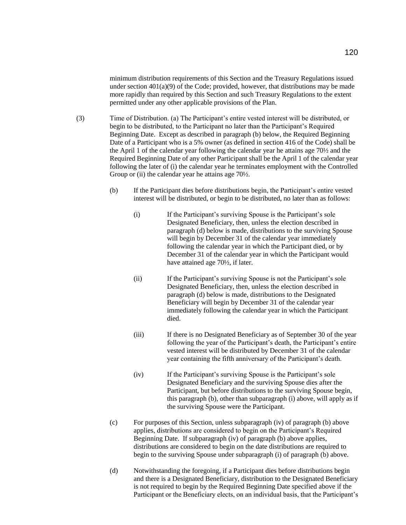minimum distribution requirements of this Section and the Treasury Regulations issued under section  $401(a)(9)$  of the Code; provided, however, that distributions may be made more rapidly than required by this Section and such Treasury Regulations to the extent permitted under any other applicable provisions of the Plan.

- (3) Time of Distribution. (a) The Participant's entire vested interest will be distributed, or begin to be distributed, to the Participant no later than the Participant's Required Beginning Date. Except as described in paragraph (b) below, the Required Beginning Date of a Participant who is a 5% owner (as defined in section 416 of the Code) shall be the April 1 of the calendar year following the calendar year he attains age 70½ and the Required Beginning Date of any other Participant shall be the April 1 of the calendar year following the later of (i) the calendar year he terminates employment with the Controlled Group or (ii) the calendar year he attains age 70<sup>1</sup>/<sub>2</sub>.
	- (b) If the Participant dies before distributions begin, the Participant's entire vested interest will be distributed, or begin to be distributed, no later than as follows:
		- (i) If the Participant's surviving Spouse is the Participant's sole Designated Beneficiary, then, unless the election described in paragraph (d) below is made, distributions to the surviving Spouse will begin by December 31 of the calendar year immediately following the calendar year in which the Participant died, or by December 31 of the calendar year in which the Participant would have attained age 70½, if later.
		- (ii) If the Participant's surviving Spouse is not the Participant's sole Designated Beneficiary, then, unless the election described in paragraph (d) below is made, distributions to the Designated Beneficiary will begin by December 31 of the calendar year immediately following the calendar year in which the Participant died.
		- (iii) If there is no Designated Beneficiary as of September 30 of the year following the year of the Participant's death, the Participant's entire vested interest will be distributed by December 31 of the calendar year containing the fifth anniversary of the Participant's death.
		- (iv) If the Participant's surviving Spouse is the Participant's sole Designated Beneficiary and the surviving Spouse dies after the Participant, but before distributions to the surviving Spouse begin, this paragraph (b), other than subparagraph (i) above, will apply as if the surviving Spouse were the Participant.
	- (c) For purposes of this Section, unless subparagraph (iv) of paragraph (b) above applies, distributions are considered to begin on the Participant's Required Beginning Date. If subparagraph (iv) of paragraph (b) above applies, distributions are considered to begin on the date distributions are required to begin to the surviving Spouse under subparagraph (i) of paragraph (b) above.
	- (d) Notwithstanding the foregoing, if a Participant dies before distributions begin and there is a Designated Beneficiary, distribution to the Designated Beneficiary is not required to begin by the Required Beginning Date specified above if the Participant or the Beneficiary elects, on an individual basis, that the Participant's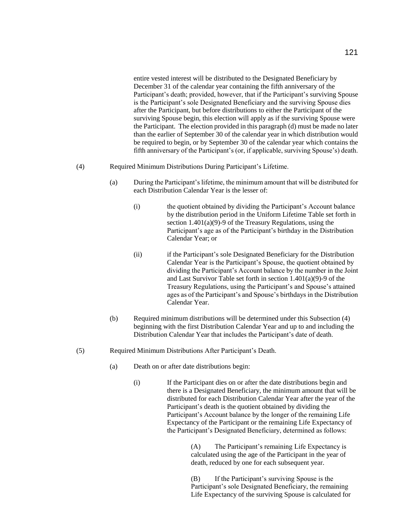entire vested interest will be distributed to the Designated Beneficiary by December 31 of the calendar year containing the fifth anniversary of the Participant's death; provided, however, that if the Participant's surviving Spouse is the Participant's sole Designated Beneficiary and the surviving Spouse dies after the Participant, but before distributions to either the Participant of the surviving Spouse begin, this election will apply as if the surviving Spouse were the Participant. The election provided in this paragraph (d) must be made no later than the earlier of September 30 of the calendar year in which distribution would be required to begin, or by September 30 of the calendar year which contains the fifth anniversary of the Participant's (or, if applicable, surviving Spouse's) death.

- (4) Required Minimum Distributions During Participant's Lifetime.
	- (a) During the Participant's lifetime, the minimum amount that will be distributed for each Distribution Calendar Year is the lesser of:
		- (i) the quotient obtained by dividing the Participant's Account balance by the distribution period in the Uniform Lifetime Table set forth in section 1.401(a)(9)-9 of the Treasury Regulations, using the Participant's age as of the Participant's birthday in the Distribution Calendar Year; or
		- (ii) if the Participant's sole Designated Beneficiary for the Distribution Calendar Year is the Participant's Spouse, the quotient obtained by dividing the Participant's Account balance by the number in the Joint and Last Survivor Table set forth in section 1.401(a)(9)-9 of the Treasury Regulations, using the Participant's and Spouse's attained ages as of the Participant's and Spouse's birthdays in the Distribution Calendar Year.
	- (b) Required minimum distributions will be determined under this Subsection (4) beginning with the first Distribution Calendar Year and up to and including the Distribution Calendar Year that includes the Participant's date of death.
- (5) Required Minimum Distributions After Participant's Death.
	- (a) Death on or after date distributions begin:
		- (i) If the Participant dies on or after the date distributions begin and there is a Designated Beneficiary, the minimum amount that will be distributed for each Distribution Calendar Year after the year of the Participant's death is the quotient obtained by dividing the Participant's Account balance by the longer of the remaining Life Expectancy of the Participant or the remaining Life Expectancy of the Participant's Designated Beneficiary, determined as follows:

(A) The Participant's remaining Life Expectancy is calculated using the age of the Participant in the year of death, reduced by one for each subsequent year.

(B) If the Participant's surviving Spouse is the Participant's sole Designated Beneficiary, the remaining Life Expectancy of the surviving Spouse is calculated for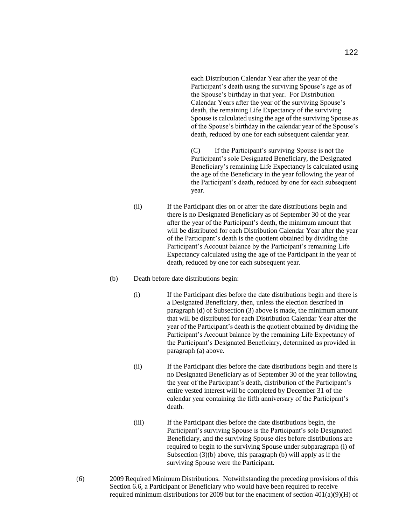each Distribution Calendar Year after the year of the Participant's death using the surviving Spouse's age as of the Spouse's birthday in that year. For Distribution Calendar Years after the year of the surviving Spouse's death, the remaining Life Expectancy of the surviving Spouse is calculated using the age of the surviving Spouse as of the Spouse's birthday in the calendar year of the Spouse's death, reduced by one for each subsequent calendar year.

(C) If the Participant's surviving Spouse is not the Participant's sole Designated Beneficiary, the Designated Beneficiary's remaining Life Expectancy is calculated using the age of the Beneficiary in the year following the year of the Participant's death, reduced by one for each subsequent year.

- (ii) If the Participant dies on or after the date distributions begin and there is no Designated Beneficiary as of September 30 of the year after the year of the Participant's death, the minimum amount that will be distributed for each Distribution Calendar Year after the year of the Participant's death is the quotient obtained by dividing the Participant's Account balance by the Participant's remaining Life Expectancy calculated using the age of the Participant in the year of death, reduced by one for each subsequent year.
- (b) Death before date distributions begin:
	- (i) If the Participant dies before the date distributions begin and there is a Designated Beneficiary, then, unless the election described in paragraph (d) of Subsection (3) above is made, the minimum amount that will be distributed for each Distribution Calendar Year after the year of the Participant's death is the quotient obtained by dividing the Participant's Account balance by the remaining Life Expectancy of the Participant's Designated Beneficiary, determined as provided in paragraph (a) above.
	- (ii) If the Participant dies before the date distributions begin and there is no Designated Beneficiary as of September 30 of the year following the year of the Participant's death, distribution of the Participant's entire vested interest will be completed by December 31 of the calendar year containing the fifth anniversary of the Participant's death.
	- (iii) If the Participant dies before the date distributions begin, the Participant's surviving Spouse is the Participant's sole Designated Beneficiary, and the surviving Spouse dies before distributions are required to begin to the surviving Spouse under subparagraph (i) of Subsection (3)(b) above, this paragraph (b) will apply as if the surviving Spouse were the Participant.
- (6) 2009 Required Minimum Distributions. Notwithstanding the preceding provisions of this Section 6.6, a Participant or Beneficiary who would have been required to receive required minimum distributions for 2009 but for the enactment of section  $401(a)(9)(H)$  of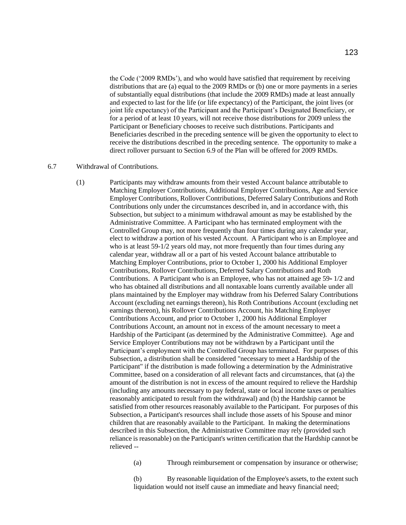the Code ('2009 RMDs'), and who would have satisfied that requirement by receiving distributions that are (a) equal to the 2009 RMDs or (b) one or more payments in a series of substantially equal distributions (that include the 2009 RMDs) made at least annually and expected to last for the life (or life expectancy) of the Participant, the joint lives (or joint life expectancy) of the Participant and the Participant's Designated Beneficiary, or for a period of at least 10 years, will not receive those distributions for 2009 unless the Participant or Beneficiary chooses to receive such distributions. Participants and Beneficiaries described in the preceding sentence will be given the opportunity to elect to receive the distributions described in the preceding sentence. The opportunity to make a direct rollover pursuant to Section 6.9 of the Plan will be offered for 2009 RMDs.

### 6.7 Withdrawal of Contributions.

(1) Participants may withdraw amounts from their vested Account balance attributable to Matching Employer Contributions, Additional Employer Contributions, Age and Service Employer Contributions, Rollover Contributions, Deferred Salary Contributions and Roth Contributions only under the circumstances described in, and in accordance with, this Subsection, but subject to a minimum withdrawal amount as may be established by the Administrative Committee. A Participant who has terminated employment with the Controlled Group may, not more frequently than four times during any calendar year, elect to withdraw a portion of his vested Account. A Participant who is an Employee and who is at least 59-1/2 years old may, not more frequently than four times during any calendar year, withdraw all or a part of his vested Account balance attributable to Matching Employer Contributions, prior to October 1, 2000 his Additional Employer Contributions, Rollover Contributions, Deferred Salary Contributions and Roth Contributions. A Participant who is an Employee, who has not attained age 59- 1/2 and who has obtained all distributions and all nontaxable loans currently available under all plans maintained by the Employer may withdraw from his Deferred Salary Contributions Account (excluding net earnings thereon), his Roth Contributions Account (excluding net earnings thereon), his Rollover Contributions Account, his Matching Employer Contributions Account, and prior to October 1, 2000 his Additional Employer Contributions Account, an amount not in excess of the amount necessary to meet a Hardship of the Participant (as determined by the Administrative Committee). Age and Service Employer Contributions may not be withdrawn by a Participant until the Participant's employment with the Controlled Group has terminated. For purposes of this Subsection, a distribution shall be considered "necessary to meet a Hardship of the Participant" if the distribution is made following a determination by the Administrative Committee, based on a consideration of all relevant facts and circumstances, that (a) the amount of the distribution is not in excess of the amount required to relieve the Hardship (including any amounts necessary to pay federal, state or local income taxes or penalties reasonably anticipated to result from the withdrawal) and (b) the Hardship cannot be satisfied from other resources reasonably available to the Participant. For purposes of this Subsection, a Participant's resources shall include those assets of his Spouse and minor children that are reasonably available to the Participant. In making the determinations described in this Subsection, the Administrative Committee may rely (provided such reliance is reasonable) on the Participant's written certification that the Hardship cannot be relieved --

(a) Through reimbursement or compensation by insurance or otherwise;

(b) By reasonable liquidation of the Employee's assets, to the extent such liquidation would not itself cause an immediate and heavy financial need;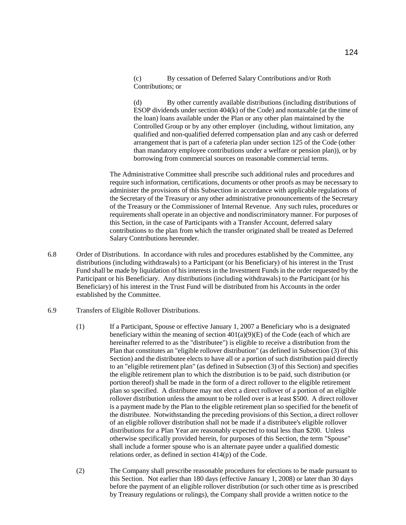(c) By cessation of Deferred Salary Contributions and/or Roth Contributions; or

(d) By other currently available distributions (including distributions of ESOP dividends under section 404(k) of the Code) and nontaxable (at the time of the loan) loans available under the Plan or any other plan maintained by the Controlled Group or by any other employer (including, without limitation, any qualified and non-qualified deferred compensation plan and any cash or deferred arrangement that is part of a cafeteria plan under section 125 of the Code (other than mandatory employee contributions under a welfare or pension plan)), or by borrowing from commercial sources on reasonable commercial terms.

The Administrative Committee shall prescribe such additional rules and procedures and require such information, certifications, documents or other proofs as may be necessary to administer the provisions of this Subsection in accordance with applicable regulations of the Secretary of the Treasury or any other administrative pronouncements of the Secretary of the Treasury or the Commissioner of Internal Revenue. Any such rules, procedures or requirements shall operate in an objective and nondiscriminatory manner. For purposes of this Section, in the case of Participants with a Transfer Account, deferred salary contributions to the plan from which the transfer originated shall be treated as Deferred Salary Contributions hereunder.

- 6.8 Order of Distributions. In accordance with rules and procedures established by the Committee, any distributions (including withdrawals) to a Participant (or his Beneficiary) of his interest in the Trust Fund shall be made by liquidation of his interests in the Investment Funds in the order requested by the Participant or his Beneficiary. Any distributions (including withdrawals) to the Participant (or his Beneficiary) of his interest in the Trust Fund will be distributed from his Accounts in the order established by the Committee.
- 6.9 Transfers of Eligible Rollover Distributions.
	- (1) If a Participant, Spouse or effective January 1, 2007 a Beneficiary who is a designated beneficiary within the meaning of section  $401(a)(9)(E)$  of the Code (each of which are hereinafter referred to as the "distributee") is eligible to receive a distribution from the Plan that constitutes an "eligible rollover distribution" (as defined in Subsection (3) of this Section) and the distributee elects to have all or a portion of such distribution paid directly to an "eligible retirement plan" (as defined in Subsection (3) of this Section) and specifies the eligible retirement plan to which the distribution is to be paid, such distribution (or portion thereof) shall be made in the form of a direct rollover to the eligible retirement plan so specified. A distributee may not elect a direct rollover of a portion of an eligible rollover distribution unless the amount to be rolled over is at least \$500. A direct rollover is a payment made by the Plan to the eligible retirement plan so specified for the benefit of the distributee. Notwithstanding the preceding provisions of this Section, a direct rollover of an eligible rollover distribution shall not be made if a distributee's eligible rollover distributions for a Plan Year are reasonably expected to total less than \$200. Unless otherwise specifically provided herein, for purposes of this Section, the term "Spouse" shall include a former spouse who is an alternate payee under a qualified domestic relations order, as defined in section 414(p) of the Code.
	- (2) The Company shall prescribe reasonable procedures for elections to be made pursuant to this Section. Not earlier than 180 days (effective January 1, 2008) or later than 30 days before the payment of an eligible rollover distribution (or such other time as is prescribed by Treasury regulations or rulings), the Company shall provide a written notice to the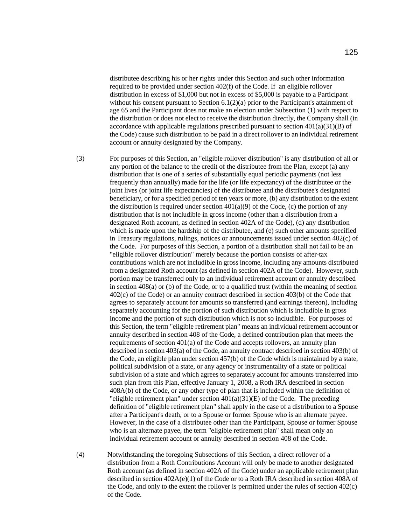distributee describing his or her rights under this Section and such other information required to be provided under section 402(f) of the Code. If an eligible rollover distribution in excess of \$1,000 but not in excess of \$5,000 is payable to a Participant without his consent pursuant to Section 6.1(2)(a) prior to the Participant's attainment of age 65 and the Participant does not make an election under Subsection (1) with respect to the distribution or does not elect to receive the distribution directly, the Company shall (in accordance with applicable regulations prescribed pursuant to section  $401(a)(31)(B)$  of the Code) cause such distribution to be paid in a direct rollover to an individual retirement account or annuity designated by the Company.

(3) For purposes of this Section, an "eligible rollover distribution" is any distribution of all or any portion of the balance to the credit of the distributee from the Plan, except (a) any distribution that is one of a series of substantially equal periodic payments (not less frequently than annually) made for the life (or life expectancy) of the distributee or the joint lives (or joint life expectancies) of the distributee and the distributee's designated beneficiary, or for a specified period of ten years or more, (b) any distribution to the extent the distribution is required under section  $401(a)(9)$  of the Code, (c) the portion of any distribution that is not includible in gross income (other than a distribution from a designated Roth account, as defined in section 402A of the Code), (d) any distribution which is made upon the hardship of the distributee, and (e) such other amounts specified in Treasury regulations, rulings, notices or announcements issued under section 402(c) of the Code. For purposes of this Section, a portion of a distribution shall not fail to be an "eligible rollover distribution" merely because the portion consists of after-tax contributions which are not includible in gross income, including any amounts distributed from a designated Roth account (as defined in section 402A of the Code). However, such portion may be transferred only to an individual retirement account or annuity described in section 408(a) or (b) of the Code, or to a qualified trust (within the meaning of section 402(c) of the Code) or an annuity contract described in section 403(b) of the Code that agrees to separately account for amounts so transferred (and earnings thereon), including separately accounting for the portion of such distribution which is includible in gross income and the portion of such distribution which is not so includible. For purposes of this Section, the term "eligible retirement plan" means an individual retirement account or annuity described in section 408 of the Code, a defined contribution plan that meets the requirements of section 401(a) of the Code and accepts rollovers, an annuity plan described in section 403(a) of the Code, an annuity contract described in section 403(b) of the Code, an eligible plan under section 457(b) of the Code which is maintained by a state, political subdivision of a state, or any agency or instrumentality of a state or political subdivision of a state and which agrees to separately account for amounts transferred into such plan from this Plan, effective January 1, 2008, a Roth IRA described in section 408A(b) of the Code, or any other type of plan that is included within the definition of "eligible retirement plan" under section  $401(a)(31)(E)$  of the Code. The preceding definition of "eligible retirement plan" shall apply in the case of a distribution to a Spouse after a Participant's death, or to a Spouse or former Spouse who is an alternate payee. However, in the case of a distributee other than the Participant, Spouse or former Spouse who is an alternate payee, the term "eligible retirement plan" shall mean only an individual retirement account or annuity described in section 408 of the Code.

(4) Notwithstanding the foregoing Subsections of this Section, a direct rollover of a distribution from a Roth Contributions Account will only be made to another designated Roth account (as defined in section 402A of the Code) under an applicable retirement plan described in section 402A(e)(1) of the Code or to a Roth IRA described in section 408A of the Code, and only to the extent the rollover is permitted under the rules of section 402(c) of the Code.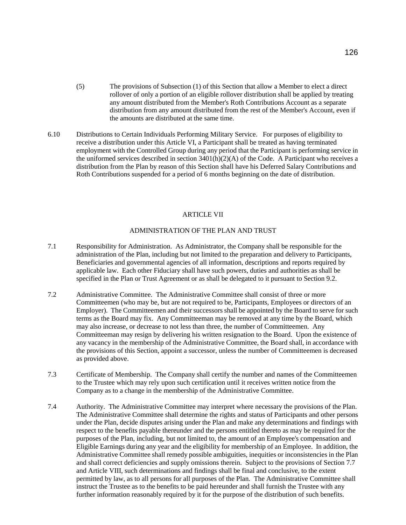- (5) The provisions of Subsection (1) of this Section that allow a Member to elect a direct rollover of only a portion of an eligible rollover distribution shall be applied by treating any amount distributed from the Member's Roth Contributions Account as a separate distribution from any amount distributed from the rest of the Member's Account, even if the amounts are distributed at the same time.
- 6.10 Distributions to Certain Individuals Performing Military Service. For purposes of eligibility to receive a distribution under this Article VI, a Participant shall be treated as having terminated employment with the Controlled Group during any period that the Participant is performing service in the uniformed services described in section  $3401(h)(2)(A)$  of the Code. A Participant who receives a distribution from the Plan by reason of this Section shall have his Deferred Salary Contributions and Roth Contributions suspended for a period of 6 months beginning on the date of distribution.

#### ARTICLE VII

# ADMINISTRATION OF THE PLAN AND TRUST

- 7.1 Responsibility for Administration. As Administrator, the Company shall be responsible for the administration of the Plan, including but not limited to the preparation and delivery to Participants, Beneficiaries and governmental agencies of all information, descriptions and reports required by applicable law. Each other Fiduciary shall have such powers, duties and authorities as shall be specified in the Plan or Trust Agreement or as shall be delegated to it pursuant to Section 9.2.
- 7.2 Administrative Committee. The Administrative Committee shall consist of three or more Committeemen (who may be, but are not required to be, Participants, Employees or directors of an Employer). The Committeemen and their successors shall be appointed by the Board to serve for such terms as the Board may fix. Any Committeeman may be removed at any time by the Board, which may also increase, or decrease to not less than three, the number of Committeemen. Any Committeeman may resign by delivering his written resignation to the Board. Upon the existence of any vacancy in the membership of the Administrative Committee, the Board shall, in accordance with the provisions of this Section, appoint a successor, unless the number of Committeemen is decreased as provided above.
- 7.3 Certificate of Membership. The Company shall certify the number and names of the Committeemen to the Trustee which may rely upon such certification until it receives written notice from the Company as to a change in the membership of the Administrative Committee.
- 7.4 Authority. The Administrative Committee may interpret where necessary the provisions of the Plan. The Administrative Committee shall determine the rights and status of Participants and other persons under the Plan, decide disputes arising under the Plan and make any determinations and findings with respect to the benefits payable thereunder and the persons entitled thereto as may be required for the purposes of the Plan, including, but not limited to, the amount of an Employee's compensation and Eligible Earnings during any year and the eligibility for membership of an Employee. In addition, the Administrative Committee shall remedy possible ambiguities, inequities or inconsistencies in the Plan and shall correct deficiencies and supply omissions therein. Subject to the provisions of Section 7.7 and Article VIII, such determinations and findings shall be final and conclusive, to the extent permitted by law, as to all persons for all purposes of the Plan. The Administrative Committee shall instruct the Trustee as to the benefits to be paid hereunder and shall furnish the Trustee with any further information reasonably required by it for the purpose of the distribution of such benefits.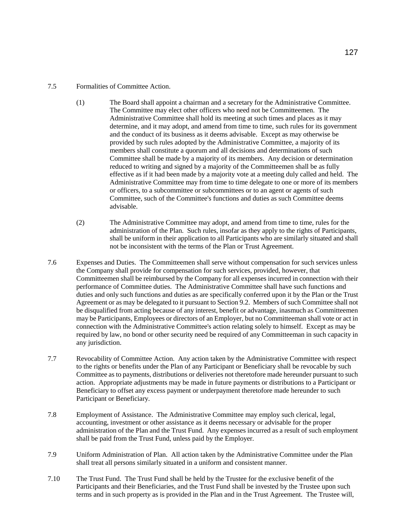# 7.5 Formalities of Committee Action.

- (1) The Board shall appoint a chairman and a secretary for the Administrative Committee. The Committee may elect other officers who need not be Committeemen. The Administrative Committee shall hold its meeting at such times and places as it may determine, and it may adopt, and amend from time to time, such rules for its government and the conduct of its business as it deems advisable. Except as may otherwise be provided by such rules adopted by the Administrative Committee, a majority of its members shall constitute a quorum and all decisions and determinations of such Committee shall be made by a majority of its members. Any decision or determination reduced to writing and signed by a majority of the Committeemen shall be as fully effective as if it had been made by a majority vote at a meeting duly called and held. The Administrative Committee may from time to time delegate to one or more of its members or officers, to a subcommittee or subcommittees or to an agent or agents of such Committee, such of the Committee's functions and duties as such Committee deems advisable.
- (2) The Administrative Committee may adopt, and amend from time to time, rules for the administration of the Plan. Such rules, insofar as they apply to the rights of Participants, shall be uniform in their application to all Participants who are similarly situated and shall not be inconsistent with the terms of the Plan or Trust Agreement.
- 7.6 Expenses and Duties. The Committeemen shall serve without compensation for such services unless the Company shall provide for compensation for such services, provided, however, that Committeemen shall be reimbursed by the Company for all expenses incurred in connection with their performance of Committee duties. The Administrative Committee shall have such functions and duties and only such functions and duties as are specifically conferred upon it by the Plan or the Trust Agreement or as may be delegated to it pursuant to Section 9.2. Members of such Committee shall not be disqualified from acting because of any interest, benefit or advantage, inasmuch as Committeemen may be Participants, Employees or directors of an Employer, but no Committeeman shall vote or act in connection with the Administrative Committee's action relating solely to himself. Except as may be required by law, no bond or other security need be required of any Committeeman in such capacity in any jurisdiction.
- 7.7 Revocability of Committee Action. Any action taken by the Administrative Committee with respect to the rights or benefits under the Plan of any Participant or Beneficiary shall be revocable by such Committee as to payments, distributions or deliveries not theretofore made hereunder pursuant to such action. Appropriate adjustments may be made in future payments or distributions to a Participant or Beneficiary to offset any excess payment or underpayment theretofore made hereunder to such Participant or Beneficiary.
- 7.8 Employment of Assistance. The Administrative Committee may employ such clerical, legal, accounting, investment or other assistance as it deems necessary or advisable for the proper administration of the Plan and the Trust Fund. Any expenses incurred as a result of such employment shall be paid from the Trust Fund, unless paid by the Employer.
- 7.9 Uniform Administration of Plan. All action taken by the Administrative Committee under the Plan shall treat all persons similarly situated in a uniform and consistent manner.
- 7.10 The Trust Fund. The Trust Fund shall be held by the Trustee for the exclusive benefit of the Participants and their Beneficiaries, and the Trust Fund shall be invested by the Trustee upon such terms and in such property as is provided in the Plan and in the Trust Agreement. The Trustee will,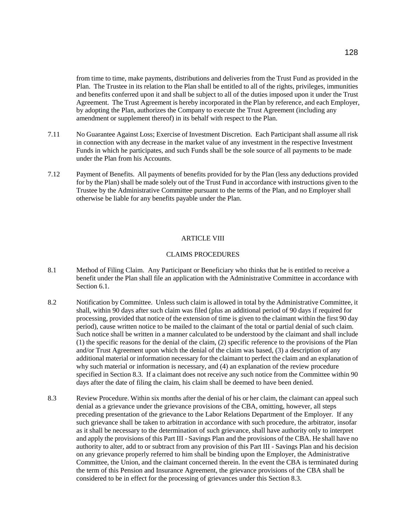from time to time, make payments, distributions and deliveries from the Trust Fund as provided in the Plan. The Trustee in its relation to the Plan shall be entitled to all of the rights, privileges, immunities and benefits conferred upon it and shall be subject to all of the duties imposed upon it under the Trust Agreement. The Trust Agreement is hereby incorporated in the Plan by reference, and each Employer, by adopting the Plan, authorizes the Company to execute the Trust Agreement (including any amendment or supplement thereof) in its behalf with respect to the Plan.

- 7.11 No Guarantee Against Loss; Exercise of Investment Discretion. Each Participant shall assume all risk in connection with any decrease in the market value of any investment in the respective Investment Funds in which he participates, and such Funds shall be the sole source of all payments to be made under the Plan from his Accounts.
- 7.12 Payment of Benefits. All payments of benefits provided for by the Plan (less any deductions provided for by the Plan) shall be made solely out of the Trust Fund in accordance with instructions given to the Trustee by the Administrative Committee pursuant to the terms of the Plan, and no Employer shall otherwise be liable for any benefits payable under the Plan.

## ARTICLE VIII

## CLAIMS PROCEDURES

- 8.1 Method of Filing Claim. Any Participant or Beneficiary who thinks that he is entitled to receive a benefit under the Plan shall file an application with the Administrative Committee in accordance with Section 6.1.
- 8.2 Notification by Committee. Unless such claim is allowed in total by the Administrative Committee, it shall, within 90 days after such claim was filed (plus an additional period of 90 days if required for processing, provided that notice of the extension of time is given to the claimant within the first 90 day period), cause written notice to be mailed to the claimant of the total or partial denial of such claim. Such notice shall be written in a manner calculated to be understood by the claimant and shall include (1) the specific reasons for the denial of the claim, (2) specific reference to the provisions of the Plan and/or Trust Agreement upon which the denial of the claim was based, (3) a description of any additional material or information necessary for the claimant to perfect the claim and an explanation of why such material or information is necessary, and (4) an explanation of the review procedure specified in Section 8.3. If a claimant does not receive any such notice from the Committee within 90 days after the date of filing the claim, his claim shall be deemed to have been denied.
- 8.3 Review Procedure. Within six months after the denial of his or her claim, the claimant can appeal such denial as a grievance under the grievance provisions of the CBA, omitting, however, all steps preceding presentation of the grievance to the Labor Relations Department of the Employer. If any such grievance shall be taken to arbitration in accordance with such procedure, the arbitrator, insofar as it shall be necessary to the determination of such grievance, shall have authority only to interpret and apply the provisions of this Part III - Savings Plan and the provisions of the CBA. He shall have no authority to alter, add to or subtract from any provision of this Part III - Savings Plan and his decision on any grievance properly referred to him shall be binding upon the Employer, the Administrative Committee, the Union, and the claimant concerned therein. In the event the CBA is terminated during the term of this Pension and Insurance Agreement, the grievance provisions of the CBA shall be considered to be in effect for the processing of grievances under this Section 8.3.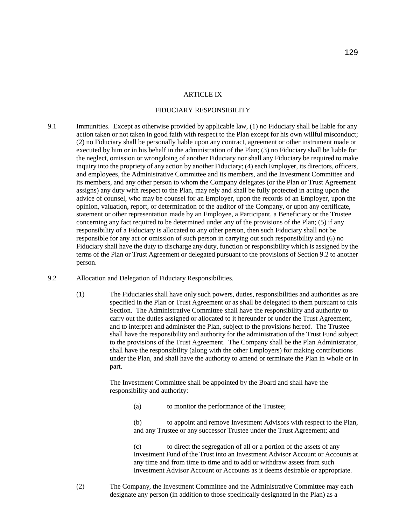## ARTICLE IX

#### FIDUCIARY RESPONSIBILITY

- 9.1 Immunities. Except as otherwise provided by applicable law, (1) no Fiduciary shall be liable for any action taken or not taken in good faith with respect to the Plan except for his own willful misconduct; (2) no Fiduciary shall be personally liable upon any contract, agreement or other instrument made or executed by him or in his behalf in the administration of the Plan; (3) no Fiduciary shall be liable for the neglect, omission or wrongdoing of another Fiduciary nor shall any Fiduciary be required to make inquiry into the propriety of any action by another Fiduciary; (4) each Employer, its directors, officers, and employees, the Administrative Committee and its members, and the Investment Committee and its members, and any other person to whom the Company delegates (or the Plan or Trust Agreement assigns) any duty with respect to the Plan, may rely and shall be fully protected in acting upon the advice of counsel, who may be counsel for an Employer, upon the records of an Employer, upon the opinion, valuation, report, or determination of the auditor of the Company, or upon any certificate, statement or other representation made by an Employee, a Participant, a Beneficiary or the Trustee concerning any fact required to be determined under any of the provisions of the Plan; (5) if any responsibility of a Fiduciary is allocated to any other person, then such Fiduciary shall not be responsible for any act or omission of such person in carrying out such responsibility and (6) no Fiduciary shall have the duty to discharge any duty, function or responsibility which is assigned by the terms of the Plan or Trust Agreement or delegated pursuant to the provisions of Section 9.2 to another person.
- 9.2 Allocation and Delegation of Fiduciary Responsibilities.
	- (1) The Fiduciaries shall have only such powers, duties, responsibilities and authorities as are specified in the Plan or Trust Agreement or as shall be delegated to them pursuant to this Section. The Administrative Committee shall have the responsibility and authority to carry out the duties assigned or allocated to it hereunder or under the Trust Agreement, and to interpret and administer the Plan, subject to the provisions hereof. The Trustee shall have the responsibility and authority for the administration of the Trust Fund subject to the provisions of the Trust Agreement. The Company shall be the Plan Administrator, shall have the responsibility (along with the other Employers) for making contributions under the Plan, and shall have the authority to amend or terminate the Plan in whole or in part.

The Investment Committee shall be appointed by the Board and shall have the responsibility and authority:

(a) to monitor the performance of the Trustee;

(b) to appoint and remove Investment Advisors with respect to the Plan, and any Trustee or any successor Trustee under the Trust Agreement; and

(c) to direct the segregation of all or a portion of the assets of any Investment Fund of the Trust into an Investment Advisor Account or Accounts at any time and from time to time and to add or withdraw assets from such Investment Advisor Account or Accounts as it deems desirable or appropriate.

(2) The Company, the Investment Committee and the Administrative Committee may each designate any person (in addition to those specifically designated in the Plan) as a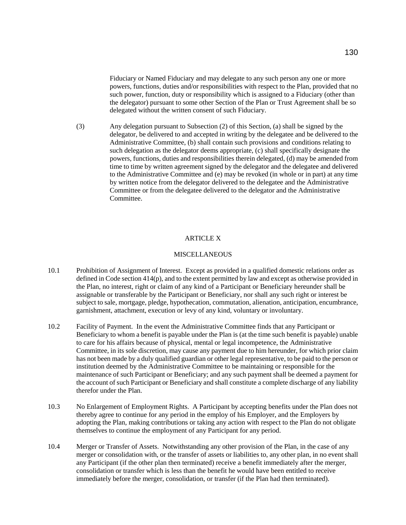Fiduciary or Named Fiduciary and may delegate to any such person any one or more powers, functions, duties and/or responsibilities with respect to the Plan, provided that no such power, function, duty or responsibility which is assigned to a Fiduciary (other than the delegator) pursuant to some other Section of the Plan or Trust Agreement shall be so delegated without the written consent of such Fiduciary.

(3) Any delegation pursuant to Subsection (2) of this Section, (a) shall be signed by the delegator, be delivered to and accepted in writing by the delegatee and be delivered to the Administrative Committee, (b) shall contain such provisions and conditions relating to such delegation as the delegator deems appropriate, (c) shall specifically designate the powers, functions, duties and responsibilities therein delegated, (d) may be amended from time to time by written agreement signed by the delegator and the delegatee and delivered to the Administrative Committee and (e) may be revoked (in whole or in part) at any time by written notice from the delegator delivered to the delegatee and the Administrative Committee or from the delegatee delivered to the delegator and the Administrative Committee.

### ARTICLE X

# MISCELLANEOUS

- 10.1 Prohibition of Assignment of Interest. Except as provided in a qualified domestic relations order as defined in Code section 414(p), and to the extent permitted by law and except as otherwise provided in the Plan, no interest, right or claim of any kind of a Participant or Beneficiary hereunder shall be assignable or transferable by the Participant or Beneficiary, nor shall any such right or interest be subject to sale, mortgage, pledge, hypothecation, commutation, alienation, anticipation, encumbrance, garnishment, attachment, execution or levy of any kind, voluntary or involuntary.
- 10.2 Facility of Payment. In the event the Administrative Committee finds that any Participant or Beneficiary to whom a benefit is payable under the Plan is (at the time such benefit is payable) unable to care for his affairs because of physical, mental or legal incompetence, the Administrative Committee, in its sole discretion, may cause any payment due to him hereunder, for which prior claim has not been made by a duly qualified guardian or other legal representative, to be paid to the person or institution deemed by the Administrative Committee to be maintaining or responsible for the maintenance of such Participant or Beneficiary; and any such payment shall be deemed a payment for the account of such Participant or Beneficiary and shall constitute a complete discharge of any liability therefor under the Plan.
- 10.3 No Enlargement of Employment Rights. A Participant by accepting benefits under the Plan does not thereby agree to continue for any period in the employ of his Employer, and the Employers by adopting the Plan, making contributions or taking any action with respect to the Plan do not obligate themselves to continue the employment of any Participant for any period.
- 10.4 Merger or Transfer of Assets. Notwithstanding any other provision of the Plan, in the case of any merger or consolidation with, or the transfer of assets or liabilities to, any other plan, in no event shall any Participant (if the other plan then terminated) receive a benefit immediately after the merger, consolidation or transfer which is less than the benefit he would have been entitled to receive immediately before the merger, consolidation, or transfer (if the Plan had then terminated).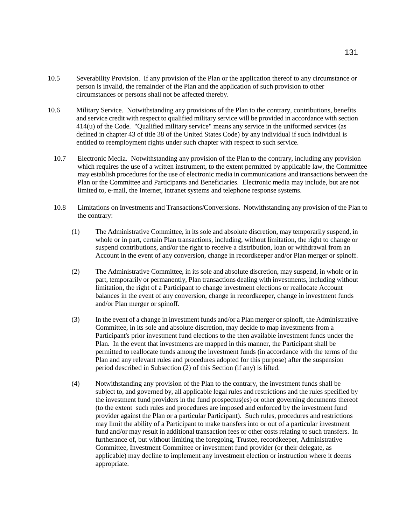- 10.5 Severability Provision. If any provision of the Plan or the application thereof to any circumstance or person is invalid, the remainder of the Plan and the application of such provision to other circumstances or persons shall not be affected thereby.
- 10.6 Military Service. Notwithstanding any provisions of the Plan to the contrary, contributions, benefits and service credit with respect to qualified military service will be provided in accordance with section 414(u) of the Code. "Qualified military service" means any service in the uniformed services (as defined in chapter 43 of title 38 of the United States Code) by any individual if such individual is entitled to reemployment rights under such chapter with respect to such service.
	- 10.7 Electronic Media. Notwithstanding any provision of the Plan to the contrary, including any provision which requires the use of a written instrument, to the extent permitted by applicable law, the Committee may establish procedures for the use of electronic media in communications and transactions between the Plan or the Committee and Participants and Beneficiaries. Electronic media may include, but are not limited to, e-mail, the Internet, intranet systems and telephone response systems.
	- 10.8 Limitations on Investments and Transactions/Conversions. Notwithstanding any provision of the Plan to the contrary:
		- (1) The Administrative Committee, in its sole and absolute discretion, may temporarily suspend, in whole or in part, certain Plan transactions, including, without limitation, the right to change or suspend contributions, and/or the right to receive a distribution, loan or withdrawal from an Account in the event of any conversion, change in recordkeeper and/or Plan merger or spinoff.
		- (2) The Administrative Committee, in its sole and absolute discretion, may suspend, in whole or in part, temporarily or permanently, Plan transactions dealing with investments, including without limitation, the right of a Participant to change investment elections or reallocate Account balances in the event of any conversion, change in recordkeeper, change in investment funds and/or Plan merger or spinoff.
		- (3) In the event of a change in investment funds and/or a Plan merger or spinoff, the Administrative Committee, in its sole and absolute discretion, may decide to map investments from a Participant's prior investment fund elections to the then available investment funds under the Plan. In the event that investments are mapped in this manner, the Participant shall be permitted to reallocate funds among the investment funds (in accordance with the terms of the Plan and any relevant rules and procedures adopted for this purpose) after the suspension period described in Subsection (2) of this Section (if any) is lifted.
		- (4) Notwithstanding any provision of the Plan to the contrary, the investment funds shall be subject to, and governed by, all applicable legal rules and restrictions and the rules specified by the investment fund providers in the fund prospectus(es) or other governing documents thereof (to the extent such rules and procedures are imposed and enforced by the investment fund provider against the Plan or a particular Participant). Such rules, procedures and restrictions may limit the ability of a Participant to make transfers into or out of a particular investment fund and/or may result in additional transaction fees or other costs relating to such transfers. In furtherance of, but without limiting the foregoing, Trustee, recordkeeper, Administrative Committee, Investment Committee or investment fund provider (or their delegate, as applicable) may decline to implement any investment election or instruction where it deems appropriate.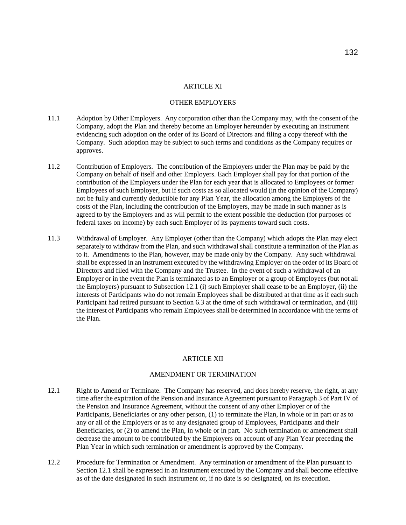# OTHER EMPLOYERS

- 11.1 Adoption by Other Employers. Any corporation other than the Company may, with the consent of the Company, adopt the Plan and thereby become an Employer hereunder by executing an instrument evidencing such adoption on the order of its Board of Directors and filing a copy thereof with the Company. Such adoption may be subject to such terms and conditions as the Company requires or approves.
- 11.2 Contribution of Employers. The contribution of the Employers under the Plan may be paid by the Company on behalf of itself and other Employers. Each Employer shall pay for that portion of the contribution of the Employers under the Plan for each year that is allocated to Employees or former Employees of such Employer, but if such costs as so allocated would (in the opinion of the Company) not be fully and currently deductible for any Plan Year, the allocation among the Employers of the costs of the Plan, including the contribution of the Employers, may be made in such manner as is agreed to by the Employers and as will permit to the extent possible the deduction (for purposes of federal taxes on income) by each such Employer of its payments toward such costs.
- 11.3 Withdrawal of Employer. Any Employer (other than the Company) which adopts the Plan may elect separately to withdraw from the Plan, and such withdrawal shall constitute a termination of the Plan as to it. Amendments to the Plan, however, may be made only by the Company. Any such withdrawal shall be expressed in an instrument executed by the withdrawing Employer on the order of its Board of Directors and filed with the Company and the Trustee. In the event of such a withdrawal of an Employer or in the event the Plan is terminated as to an Employer or a group of Employees (but not all the Employers) pursuant to Subsection 12.1 (i) such Employer shall cease to be an Employer, (ii) the interests of Participants who do not remain Employees shall be distributed at that time as if each such Participant had retired pursuant to Section 6.3 at the time of such withdrawal or termination, and (iii) the interest of Participants who remain Employees shall be determined in accordance with the terms of the Plan.

#### ARTICLE XII

#### AMENDMENT OR TERMINATION

- 12.1 Right to Amend or Terminate. The Company has reserved, and does hereby reserve, the right, at any time after the expiration of the Pension and Insurance Agreement pursuant to Paragraph 3 of Part IV of the Pension and Insurance Agreement, without the consent of any other Employer or of the Participants, Beneficiaries or any other person, (1) to terminate the Plan, in whole or in part or as to any or all of the Employers or as to any designated group of Employees, Participants and their Beneficiaries, or (2) to amend the Plan, in whole or in part. No such termination or amendment shall decrease the amount to be contributed by the Employers on account of any Plan Year preceding the Plan Year in which such termination or amendment is approved by the Company.
- 12.2 Procedure for Termination or Amendment. Any termination or amendment of the Plan pursuant to Section 12.1 shall be expressed in an instrument executed by the Company and shall become effective as of the date designated in such instrument or, if no date is so designated, on its execution.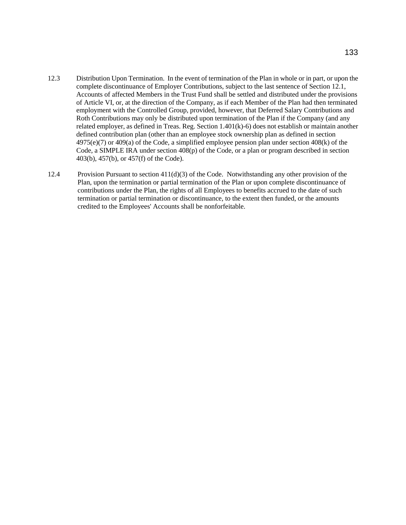- 12.3 Distribution Upon Termination. In the event of termination of the Plan in whole or in part, or upon the complete discontinuance of Employer Contributions, subject to the last sentence of Section 12.1, Accounts of affected Members in the Trust Fund shall be settled and distributed under the provisions of Article VI, or, at the direction of the Company, as if each Member of the Plan had then terminated employment with the Controlled Group, provided, however, that Deferred Salary Contributions and Roth Contributions may only be distributed upon termination of the Plan if the Company (and any related employer, as defined in Treas. Reg. Section 1.401(k)-6) does not establish or maintain another defined contribution plan (other than an employee stock ownership plan as defined in section 4975(e)(7) or 409(a) of the Code, a simplified employee pension plan under section 408(k) of the Code, a SIMPLE IRA under section 408(p) of the Code, or a plan or program described in section 403(b), 457(b), or 457(f) of the Code).
- 12.4 Provision Pursuant to section 411(d)(3) of the Code. Notwithstanding any other provision of the Plan, upon the termination or partial termination of the Plan or upon complete discontinuance of contributions under the Plan, the rights of all Employees to benefits accrued to the date of such termination or partial termination or discontinuance, to the extent then funded, or the amounts credited to the Employees' Accounts shall be nonforfeitable.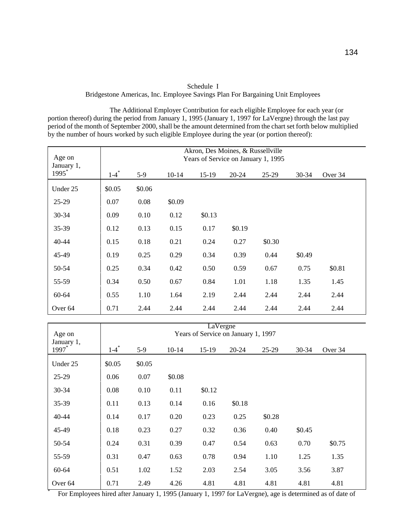| Schedule 1                                                                     |  |  |  |  |  |  |
|--------------------------------------------------------------------------------|--|--|--|--|--|--|
| Bridgestone Americas, Inc. Employee Savings Plan For Bargaining Unit Employees |  |  |  |  |  |  |

The Additional Employer Contribution for each eligible Employee for each year (or portion thereof) during the period from January 1, 1995 (January 1, 1997 for LaVergne) through the last pay period of the month of September 2000, shall be the amount determined from the chart set forth below multiplied by the number of hours worked by such eligible Employee during the year (or portion thereof):

| Age on<br>January 1,<br>1995 <sup>*</sup> | Akron, Des Moines, & Russellville<br>Years of Service on January 1, 1995 |        |         |         |           |        |        |         |
|-------------------------------------------|--------------------------------------------------------------------------|--------|---------|---------|-----------|--------|--------|---------|
|                                           | $1 - 4$ <sup>*</sup>                                                     | $5-9$  | $10-14$ | $15-19$ | $20 - 24$ | 25-29  | 30-34  | Over 34 |
| Under 25                                  | \$0.05                                                                   | \$0.06 |         |         |           |        |        |         |
| $25-29$                                   | 0.07                                                                     | 0.08   | \$0.09  |         |           |        |        |         |
| 30-34                                     | 0.09                                                                     | 0.10   | 0.12    | \$0.13  |           |        |        |         |
| 35-39                                     | 0.12                                                                     | 0.13   | 0.15    | 0.17    | \$0.19    |        |        |         |
| 40-44                                     | 0.15                                                                     | 0.18   | 0.21    | 0.24    | 0.27      | \$0.30 |        |         |
| 45-49                                     | 0.19                                                                     | 0.25   | 0.29    | 0.34    | 0.39      | 0.44   | \$0.49 |         |
| 50-54                                     | 0.25                                                                     | 0.34   | 0.42    | 0.50    | 0.59      | 0.67   | 0.75   | \$0.81  |
| 55-59                                     | 0.34                                                                     | 0.50   | 0.67    | 0.84    | 1.01      | 1.18   | 1.35   | 1.45    |
| 60-64                                     | 0.55                                                                     | 1.10   | 1.64    | 2.19    | 2.44      | 2.44   | 2.44   | 2.44    |
| Over <sub>64</sub>                        | 0.71                                                                     | 2.44   | 2.44    | 2.44    | 2.44      | 2.44   | 2.44   | 2.44    |

| Age on                                                                                                                          |                      |        |           | LaVergne | Years of Service on January 1, 1997 |        |        |         |
|---------------------------------------------------------------------------------------------------------------------------------|----------------------|--------|-----------|----------|-------------------------------------|--------|--------|---------|
| January 1,<br>1997                                                                                                              | $1 - 4$ <sup>*</sup> | $5-9$  | $10 - 14$ | $15-19$  | $20 - 24$                           | 25-29  | 30-34  | Over 34 |
| Under 25                                                                                                                        | \$0.05               | \$0.05 |           |          |                                     |        |        |         |
| $25-29$                                                                                                                         | 0.06                 | 0.07   | \$0.08    |          |                                     |        |        |         |
| 30-34                                                                                                                           | 0.08                 | 0.10   | 0.11      | \$0.12   |                                     |        |        |         |
| 35-39                                                                                                                           | 0.11                 | 0.13   | 0.14      | 0.16     | \$0.18                              |        |        |         |
| 40-44                                                                                                                           | 0.14                 | 0.17   | 0.20      | 0.23     | 0.25                                | \$0.28 |        |         |
| 45-49                                                                                                                           | 0.18                 | 0.23   | 0.27      | 0.32     | 0.36                                | 0.40   | \$0.45 |         |
| 50-54                                                                                                                           | 0.24                 | 0.31   | 0.39      | 0.47     | 0.54                                | 0.63   | 0.70   | \$0.75  |
| 55-59                                                                                                                           | 0.31                 | 0.47   | 0.63      | 0.78     | 0.94                                | 1.10   | 1.25   | 1.35    |
| 60-64                                                                                                                           | 0.51                 | 1.02   | 1.52      | 2.03     | 2.54                                | 3.05   | 3.56   | 3.87    |
| Over <sub>64</sub><br>For Employees hired after January 1, 1005 (January 1, 1007 for LaVargna), ago is determined as of data of | 0.71                 | 2.49   | 4.26      | 4.81     | 4.81                                | 4.81   | 4.81   | 4.81    |

For Employees hired after January 1, 1995 (January 1, 1997 for LaVergne), age is determined as of date of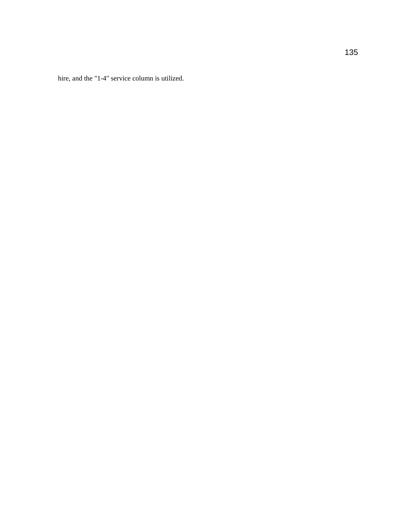hire, and the "1-4" service column is utilized.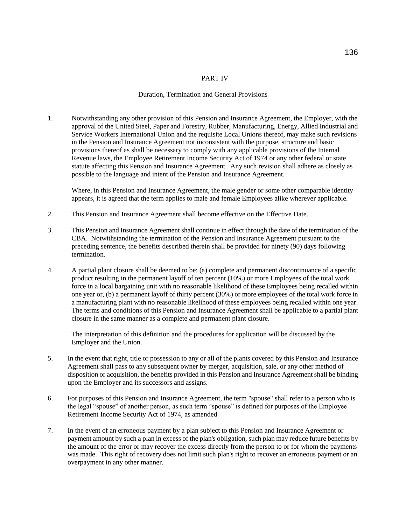### PART IV

#### Duration, Termination and General Provisions

1. Notwithstanding any other provision of this Pension and Insurance Agreement, the Employer, with the approval of the United Steel, Paper and Forestry, Rubber, Manufacturing, Energy, Allied Industrial and Service Workers International Union and the requisite Local Unions thereof, may make such revisions in the Pension and Insurance Agreement not inconsistent with the purpose, structure and basic provisions thereof as shall be necessary to comply with any applicable provisions of the Internal Revenue laws, the Employee Retirement Income Security Act of 1974 or any other federal or state statute affecting this Pension and Insurance Agreement. Any such revision shall adhere as closely as possible to the language and intent of the Pension and Insurance Agreement.

Where, in this Pension and Insurance Agreement, the male gender or some other comparable identity appears, it is agreed that the term applies to male and female Employees alike wherever applicable.

- 2. This Pension and Insurance Agreement shall become effective on the Effective Date.
- 3. This Pension and Insurance Agreement shall continue in effect through the date of the termination of the CBA. Notwithstanding the termination of the Pension and Insurance Agreement pursuant to the preceding sentence, the benefits described therein shall be provided for ninety (90) days following termination.
- 4. A partial plant closure shall be deemed to be: (a) complete and permanent discontinuance of a specific product resulting in the permanent layoff of ten percent (10%) or more Employees of the total work force in a local bargaining unit with no reasonable likelihood of these Employees being recalled within one year or, (b) a permanent layoff of thirty percent (30%) or more employees of the total work force in a manufacturing plant with no reasonable likelihood of these employees being recalled within one year. The terms and conditions of this Pension and Insurance Agreement shall be applicable to a partial plant closure in the same manner as a complete and permanent plant closure.

The interpretation of this definition and the procedures for application will be discussed by the Employer and the Union.

- 5. In the event that right, title or possession to any or all of the plants covered by this Pension and Insurance Agreement shall pass to any subsequent owner by merger, acquisition, sale, or any other method of disposition or acquisition, the benefits provided in this Pension and Insurance Agreement shall be binding upon the Employer and its successors and assigns.
- 6. For purposes of this Pension and Insurance Agreement, the term "spouse" shall refer to a person who is the legal "spouse" of another person, as such term "spouse" is defined for purposes of the Employee Retirement Income Security Act of 1974, as amended
- 7. In the event of an erroneous payment by a plan subject to this Pension and Insurance Agreement or payment amount by such a plan in excess of the plan's obligation, such plan may reduce future benefits by the amount of the error or may recover the excess directly from the person to or for whom the payments was made. This right of recovery does not limit such plan's right to recover an erroneous payment or an overpayment in any other manner.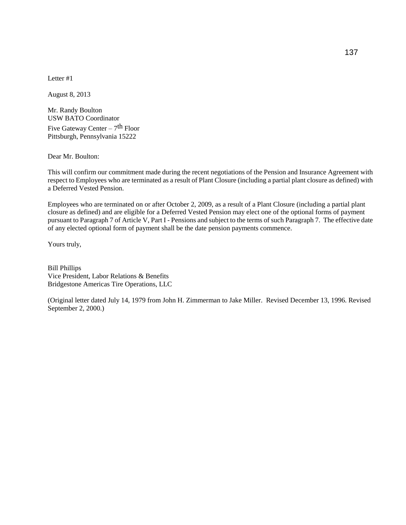Letter #1

August 8, 2013

Mr. Randy Boulton USW BATO Coordinator Five Gateway Center – 7<sup>th</sup> Floor Pittsburgh, Pennsylvania 15222

Dear Mr. Boulton:

This will confirm our commitment made during the recent negotiations of the Pension and Insurance Agreement with respect to Employees who are terminated as a result of Plant Closure (including a partial plant closure as defined) with a Deferred Vested Pension.

Employees who are terminated on or after October 2, 2009, as a result of a Plant Closure (including a partial plant closure as defined) and are eligible for a Deferred Vested Pension may elect one of the optional forms of payment pursuant to Paragraph 7 of Article V, Part I - Pensions and subject to the terms of such Paragraph 7. The effective date of any elected optional form of payment shall be the date pension payments commence.

Yours truly,

Bill Phillips Vice President, Labor Relations & Benefits Bridgestone Americas Tire Operations, LLC

(Original letter dated July 14, 1979 from John H. Zimmerman to Jake Miller. Revised December 13, 1996. Revised September 2, 2000.)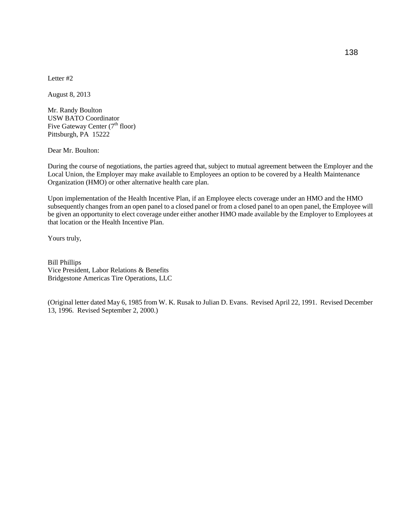Letter #2

August 8, 2013

Mr. Randy Boulton USW BATO Coordinator Five Gateway Center  $(7<sup>th</sup>$  floor) Pittsburgh, PA 15222

Dear Mr. Boulton:

During the course of negotiations, the parties agreed that, subject to mutual agreement between the Employer and the Local Union, the Employer may make available to Employees an option to be covered by a Health Maintenance Organization (HMO) or other alternative health care plan.

Upon implementation of the Health Incentive Plan, if an Employee elects coverage under an HMO and the HMO subsequently changes from an open panel to a closed panel or from a closed panel to an open panel, the Employee will be given an opportunity to elect coverage under either another HMO made available by the Employer to Employees at that location or the Health Incentive Plan.

Yours truly,

Bill Phillips Vice President, Labor Relations & Benefits Bridgestone Americas Tire Operations, LLC

(Original letter dated May 6, 1985 from W. K. Rusak to Julian D. Evans. Revised April 22, 1991. Revised December 13, 1996. Revised September 2, 2000.)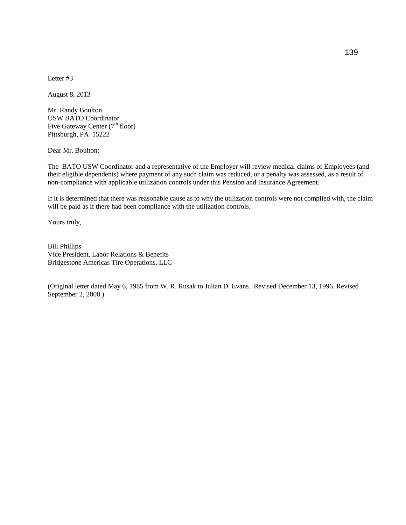August 8, 2013

Mr. Randy Boulton USW BATO Coordinator Five Gateway Center (7<sup>th</sup> floor) Pittsburgh, PA 15222

Dear Mr. Boulton:

The BATO USW Coordinator and a representative of the Employer will review medical claims of Employees (and their eligible dependents) where payment of any such claim was reduced, or a penalty was assessed, as a result of non-compliance with applicable utilization controls under this Pension and Insurance Agreement.

If it is determined that there was reasonable cause as to why the utilization controls were not complied with, the claim will be paid as if there had been compliance with the utilization controls.

Yours truly,

Bill Phillips Vice President, Labor Relations & Benefits Bridgestone Americas Tire Operations, LLC

(Original letter dated May 6, 1985 from W. R. Rusak to Julian D. Evans. Revised December 13, 1996. Revised September 2, 2000.)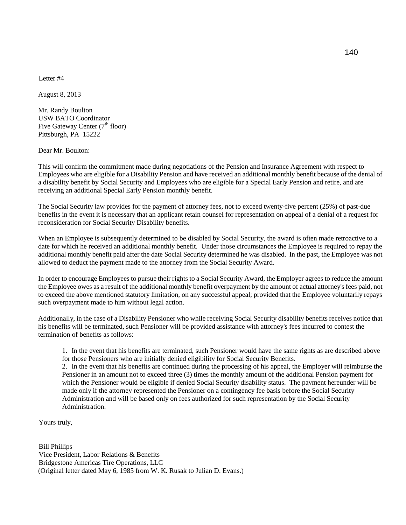August 8, 2013

Mr. Randy Boulton USW BATO Coordinator Five Gateway Center  $(7<sup>th</sup>$  floor) Pittsburgh, PA 15222

Dear Mr. Boulton:

This will confirm the commitment made during negotiations of the Pension and Insurance Agreement with respect to Employees who are eligible for a Disability Pension and have received an additional monthly benefit because of the denial of a disability benefit by Social Security and Employees who are eligible for a Special Early Pension and retire, and are receiving an additional Special Early Pension monthly benefit.

The Social Security law provides for the payment of attorney fees, not to exceed twenty-five percent (25%) of past-due benefits in the event it is necessary that an applicant retain counsel for representation on appeal of a denial of a request for reconsideration for Social Security Disability benefits.

When an Employee is subsequently determined to be disabled by Social Security, the award is often made retroactive to a date for which he received an additional monthly benefit. Under those circumstances the Employee is required to repay the additional monthly benefit paid after the date Social Security determined he was disabled. In the past, the Employee was not allowed to deduct the payment made to the attorney from the Social Security Award.

In order to encourage Employees to pursue their rights to a Social Security Award, the Employer agrees to reduce the amount the Employee owes as a result of the additional monthly benefit overpayment by the amount of actual attorney's fees paid, not to exceed the above mentioned statutory limitation, on any successful appeal; provided that the Employee voluntarily repays such overpayment made to him without legal action.

Additionally, in the case of a Disability Pensioner who while receiving Social Security disability benefits receives notice that his benefits will be terminated, such Pensioner will be provided assistance with attorney's fees incurred to contest the termination of benefits as follows:

1. In the event that his benefits are terminated, such Pensioner would have the same rights as are described above for those Pensioners who are initially denied eligibility for Social Security Benefits.

2. In the event that his benefits are continued during the processing of his appeal, the Employer will reimburse the Pensioner in an amount not to exceed three (3) times the monthly amount of the additional Pension payment for which the Pensioner would be eligible if denied Social Security disability status. The payment hereunder will be made only if the attorney represented the Pensioner on a contingency fee basis before the Social Security Administration and will be based only on fees authorized for such representation by the Social Security Administration.

Yours truly,

Bill Phillips Vice President, Labor Relations & Benefits Bridgestone Americas Tire Operations, LLC (Original letter dated May 6, 1985 from W. K. Rusak to Julian D. Evans.)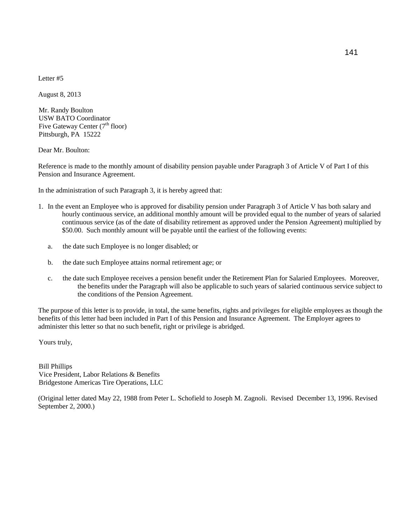August 8, 2013

Mr. Randy Boulton USW BATO Coordinator Five Gateway Center  $(7<sup>th</sup>$  floor) Pittsburgh, PA 15222

Dear Mr. Boulton:

Reference is made to the monthly amount of disability pension payable under Paragraph 3 of Article V of Part I of this Pension and Insurance Agreement.

In the administration of such Paragraph 3, it is hereby agreed that:

- 1. In the event an Employee who is approved for disability pension under Paragraph 3 of Article V has both salary and hourly continuous service, an additional monthly amount will be provided equal to the number of years of salaried continuous service (as of the date of disability retirement as approved under the Pension Agreement) multiplied by \$50.00. Such monthly amount will be payable until the earliest of the following events:
	- a. the date such Employee is no longer disabled; or
	- b. the date such Employee attains normal retirement age; or
	- c. the date such Employee receives a pension benefit under the Retirement Plan for Salaried Employees. Moreover, the benefits under the Paragraph will also be applicable to such years of salaried continuous service subject to the conditions of the Pension Agreement.

The purpose of this letter is to provide, in total, the same benefits, rights and privileges for eligible employees as though the benefits of this letter had been included in Part I of this Pension and Insurance Agreement. The Employer agrees to administer this letter so that no such benefit, right or privilege is abridged.

Yours truly,

Bill Phillips Vice President, Labor Relations & Benefits Bridgestone Americas Tire Operations, LLC

(Original letter dated May 22, 1988 from Peter L. Schofield to Joseph M. Zagnoli. Revised December 13, 1996. Revised September 2, 2000.)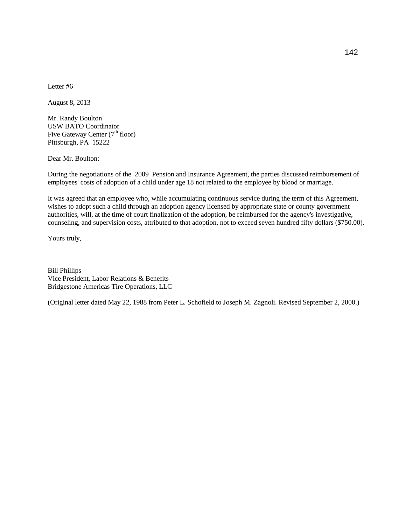August 8, 2013

Mr. Randy Boulton USW BATO Coordinator Five Gateway Center  $(7<sup>th</sup>$  floor) Pittsburgh, PA 15222

Dear Mr. Boulton:

During the negotiations of the 2009 Pension and Insurance Agreement, the parties discussed reimbursement of employees' costs of adoption of a child under age 18 not related to the employee by blood or marriage.

It was agreed that an employee who, while accumulating continuous service during the term of this Agreement, wishes to adopt such a child through an adoption agency licensed by appropriate state or county government authorities, will, at the time of court finalization of the adoption, be reimbursed for the agency's investigative, counseling, and supervision costs, attributed to that adoption, not to exceed seven hundred fifty dollars (\$750.00).

Yours truly,

Bill Phillips Vice President, Labor Relations & Benefits Bridgestone Americas Tire Operations, LLC

(Original letter dated May 22, 1988 from Peter L. Schofield to Joseph M. Zagnoli. Revised September 2, 2000.)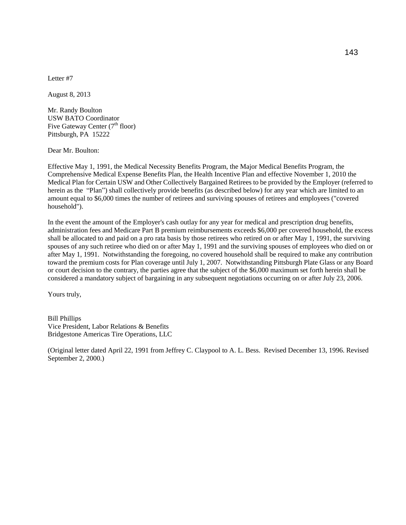August 8, 2013

Mr. Randy Boulton USW BATO Coordinator Five Gateway Center  $(7<sup>th</sup>$  floor) Pittsburgh, PA 15222

Dear Mr. Boulton:

Effective May 1, 1991, the Medical Necessity Benefits Program, the Major Medical Benefits Program, the Comprehensive Medical Expense Benefits Plan, the Health Incentive Plan and effective November 1, 2010 the Medical Plan for Certain USW and Other Collectively Bargained Retirees to be provided by the Employer (referred to herein as the "Plan") shall collectively provide benefits (as described below) for any year which are limited to an amount equal to \$6,000 times the number of retirees and surviving spouses of retirees and employees ("covered household").

In the event the amount of the Employer's cash outlay for any year for medical and prescription drug benefits, administration fees and Medicare Part B premium reimbursements exceeds \$6,000 per covered household, the excess shall be allocated to and paid on a pro rata basis by those retirees who retired on or after May 1, 1991, the surviving spouses of any such retiree who died on or after May 1, 1991 and the surviving spouses of employees who died on or after May 1, 1991. Notwithstanding the foregoing, no covered household shall be required to make any contribution toward the premium costs for Plan coverage until July 1, 2007. Notwithstanding Pittsburgh Plate Glass or any Board or court decision to the contrary, the parties agree that the subject of the \$6,000 maximum set forth herein shall be considered a mandatory subject of bargaining in any subsequent negotiations occurring on or after July 23, 2006.

Yours truly,

Bill Phillips Vice President, Labor Relations & Benefits Bridgestone Americas Tire Operations, LLC

(Original letter dated April 22, 1991 from Jeffrey C. Claypool to A. L. Bess. Revised December 13, 1996. Revised September 2, 2000.)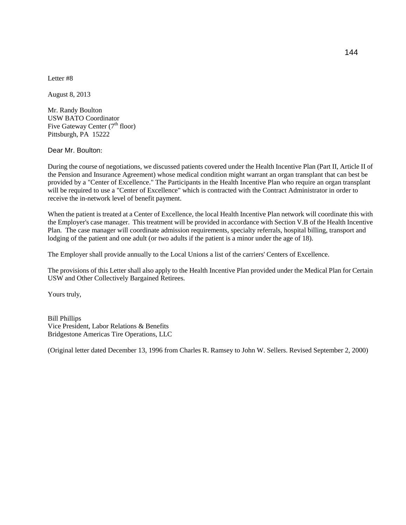August 8, 2013

Mr. Randy Boulton USW BATO Coordinator Five Gateway Center  $(7<sup>th</sup>$  floor) Pittsburgh, PA 15222

Dear Mr. Boulton:

During the course of negotiations, we discussed patients covered under the Health Incentive Plan (Part II, Article II of the Pension and Insurance Agreement) whose medical condition might warrant an organ transplant that can best be provided by a "Center of Excellence." The Participants in the Health Incentive Plan who require an organ transplant will be required to use a "Center of Excellence" which is contracted with the Contract Administrator in order to receive the in-network level of benefit payment.

When the patient is treated at a Center of Excellence, the local Health Incentive Plan network will coordinate this with the Employer's case manager. This treatment will be provided in accordance with Section V.B of the Health Incentive Plan. The case manager will coordinate admission requirements, specialty referrals, hospital billing, transport and lodging of the patient and one adult (or two adults if the patient is a minor under the age of 18).

The Employer shall provide annually to the Local Unions a list of the carriers' Centers of Excellence.

The provisions of this Letter shall also apply to the Health Incentive Plan provided under the Medical Plan for Certain USW and Other Collectively Bargained Retirees.

Yours truly,

Bill Phillips Vice President, Labor Relations & Benefits Bridgestone Americas Tire Operations, LLC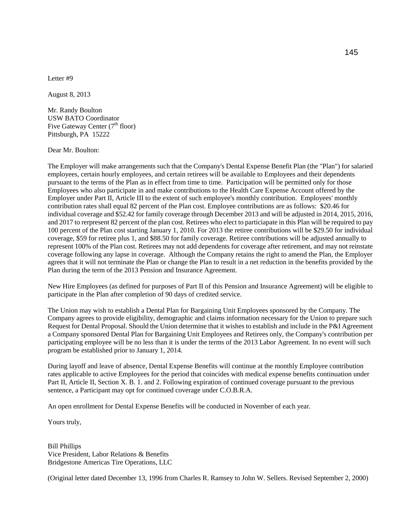August 8, 2013

Mr. Randy Boulton USW BATO Coordinator Five Gateway Center  $(7<sup>th</sup>$  floor) Pittsburgh, PA 15222

Dear Mr. Boulton:

The Employer will make arrangements such that the Company's Dental Expense Benefit Plan (the "Plan") for salaried employees, certain hourly employees, and certain retirees will be available to Employees and their dependents pursuant to the terms of the Plan as in effect from time to time. Participation will be permitted only for those Employees who also participate in and make contributions to the Health Care Expense Account offered by the Employer under Part II, Article III to the extent of such employee's monthly contribution. Employees' monthly contribution rates shall equal 82 percent of the Plan cost. Employee contributions are as follows: \$20.46 for individual coverage and \$52.42 for family coverage through December 2013 and will be adjusted in 2014, 2015, 2016, and 2017 to rerpresent 82 percent of the plan cost. Retirees who elect to particiapate in this Plan will be required to pay 100 percent of the Plan cost starting January 1, 2010. For 2013 the retiree contributions will be \$29.50 for individual coverage, \$59 for retiree plus 1, and \$88.50 for family coverage. Retiree contributions will be adjusted annually to represent 100% of the Plan cost. Retirees may not add dependents for coverage after retirement, and may not reinstate coverage following any lapse in coverage. Although the Company retains the right to amend the Plan, the Employer agrees that it will not terminate the Plan or change the Plan to result in a net reduction in the benefits provided by the Plan during the term of the 2013 Pension and Insurance Agreement.

New Hire Employees (as defined for purposes of Part II of this Pension and Insurance Agreement) will be eligible to participate in the Plan after completion of 90 days of credited service.

The Union may wish to establish a Dental Plan for Bargaining Unit Employees sponsored by the Company. The Company agrees to provide eligibility, demographic and claims information necessary for the Union to prepare such Request for Dental Proposal. Should the Union determine that it wishes to establish and include in the P&I Agreement a Company sponsored Dental Plan for Bargaining Unit Employees and Retirees only, the Company's contribution per participating employee will be no less than it is under the terms of the 2013 Labor Agreement. In no event will such program be established prior to January 1, 2014.

During layoff and leave of absence, Dental Expense Benefits will continue at the monthly Employee contribution rates applicable to active Employees for the period that coincides with medical expense benefits continuation under Part II, Article II, Section X. B. 1. and 2. Following expiration of continued coverage pursuant to the previous sentence, a Participant may opt for continued coverage under C.O.B.R.A.

An open enrollment for Dental Expense Benefits will be conducted in November of each year.

Yours truly,

Bill Phillips Vice President, Labor Relations & Benefits Bridgestone Americas Tire Operations, LLC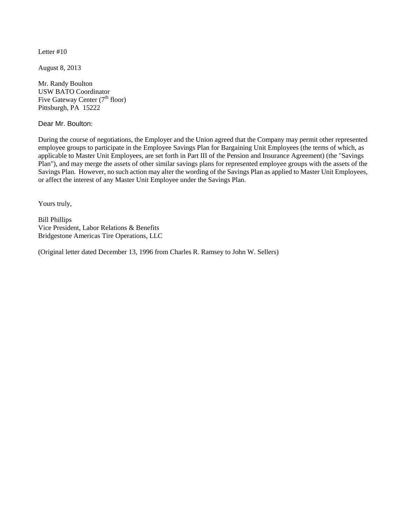August 8, 2013

Mr. Randy Boulton USW BATO Coordinator Five Gateway Center  $(7<sup>th</sup>$  floor) Pittsburgh, PA 15222

Dear Mr. Boulton:

During the course of negotiations, the Employer and the Union agreed that the Company may permit other represented employee groups to participate in the Employee Savings Plan for Bargaining Unit Employees (the terms of which, as applicable to Master Unit Employees, are set forth in Part III of the Pension and Insurance Agreement) (the "Savings Plan"), and may merge the assets of other similar savings plans for represented employee groups with the assets of the Savings Plan. However, no such action may alter the wording of the Savings Plan as applied to Master Unit Employees, or affect the interest of any Master Unit Employee under the Savings Plan.

Yours truly,

Bill Phillips Vice President, Labor Relations & Benefits Bridgestone Americas Tire Operations, LLC

(Original letter dated December 13, 1996 from Charles R. Ramsey to John W. Sellers)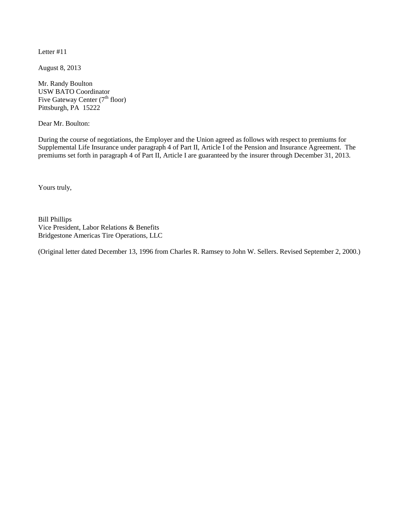August 8, 2013

Mr. Randy Boulton USW BATO Coordinator Five Gateway Center  $(7<sup>th</sup>$  floor) Pittsburgh, PA 15222

Dear Mr. Boulton:

During the course of negotiations, the Employer and the Union agreed as follows with respect to premiums for Supplemental Life Insurance under paragraph 4 of Part II, Article I of the Pension and Insurance Agreement. The premiums set forth in paragraph 4 of Part II, Article I are guaranteed by the insurer through December 31, 2013.

Yours truly,

Bill Phillips Vice President, Labor Relations & Benefits Bridgestone Americas Tire Operations, LLC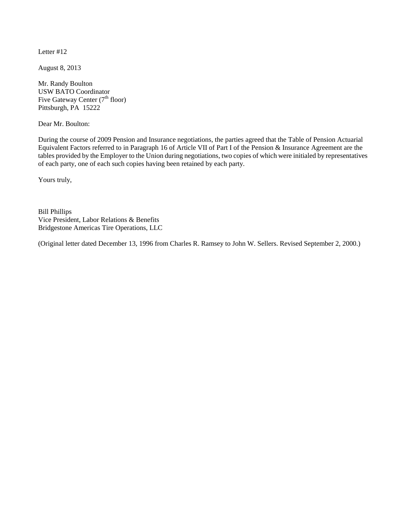August 8, 2013

Mr. Randy Boulton USW BATO Coordinator Five Gateway Center  $(7<sup>th</sup>$  floor) Pittsburgh, PA 15222

Dear Mr. Boulton:

During the course of 2009 Pension and Insurance negotiations, the parties agreed that the Table of Pension Actuarial Equivalent Factors referred to in Paragraph 16 of Article VII of Part I of the Pension & Insurance Agreement are the tables provided by the Employer to the Union during negotiations, two copies of which were initialed by representatives of each party, one of each such copies having been retained by each party.

Yours truly,

Bill Phillips Vice President, Labor Relations & Benefits Bridgestone Americas Tire Operations, LLC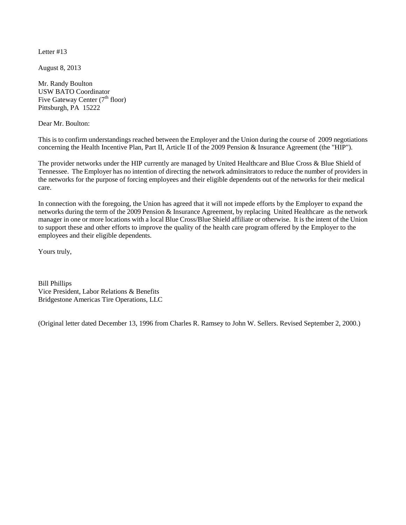August 8, 2013

Mr. Randy Boulton USW BATO Coordinator Five Gateway Center  $(7<sup>th</sup>$  floor) Pittsburgh, PA 15222

Dear Mr. Boulton:

This is to confirm understandings reached between the Employer and the Union during the course of 2009 negotiations concerning the Health Incentive Plan, Part II, Article II of the 2009 Pension & Insurance Agreement (the "HIP").

The provider networks under the HIP currently are managed by United Healthcare and Blue Cross & Blue Shield of Tennessee. The Employer has no intention of directing the network adminsitrators to reduce the number of providers in the networks for the purpose of forcing employees and their eligible dependents out of the networks for their medical care.

In connection with the foregoing, the Union has agreed that it will not impede efforts by the Employer to expand the networks during the term of the 2009 Pension & Insurance Agreement, by replacing United Healthcare as the network manager in one or more locations with a local Blue Cross/Blue Shield affiliate or otherwise. It is the intent of the Union to support these and other efforts to improve the quality of the health care program offered by the Employer to the employees and their eligible dependents.

Yours truly,

Bill Phillips Vice President, Labor Relations & Benefits Bridgestone Americas Tire Operations, LLC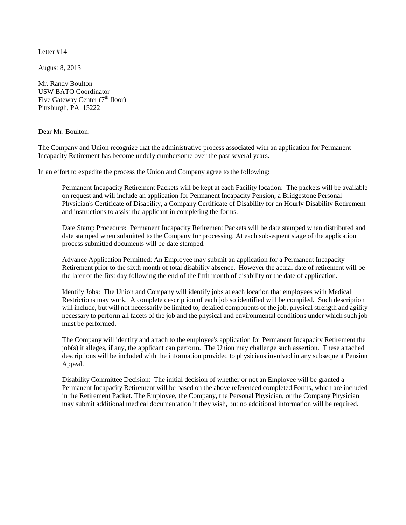August 8, 2013

Mr. Randy Boulton USW BATO Coordinator Five Gateway Center  $(7<sup>th</sup>$  floor) Pittsburgh, PA 15222

Dear Mr. Boulton:

The Company and Union recognize that the administrative process associated with an application for Permanent Incapacity Retirement has become unduly cumbersome over the past several years.

In an effort to expedite the process the Union and Company agree to the following:

Permanent Incapacity Retirement Packets will be kept at each Facility location: The packets will be available on request and will include an application for Permanent Incapacity Pension, a Bridgestone Personal Physician's Certificate of Disability, a Company Certificate of Disability for an Hourly Disability Retirement and instructions to assist the applicant in completing the forms.

Date Stamp Procedure: Permanent Incapacity Retirement Packets will be date stamped when distributed and date stamped when submitted to the Company for processing. At each subsequent stage of the application process submitted documents will be date stamped.

Advance Application Permitted: An Employee may submit an application for a Permanent Incapacity Retirement prior to the sixth month of total disability absence. However the actual date of retirement will be the later of the first day following the end of the fifth month of disability or the date of application.

Identify Jobs: The Union and Company will identify jobs at each location that employees with Medical Restrictions may work. A complete description of each job so identified will be compiled. Such description will include, but will not necessarily be limited to, detailed components of the job, physical strength and agility necessary to perform all facets of the job and the physical and environmental conditions under which such job must be performed.

The Company will identify and attach to the employee's application for Permanent Incapacity Retirement the job(s) it alleges, if any, the applicant can perform. The Union may challenge such assertion. These attached descriptions will be included with the information provided to physicians involved in any subsequent Pension Appeal.

Disability Committee Decision: The initial decision of whether or not an Employee will be granted a Permanent Incapacity Retirement will be based on the above referenced completed Forms, which are included in the Retirement Packet. The Employee, the Company, the Personal Physician, or the Company Physician may submit additional medical documentation if they wish, but no additional information will be required.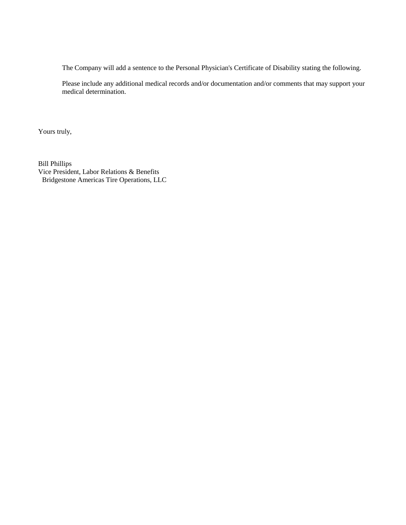The Company will add a sentence to the Personal Physician's Certificate of Disability stating the following.

Please include any additional medical records and/or documentation and/or comments that may support your medical determination.

Yours truly,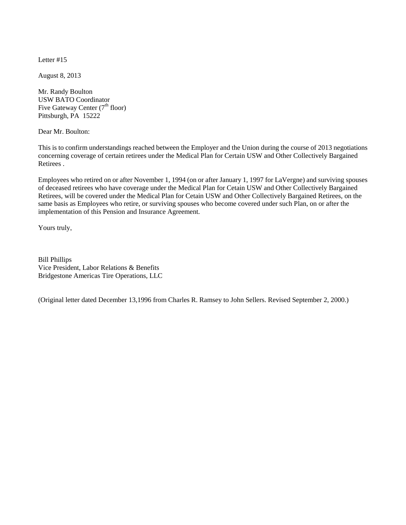August 8, 2013

Mr. Randy Boulton USW BATO Coordinator Five Gateway Center  $(7<sup>th</sup>$  floor) Pittsburgh, PA 15222

Dear Mr. Boulton:

This is to confirm understandings reached between the Employer and the Union during the course of 2013 negotiations concerning coverage of certain retirees under the Medical Plan for Certain USW and Other Collectively Bargained Retirees .

Employees who retired on or after November 1, 1994 (on or after January 1, 1997 for LaVergne) and surviving spouses of deceased retirees who have coverage under the Medical Plan for Cetain USW and Other Collectively Bargained Retirees, will be covered under the Medical Plan for Cetain USW and Other Collectively Bargained Retirees, on the same basis as Employees who retire, or surviving spouses who become covered under such Plan, on or after the implementation of this Pension and Insurance Agreement.

Yours truly,

Bill Phillips Vice President, Labor Relations & Benefits Bridgestone Americas Tire Operations, LLC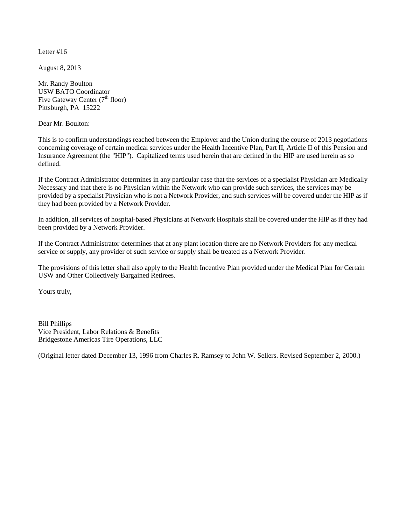August 8, 2013

Mr. Randy Boulton USW BATO Coordinator Five Gateway Center  $(7<sup>th</sup>$  floor) Pittsburgh, PA 15222

Dear Mr. Boulton:

This is to confirm understandings reached between the Employer and the Union during the course of 2013 negotiations concerning coverage of certain medical services under the Health Incentive Plan, Part II, Article II of this Pension and Insurance Agreement (the "HIP"). Capitalized terms used herein that are defined in the HIP are used herein as so defined.

If the Contract Administrator determines in any particular case that the services of a specialist Physician are Medically Necessary and that there is no Physician within the Network who can provide such services, the services may be provided by a specialist Physician who is not a Network Provider, and such services will be covered under the HIP as if they had been provided by a Network Provider.

In addition, all services of hospital-based Physicians at Network Hospitals shall be covered under the HIP as if they had been provided by a Network Provider.

If the Contract Administrator determines that at any plant location there are no Network Providers for any medical service or supply, any provider of such service or supply shall be treated as a Network Provider.

The provisions of this letter shall also apply to the Health Incentive Plan provided under the Medical Plan for Certain USW and Other Collectively Bargained Retirees.

Yours truly,

Bill Phillips Vice President, Labor Relations & Benefits Bridgestone Americas Tire Operations, LLC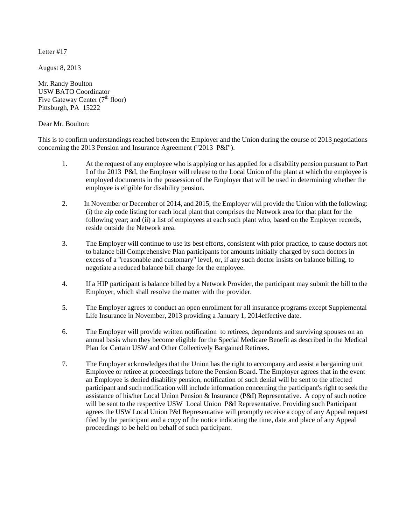August 8, 2013

Mr. Randy Boulton USW BATO Coordinator Five Gateway Center  $(7<sup>th</sup>$  floor) Pittsburgh, PA 15222

Dear Mr. Boulton:

This is to confirm understandings reached between the Employer and the Union during the course of 2013 negotiations concerning the 2013 Pension and Insurance Agreement ("2013 P&I").

- 1. At the request of any employee who is applying or has applied for a disability pension pursuant to Part I of the 2013 P&I, the Employer will release to the Local Union of the plant at which the employee is employed documents in the possession of the Employer that will be used in determining whether the employee is eligible for disability pension.
- 2. In November or December of 2014, and 2015, the Employer will provide the Union with the following: (i) the zip code listing for each local plant that comprises the Network area for that plant for the following year; and (ii) a list of employees at each such plant who, based on the Employer records, reside outside the Network area.
- 3. The Employer will continue to use its best efforts, consistent with prior practice, to cause doctors not to balance bill Comprehensive Plan participants for amounts initially charged by such doctors in excess of a "reasonable and customary" level, or, if any such doctor insists on balance billing, to negotiate a reduced balance bill charge for the employee.
- 4. If a HIP participant is balance billed by a Network Provider, the participant may submit the bill to the Employer, which shall resolve the matter with the provider.
- 5. The Employer agrees to conduct an open enrollment for all insurance programs except Supplemental Life Insurance in November, 2013 providing a January 1, 2014effective date.
- 6. The Employer will provide written notification to retirees, dependents and surviving spouses on an annual basis when they become eligible for the Special Medicare Benefit as described in the Medical Plan for Certain USW and Other Collectively Bargained Retirees.
- 7. The Employer acknowledges that the Union has the right to accompany and assist a bargaining unit Employee or retiree at proceedings before the Pension Board. The Employer agrees that in the event an Employee is denied disability pension, notification of such denial will be sent to the affected participant and such notification will include information concerning the participant's right to seek the assistance of his/her Local Union Pension & Insurance (P&I) Representative. A copy of such notice will be sent to the respective USW Local Union P&I Representative. Providing such Participant agrees the USW Local Union P&I Representative will promptly receive a copy of any Appeal request filed by the participant and a copy of the notice indicating the time, date and place of any Appeal proceedings to be held on behalf of such participant.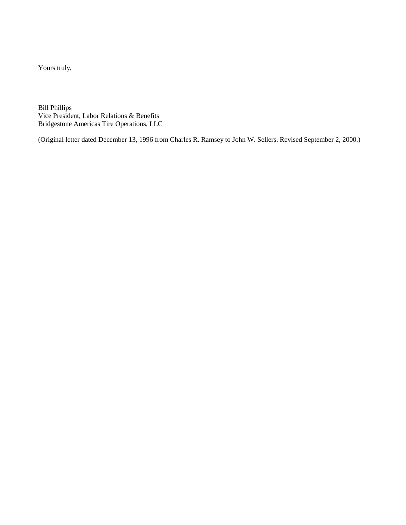Yours truly,

Bill Phillips Vice President, Labor Relations & Benefits Bridgestone Americas Tire Operations, LLC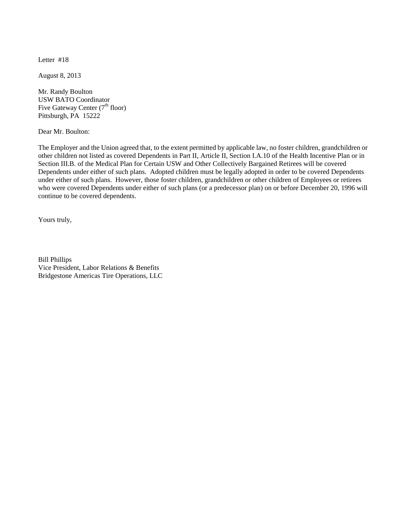August 8, 2013

Mr. Randy Boulton USW BATO Coordinator Five Gateway Center  $(7<sup>th</sup>$  floor) Pittsburgh, PA 15222

Dear Mr. Boulton:

The Employer and the Union agreed that, to the extent permitted by applicable law, no foster children, grandchildren or other children not listed as covered Dependents in Part II, Article II, Section I.A.10 of the Health Incentive Plan or in Section III.B. of the Medical Plan for Certain USW and Other Collectively Bargained Retirees will be covered Dependents under either of such plans. Adopted children must be legally adopted in order to be covered Dependents under either of such plans. However, those foster children, grandchildren or other children of Employees or retirees who were covered Dependents under either of such plans (or a predecessor plan) on or before December 20, 1996 will continue to be covered dependents.

Yours truly,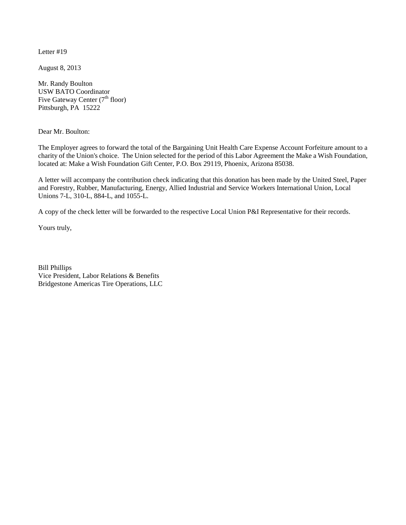August 8, 2013

Mr. Randy Boulton USW BATO Coordinator Five Gateway Center  $(7<sup>th</sup>$  floor) Pittsburgh, PA 15222

Dear Mr. Boulton:

The Employer agrees to forward the total of the Bargaining Unit Health Care Expense Account Forfeiture amount to a charity of the Union's choice. The Union selected for the period of this Labor Agreement the Make a Wish Foundation, located at: Make a Wish Foundation Gift Center, P.O. Box 29119, Phoenix, Arizona 85038.

A letter will accompany the contribution check indicating that this donation has been made by the United Steel, Paper and Forestry, Rubber, Manufacturing, Energy, Allied Industrial and Service Workers International Union, Local Unions 7-L, 310-L, 884-L, and 1055-L.

A copy of the check letter will be forwarded to the respective Local Union P&I Representative for their records.

Yours truly,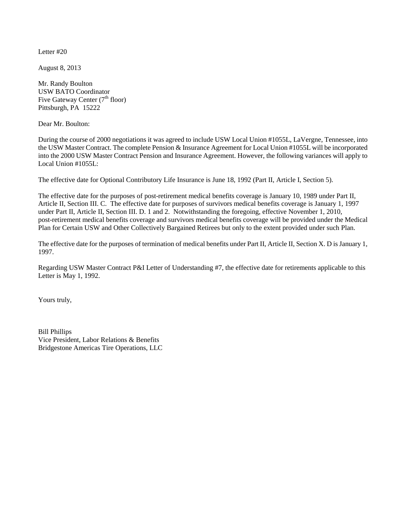August 8, 2013

Mr. Randy Boulton USW BATO Coordinator Five Gateway Center  $(7<sup>th</sup>$  floor) Pittsburgh, PA 15222

Dear Mr. Boulton:

During the course of 2000 negotiations it was agreed to include USW Local Union #1055L, LaVergne, Tennessee, into the USW Master Contract. The complete Pension & Insurance Agreement for Local Union #1055L will be incorporated into the 2000 USW Master Contract Pension and Insurance Agreement. However, the following variances will apply to Local Union #1055L:

The effective date for Optional Contributory Life Insurance is June 18, 1992 (Part II, Article I, Section 5).

The effective date for the purposes of post-retirement medical benefits coverage is January 10, 1989 under Part II, Article II, Section III. C. The effective date for purposes of survivors medical benefits coverage is January 1, 1997 under Part II, Article II, Section III. D. 1 and 2. Notwithstanding the foregoing, effective November 1, 2010, post-retirement medical benefits coverage and survivors medical benefits coverage will be provided under the Medical Plan for Certain USW and Other Collectively Bargained Retirees but only to the extent provided under such Plan.

The effective date for the purposes of termination of medical benefits under Part II, Article II, Section X. D is January 1, 1997.

Regarding USW Master Contract P&I Letter of Understanding #7, the effective date for retirements applicable to this Letter is May 1, 1992.

Yours truly,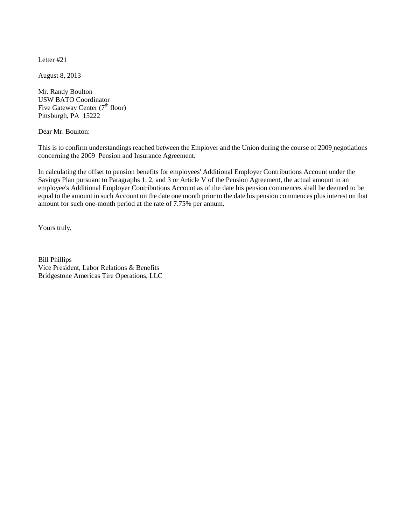August 8, 2013

Mr. Randy Boulton USW BATO Coordinator Five Gateway Center  $(7<sup>th</sup>$  floor) Pittsburgh, PA 15222

Dear Mr. Boulton:

This is to confirm understandings reached between the Employer and the Union during the course of 2009 negotiations concerning the 2009 Pension and Insurance Agreement.

In calculating the offset to pension benefits for employees' Additional Employer Contributions Account under the Savings Plan pursuant to Paragraphs 1, 2, and 3 or Article V of the Pension Agreement, the actual amount in an employee's Additional Employer Contributions Account as of the date his pension commences shall be deemed to be equal to the amount in such Account on the date one month prior to the date his pension commences plus interest on that amount for such one-month period at the rate of 7.75% per annum.

Yours truly,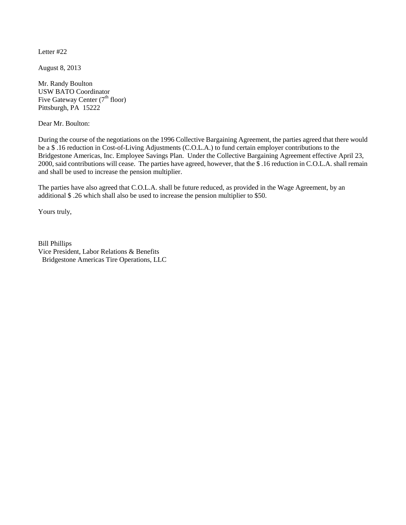August 8, 2013

Mr. Randy Boulton USW BATO Coordinator Five Gateway Center  $(7<sup>th</sup>$  floor) Pittsburgh, PA 15222

Dear Mr. Boulton:

During the course of the negotiations on the 1996 Collective Bargaining Agreement, the parties agreed that there would be a \$ .16 reduction in Cost-of-Living Adjustments (C.O.L.A.) to fund certain employer contributions to the Bridgestone Americas, Inc. Employee Savings Plan. Under the Collective Bargaining Agreement effective April 23, 2000, said contributions will cease. The parties have agreed, however, that the \$ .16 reduction in C.O.L.A. shall remain and shall be used to increase the pension multiplier.

The parties have also agreed that C.O.L.A. shall be future reduced, as provided in the Wage Agreement, by an additional \$ .26 which shall also be used to increase the pension multiplier to \$50.

Yours truly,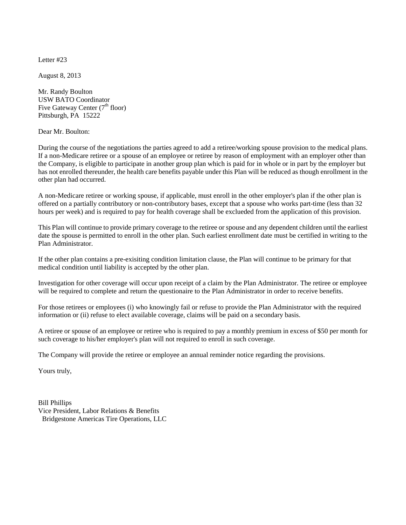August 8, 2013

Mr. Randy Boulton USW BATO Coordinator Five Gateway Center  $(7<sup>th</sup>$  floor) Pittsburgh, PA 15222

Dear Mr. Boulton:

During the course of the negotiations the parties agreed to add a retiree/working spouse provision to the medical plans. If a non-Medicare retiree or a spouse of an employee or retiree by reason of employment with an employer other than the Company, is eligible to participate in another group plan which is paid for in whole or in part by the employer but has not enrolled thereunder, the health care benefits payable under this Plan will be reduced as though enrollment in the other plan had occurred.

A non-Medicare retiree or working spouse, if applicable, must enroll in the other employer's plan if the other plan is offered on a partially contributory or non-contributory bases, except that a spouse who works part-time (less than 32 hours per week) and is required to pay for health coverage shall be exclueded from the application of this provision.

This Plan will continue to provide primary coverage to the retiree or spouse and any dependent children until the earliest date the spouse is permitted to enroll in the other plan. Such earliest enrollment date must be certified in writing to the Plan Administrator.

If the other plan contains a pre-exisiting condition limitation clause, the Plan will continue to be primary for that medical condition until liability is accepted by the other plan.

Investigation for other coverage will occur upon receipt of a claim by the Plan Administrator. The retiree or employee will be required to complete and return the questionaire to the Plan Administrator in order to receive benefits.

For those retirees or employees (i) who knowingly fail or refuse to provide the Plan Administrator with the required information or (ii) refuse to elect available coverage, claims will be paid on a secondary basis.

A retiree or spouse of an employee or retiree who is required to pay a monthly premium in excess of \$50 per month for such coverage to his/her employer's plan will not required to enroll in such coverage.

The Company will provide the retiree or employee an annual reminder notice regarding the provisions.

Yours truly,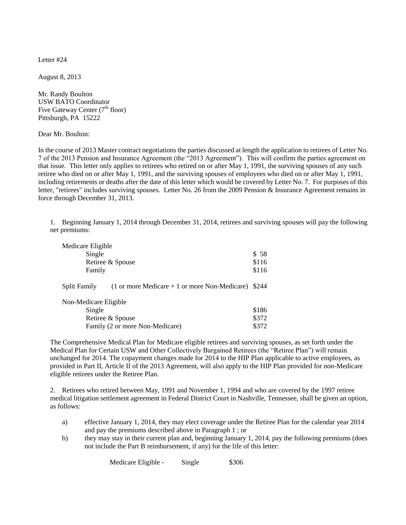August 8, 2013

Mr. Randy Boulton USW BATO Coordinator Five Gateway Center  $(7<sup>th</sup>$  floor) Pittsburgh, PA 15222

Dear Mr. Boulton:

In the course of 2013 Master contract negotiations the parties discussed at length the application to retirees of Letter No. 7 of the 2013 Pension and Insurance Agreement (the "2013 Agreement"). This will confirm the parties agreement on that issue. This letter only applies to retirees who retired on or after May 1, 1991, the surviving spouses of any such retiree who died on or after May 1, 1991, and the surviving spouses of employees who died on or after May 1, 1991, including retirements or deaths after the date of this letter which would be covered by Letter No. 7. For purposes of this letter, "retirees" includes surviving spouses. Letter No. 26 from the 2009 Pension & Insurance Agreement remains in force through December 31, 2013.

1. Beginning January 1, 2014 through December 31, 2014, retirees and surviving spouses will pay the following net premiums:

| Medicare Eligible                                                               |       |
|---------------------------------------------------------------------------------|-------|
| Single                                                                          | \$ 58 |
| Retiree & Spouse                                                                | \$116 |
| Family                                                                          | \$116 |
| Split Family<br>$(1 \text{ or more Medicine} + 1 \text{ or more Non-Medicare})$ | \$244 |
| Non-Medicare Eligible                                                           |       |
| Single                                                                          | \$186 |
| Retiree & Spouse                                                                | \$372 |
| Family (2 or more Non-Medicare)                                                 | \$372 |

The Comprehensive Medical Plan for Medicare eligible retirees and surviving spouses, as set forth under the Medical Plan for Certain USW and Other Collectively Bargained Retirees (the "Retiree Plan") will remain unchanged for 2014. The copayment changes made for 2014 to the HIP Plan applicable to active employees, as provided in Part II, Article II of the 2013 Agreement, will also apply to the HIP Plan provided for non-Medicare eligible retirees under the Retiree Plan.

2. Retirees who retired between May, 1991 and November 1, 1994 and who are covered by the 1997 retiree medical litigation settlement agreement in Federal District Court in Nashville, Tennessee, shall be given an option, as follows:

- a) effective January 1, 2014, they may elect coverage under the Retiree Plan for the calendar year 2014 and pay the premiums described above in Paragraph 1 ; or
- b) they may stay in their current plan and, beginning January 1, 2014, pay the following premiums (does not include the Part B reimbursement, if any) for the life of this letter:

Medicare Eligible - Single \$306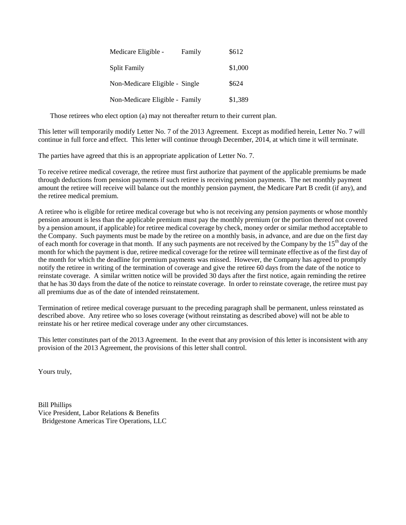| Medicare Eligible -            | Family | \$612   |
|--------------------------------|--------|---------|
| <b>Split Family</b>            |        | \$1,000 |
| Non-Medicare Eligible - Single |        | \$624   |
| Non-Medicare Eligible - Family |        | \$1,389 |

Those retirees who elect option (a) may not thereafter return to their current plan.

This letter will temporarily modify Letter No. 7 of the 2013 Agreement. Except as modified herein, Letter No. 7 will continue in full force and effect. This letter will continue through December, 2014, at which time it will terminate.

The parties have agreed that this is an appropriate application of Letter No. 7.

To receive retiree medical coverage, the retiree must first authorize that payment of the applicable premiums be made through deductions from pension payments if such retiree is receiving pension payments. The net monthly payment amount the retiree will receive will balance out the monthly pension payment, the Medicare Part B credit (if any), and the retiree medical premium.

A retiree who is eligible for retiree medical coverage but who is not receiving any pension payments or whose monthly pension amount is less than the applicable premium must pay the monthly premium (or the portion thereof not covered by a pension amount, if applicable) for retiree medical coverage by check, money order or similar method acceptable to the Company. Such payments must be made by the retiree on a monthly basis, in advance, and are due on the first day of each month for coverage in that month. If any such payments are not received by the Company by the 15<sup>th</sup> day of the month for which the payment is due, retiree medical coverage for the retiree will terminate effective as of the first day of the month for which the deadline for premium payments was missed. However, the Company has agreed to promptly notify the retiree in writing of the termination of coverage and give the retiree 60 days from the date of the notice to reinstate coverage. A similar written notice will be provided 30 days after the first notice, again reminding the retiree that he has 30 days from the date of the notice to reinstate coverage. In order to reinstate coverage, the retiree must pay all premiums due as of the date of intended reinstatement.

Termination of retiree medical coverage pursuant to the preceding paragraph shall be permanent, unless reinstated as described above. Any retiree who so loses coverage (without reinstating as described above) will not be able to reinstate his or her retiree medical coverage under any other circumstances.

This letter constitutes part of the 2013 Agreement. In the event that any provision of this letter is inconsistent with any provision of the 2013 Agreement, the provisions of this letter shall control.

Yours truly,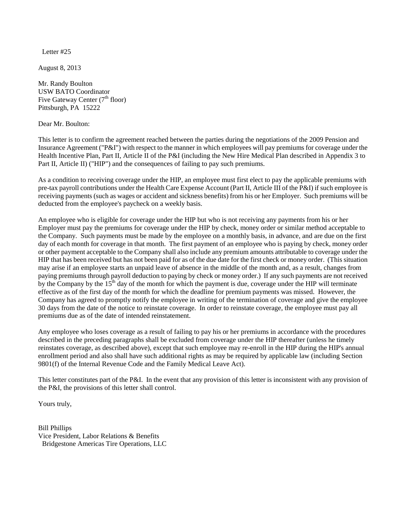August 8, 2013

Mr. Randy Boulton USW BATO Coordinator Five Gateway Center  $(7<sup>th</sup>$  floor) Pittsburgh, PA 15222

Dear Mr. Boulton:

This letter is to confirm the agreement reached between the parties during the negotiations of the 2009 Pension and Insurance Agreement ("P&I") with respect to the manner in which employees will pay premiums for coverage under the Health Incentive Plan, Part II, Article II of the P&I (including the New Hire Medical Plan described in Appendix 3 to Part II, Article II) ("HIP") and the consequences of failing to pay such premiums.

As a condition to receiving coverage under the HIP, an employee must first elect to pay the applicable premiums with pre-tax payroll contributions under the Health Care Expense Account (Part II, Article III of the P&I) if such employee is receiving payments (such as wages or accident and sickness benefits) from his or her Employer. Such premiums will be deducted from the employee's paycheck on a weekly basis.

An employee who is eligible for coverage under the HIP but who is not receiving any payments from his or her Employer must pay the premiums for coverage under the HIP by check, money order or similar method acceptable to the Company. Such payments must be made by the employee on a monthly basis, in advance, and are due on the first day of each month for coverage in that month. The first payment of an employee who is paying by check, money order or other payment acceptable to the Company shall also include any premium amounts attributable to coverage under the HIP that has been received but has not been paid for as of the due date for the first check or money order. (This situation may arise if an employee starts an unpaid leave of absence in the middle of the month and, as a result, changes from paying premiums through payroll deduction to paying by check or money order.) If any such payments are not received by the Company by the 15<sup>th</sup> day of the month for which the payment is due, coverage under the HIP will terminate effective as of the first day of the month for which the deadline for premium payments was missed. However, the Company has agreed to promptly notify the employee in writing of the termination of coverage and give the employee 30 days from the date of the notice to reinstate coverage. In order to reinstate coverage, the employee must pay all premiums due as of the date of intended reinstatement.

Any employee who loses coverage as a result of failing to pay his or her premiums in accordance with the procedures described in the preceding paragraphs shall be excluded from coverage under the HIP thereafter (unless he timely reinstates coverage, as described above), except that such employee may re-enroll in the HIP during the HIP's annual enrollment period and also shall have such additional rights as may be required by applicable law (including Section 9801(f) of the Internal Revenue Code and the Family Medical Leave Act).

This letter constitutes part of the P&I. In the event that any provision of this letter is inconsistent with any provision of the P&I, the provisions of this letter shall control.

Yours truly,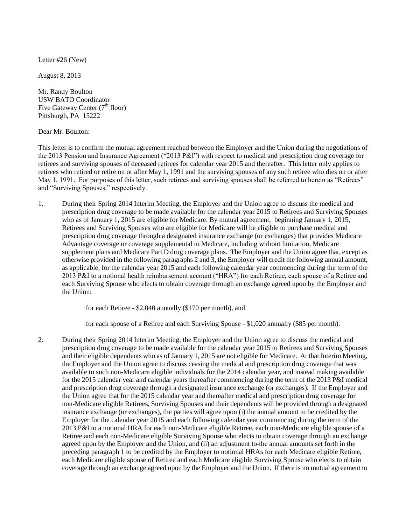Letter #26 (New)

August 8, 2013

Mr. Randy Boulton USW BATO Coordinator Five Gateway Center  $(7<sup>th</sup>$  floor) Pittsburgh, PA 15222

Dear Mr. Boulton:

This letter is to confirm the mutual agreement reached between the Employer and the Union during the negotiations of the 2013 Pension and Insurance Agreement ("2013 P&I") with respect to medical and prescription drug coverage for retirees and surviving spouses of deceased retirees for calendar year 2015 and thereafter. This letter only applies to retirees who retired or retire on or after May 1, 1991 and the surviving spouses of any such retiree who dies on or after May 1, 1991. For purposes of this letter, such retirees and surviving spouses shall be referred to herein as "Retirees" and "Surviving Spouses," respectively.

1. During their Spring 2014 Interim Meeting, the Employer and the Union agree to discuss the medical and prescription drug coverage to be made available for the calendar year 2015 to Retirees and Surviving Spouses who as of January 1, 2015 are eligible for Medicare. By mutual agreement, beginning January 1, 2015, Retirees and Surviving Spouses who are eligible for Medicare will be eligible to purchase medical and prescription drug coverage through a designated insurance exchange (or exchanges) that provides Medicare Advantage coverage or coverage supplemental to Medicare, including without limitation, Medicare supplement plans and Medicare Part D drug coverage plans. The Employer and the Union agree that, except as otherwise provided in the following paragraphs 2 and 3, the Employer will credit the following annual amount, as applicable, for the calendar year 2015 and each following calendar year commencing during the term of the 2013 P&I to a notional health reimbursement account ("HRA") for each Retiree, each spouse of a Retiree and each Surviving Spouse who elects to obtain coverage through an exchange agreed upon by the Employer and the Union:

for each Retiree - \$2,040 annually (\$170 per month), and

for each spouse of a Retiree and each Surviving Spouse - \$1,020 annually (\$85 per month).

2. During their Spring 2014 Interim Meeting, the Employer and the Union agree to discuss the medical and prescription drug coverage to be made available for the calendar year 2015 to Retirees and Surviving Spouses and their eligible dependents who as of January 1, 2015 are not eligible for Medicare. At that Interim Meeting, the Employer and the Union agree to discuss ceasing the medical and prescription drug coverage that was available to such non-Medicare eligible individuals for the 2014 calendar year, and instead making available for the 2015 calendar year and calendar years thereafter commencing during the term of the 2013 P&I medical and prescription drug coverage through a designated insurance exchange (or exchanges). If the Employer and the Union agree that for the 2015 calendar year and thereafter medical and prescription drug coverage for non-Medicare eligible Retirees, Surviving Spouses and their dependents will be provided through a designated insurance exchange (or exchanges), the parties will agree upon (i) the annual amount to be credited by the Employer for the calendar year 2015 and each following calendar year commencing during the term of the 2013 P&I to a notional HRA for each non-Medicare eligible Retiree, each non-Medicare eligible spouse of a Retiree and each non-Medicare eligible Surviving Spouse who elects to obtain coverage through an exchange agreed upon by the Employer and the Union, and (ii) an adjustment to the annual amounts set forth in the preceding paragraph 1 to be credited by the Employer to notional HRAs for each Medicare eligible Retiree, each Medicare eligible spouse of Retiree and each Medicare eligible Surviving Spouse who elects to obtain coverage through an exchange agreed upon by the Employer and the Union. If there is no mutual agreement to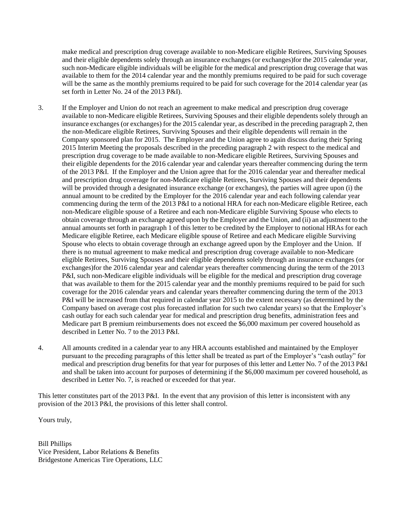make medical and prescription drug coverage available to non-Medicare eligible Retirees, Surviving Spouses and their eligible dependents solely through an insurance exchanges (or exchanges)for the 2015 calendar year, such non-Medicare eligible individuals will be eligible for the medical and prescription drug coverage that was available to them for the 2014 calendar year and the monthly premiums required to be paid for such coverage will be the same as the monthly premiums required to be paid for such coverage for the 2014 calendar year (as set forth in Letter No. 24 of the 2013 P&I).

- 3. If the Employer and Union do not reach an agreement to make medical and prescription drug coverage available to non-Medicare eligible Retirees, Surviving Spouses and their eligible dependents solely through an insurance exchanges (or exchanges) for the 2015 calendar year, as described in the preceding paragraph 2, then the non-Medicare eligible Retirees, Surviving Spouses and their eligible dependents will remain in the Company sponsored plan for 2015. The Employer and the Union agree to again discuss during their Spring 2015 Interim Meeting the proposals described in the preceding paragraph 2 with respect to the medical and prescription drug coverage to be made available to non-Medicare eligible Retirees, Surviving Spouses and their eligible dependents for the 2016 calendar year and calendar years thereafter commencing during the term of the 2013 P&I. If the Employer and the Union agree that for the 2016 calendar year and thereafter medical and prescription drug coverage for non-Medicare eligible Retirees, Surviving Spouses and their dependents will be provided through a designated insurance exchange (or exchanges), the parties will agree upon (i) the annual amount to be credited by the Employer for the 2016 calendar year and each following calendar year commencing during the term of the 2013 P&I to a notional HRA for each non-Medicare eligible Retiree, each non-Medicare eligible spouse of a Retiree and each non-Medicare eligible Surviving Spouse who elects to obtain coverage through an exchange agreed upon by the Employer and the Union, and (ii) an adjustment to the annual amounts set forth in paragraph 1 of this letter to be credited by the Employer to notional HRAs for each Medicare eligible Retiree, each Medicare eligible spouse of Retiree and each Medicare eligible Surviving Spouse who elects to obtain coverage through an exchange agreed upon by the Employer and the Union. If there is no mutual agreement to make medical and prescription drug coverage available to non-Medicare eligible Retirees, Surviving Spouses and their eligible dependents solely through an insurance exchanges (or exchanges)for the 2016 calendar year and calendar years thereafter commencing during the term of the 2013 P&I, such non-Medicare eligible individuals will be eligible for the medical and prescription drug coverage that was available to them for the 2015 calendar year and the monthly premiums required to be paid for such coverage for the 2016 calendar years and calendar years thereafter commencing during the term of the 2013 P&I will be increased from that required in calendar year 2015 to the extent necessary (as determined by the Company based on average cost plus forecasted inflation for such two calendar years) so that the Employer's cash outlay for each such calendar year for medical and prescription drug benefits, administration fees and Medicare part B premium reimbursements does not exceed the \$6,000 maximum per covered household as described in Letter No. 7 to the 2013 P&I.
- 4. All amounts credited in a calendar year to any HRA accounts established and maintained by the Employer pursuant to the preceding paragraphs of this letter shall be treated as part of the Employer's "cash outlay" for medical and prescription drug benefits for that year for purposes of this letter and Letter No. 7 of the 2013 P&I and shall be taken into account for purposes of determining if the \$6,000 maximum per covered household, as described in Letter No. 7, is reached or exceeded for that year.

This letter constitutes part of the 2013 P&I. In the event that any provision of this letter is inconsistent with any provision of the 2013 P&I, the provisions of this letter shall control.

Yours truly,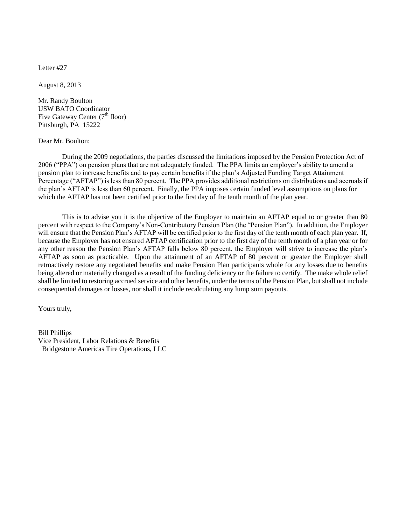August 8, 2013

Mr. Randy Boulton USW BATO Coordinator Five Gateway Center  $(7<sup>th</sup>$  floor) Pittsburgh, PA 15222

## Dear Mr. Boulton:

During the 2009 negotiations, the parties discussed the limitations imposed by the Pension Protection Act of 2006 ("PPA") on pension plans that are not adequately funded. The PPA limits an employer's ability to amend a pension plan to increase benefits and to pay certain benefits if the plan's Adjusted Funding Target Attainment Percentage ("AFTAP") is less than 80 percent. The PPA provides additional restrictions on distributions and accruals if the plan's AFTAP is less than 60 percent. Finally, the PPA imposes certain funded level assumptions on plans for which the AFTAP has not been certified prior to the first day of the tenth month of the plan year.

This is to advise you it is the objective of the Employer to maintain an AFTAP equal to or greater than 80 percent with respect to the Company's Non-Contributory Pension Plan (the "Pension Plan"). In addition, the Employer will ensure that the Pension Plan's AFTAP will be certified prior to the first day of the tenth month of each plan year. If, because the Employer has not ensured AFTAP certification prior to the first day of the tenth month of a plan year or for any other reason the Pension Plan's AFTAP falls below 80 percent, the Employer will strive to increase the plan's AFTAP as soon as practicable. Upon the attainment of an AFTAP of 80 percent or greater the Employer shall retroactively restore any negotiated benefits and make Pension Plan participants whole for any losses due to benefits being altered or materially changed as a result of the funding deficiency or the failure to certify. The make whole relief shall be limited to restoring accrued service and other benefits, under the terms of the Pension Plan, but shall not include consequential damages or losses, nor shall it include recalculating any lump sum payouts.

Yours truly,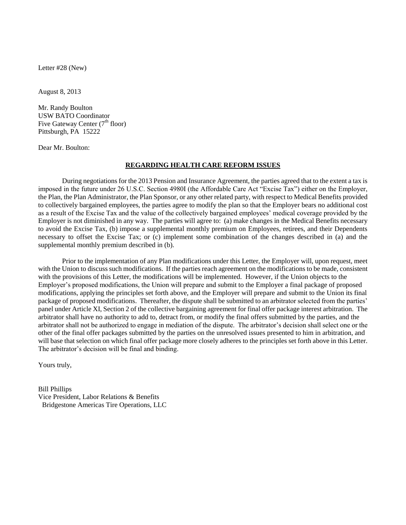Letter #28 (New)

August 8, 2013

Mr. Randy Boulton USW BATO Coordinator Five Gateway Center  $(7<sup>th</sup> floor)$ Pittsburgh, PA 15222

Dear Mr. Boulton:

## **REGARDING HEALTH CARE REFORM ISSUES**

During negotiations for the 2013 Pension and Insurance Agreement, the parties agreed that to the extent a tax is imposed in the future under 26 U.S.C. Section 4980I (the Affordable Care Act "Excise Tax") either on the Employer, the Plan, the Plan Administrator, the Plan Sponsor, or any other related party, with respect to Medical Benefits provided to collectively bargained employees, the parties agree to modify the plan so that the Employer bears no additional cost as a result of the Excise Tax and the value of the collectively bargained employees' medical coverage provided by the Employer is not diminished in any way. The parties will agree to: (a) make changes in the Medical Benefits necessary to avoid the Excise Tax, (b) impose a supplemental monthly premium on Employees, retirees, and their Dependents necessary to offset the Excise Tax; or (c) implement some combination of the changes described in (a) and the supplemental monthly premium described in (b).

Prior to the implementation of any Plan modifications under this Letter, the Employer will, upon request, meet with the Union to discuss such modifications. If the parties reach agreement on the modifications to be made, consistent with the provisions of this Letter, the modifications will be implemented. However, if the Union objects to the Employer's proposed modifications, the Union will prepare and submit to the Employer a final package of proposed modifications, applying the principles set forth above, and the Employer will prepare and submit to the Union its final package of proposed modifications. Thereafter, the dispute shall be submitted to an arbitrator selected from the parties' panel under Article XI, Section 2 of the collective bargaining agreement for final offer package interest arbitration. The arbitrator shall have no authority to add to, detract from, or modify the final offers submitted by the parties, and the arbitrator shall not be authorized to engage in mediation of the dispute. The arbitrator's decision shall select one or the other of the final offer packages submitted by the parties on the unresolved issues presented to him in arbitration, and will base that selection on which final offer package more closely adheres to the principles set forth above in this Letter. The arbitrator's decision will be final and binding.

Yours truly,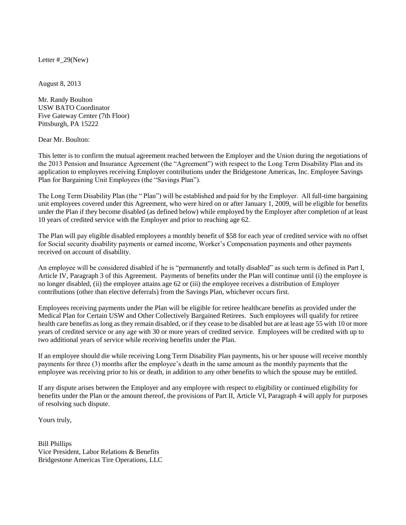Letter  $# 29$ (New)

August 8, 2013

Mr. Randy Boulton USW BATO Coordinator Five Gateway Center (7th Floor) Pittsburgh, PA 15222

Dear Mr. Boulton:

This letter is to confirm the mutual agreement reached between the Employer and the Union during the negotiations of the 2013 Pension and Insurance Agreement (the "Agreement") with respect to the Long Term Disability Plan and its application to employees receiving Employer contributions under the Bridgestone Americas, Inc. Employee Savings Plan for Bargaining Unit Employees (the "Savings Plan").

The Long Term Disability Plan (the " Plan") will be established and paid for by the Employer. All full-time bargaining unit employees covered under this Agreement, who were hired on or after January 1, 2009, will be eligible for benefits under the Plan if they become disabled (as defined below) while employed by the Employer after completion of at least 10 years of credited service with the Employer and prior to reaching age 62.

The Plan will pay eligible disabled employees a monthly benefit of \$58 for each year of credited service with no offset for Social security disability payments or earned income, Worker's Compensation payments and other payments received on account of disability.

An employee will be considered disabled if he is "permanently and totally disabled" as such term is defined in Part I, Article IV, Paragraph 3 of this Agreement. Payments of benefits under the Plan will continue until (i) the employee is no longer disabled, (ii) the employee attains age 62 or (iii) the employee receives a distribution of Employer contributions (other than elective deferrals) from the Savings Plan, whichever occurs first.

Employees receiving payments under the Plan will be eligible for retiree healthcare benefits as provided under the Medical Plan for Certain USW and Other Collectively Bargained Retirees. Such employees will qualify for retiree health care benefits as long as they remain disabled, or if they cease to be disabled but are at least age 55 with 10 or more years of credited service or any age with 30 or more years of credited service. Employees will be credited with up to two additional years of service while receiving benefits under the Plan.

If an employee should die while receiving Long Term Disability Plan payments, his or her spouse will receive monthly payments for three (3) months after the employee's death in the same amount as the monthly payments that the employee was receiving prior to his or death, in addition to any other benefits to which the spouse may be entitled.

If any dispute arises between the Employer and any employee with respect to eligibility or continued eligibility for benefits under the Plan or the amount thereof, the provisions of Part II, Article VI, Paragraph 4 will apply for purposes of resolving such dispute.

Yours truly,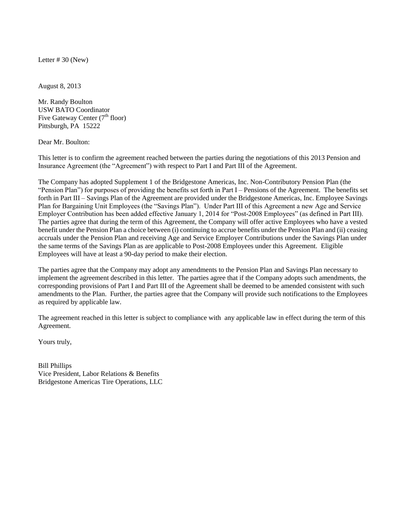Letter  $# 30$  (New)

August 8, 2013

Mr. Randy Boulton USW BATO Coordinator Five Gateway Center  $(7<sup>th</sup>$  floor) Pittsburgh, PA 15222

Dear Mr. Boulton:

This letter is to confirm the agreement reached between the parties during the negotiations of this 2013 Pension and Insurance Agreement (the "Agreement") with respect to Part I and Part III of the Agreement.

The Company has adopted Supplement 1 of the Bridgestone Americas, Inc. Non-Contributory Pension Plan (the "Pension Plan") for purposes of providing the benefits set forth in Part I – Pensions of the Agreement. The benefits set forth in Part III – Savings Plan of the Agreement are provided under the Bridgestone Americas, Inc. Employee Savings Plan for Bargaining Unit Employees (the "Savings Plan"). Under Part III of this Agreement a new Age and Service Employer Contribution has been added effective January 1, 2014 for "Post-2008 Employees" (as defined in Part III). The parties agree that during the term of this Agreement, the Company will offer active Employees who have a vested benefit under the Pension Plan a choice between (i) continuing to accrue benefits under the Pension Plan and (ii) ceasing accruals under the Pension Plan and receiving Age and Service Employer Contributions under the Savings Plan under the same terms of the Savings Plan as are applicable to Post-2008 Employees under this Agreement. Eligible Employees will have at least a 90-day period to make their election.

The parties agree that the Company may adopt any amendments to the Pension Plan and Savings Plan necessary to implement the agreement described in this letter. The parties agree that if the Company adopts such amendments, the corresponding provisions of Part I and Part III of the Agreement shall be deemed to be amended consistent with such amendments to the Plan. Further, the parties agree that the Company will provide such notifications to the Employees as required by applicable law.

The agreement reached in this letter is subject to compliance with any applicable law in effect during the term of this Agreement.

Yours truly,